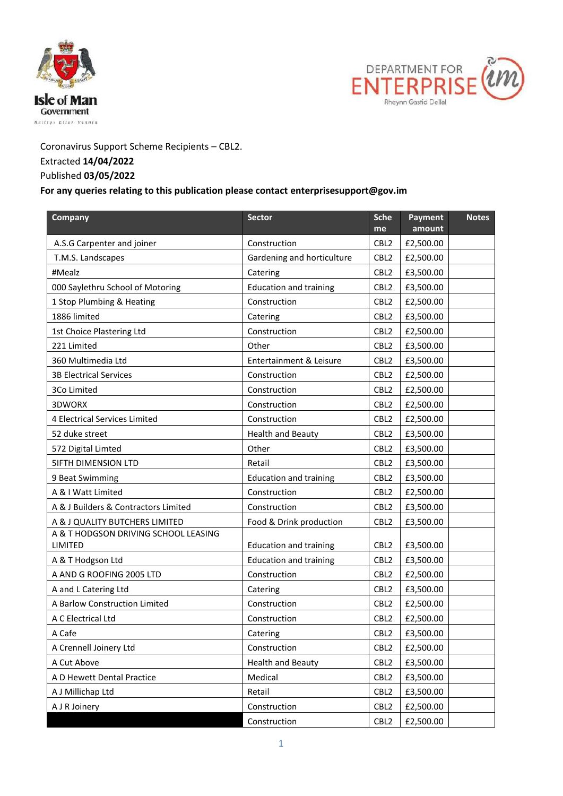



## Coronavirus Support Scheme Recipients – CBL2. Extracted **14/04/2022**

## Published **03/05/2022**

## **For any queries relating to this publication please contact enterprisesupport@gov.im**

| Company                              | <b>Sector</b>                 | <b>Sche</b>      | Payment   | <b>Notes</b> |
|--------------------------------------|-------------------------------|------------------|-----------|--------------|
|                                      |                               | me               | amount    |              |
| A.S.G Carpenter and joiner           | Construction                  | CBL <sub>2</sub> | £2,500.00 |              |
| T.M.S. Landscapes                    | Gardening and horticulture    | CBL <sub>2</sub> | £2,500.00 |              |
| #Mealz                               | Catering                      | CBL <sub>2</sub> | £3,500.00 |              |
| 000 Saylethru School of Motoring     | <b>Education and training</b> | CBL <sub>2</sub> | £3,500.00 |              |
| 1 Stop Plumbing & Heating            | Construction                  | CBL <sub>2</sub> | £2,500.00 |              |
| 1886 limited                         | Catering                      | CBL <sub>2</sub> | £3,500.00 |              |
| 1st Choice Plastering Ltd            | Construction                  | CBL <sub>2</sub> | £2,500.00 |              |
| 221 Limited                          | Other                         | CBL <sub>2</sub> | £3,500.00 |              |
| 360 Multimedia Ltd                   | Entertainment & Leisure       | CBL <sub>2</sub> | £3,500.00 |              |
| <b>3B Electrical Services</b>        | Construction                  | CBL <sub>2</sub> | £2,500.00 |              |
| 3Co Limited                          | Construction                  | CBL <sub>2</sub> | £2,500.00 |              |
| 3DWORX                               | Construction                  | CBL <sub>2</sub> | £2,500.00 |              |
| 4 Electrical Services Limited        | Construction                  | CBL <sub>2</sub> | £2,500.00 |              |
| 52 duke street                       | <b>Health and Beauty</b>      | CBL <sub>2</sub> | £3,500.00 |              |
| 572 Digital Limted                   | Other                         | CBL <sub>2</sub> | £3,500.00 |              |
| <b>SIFTH DIMENSION LTD</b>           | Retail                        | CBL <sub>2</sub> | £3,500.00 |              |
| 9 Beat Swimming                      | <b>Education and training</b> | CBL <sub>2</sub> | £3,500.00 |              |
| A & I Watt Limited                   | Construction                  | CBL <sub>2</sub> | £2,500.00 |              |
| A & J Builders & Contractors Limited | Construction                  | CBL <sub>2</sub> | £3,500.00 |              |
| A & J QUALITY BUTCHERS LIMITED       | Food & Drink production       | CBL <sub>2</sub> | £3,500.00 |              |
| A & T HODGSON DRIVING SCHOOL LEASING |                               |                  |           |              |
| LIMITED                              | <b>Education and training</b> | CBL <sub>2</sub> | £3,500.00 |              |
| A & T Hodgson Ltd                    | <b>Education and training</b> | CBL <sub>2</sub> | £3,500.00 |              |
| A AND G ROOFING 2005 LTD             | Construction                  | CBL <sub>2</sub> | £2,500.00 |              |
| A and L Catering Ltd                 | Catering                      | CBL <sub>2</sub> | £3,500.00 |              |
| A Barlow Construction Limited        | Construction                  | CBL <sub>2</sub> | £2,500.00 |              |
| A C Electrical Ltd                   | Construction                  | CBL <sub>2</sub> | £2,500.00 |              |
| A Cafe                               | Catering                      | CBL2             | £3,500.00 |              |
| A Crennell Joinery Ltd               | Construction                  | CBL <sub>2</sub> | £2,500.00 |              |
| A Cut Above                          | <b>Health and Beauty</b>      | CBL <sub>2</sub> | £3,500.00 |              |
| A D Hewett Dental Practice           | Medical                       | CBL <sub>2</sub> | £3,500.00 |              |
| A J Millichap Ltd                    | Retail                        | CBL <sub>2</sub> | £3,500.00 |              |
| A J R Joinery                        | Construction                  | CBL <sub>2</sub> | £2,500.00 |              |
|                                      | Construction                  | CBL <sub>2</sub> | £2,500.00 |              |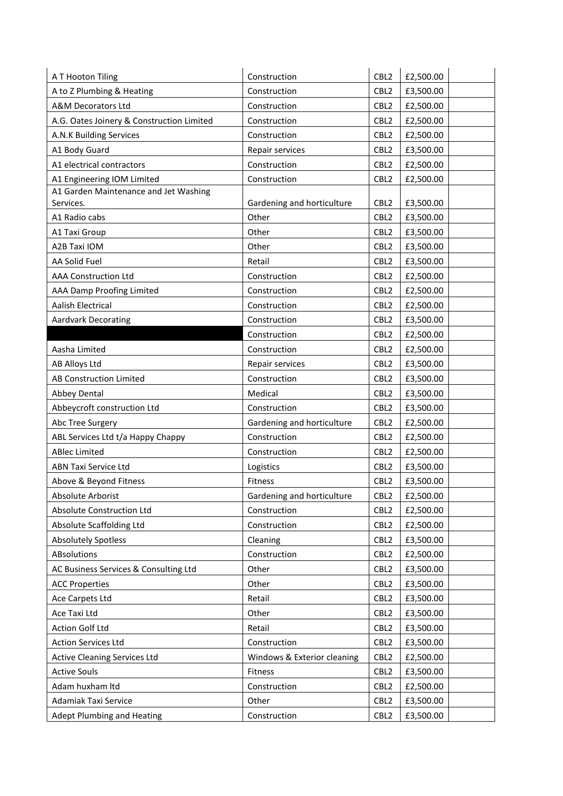| A T Hooton Tiling                         | Construction                | CBL <sub>2</sub> | £2,500.00 |
|-------------------------------------------|-----------------------------|------------------|-----------|
| A to Z Plumbing & Heating                 | Construction                | CBL <sub>2</sub> | £3,500.00 |
| A&M Decorators Ltd                        | Construction                | CBL <sub>2</sub> | £2,500.00 |
| A.G. Oates Joinery & Construction Limited | Construction                | CBL <sub>2</sub> | £2,500.00 |
| A.N.K Building Services                   | Construction                | CBL <sub>2</sub> | £2,500.00 |
| A1 Body Guard                             | Repair services             | CBL <sub>2</sub> | £3,500.00 |
| A1 electrical contractors                 | Construction                | CBL <sub>2</sub> | £2,500.00 |
| A1 Engineering IOM Limited                | Construction                | CBL <sub>2</sub> | £2,500.00 |
| A1 Garden Maintenance and Jet Washing     |                             |                  |           |
| Services.                                 | Gardening and horticulture  | CBL <sub>2</sub> | £3,500.00 |
| A1 Radio cabs                             | Other                       | CBL <sub>2</sub> | £3,500.00 |
| A1 Taxi Group                             | Other                       | CBL <sub>2</sub> | £3,500.00 |
| A2B Taxi IOM                              | Other                       | CBL <sub>2</sub> | £3,500.00 |
| AA Solid Fuel                             | Retail                      | CBL <sub>2</sub> | £3,500.00 |
| <b>AAA Construction Ltd</b>               | Construction                | CBL <sub>2</sub> | £2,500.00 |
| AAA Damp Proofing Limited                 | Construction                | CBL <sub>2</sub> | £2,500.00 |
| Aalish Electrical                         | Construction                | CBL <sub>2</sub> | £2,500.00 |
| <b>Aardvark Decorating</b>                | Construction                | CBL <sub>2</sub> | £3,500.00 |
|                                           | Construction                | CBL <sub>2</sub> | £2,500.00 |
| Aasha Limited                             | Construction                | CBL <sub>2</sub> | £2,500.00 |
| <b>AB Alloys Ltd</b>                      | Repair services             | CBL <sub>2</sub> | £3,500.00 |
| AB Construction Limited                   | Construction                | CBL <sub>2</sub> | £3,500.00 |
| Abbey Dental                              | Medical                     | CBL <sub>2</sub> | £3,500.00 |
| Abbeycroft construction Ltd               | Construction                | CBL <sub>2</sub> | £3,500.00 |
| Abc Tree Surgery                          | Gardening and horticulture  | CBL <sub>2</sub> | £2,500.00 |
| ABL Services Ltd t/a Happy Chappy         | Construction                | CBL <sub>2</sub> | £2,500.00 |
| <b>ABlec Limited</b>                      | Construction                | CBL <sub>2</sub> | £2,500.00 |
| <b>ABN Taxi Service Ltd</b>               | Logistics                   | CBL <sub>2</sub> | £3,500.00 |
| Above & Beyond Fitness                    | Fitness                     | CBL <sub>2</sub> | £3,500.00 |
| Absolute Arborist                         | Gardening and horticulture  | CBL2             | £2,500.00 |
| Absolute Construction Ltd                 | Construction                | CBL <sub>2</sub> | £2,500.00 |
| Absolute Scaffolding Ltd                  | Construction                | CBL <sub>2</sub> | £2,500.00 |
| <b>Absolutely Spotless</b>                | Cleaning                    | CBL <sub>2</sub> | £3,500.00 |
| ABsolutions                               | Construction                | CBL <sub>2</sub> | £2,500.00 |
| AC Business Services & Consulting Ltd     | Other                       | CBL <sub>2</sub> | £3,500.00 |
| <b>ACC Properties</b>                     | Other                       | CBL <sub>2</sub> | £3,500.00 |
| Ace Carpets Ltd                           | Retail                      | CBL <sub>2</sub> | £3,500.00 |
| Ace Taxi Ltd                              | Other                       | CBL <sub>2</sub> | £3,500.00 |
| Action Golf Ltd                           | Retail                      | CBL <sub>2</sub> | £3,500.00 |
| <b>Action Services Ltd</b>                | Construction                | CBL <sub>2</sub> | £3,500.00 |
| <b>Active Cleaning Services Ltd</b>       | Windows & Exterior cleaning | CBL <sub>2</sub> | £2,500.00 |
| <b>Active Souls</b>                       | Fitness                     | CBL <sub>2</sub> | £3,500.00 |
| Adam huxham Itd                           | Construction                | CBL <sub>2</sub> | £2,500.00 |
| Adamiak Taxi Service                      | Other                       | CBL <sub>2</sub> | £3,500.00 |
| <b>Adept Plumbing and Heating</b>         | Construction                | CBL <sub>2</sub> | £3,500.00 |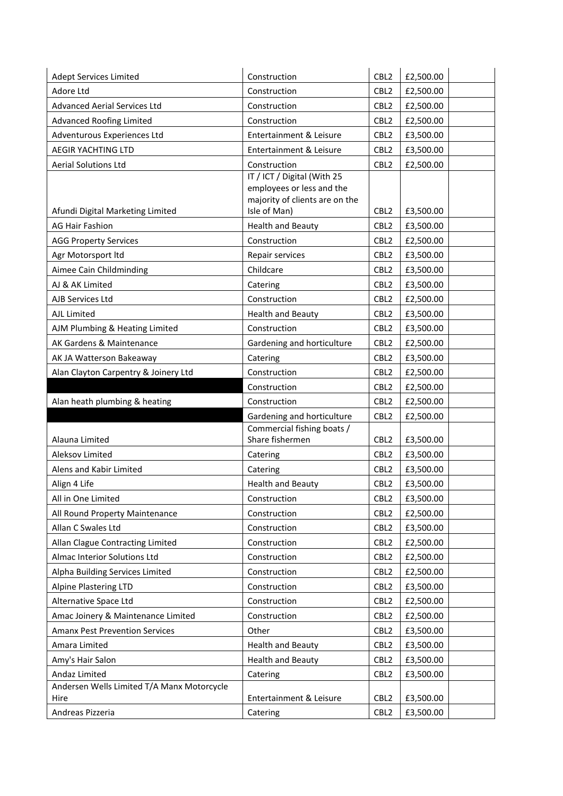| <b>Adept Services Limited</b>                 | Construction                                   | CBL <sub>2</sub> | £2,500.00              |
|-----------------------------------------------|------------------------------------------------|------------------|------------------------|
| Adore Ltd                                     | Construction                                   | CBL <sub>2</sub> | £2,500.00              |
| <b>Advanced Aerial Services Ltd</b>           | Construction                                   | CBL <sub>2</sub> | £2,500.00              |
| <b>Advanced Roofing Limited</b>               | Construction                                   | CBL <sub>2</sub> | £2,500.00              |
| Adventurous Experiences Ltd                   | Entertainment & Leisure                        | CBL <sub>2</sub> | £3,500.00              |
| <b>AEGIR YACHTING LTD</b>                     | Entertainment & Leisure                        | CBL <sub>2</sub> | £3,500.00              |
| <b>Aerial Solutions Ltd</b>                   | Construction                                   | CBL <sub>2</sub> | £2,500.00              |
|                                               | IT / ICT / Digital (With 25                    |                  |                        |
|                                               | employees or less and the                      |                  |                        |
| Afundi Digital Marketing Limited              | majority of clients are on the<br>Isle of Man) | CBL <sub>2</sub> | £3,500.00              |
| <b>AG Hair Fashion</b>                        | <b>Health and Beauty</b>                       | CBL <sub>2</sub> | £3,500.00              |
| <b>AGG Property Services</b>                  | Construction                                   | CBL <sub>2</sub> | £2,500.00              |
|                                               |                                                | CBL <sub>2</sub> |                        |
| Agr Motorsport Itd<br>Aimee Cain Childminding | Repair services<br>Childcare                   |                  | £3,500.00              |
|                                               |                                                | CBL <sub>2</sub> | £3,500.00              |
| AJ & AK Limited                               | Catering                                       | CBL <sub>2</sub> | £3,500.00              |
| AJB Services Ltd                              | Construction                                   | CBL <sub>2</sub> | £2,500.00              |
| AJL Limited                                   | <b>Health and Beauty</b>                       | CBL <sub>2</sub> | £3,500.00              |
| AJM Plumbing & Heating Limited                | Construction                                   | CBL <sub>2</sub> | £3,500.00              |
| AK Gardens & Maintenance                      | Gardening and horticulture                     | CBL <sub>2</sub> | £2,500.00              |
| AK JA Watterson Bakeaway                      | Catering                                       | CBL <sub>2</sub> | £3,500.00              |
| Alan Clayton Carpentry & Joinery Ltd          | Construction                                   | CBL <sub>2</sub> | £2,500.00              |
|                                               | Construction                                   | CBL <sub>2</sub> | £2,500.00              |
| Alan heath plumbing & heating                 | Construction                                   | CBL <sub>2</sub> | £2,500.00              |
|                                               | Gardening and horticulture                     | CBL <sub>2</sub> | £2,500.00              |
| Alauna Limited                                | Commercial fishing boats /<br>Share fishermen  | CBL <sub>2</sub> | £3,500.00              |
| Aleksov Limited                               |                                                | CBL <sub>2</sub> |                        |
| Alens and Kabir Limited                       | Catering                                       | CBL <sub>2</sub> | £3,500.00<br>£3,500.00 |
|                                               | Catering                                       |                  |                        |
| Align 4 Life                                  | <b>Health and Beauty</b>                       | CBL <sub>2</sub> | £3,500.00              |
| All in One Limited                            | Construction                                   | CBL <sub>2</sub> | £3,500.00              |
| All Round Property Maintenance                | Construction                                   | CBL <sub>2</sub> | £2,500.00              |
| Allan C Swales Ltd                            | Construction                                   | CBL <sub>2</sub> | £3,500.00              |
| Allan Clague Contracting Limited              | Construction                                   | CBL <sub>2</sub> | £2,500.00              |
| Almac Interior Solutions Ltd                  | Construction                                   | CBL <sub>2</sub> | £2,500.00              |
| Alpha Building Services Limited               | Construction                                   | CBL <sub>2</sub> | £2,500.00              |
| <b>Alpine Plastering LTD</b>                  | Construction                                   | CBL <sub>2</sub> | £3,500.00              |
| Alternative Space Ltd                         | Construction                                   | CBL <sub>2</sub> | £2,500.00              |
| Amac Joinery & Maintenance Limited            | Construction                                   | CBL <sub>2</sub> | £2,500.00              |
| <b>Amanx Pest Prevention Services</b>         | Other                                          | CBL <sub>2</sub> | £3,500.00              |
| Amara Limited                                 | <b>Health and Beauty</b>                       | CBL <sub>2</sub> | £3,500.00              |
| Amy's Hair Salon                              | <b>Health and Beauty</b>                       | CBL <sub>2</sub> | £3,500.00              |
| Andaz Limited                                 | Catering                                       | CBL <sub>2</sub> | £3,500.00              |
| Andersen Wells Limited T/A Manx Motorcycle    |                                                |                  |                        |
| Hire                                          | Entertainment & Leisure                        | CBL <sub>2</sub> | £3,500.00              |
| Andreas Pizzeria                              | Catering                                       | CBL <sub>2</sub> | £3,500.00              |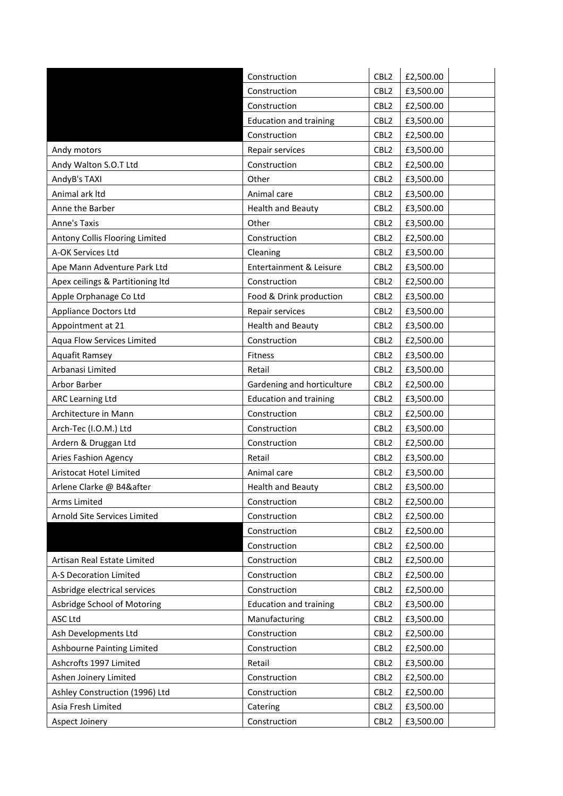|                                  | Construction                  | CBL <sub>2</sub> | £2,500.00 |
|----------------------------------|-------------------------------|------------------|-----------|
|                                  | Construction                  | CBL <sub>2</sub> | £3,500.00 |
|                                  | Construction                  | CBL <sub>2</sub> | £2,500.00 |
|                                  | <b>Education and training</b> | CBL <sub>2</sub> | £3,500.00 |
|                                  | Construction                  | CBL <sub>2</sub> | £2,500.00 |
| Andy motors                      | Repair services               | CBL <sub>2</sub> | £3,500.00 |
| Andy Walton S.O.T Ltd            | Construction                  | CBL <sub>2</sub> | £2,500.00 |
| AndyB's TAXI                     | Other                         | CBL <sub>2</sub> | £3,500.00 |
| Animal ark Itd                   | Animal care                   | CBL <sub>2</sub> | £3,500.00 |
| Anne the Barber                  | <b>Health and Beauty</b>      | CBL <sub>2</sub> | £3,500.00 |
| Anne's Taxis                     | Other                         | CBL <sub>2</sub> | £3,500.00 |
| Antony Collis Flooring Limited   | Construction                  | CBL <sub>2</sub> | £2,500.00 |
| A-OK Services Ltd                | Cleaning                      | CBL <sub>2</sub> | £3,500.00 |
| Ape Mann Adventure Park Ltd      | Entertainment & Leisure       | CBL <sub>2</sub> | £3,500.00 |
| Apex ceilings & Partitioning ltd | Construction                  | CBL <sub>2</sub> | £2,500.00 |
| Apple Orphanage Co Ltd           | Food & Drink production       | CBL <sub>2</sub> | £3,500.00 |
| <b>Appliance Doctors Ltd</b>     | Repair services               | CBL <sub>2</sub> | £3,500.00 |
| Appointment at 21                | <b>Health and Beauty</b>      | CBL <sub>2</sub> | £3,500.00 |
| Aqua Flow Services Limited       | Construction                  | CBL <sub>2</sub> | £2,500.00 |
| Aquafit Ramsey                   | Fitness                       | CBL <sub>2</sub> | £3,500.00 |
| Arbanasi Limited                 | Retail                        | CBL <sub>2</sub> | £3,500.00 |
| Arbor Barber                     | Gardening and horticulture    | CBL <sub>2</sub> | £2,500.00 |
| ARC Learning Ltd                 | <b>Education and training</b> | CBL <sub>2</sub> | £3,500.00 |
| Architecture in Mann             | Construction                  | CBL <sub>2</sub> | £2,500.00 |
| Arch-Tec (I.O.M.) Ltd            | Construction                  | CBL <sub>2</sub> | £3,500.00 |
| Ardern & Druggan Ltd             | Construction                  | CBL <sub>2</sub> | £2,500.00 |
| <b>Aries Fashion Agency</b>      | Retail                        | CBL <sub>2</sub> | £3,500.00 |
| Aristocat Hotel Limited          | Animal care                   | CBL <sub>2</sub> | £3,500.00 |
| Arlene Clarke @ B4&after         | <b>Health and Beauty</b>      | CBL <sub>2</sub> | £3,500.00 |
| Arms Limited                     | Construction                  | CBL <sub>2</sub> | £2,500.00 |
| Arnold Site Services Limited     | Construction                  | CBL <sub>2</sub> | £2,500.00 |
|                                  | Construction                  | CBL <sub>2</sub> | £2,500.00 |
|                                  | Construction                  | CBL <sub>2</sub> | £2,500.00 |
| Artisan Real Estate Limited      | Construction                  | CBL <sub>2</sub> | £2,500.00 |
| A-S Decoration Limited           | Construction                  | CBL <sub>2</sub> | £2,500.00 |
| Asbridge electrical services     | Construction                  | CBL <sub>2</sub> | £2,500.00 |
| Asbridge School of Motoring      | <b>Education and training</b> | CBL <sub>2</sub> | £3,500.00 |
| ASC Ltd                          | Manufacturing                 | CBL <sub>2</sub> | £3,500.00 |
| Ash Developments Ltd             | Construction                  | CBL <sub>2</sub> | £2,500.00 |
| Ashbourne Painting Limited       | Construction                  | CBL <sub>2</sub> | £2,500.00 |
| Ashcrofts 1997 Limited           | Retail                        | CBL <sub>2</sub> | £3,500.00 |
| Ashen Joinery Limited            | Construction                  | CBL <sub>2</sub> | £2,500.00 |
| Ashley Construction (1996) Ltd   | Construction                  | CBL <sub>2</sub> | £2,500.00 |
| Asia Fresh Limited               | Catering                      | CBL <sub>2</sub> | £3,500.00 |
| Aspect Joinery                   | Construction                  | CBL <sub>2</sub> | £3,500.00 |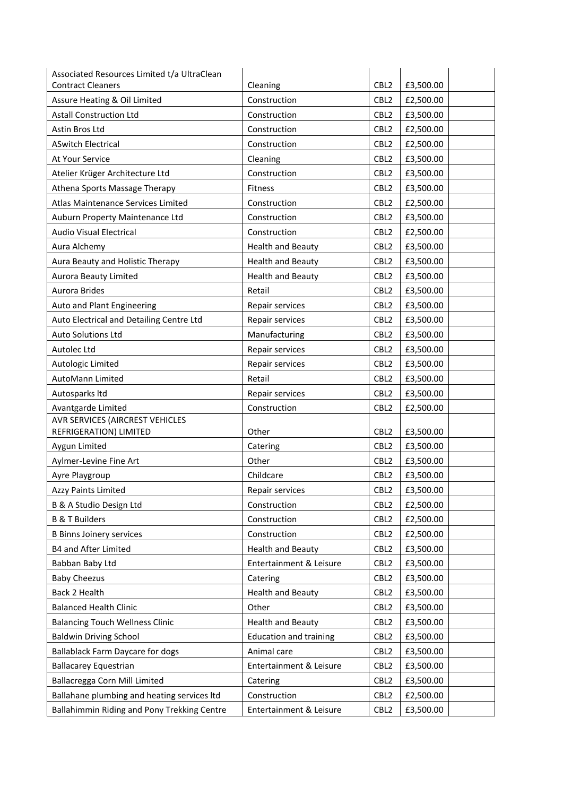| Associated Resources Limited t/a UltraClean |                               |                  |           |
|---------------------------------------------|-------------------------------|------------------|-----------|
| <b>Contract Cleaners</b>                    | Cleaning                      | CBL <sub>2</sub> | £3,500.00 |
| Assure Heating & Oil Limited                | Construction                  | CBL <sub>2</sub> | £2,500.00 |
| <b>Astall Construction Ltd</b>              | Construction                  | CBL <sub>2</sub> | £3,500.00 |
| Astin Bros Ltd                              | Construction                  | CBL <sub>2</sub> | £2,500.00 |
| <b>ASwitch Electrical</b>                   | Construction                  | CBL <sub>2</sub> | £2,500.00 |
| At Your Service                             | Cleaning                      | CBL <sub>2</sub> | £3,500.00 |
| Atelier Krüger Architecture Ltd             | Construction                  | CBL <sub>2</sub> | £3,500.00 |
| Athena Sports Massage Therapy               | Fitness                       | CBL <sub>2</sub> | £3,500.00 |
| Atlas Maintenance Services Limited          | Construction                  | CBL <sub>2</sub> | £2,500.00 |
| Auburn Property Maintenance Ltd             | Construction                  | CBL <sub>2</sub> | £3,500.00 |
| Audio Visual Electrical                     | Construction                  | CBL <sub>2</sub> | £2,500.00 |
| Aura Alchemy                                | <b>Health and Beauty</b>      | CBL <sub>2</sub> | £3,500.00 |
| Aura Beauty and Holistic Therapy            | <b>Health and Beauty</b>      | CBL <sub>2</sub> | £3,500.00 |
| Aurora Beauty Limited                       | <b>Health and Beauty</b>      | CBL <sub>2</sub> | £3,500.00 |
| Aurora Brides                               | Retail                        | CBL <sub>2</sub> | £3,500.00 |
| Auto and Plant Engineering                  | Repair services               | CBL <sub>2</sub> | £3,500.00 |
| Auto Electrical and Detailing Centre Ltd    | Repair services               | CBL <sub>2</sub> | £3,500.00 |
| Auto Solutions Ltd                          | Manufacturing                 | CBL <sub>2</sub> | £3,500.00 |
| Autolec Ltd                                 | Repair services               | CBL <sub>2</sub> | £3,500.00 |
| Autologic Limited                           | Repair services               | CBL <sub>2</sub> | £3,500.00 |
| AutoMann Limited                            | Retail                        | CBL <sub>2</sub> | £3,500.00 |
| Autosparks Itd                              | Repair services               | CBL <sub>2</sub> | £3,500.00 |
| Avantgarde Limited                          | Construction                  | CBL <sub>2</sub> | £2,500.00 |
| AVR SERVICES (AIRCREST VEHICLES             |                               |                  |           |
| REFRIGERATION) LIMITED                      | Other                         | CBL <sub>2</sub> | £3,500.00 |
| Aygun Limited                               | Catering                      | CBL <sub>2</sub> | £3,500.00 |
| Aylmer-Levine Fine Art                      | Other                         | CBL <sub>2</sub> | £3,500.00 |
| Ayre Playgroup                              | Childcare                     | CBL <sub>2</sub> | £3,500.00 |
| <b>Azzy Paints Limited</b>                  | Repair services               | CBL <sub>2</sub> | £3,500.00 |
| B & A Studio Design Ltd                     | Construction                  | CBL <sub>2</sub> | £2,500.00 |
| <b>B &amp; T Builders</b>                   | Construction                  | CBL <sub>2</sub> | £2,500.00 |
| <b>B Binns Joinery services</b>             | Construction                  | CBL <sub>2</sub> | £2,500.00 |
| <b>B4 and After Limited</b>                 | <b>Health and Beauty</b>      | CBL <sub>2</sub> | £3,500.00 |
| Babban Baby Ltd                             | Entertainment & Leisure       | CBL <sub>2</sub> | £3,500.00 |
| <b>Baby Cheezus</b>                         | Catering                      | CBL <sub>2</sub> | £3,500.00 |
| Back 2 Health                               | <b>Health and Beauty</b>      | CBL <sub>2</sub> | £3,500.00 |
| <b>Balanced Health Clinic</b>               | Other                         | CBL <sub>2</sub> | £3,500.00 |
| <b>Balancing Touch Wellness Clinic</b>      | <b>Health and Beauty</b>      | CBL <sub>2</sub> | £3,500.00 |
| <b>Baldwin Driving School</b>               | <b>Education and training</b> | CBL <sub>2</sub> | £3,500.00 |
| <b>Ballablack Farm Daycare for dogs</b>     | Animal care                   | CBL <sub>2</sub> | £3,500.00 |
| <b>Ballacarey Equestrian</b>                | Entertainment & Leisure       | CBL <sub>2</sub> | £3,500.00 |
| Ballacregga Corn Mill Limited               | Catering                      | CBL <sub>2</sub> | £3,500.00 |
| Ballahane plumbing and heating services Itd | Construction                  | CBL <sub>2</sub> | £2,500.00 |
| Ballahimmin Riding and Pony Trekking Centre | Entertainment & Leisure       | CBL <sub>2</sub> | £3,500.00 |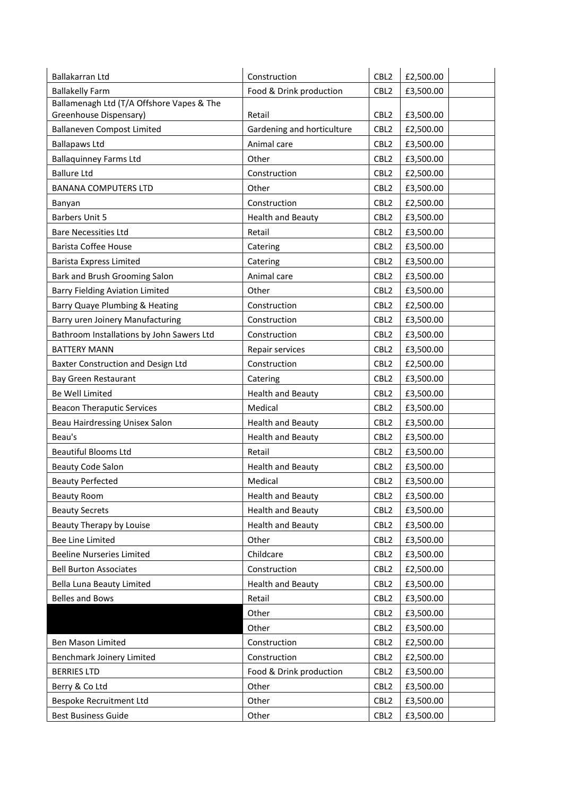| <b>Ballakelly Farm</b><br>Food & Drink production<br>CBL <sub>2</sub><br>£3,500.00<br>Ballamenagh Ltd (T/A Offshore Vapes & The<br>Greenhouse Dispensary)<br>CBL <sub>2</sub><br>£3,500.00<br>Retail<br><b>Ballaneven Compost Limited</b><br>Gardening and horticulture<br>CBL <sub>2</sub><br>£2,500.00<br><b>Ballapaws Ltd</b><br>Animal care<br>CBL <sub>2</sub><br>£3,500.00<br><b>Ballaquinney Farms Ltd</b><br>Other<br>CBL <sub>2</sub><br>£3,500.00<br><b>Ballure Ltd</b><br>Construction<br>CBL <sub>2</sub><br>£2,500.00<br>Other<br>CBL <sub>2</sub><br>£3,500.00<br><b>BANANA COMPUTERS LTD</b><br>Construction<br>CBL <sub>2</sub><br>£2,500.00<br>Banyan<br><b>Barbers Unit 5</b><br><b>Health and Beauty</b><br>CBL <sub>2</sub><br>£3,500.00<br>CBL <sub>2</sub><br><b>Bare Necessities Ltd</b><br>Retail<br>£3,500.00<br><b>Barista Coffee House</b><br>CBL <sub>2</sub><br>Catering<br>£3,500.00<br><b>Barista Express Limited</b><br>CBL <sub>2</sub><br>Catering<br>£3,500.00<br>Bark and Brush Grooming Salon<br>Animal care<br>CBL <sub>2</sub><br>£3,500.00<br><b>Barry Fielding Aviation Limited</b><br>Other<br>CBL <sub>2</sub><br>£3,500.00<br>Barry Quaye Plumbing & Heating<br>CBL <sub>2</sub><br>Construction<br>£2,500.00<br>Barry uren Joinery Manufacturing<br>Construction<br>CBL <sub>2</sub><br>£3,500.00<br>Bathroom Installations by John Sawers Ltd<br>CBL <sub>2</sub><br>Construction<br>£3,500.00<br><b>BATTERY MANN</b><br>CBL <sub>2</sub><br>£3,500.00<br>Repair services<br>Baxter Construction and Design Ltd<br>Construction<br>CBL <sub>2</sub><br>£2,500.00<br>Bay Green Restaurant<br>CBL <sub>2</sub><br>Catering<br>£3,500.00<br>Be Well Limited<br><b>Health and Beauty</b><br>CBL <sub>2</sub><br>£3,500.00<br>Medical<br>CBL <sub>2</sub><br><b>Beacon Theraputic Services</b><br>£3,500.00<br>Beau Hairdressing Unisex Salon<br><b>Health and Beauty</b><br>CBL <sub>2</sub><br>£3,500.00<br>Beau's<br><b>Health and Beauty</b><br>CBL <sub>2</sub><br>£3,500.00<br><b>Beautiful Blooms Ltd</b><br>Retail<br>CBL <sub>2</sub><br>£3,500.00<br><b>Health and Beauty</b><br>CBL <sub>2</sub><br>£3,500.00<br><b>Beauty Code Salon</b><br><b>Beauty Perfected</b><br>£3,500.00<br>Medical<br>CBL <sub>2</sub><br><b>Health and Beauty</b><br>Beauty Room<br>CBL <sub>2</sub><br>£3,500.00<br><b>Health and Beauty</b><br>CBL <sub>2</sub><br>£3,500.00<br><b>Beauty Secrets</b><br>Beauty Therapy by Louise<br><b>Health and Beauty</b><br>CBL <sub>2</sub><br>£3,500.00<br>Bee Line Limited<br>Other<br>CBL <sub>2</sub><br>£3,500.00<br><b>Beeline Nurseries Limited</b><br>Childcare<br>CBL <sub>2</sub><br>£3,500.00<br><b>Bell Burton Associates</b><br>Construction<br>CBL <sub>2</sub><br>£2,500.00<br><b>Bella Luna Beauty Limited</b><br><b>Health and Beauty</b><br>CBL <sub>2</sub><br>£3,500.00<br><b>Belles and Bows</b><br>Retail<br>CBL <sub>2</sub><br>£3,500.00<br>CBL <sub>2</sub><br>Other<br>£3,500.00<br>CBL <sub>2</sub><br>Other<br>£3,500.00<br>Ben Mason Limited<br>Construction<br>CBL <sub>2</sub><br>£2,500.00<br>Construction<br>CBL <sub>2</sub><br>Benchmark Joinery Limited<br>£2,500.00<br>Food & Drink production<br><b>BERRIES LTD</b><br>CBL <sub>2</sub><br>£3,500.00<br>CBL <sub>2</sub><br>Berry & Co Ltd<br>Other<br>£3,500.00<br>Bespoke Recruitment Ltd<br>Other<br>CBL <sub>2</sub><br>£3,500.00<br><b>Best Business Guide</b><br>Other<br>CBL <sub>2</sub><br>£3,500.00 | Ballakarran Ltd | Construction | CBL <sub>2</sub> | £2,500.00 |
|----------------------------------------------------------------------------------------------------------------------------------------------------------------------------------------------------------------------------------------------------------------------------------------------------------------------------------------------------------------------------------------------------------------------------------------------------------------------------------------------------------------------------------------------------------------------------------------------------------------------------------------------------------------------------------------------------------------------------------------------------------------------------------------------------------------------------------------------------------------------------------------------------------------------------------------------------------------------------------------------------------------------------------------------------------------------------------------------------------------------------------------------------------------------------------------------------------------------------------------------------------------------------------------------------------------------------------------------------------------------------------------------------------------------------------------------------------------------------------------------------------------------------------------------------------------------------------------------------------------------------------------------------------------------------------------------------------------------------------------------------------------------------------------------------------------------------------------------------------------------------------------------------------------------------------------------------------------------------------------------------------------------------------------------------------------------------------------------------------------------------------------------------------------------------------------------------------------------------------------------------------------------------------------------------------------------------------------------------------------------------------------------------------------------------------------------------------------------------------------------------------------------------------------------------------------------------------------------------------------------------------------------------------------------------------------------------------------------------------------------------------------------------------------------------------------------------------------------------------------------------------------------------------------------------------------------------------------------------------------------------------------------------------------------------------------------------------------------------------------------------------------------------------------------------------------------------------------------------------------------------------------------------------------------------------------------------------------------------------------------------------------------------------------------------------------------------------------------------|-----------------|--------------|------------------|-----------|
|                                                                                                                                                                                                                                                                                                                                                                                                                                                                                                                                                                                                                                                                                                                                                                                                                                                                                                                                                                                                                                                                                                                                                                                                                                                                                                                                                                                                                                                                                                                                                                                                                                                                                                                                                                                                                                                                                                                                                                                                                                                                                                                                                                                                                                                                                                                                                                                                                                                                                                                                                                                                                                                                                                                                                                                                                                                                                                                                                                                                                                                                                                                                                                                                                                                                                                                                                                                                                                                                            |                 |              |                  |           |
|                                                                                                                                                                                                                                                                                                                                                                                                                                                                                                                                                                                                                                                                                                                                                                                                                                                                                                                                                                                                                                                                                                                                                                                                                                                                                                                                                                                                                                                                                                                                                                                                                                                                                                                                                                                                                                                                                                                                                                                                                                                                                                                                                                                                                                                                                                                                                                                                                                                                                                                                                                                                                                                                                                                                                                                                                                                                                                                                                                                                                                                                                                                                                                                                                                                                                                                                                                                                                                                                            |                 |              |                  |           |
|                                                                                                                                                                                                                                                                                                                                                                                                                                                                                                                                                                                                                                                                                                                                                                                                                                                                                                                                                                                                                                                                                                                                                                                                                                                                                                                                                                                                                                                                                                                                                                                                                                                                                                                                                                                                                                                                                                                                                                                                                                                                                                                                                                                                                                                                                                                                                                                                                                                                                                                                                                                                                                                                                                                                                                                                                                                                                                                                                                                                                                                                                                                                                                                                                                                                                                                                                                                                                                                                            |                 |              |                  |           |
|                                                                                                                                                                                                                                                                                                                                                                                                                                                                                                                                                                                                                                                                                                                                                                                                                                                                                                                                                                                                                                                                                                                                                                                                                                                                                                                                                                                                                                                                                                                                                                                                                                                                                                                                                                                                                                                                                                                                                                                                                                                                                                                                                                                                                                                                                                                                                                                                                                                                                                                                                                                                                                                                                                                                                                                                                                                                                                                                                                                                                                                                                                                                                                                                                                                                                                                                                                                                                                                                            |                 |              |                  |           |
|                                                                                                                                                                                                                                                                                                                                                                                                                                                                                                                                                                                                                                                                                                                                                                                                                                                                                                                                                                                                                                                                                                                                                                                                                                                                                                                                                                                                                                                                                                                                                                                                                                                                                                                                                                                                                                                                                                                                                                                                                                                                                                                                                                                                                                                                                                                                                                                                                                                                                                                                                                                                                                                                                                                                                                                                                                                                                                                                                                                                                                                                                                                                                                                                                                                                                                                                                                                                                                                                            |                 |              |                  |           |
|                                                                                                                                                                                                                                                                                                                                                                                                                                                                                                                                                                                                                                                                                                                                                                                                                                                                                                                                                                                                                                                                                                                                                                                                                                                                                                                                                                                                                                                                                                                                                                                                                                                                                                                                                                                                                                                                                                                                                                                                                                                                                                                                                                                                                                                                                                                                                                                                                                                                                                                                                                                                                                                                                                                                                                                                                                                                                                                                                                                                                                                                                                                                                                                                                                                                                                                                                                                                                                                                            |                 |              |                  |           |
|                                                                                                                                                                                                                                                                                                                                                                                                                                                                                                                                                                                                                                                                                                                                                                                                                                                                                                                                                                                                                                                                                                                                                                                                                                                                                                                                                                                                                                                                                                                                                                                                                                                                                                                                                                                                                                                                                                                                                                                                                                                                                                                                                                                                                                                                                                                                                                                                                                                                                                                                                                                                                                                                                                                                                                                                                                                                                                                                                                                                                                                                                                                                                                                                                                                                                                                                                                                                                                                                            |                 |              |                  |           |
|                                                                                                                                                                                                                                                                                                                                                                                                                                                                                                                                                                                                                                                                                                                                                                                                                                                                                                                                                                                                                                                                                                                                                                                                                                                                                                                                                                                                                                                                                                                                                                                                                                                                                                                                                                                                                                                                                                                                                                                                                                                                                                                                                                                                                                                                                                                                                                                                                                                                                                                                                                                                                                                                                                                                                                                                                                                                                                                                                                                                                                                                                                                                                                                                                                                                                                                                                                                                                                                                            |                 |              |                  |           |
|                                                                                                                                                                                                                                                                                                                                                                                                                                                                                                                                                                                                                                                                                                                                                                                                                                                                                                                                                                                                                                                                                                                                                                                                                                                                                                                                                                                                                                                                                                                                                                                                                                                                                                                                                                                                                                                                                                                                                                                                                                                                                                                                                                                                                                                                                                                                                                                                                                                                                                                                                                                                                                                                                                                                                                                                                                                                                                                                                                                                                                                                                                                                                                                                                                                                                                                                                                                                                                                                            |                 |              |                  |           |
|                                                                                                                                                                                                                                                                                                                                                                                                                                                                                                                                                                                                                                                                                                                                                                                                                                                                                                                                                                                                                                                                                                                                                                                                                                                                                                                                                                                                                                                                                                                                                                                                                                                                                                                                                                                                                                                                                                                                                                                                                                                                                                                                                                                                                                                                                                                                                                                                                                                                                                                                                                                                                                                                                                                                                                                                                                                                                                                                                                                                                                                                                                                                                                                                                                                                                                                                                                                                                                                                            |                 |              |                  |           |
|                                                                                                                                                                                                                                                                                                                                                                                                                                                                                                                                                                                                                                                                                                                                                                                                                                                                                                                                                                                                                                                                                                                                                                                                                                                                                                                                                                                                                                                                                                                                                                                                                                                                                                                                                                                                                                                                                                                                                                                                                                                                                                                                                                                                                                                                                                                                                                                                                                                                                                                                                                                                                                                                                                                                                                                                                                                                                                                                                                                                                                                                                                                                                                                                                                                                                                                                                                                                                                                                            |                 |              |                  |           |
|                                                                                                                                                                                                                                                                                                                                                                                                                                                                                                                                                                                                                                                                                                                                                                                                                                                                                                                                                                                                                                                                                                                                                                                                                                                                                                                                                                                                                                                                                                                                                                                                                                                                                                                                                                                                                                                                                                                                                                                                                                                                                                                                                                                                                                                                                                                                                                                                                                                                                                                                                                                                                                                                                                                                                                                                                                                                                                                                                                                                                                                                                                                                                                                                                                                                                                                                                                                                                                                                            |                 |              |                  |           |
|                                                                                                                                                                                                                                                                                                                                                                                                                                                                                                                                                                                                                                                                                                                                                                                                                                                                                                                                                                                                                                                                                                                                                                                                                                                                                                                                                                                                                                                                                                                                                                                                                                                                                                                                                                                                                                                                                                                                                                                                                                                                                                                                                                                                                                                                                                                                                                                                                                                                                                                                                                                                                                                                                                                                                                                                                                                                                                                                                                                                                                                                                                                                                                                                                                                                                                                                                                                                                                                                            |                 |              |                  |           |
|                                                                                                                                                                                                                                                                                                                                                                                                                                                                                                                                                                                                                                                                                                                                                                                                                                                                                                                                                                                                                                                                                                                                                                                                                                                                                                                                                                                                                                                                                                                                                                                                                                                                                                                                                                                                                                                                                                                                                                                                                                                                                                                                                                                                                                                                                                                                                                                                                                                                                                                                                                                                                                                                                                                                                                                                                                                                                                                                                                                                                                                                                                                                                                                                                                                                                                                                                                                                                                                                            |                 |              |                  |           |
|                                                                                                                                                                                                                                                                                                                                                                                                                                                                                                                                                                                                                                                                                                                                                                                                                                                                                                                                                                                                                                                                                                                                                                                                                                                                                                                                                                                                                                                                                                                                                                                                                                                                                                                                                                                                                                                                                                                                                                                                                                                                                                                                                                                                                                                                                                                                                                                                                                                                                                                                                                                                                                                                                                                                                                                                                                                                                                                                                                                                                                                                                                                                                                                                                                                                                                                                                                                                                                                                            |                 |              |                  |           |
|                                                                                                                                                                                                                                                                                                                                                                                                                                                                                                                                                                                                                                                                                                                                                                                                                                                                                                                                                                                                                                                                                                                                                                                                                                                                                                                                                                                                                                                                                                                                                                                                                                                                                                                                                                                                                                                                                                                                                                                                                                                                                                                                                                                                                                                                                                                                                                                                                                                                                                                                                                                                                                                                                                                                                                                                                                                                                                                                                                                                                                                                                                                                                                                                                                                                                                                                                                                                                                                                            |                 |              |                  |           |
|                                                                                                                                                                                                                                                                                                                                                                                                                                                                                                                                                                                                                                                                                                                                                                                                                                                                                                                                                                                                                                                                                                                                                                                                                                                                                                                                                                                                                                                                                                                                                                                                                                                                                                                                                                                                                                                                                                                                                                                                                                                                                                                                                                                                                                                                                                                                                                                                                                                                                                                                                                                                                                                                                                                                                                                                                                                                                                                                                                                                                                                                                                                                                                                                                                                                                                                                                                                                                                                                            |                 |              |                  |           |
|                                                                                                                                                                                                                                                                                                                                                                                                                                                                                                                                                                                                                                                                                                                                                                                                                                                                                                                                                                                                                                                                                                                                                                                                                                                                                                                                                                                                                                                                                                                                                                                                                                                                                                                                                                                                                                                                                                                                                                                                                                                                                                                                                                                                                                                                                                                                                                                                                                                                                                                                                                                                                                                                                                                                                                                                                                                                                                                                                                                                                                                                                                                                                                                                                                                                                                                                                                                                                                                                            |                 |              |                  |           |
|                                                                                                                                                                                                                                                                                                                                                                                                                                                                                                                                                                                                                                                                                                                                                                                                                                                                                                                                                                                                                                                                                                                                                                                                                                                                                                                                                                                                                                                                                                                                                                                                                                                                                                                                                                                                                                                                                                                                                                                                                                                                                                                                                                                                                                                                                                                                                                                                                                                                                                                                                                                                                                                                                                                                                                                                                                                                                                                                                                                                                                                                                                                                                                                                                                                                                                                                                                                                                                                                            |                 |              |                  |           |
|                                                                                                                                                                                                                                                                                                                                                                                                                                                                                                                                                                                                                                                                                                                                                                                                                                                                                                                                                                                                                                                                                                                                                                                                                                                                                                                                                                                                                                                                                                                                                                                                                                                                                                                                                                                                                                                                                                                                                                                                                                                                                                                                                                                                                                                                                                                                                                                                                                                                                                                                                                                                                                                                                                                                                                                                                                                                                                                                                                                                                                                                                                                                                                                                                                                                                                                                                                                                                                                                            |                 |              |                  |           |
|                                                                                                                                                                                                                                                                                                                                                                                                                                                                                                                                                                                                                                                                                                                                                                                                                                                                                                                                                                                                                                                                                                                                                                                                                                                                                                                                                                                                                                                                                                                                                                                                                                                                                                                                                                                                                                                                                                                                                                                                                                                                                                                                                                                                                                                                                                                                                                                                                                                                                                                                                                                                                                                                                                                                                                                                                                                                                                                                                                                                                                                                                                                                                                                                                                                                                                                                                                                                                                                                            |                 |              |                  |           |
|                                                                                                                                                                                                                                                                                                                                                                                                                                                                                                                                                                                                                                                                                                                                                                                                                                                                                                                                                                                                                                                                                                                                                                                                                                                                                                                                                                                                                                                                                                                                                                                                                                                                                                                                                                                                                                                                                                                                                                                                                                                                                                                                                                                                                                                                                                                                                                                                                                                                                                                                                                                                                                                                                                                                                                                                                                                                                                                                                                                                                                                                                                                                                                                                                                                                                                                                                                                                                                                                            |                 |              |                  |           |
|                                                                                                                                                                                                                                                                                                                                                                                                                                                                                                                                                                                                                                                                                                                                                                                                                                                                                                                                                                                                                                                                                                                                                                                                                                                                                                                                                                                                                                                                                                                                                                                                                                                                                                                                                                                                                                                                                                                                                                                                                                                                                                                                                                                                                                                                                                                                                                                                                                                                                                                                                                                                                                                                                                                                                                                                                                                                                                                                                                                                                                                                                                                                                                                                                                                                                                                                                                                                                                                                            |                 |              |                  |           |
|                                                                                                                                                                                                                                                                                                                                                                                                                                                                                                                                                                                                                                                                                                                                                                                                                                                                                                                                                                                                                                                                                                                                                                                                                                                                                                                                                                                                                                                                                                                                                                                                                                                                                                                                                                                                                                                                                                                                                                                                                                                                                                                                                                                                                                                                                                                                                                                                                                                                                                                                                                                                                                                                                                                                                                                                                                                                                                                                                                                                                                                                                                                                                                                                                                                                                                                                                                                                                                                                            |                 |              |                  |           |
|                                                                                                                                                                                                                                                                                                                                                                                                                                                                                                                                                                                                                                                                                                                                                                                                                                                                                                                                                                                                                                                                                                                                                                                                                                                                                                                                                                                                                                                                                                                                                                                                                                                                                                                                                                                                                                                                                                                                                                                                                                                                                                                                                                                                                                                                                                                                                                                                                                                                                                                                                                                                                                                                                                                                                                                                                                                                                                                                                                                                                                                                                                                                                                                                                                                                                                                                                                                                                                                                            |                 |              |                  |           |
|                                                                                                                                                                                                                                                                                                                                                                                                                                                                                                                                                                                                                                                                                                                                                                                                                                                                                                                                                                                                                                                                                                                                                                                                                                                                                                                                                                                                                                                                                                                                                                                                                                                                                                                                                                                                                                                                                                                                                                                                                                                                                                                                                                                                                                                                                                                                                                                                                                                                                                                                                                                                                                                                                                                                                                                                                                                                                                                                                                                                                                                                                                                                                                                                                                                                                                                                                                                                                                                                            |                 |              |                  |           |
|                                                                                                                                                                                                                                                                                                                                                                                                                                                                                                                                                                                                                                                                                                                                                                                                                                                                                                                                                                                                                                                                                                                                                                                                                                                                                                                                                                                                                                                                                                                                                                                                                                                                                                                                                                                                                                                                                                                                                                                                                                                                                                                                                                                                                                                                                                                                                                                                                                                                                                                                                                                                                                                                                                                                                                                                                                                                                                                                                                                                                                                                                                                                                                                                                                                                                                                                                                                                                                                                            |                 |              |                  |           |
|                                                                                                                                                                                                                                                                                                                                                                                                                                                                                                                                                                                                                                                                                                                                                                                                                                                                                                                                                                                                                                                                                                                                                                                                                                                                                                                                                                                                                                                                                                                                                                                                                                                                                                                                                                                                                                                                                                                                                                                                                                                                                                                                                                                                                                                                                                                                                                                                                                                                                                                                                                                                                                                                                                                                                                                                                                                                                                                                                                                                                                                                                                                                                                                                                                                                                                                                                                                                                                                                            |                 |              |                  |           |
|                                                                                                                                                                                                                                                                                                                                                                                                                                                                                                                                                                                                                                                                                                                                                                                                                                                                                                                                                                                                                                                                                                                                                                                                                                                                                                                                                                                                                                                                                                                                                                                                                                                                                                                                                                                                                                                                                                                                                                                                                                                                                                                                                                                                                                                                                                                                                                                                                                                                                                                                                                                                                                                                                                                                                                                                                                                                                                                                                                                                                                                                                                                                                                                                                                                                                                                                                                                                                                                                            |                 |              |                  |           |
|                                                                                                                                                                                                                                                                                                                                                                                                                                                                                                                                                                                                                                                                                                                                                                                                                                                                                                                                                                                                                                                                                                                                                                                                                                                                                                                                                                                                                                                                                                                                                                                                                                                                                                                                                                                                                                                                                                                                                                                                                                                                                                                                                                                                                                                                                                                                                                                                                                                                                                                                                                                                                                                                                                                                                                                                                                                                                                                                                                                                                                                                                                                                                                                                                                                                                                                                                                                                                                                                            |                 |              |                  |           |
|                                                                                                                                                                                                                                                                                                                                                                                                                                                                                                                                                                                                                                                                                                                                                                                                                                                                                                                                                                                                                                                                                                                                                                                                                                                                                                                                                                                                                                                                                                                                                                                                                                                                                                                                                                                                                                                                                                                                                                                                                                                                                                                                                                                                                                                                                                                                                                                                                                                                                                                                                                                                                                                                                                                                                                                                                                                                                                                                                                                                                                                                                                                                                                                                                                                                                                                                                                                                                                                                            |                 |              |                  |           |
|                                                                                                                                                                                                                                                                                                                                                                                                                                                                                                                                                                                                                                                                                                                                                                                                                                                                                                                                                                                                                                                                                                                                                                                                                                                                                                                                                                                                                                                                                                                                                                                                                                                                                                                                                                                                                                                                                                                                                                                                                                                                                                                                                                                                                                                                                                                                                                                                                                                                                                                                                                                                                                                                                                                                                                                                                                                                                                                                                                                                                                                                                                                                                                                                                                                                                                                                                                                                                                                                            |                 |              |                  |           |
|                                                                                                                                                                                                                                                                                                                                                                                                                                                                                                                                                                                                                                                                                                                                                                                                                                                                                                                                                                                                                                                                                                                                                                                                                                                                                                                                                                                                                                                                                                                                                                                                                                                                                                                                                                                                                                                                                                                                                                                                                                                                                                                                                                                                                                                                                                                                                                                                                                                                                                                                                                                                                                                                                                                                                                                                                                                                                                                                                                                                                                                                                                                                                                                                                                                                                                                                                                                                                                                                            |                 |              |                  |           |
|                                                                                                                                                                                                                                                                                                                                                                                                                                                                                                                                                                                                                                                                                                                                                                                                                                                                                                                                                                                                                                                                                                                                                                                                                                                                                                                                                                                                                                                                                                                                                                                                                                                                                                                                                                                                                                                                                                                                                                                                                                                                                                                                                                                                                                                                                                                                                                                                                                                                                                                                                                                                                                                                                                                                                                                                                                                                                                                                                                                                                                                                                                                                                                                                                                                                                                                                                                                                                                                                            |                 |              |                  |           |
|                                                                                                                                                                                                                                                                                                                                                                                                                                                                                                                                                                                                                                                                                                                                                                                                                                                                                                                                                                                                                                                                                                                                                                                                                                                                                                                                                                                                                                                                                                                                                                                                                                                                                                                                                                                                                                                                                                                                                                                                                                                                                                                                                                                                                                                                                                                                                                                                                                                                                                                                                                                                                                                                                                                                                                                                                                                                                                                                                                                                                                                                                                                                                                                                                                                                                                                                                                                                                                                                            |                 |              |                  |           |
|                                                                                                                                                                                                                                                                                                                                                                                                                                                                                                                                                                                                                                                                                                                                                                                                                                                                                                                                                                                                                                                                                                                                                                                                                                                                                                                                                                                                                                                                                                                                                                                                                                                                                                                                                                                                                                                                                                                                                                                                                                                                                                                                                                                                                                                                                                                                                                                                                                                                                                                                                                                                                                                                                                                                                                                                                                                                                                                                                                                                                                                                                                                                                                                                                                                                                                                                                                                                                                                                            |                 |              |                  |           |
|                                                                                                                                                                                                                                                                                                                                                                                                                                                                                                                                                                                                                                                                                                                                                                                                                                                                                                                                                                                                                                                                                                                                                                                                                                                                                                                                                                                                                                                                                                                                                                                                                                                                                                                                                                                                                                                                                                                                                                                                                                                                                                                                                                                                                                                                                                                                                                                                                                                                                                                                                                                                                                                                                                                                                                                                                                                                                                                                                                                                                                                                                                                                                                                                                                                                                                                                                                                                                                                                            |                 |              |                  |           |
|                                                                                                                                                                                                                                                                                                                                                                                                                                                                                                                                                                                                                                                                                                                                                                                                                                                                                                                                                                                                                                                                                                                                                                                                                                                                                                                                                                                                                                                                                                                                                                                                                                                                                                                                                                                                                                                                                                                                                                                                                                                                                                                                                                                                                                                                                                                                                                                                                                                                                                                                                                                                                                                                                                                                                                                                                                                                                                                                                                                                                                                                                                                                                                                                                                                                                                                                                                                                                                                                            |                 |              |                  |           |
|                                                                                                                                                                                                                                                                                                                                                                                                                                                                                                                                                                                                                                                                                                                                                                                                                                                                                                                                                                                                                                                                                                                                                                                                                                                                                                                                                                                                                                                                                                                                                                                                                                                                                                                                                                                                                                                                                                                                                                                                                                                                                                                                                                                                                                                                                                                                                                                                                                                                                                                                                                                                                                                                                                                                                                                                                                                                                                                                                                                                                                                                                                                                                                                                                                                                                                                                                                                                                                                                            |                 |              |                  |           |
|                                                                                                                                                                                                                                                                                                                                                                                                                                                                                                                                                                                                                                                                                                                                                                                                                                                                                                                                                                                                                                                                                                                                                                                                                                                                                                                                                                                                                                                                                                                                                                                                                                                                                                                                                                                                                                                                                                                                                                                                                                                                                                                                                                                                                                                                                                                                                                                                                                                                                                                                                                                                                                                                                                                                                                                                                                                                                                                                                                                                                                                                                                                                                                                                                                                                                                                                                                                                                                                                            |                 |              |                  |           |
|                                                                                                                                                                                                                                                                                                                                                                                                                                                                                                                                                                                                                                                                                                                                                                                                                                                                                                                                                                                                                                                                                                                                                                                                                                                                                                                                                                                                                                                                                                                                                                                                                                                                                                                                                                                                                                                                                                                                                                                                                                                                                                                                                                                                                                                                                                                                                                                                                                                                                                                                                                                                                                                                                                                                                                                                                                                                                                                                                                                                                                                                                                                                                                                                                                                                                                                                                                                                                                                                            |                 |              |                  |           |
|                                                                                                                                                                                                                                                                                                                                                                                                                                                                                                                                                                                                                                                                                                                                                                                                                                                                                                                                                                                                                                                                                                                                                                                                                                                                                                                                                                                                                                                                                                                                                                                                                                                                                                                                                                                                                                                                                                                                                                                                                                                                                                                                                                                                                                                                                                                                                                                                                                                                                                                                                                                                                                                                                                                                                                                                                                                                                                                                                                                                                                                                                                                                                                                                                                                                                                                                                                                                                                                                            |                 |              |                  |           |
|                                                                                                                                                                                                                                                                                                                                                                                                                                                                                                                                                                                                                                                                                                                                                                                                                                                                                                                                                                                                                                                                                                                                                                                                                                                                                                                                                                                                                                                                                                                                                                                                                                                                                                                                                                                                                                                                                                                                                                                                                                                                                                                                                                                                                                                                                                                                                                                                                                                                                                                                                                                                                                                                                                                                                                                                                                                                                                                                                                                                                                                                                                                                                                                                                                                                                                                                                                                                                                                                            |                 |              |                  |           |
|                                                                                                                                                                                                                                                                                                                                                                                                                                                                                                                                                                                                                                                                                                                                                                                                                                                                                                                                                                                                                                                                                                                                                                                                                                                                                                                                                                                                                                                                                                                                                                                                                                                                                                                                                                                                                                                                                                                                                                                                                                                                                                                                                                                                                                                                                                                                                                                                                                                                                                                                                                                                                                                                                                                                                                                                                                                                                                                                                                                                                                                                                                                                                                                                                                                                                                                                                                                                                                                                            |                 |              |                  |           |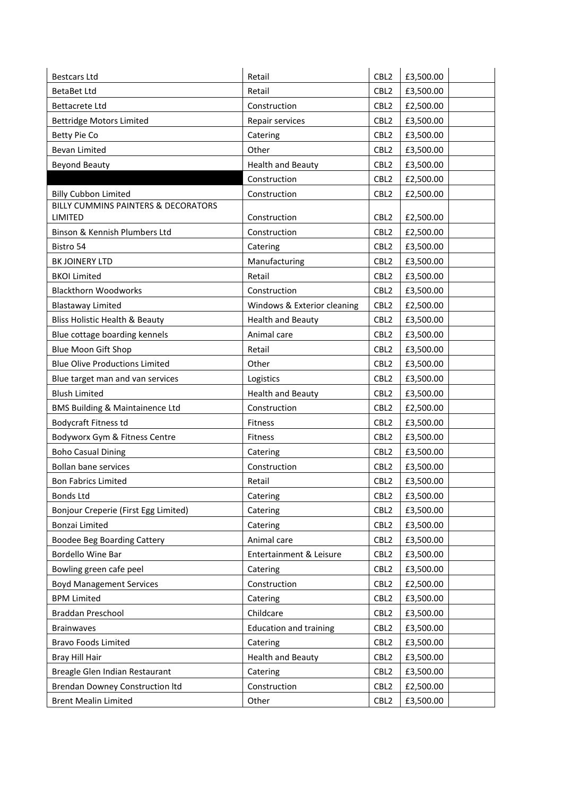| <b>Bestcars Ltd</b>                        | Retail                        | CBL <sub>2</sub> | £3,500.00 |
|--------------------------------------------|-------------------------------|------------------|-----------|
| <b>BetaBet Ltd</b>                         | Retail                        | CBL <sub>2</sub> | £3,500.00 |
| <b>Bettacrete Ltd</b>                      | Construction                  | CBL <sub>2</sub> | £2,500.00 |
| <b>Bettridge Motors Limited</b>            | Repair services               | CBL <sub>2</sub> | £3,500.00 |
| Betty Pie Co                               | Catering                      | CBL <sub>2</sub> | £3,500.00 |
| <b>Bevan Limited</b>                       | Other                         | CBL <sub>2</sub> | £3,500.00 |
| <b>Beyond Beauty</b>                       | <b>Health and Beauty</b>      | CBL <sub>2</sub> | £3,500.00 |
|                                            | Construction                  | CBL <sub>2</sub> | £2,500.00 |
| <b>Billy Cubbon Limited</b>                | Construction                  | CBL <sub>2</sub> | £2,500.00 |
| BILLY CUMMINS PAINTERS & DECORATORS        |                               |                  |           |
| LIMITED                                    | Construction                  | CBL <sub>2</sub> | £2,500.00 |
| Binson & Kennish Plumbers Ltd              | Construction                  | CBL <sub>2</sub> | £2,500.00 |
| Bistro 54                                  | Catering                      | CBL <sub>2</sub> | £3,500.00 |
| BK JOINERY LTD                             | Manufacturing                 | CBL <sub>2</sub> | £3,500.00 |
| <b>BKOI Limited</b>                        | Retail                        | CBL <sub>2</sub> | £3,500.00 |
| <b>Blackthorn Woodworks</b>                | Construction                  | CBL <sub>2</sub> | £3,500.00 |
| <b>Blastaway Limited</b>                   | Windows & Exterior cleaning   | CBL <sub>2</sub> | £2,500.00 |
| <b>Bliss Holistic Health &amp; Beauty</b>  | <b>Health and Beauty</b>      | CBL <sub>2</sub> | £3,500.00 |
| Blue cottage boarding kennels              | Animal care                   | CBL <sub>2</sub> | £3,500.00 |
| Blue Moon Gift Shop                        | Retail                        | CBL <sub>2</sub> | £3,500.00 |
| <b>Blue Olive Productions Limited</b>      | Other                         | CBL <sub>2</sub> | £3,500.00 |
| Blue target man and van services           | Logistics                     | CBL <sub>2</sub> | £3,500.00 |
| <b>Blush Limited</b>                       | <b>Health and Beauty</b>      | CBL <sub>2</sub> | £3,500.00 |
| <b>BMS Building &amp; Maintainence Ltd</b> | Construction                  | CBL <sub>2</sub> | £2,500.00 |
| Bodycraft Fitness td                       | Fitness                       | CBL <sub>2</sub> | £3,500.00 |
| Bodyworx Gym & Fitness Centre              | Fitness                       | CBL <sub>2</sub> | £3,500.00 |
| <b>Boho Casual Dining</b>                  | Catering                      | CBL <sub>2</sub> | £3,500.00 |
| <b>Bollan bane services</b>                | Construction                  | CBL <sub>2</sub> | £3,500.00 |
| <b>Bon Fabrics Limited</b>                 | Retail                        | CBL <sub>2</sub> | £3,500.00 |
| <b>Bonds Ltd</b>                           | Catering                      | CBL <sub>2</sub> | £3,500.00 |
| Bonjour Creperie (First Egg Limited)       | Catering                      | CBL <sub>2</sub> | £3,500.00 |
| Bonzai Limited                             | Catering                      | CBL <sub>2</sub> | £3,500.00 |
| <b>Boodee Beg Boarding Cattery</b>         | Animal care                   | CBL <sub>2</sub> | £3,500.00 |
| Bordello Wine Bar                          | Entertainment & Leisure       | CBL <sub>2</sub> | £3,500.00 |
| Bowling green cafe peel                    | Catering                      | CBL <sub>2</sub> | £3,500.00 |
| <b>Boyd Management Services</b>            | Construction                  | CBL <sub>2</sub> | £2,500.00 |
| <b>BPM Limited</b>                         | Catering                      | CBL <sub>2</sub> | £3,500.00 |
| Braddan Preschool                          | Childcare                     | CBL <sub>2</sub> | £3,500.00 |
| <b>Brainwaves</b>                          | <b>Education and training</b> | CBL <sub>2</sub> | £3,500.00 |
| <b>Bravo Foods Limited</b>                 | Catering                      | CBL <sub>2</sub> | £3,500.00 |
| Bray Hill Hair                             | <b>Health and Beauty</b>      | CBL <sub>2</sub> | £3,500.00 |
| Breagle Glen Indian Restaurant             | Catering                      | CBL <sub>2</sub> | £3,500.00 |
| <b>Brendan Downey Construction Itd</b>     | Construction                  | CBL <sub>2</sub> | £2,500.00 |
| <b>Brent Mealin Limited</b>                | Other                         | CBL <sub>2</sub> | £3,500.00 |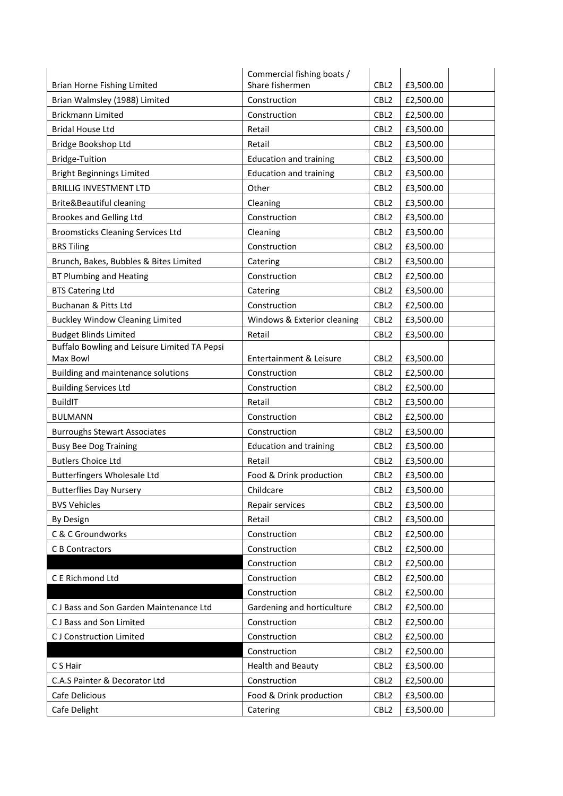|                                              | Commercial fishing boats /    |                  |           |
|----------------------------------------------|-------------------------------|------------------|-----------|
| <b>Brian Horne Fishing Limited</b>           | Share fishermen               | CBL <sub>2</sub> | £3,500.00 |
| Brian Walmsley (1988) Limited                | Construction                  | CBL <sub>2</sub> | £2,500.00 |
| <b>Brickmann Limited</b>                     | Construction                  | CBL <sub>2</sub> | £2,500.00 |
| <b>Bridal House Ltd</b>                      | Retail                        | CBL <sub>2</sub> | £3,500.00 |
| Bridge Bookshop Ltd                          | Retail                        | CBL <sub>2</sub> | £3,500.00 |
| <b>Bridge-Tuition</b>                        | <b>Education and training</b> | CBL <sub>2</sub> | £3,500.00 |
| <b>Bright Beginnings Limited</b>             | <b>Education and training</b> | CBL <sub>2</sub> | £3,500.00 |
| <b>BRILLIG INVESTMENT LTD</b>                | Other                         | CBL <sub>2</sub> | £3,500.00 |
| Brite&Beautiful cleaning                     | Cleaning                      | CBL <sub>2</sub> | £3,500.00 |
| <b>Brookes and Gelling Ltd</b>               | Construction                  | CBL <sub>2</sub> | £3,500.00 |
| <b>Broomsticks Cleaning Services Ltd</b>     | Cleaning                      | CBL <sub>2</sub> | £3,500.00 |
| <b>BRS Tiling</b>                            | Construction                  | CBL <sub>2</sub> | £3,500.00 |
| Brunch, Bakes, Bubbles & Bites Limited       | Catering                      | CBL <sub>2</sub> | £3,500.00 |
| BT Plumbing and Heating                      | Construction                  | CBL <sub>2</sub> | £2,500.00 |
| <b>BTS Catering Ltd</b>                      | Catering                      | CBL <sub>2</sub> | £3,500.00 |
| Buchanan & Pitts Ltd                         | Construction                  | CBL <sub>2</sub> | £2,500.00 |
| <b>Buckley Window Cleaning Limited</b>       | Windows & Exterior cleaning   | CBL <sub>2</sub> | £3,500.00 |
| <b>Budget Blinds Limited</b>                 | Retail                        | CBL <sub>2</sub> | £3,500.00 |
| Buffalo Bowling and Leisure Limited TA Pepsi |                               |                  |           |
| Max Bowl                                     | Entertainment & Leisure       | CBL <sub>2</sub> | £3,500.00 |
| Building and maintenance solutions           | Construction                  | CBL <sub>2</sub> | £2,500.00 |
| <b>Building Services Ltd</b>                 | Construction                  | CBL <sub>2</sub> | £2,500.00 |
| <b>BuildIT</b>                               | Retail                        | CBL <sub>2</sub> | £3,500.00 |
| <b>BULMANN</b>                               | Construction                  | CBL <sub>2</sub> | £2,500.00 |
| <b>Burroughs Stewart Associates</b>          | Construction                  | CBL <sub>2</sub> | £3,500.00 |
| <b>Busy Bee Dog Training</b>                 | <b>Education and training</b> | CBL <sub>2</sub> | £3,500.00 |
| <b>Butlers Choice Ltd</b>                    | Retail                        | CBL <sub>2</sub> | £3,500.00 |
| <b>Butterfingers Wholesale Ltd</b>           | Food & Drink production       | CBL <sub>2</sub> | £3,500.00 |
| <b>Butterflies Day Nursery</b>               | Childcare                     | CBL <sub>2</sub> | £3,500.00 |
| <b>BVS Vehicles</b>                          | Repair services               | CBL <sub>2</sub> | £3,500.00 |
| By Design                                    | Retail                        | CBL <sub>2</sub> | £3,500.00 |
| C & C Groundworks                            | Construction                  | CBL <sub>2</sub> | £2,500.00 |
| C B Contractors                              | Construction                  | CBL <sub>2</sub> | £2,500.00 |
|                                              | Construction                  | CBL <sub>2</sub> | £2,500.00 |
| C E Richmond Ltd                             | Construction                  | CBL <sub>2</sub> | £2,500.00 |
|                                              | Construction                  | CBL <sub>2</sub> | £2,500.00 |
| CJ Bass and Son Garden Maintenance Ltd       | Gardening and horticulture    | CBL <sub>2</sub> | £2,500.00 |
| CJ Bass and Son Limited                      | Construction                  | CBL <sub>2</sub> | £2,500.00 |
| <b>CJ</b> Construction Limited               | Construction                  | CBL <sub>2</sub> | £2,500.00 |
|                                              | Construction                  | CBL <sub>2</sub> | £2,500.00 |
| C S Hair                                     | <b>Health and Beauty</b>      | CBL <sub>2</sub> | £3,500.00 |
| C.A.S Painter & Decorator Ltd                | Construction                  | CBL <sub>2</sub> | £2,500.00 |
| Cafe Delicious                               | Food & Drink production       | CBL <sub>2</sub> | £3,500.00 |
| Cafe Delight                                 | Catering                      | CBL <sub>2</sub> | £3,500.00 |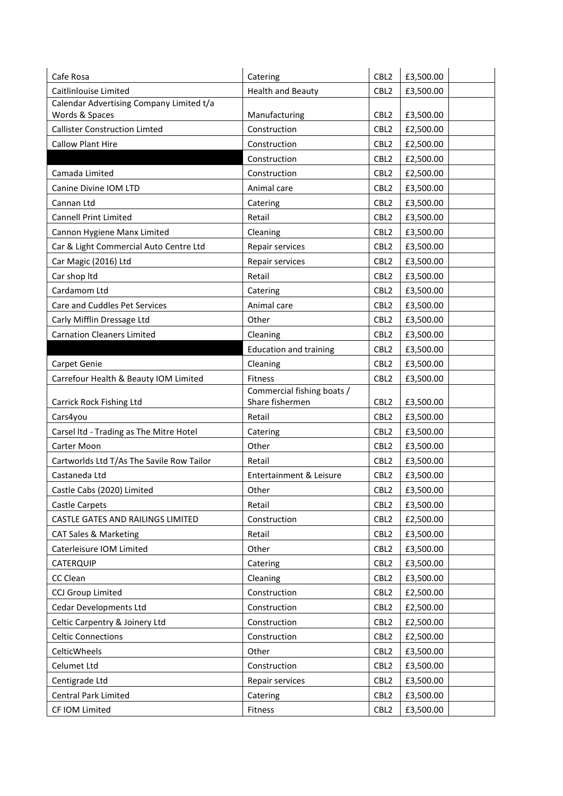| Cafe Rosa                                     | Catering                      | CBL <sub>2</sub>                     | £3,500.00              |
|-----------------------------------------------|-------------------------------|--------------------------------------|------------------------|
| Caitlinlouise Limited                         | <b>Health and Beauty</b>      | CBL <sub>2</sub>                     | £3,500.00              |
| Calendar Advertising Company Limited t/a      |                               |                                      |                        |
| Words & Spaces                                | Manufacturing                 | CBL <sub>2</sub>                     | £3,500.00              |
| <b>Callister Construction Limted</b>          | Construction                  | CBL <sub>2</sub>                     | £2,500.00              |
| <b>Callow Plant Hire</b>                      | Construction                  | CBL <sub>2</sub>                     | £2,500.00              |
|                                               | Construction                  | CBL <sub>2</sub>                     | £2,500.00              |
| Camada Limited                                | Construction                  | CBL <sub>2</sub>                     | £2,500.00              |
| Canine Divine IOM LTD                         | Animal care                   | CBL <sub>2</sub>                     | £3,500.00              |
| Cannan Ltd                                    | Catering                      | CBL <sub>2</sub>                     | £3,500.00              |
| <b>Cannell Print Limited</b>                  | Retail                        | CBL <sub>2</sub>                     | £3,500.00              |
| Cannon Hygiene Manx Limited                   | Cleaning                      | CBL <sub>2</sub>                     | £3,500.00              |
| Car & Light Commercial Auto Centre Ltd        | Repair services               | CBL <sub>2</sub>                     | £3,500.00              |
| Car Magic (2016) Ltd                          | Repair services               | CBL <sub>2</sub>                     | £3,500.00              |
| Car shop Itd                                  | Retail                        | CBL <sub>2</sub>                     | £3,500.00              |
| Cardamom Ltd                                  | Catering                      | CBL <sub>2</sub>                     | £3,500.00              |
| Care and Cuddles Pet Services                 | Animal care                   | CBL <sub>2</sub>                     | £3,500.00              |
| Carly Mifflin Dressage Ltd                    | Other                         | CBL <sub>2</sub>                     | £3,500.00              |
| <b>Carnation Cleaners Limited</b>             | Cleaning                      | CBL <sub>2</sub>                     | £3,500.00              |
|                                               | <b>Education and training</b> | CBL <sub>2</sub>                     | £3,500.00              |
| Carpet Genie                                  | Cleaning                      | CBL <sub>2</sub>                     | £3,500.00              |
| Carrefour Health & Beauty IOM Limited         | <b>Fitness</b>                | CBL <sub>2</sub>                     | £3,500.00              |
|                                               | Commercial fishing boats /    |                                      |                        |
| Carrick Rock Fishing Ltd                      | Share fishermen               | CBL <sub>2</sub>                     | £3,500.00              |
| Cars4you                                      | Retail                        | CBL <sub>2</sub>                     | £3,500.00              |
| Carsel Itd - Trading as The Mitre Hotel       | Catering                      | CBL <sub>2</sub>                     | £3,500.00              |
| Carter Moon                                   | Other                         | CBL <sub>2</sub>                     | £3,500.00              |
| Cartworlds Ltd T/As The Savile Row Tailor     | Retail                        | CBL <sub>2</sub>                     | £3,500.00              |
| Castaneda Ltd                                 | Entertainment & Leisure       | CBL <sub>2</sub>                     | £3,500.00              |
| Castle Cabs (2020) Limited                    | Other                         | CBL <sub>2</sub>                     | £3,500.00              |
| <b>Castle Carpets</b>                         | Retail                        | CBL <sub>2</sub>                     | £3,500.00              |
| CASTLE GATES AND RAILINGS LIMITED             | Construction                  | CBL <sub>2</sub>                     | £2,500.00              |
| <b>CAT Sales &amp; Marketing</b>              | Retail                        | CBL <sub>2</sub>                     | £3,500.00              |
| Caterleisure IOM Limited                      | Other                         | CBL <sub>2</sub>                     | £3,500.00              |
| CATERQUIP                                     | Catering                      | CBL <sub>2</sub>                     | £3,500.00              |
| CC Clean                                      | Cleaning                      | CBL <sub>2</sub>                     | £3,500.00              |
| <b>CCJ Group Limited</b>                      | Construction                  | CBL <sub>2</sub>                     | £2,500.00              |
| <b>Cedar Developments Ltd</b>                 | Construction                  | CBL <sub>2</sub>                     | £2,500.00              |
| Celtic Carpentry & Joinery Ltd                | Construction                  | CBL <sub>2</sub>                     | £2,500.00              |
| <b>Celtic Connections</b>                     | Construction                  | CBL <sub>2</sub>                     | £2,500.00              |
| CelticWheels                                  |                               |                                      |                        |
| Celumet Ltd                                   | Other                         | CBL <sub>2</sub>                     | £3,500.00              |
|                                               | Construction                  | CBL <sub>2</sub>                     |                        |
|                                               |                               |                                      | £3,500.00              |
| Centigrade Ltd<br><b>Central Park Limited</b> | Repair services<br>Catering   | CBL <sub>2</sub><br>CBL <sub>2</sub> | £3,500.00<br>£3,500.00 |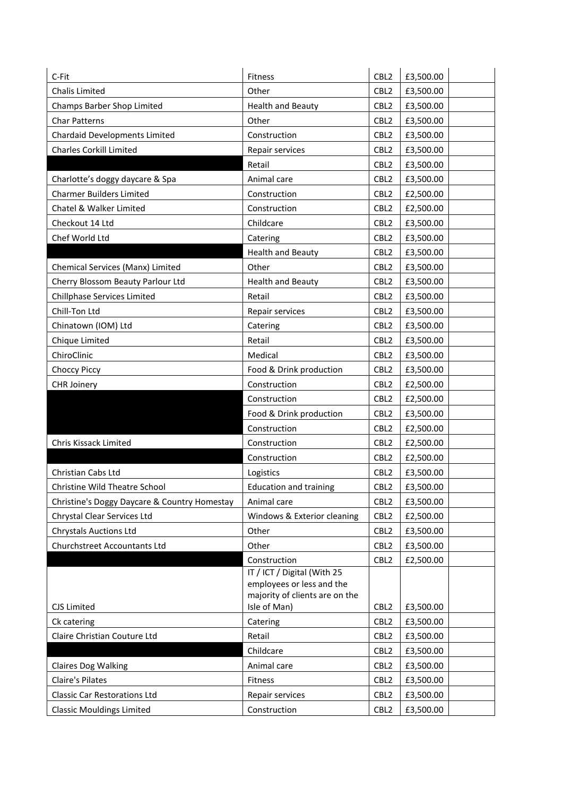| C-Fit                                        | Fitness                                        | CBL <sub>2</sub> | £3,500.00 |
|----------------------------------------------|------------------------------------------------|------------------|-----------|
| Chalis Limited                               | Other                                          | CBL <sub>2</sub> | £3,500.00 |
| Champs Barber Shop Limited                   | <b>Health and Beauty</b>                       | CBL <sub>2</sub> | £3,500.00 |
| <b>Char Patterns</b>                         | Other                                          | CBL <sub>2</sub> | £3,500.00 |
| <b>Chardaid Developments Limited</b>         | Construction                                   | CBL <sub>2</sub> | £3,500.00 |
| <b>Charles Corkill Limited</b>               | Repair services                                | CBL <sub>2</sub> | £3,500.00 |
|                                              | Retail                                         | CBL <sub>2</sub> | £3,500.00 |
| Charlotte's doggy daycare & Spa              | Animal care                                    | CBL <sub>2</sub> | £3,500.00 |
| <b>Charmer Builders Limited</b>              | Construction                                   | CBL <sub>2</sub> | £2,500.00 |
| Chatel & Walker Limited                      | Construction                                   | CBL <sub>2</sub> | £2,500.00 |
| Checkout 14 Ltd                              | Childcare                                      | CBL <sub>2</sub> | £3,500.00 |
| Chef World Ltd                               | Catering                                       | CBL <sub>2</sub> | £3,500.00 |
|                                              | <b>Health and Beauty</b>                       | CBL <sub>2</sub> | £3,500.00 |
| Chemical Services (Manx) Limited             | Other                                          | CBL <sub>2</sub> | £3,500.00 |
| Cherry Blossom Beauty Parlour Ltd            | <b>Health and Beauty</b>                       | CBL <sub>2</sub> | £3,500.00 |
| Chillphase Services Limited                  | Retail                                         | CBL <sub>2</sub> | £3,500.00 |
| Chill-Ton Ltd                                | Repair services                                | CBL <sub>2</sub> | £3,500.00 |
| Chinatown (IOM) Ltd                          | Catering                                       | CBL <sub>2</sub> | £3,500.00 |
| Chique Limited                               | Retail                                         | CBL <sub>2</sub> | £3,500.00 |
| ChiroClinic                                  | Medical                                        | CBL <sub>2</sub> | £3,500.00 |
| Choccy Piccy                                 | Food & Drink production                        | CBL <sub>2</sub> | £3,500.00 |
| <b>CHR Joinery</b>                           | Construction                                   | CBL <sub>2</sub> | £2,500.00 |
|                                              | Construction                                   | CBL <sub>2</sub> | £2,500.00 |
|                                              | Food & Drink production                        | CBL <sub>2</sub> | £3,500.00 |
|                                              | Construction                                   | CBL <sub>2</sub> | £2,500.00 |
| Chris Kissack Limited                        | Construction                                   | CBL <sub>2</sub> | £2,500.00 |
|                                              | Construction                                   | CBL <sub>2</sub> | £2,500.00 |
| Christian Cabs Ltd                           | Logistics                                      | CBL <sub>2</sub> | £3,500.00 |
| Christine Wild Theatre School                | <b>Education and training</b>                  | CBL <sub>2</sub> | £3,500.00 |
| Christine's Doggy Daycare & Country Homestay | Animal care                                    | CBL <sub>2</sub> | £3,500.00 |
| Chrystal Clear Services Ltd                  | Windows & Exterior cleaning                    | CBL <sub>2</sub> | £2,500.00 |
| <b>Chrystals Auctions Ltd</b>                | Other                                          | CBL <sub>2</sub> | £3,500.00 |
| Churchstreet Accountants Ltd                 | Other                                          | CBL <sub>2</sub> | £3,500.00 |
|                                              | Construction                                   | CBL <sub>2</sub> | £2,500.00 |
|                                              | IT / ICT / Digital (With 25                    |                  |           |
|                                              | employees or less and the                      |                  |           |
| CJS Limited                                  | majority of clients are on the<br>Isle of Man) | CBL <sub>2</sub> | £3,500.00 |
| Ck catering                                  | Catering                                       | CBL <sub>2</sub> | £3,500.00 |
| Claire Christian Couture Ltd                 | Retail                                         | CBL <sub>2</sub> | £3,500.00 |
|                                              | Childcare                                      | CBL <sub>2</sub> | £3,500.00 |
| <b>Claires Dog Walking</b>                   | Animal care                                    | CBL <sub>2</sub> | £3,500.00 |
| <b>Claire's Pilates</b>                      | Fitness                                        | CBL <sub>2</sub> | £3,500.00 |
| <b>Classic Car Restorations Ltd</b>          | Repair services                                | CBL <sub>2</sub> | £3,500.00 |
|                                              |                                                |                  |           |
| <b>Classic Mouldings Limited</b>             | Construction                                   | CBL <sub>2</sub> | £3,500.00 |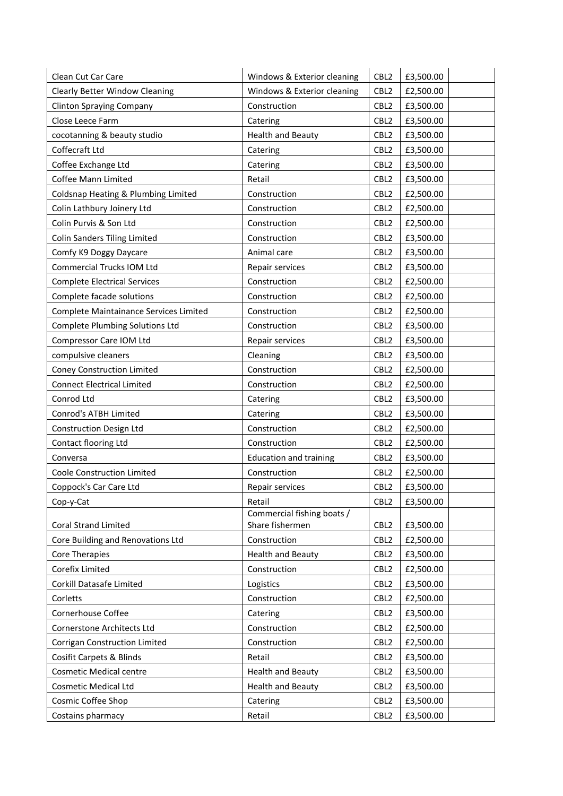| Clean Cut Car Care                     | Windows & Exterior cleaning   | CBL <sub>2</sub> | £3,500.00 |
|----------------------------------------|-------------------------------|------------------|-----------|
| <b>Clearly Better Window Cleaning</b>  | Windows & Exterior cleaning   | CBL <sub>2</sub> | £2,500.00 |
| <b>Clinton Spraying Company</b>        | Construction                  | CBL <sub>2</sub> | £3,500.00 |
| Close Leece Farm                       | Catering                      | CBL <sub>2</sub> | £3,500.00 |
| cocotanning & beauty studio            | <b>Health and Beauty</b>      | CBL <sub>2</sub> | £3,500.00 |
| Coffecraft Ltd                         | Catering                      | CBL <sub>2</sub> | £3,500.00 |
| Coffee Exchange Ltd                    | Catering                      | CBL <sub>2</sub> | £3,500.00 |
| Coffee Mann Limited                    | Retail                        | CBL <sub>2</sub> | £3,500.00 |
| Coldsnap Heating & Plumbing Limited    | Construction                  | CBL <sub>2</sub> | £2,500.00 |
| Colin Lathbury Joinery Ltd             | Construction                  | CBL <sub>2</sub> | £2,500.00 |
| Colin Purvis & Son Ltd                 | Construction                  | CBL <sub>2</sub> | £2,500.00 |
| <b>Colin Sanders Tiling Limited</b>    | Construction                  | CBL <sub>2</sub> | £3,500.00 |
| Comfy K9 Doggy Daycare                 | Animal care                   | CBL <sub>2</sub> | £3,500.00 |
| Commercial Trucks IOM Ltd              | Repair services               | CBL <sub>2</sub> | £3,500.00 |
| <b>Complete Electrical Services</b>    | Construction                  | CBL <sub>2</sub> | £2,500.00 |
| Complete facade solutions              | Construction                  | CBL <sub>2</sub> | £2,500.00 |
| Complete Maintainance Services Limited | Construction                  | CBL <sub>2</sub> | £2,500.00 |
| <b>Complete Plumbing Solutions Ltd</b> | Construction                  | CBL <sub>2</sub> | £3,500.00 |
| Compressor Care IOM Ltd                | Repair services               | CBL <sub>2</sub> | £3,500.00 |
| compulsive cleaners                    | Cleaning                      | CBL <sub>2</sub> | £3,500.00 |
| Coney Construction Limited             | Construction                  | CBL <sub>2</sub> | £2,500.00 |
| <b>Connect Electrical Limited</b>      | Construction                  | CBL <sub>2</sub> | £2,500.00 |
| Conrod Ltd                             | Catering                      | CBL <sub>2</sub> | £3,500.00 |
| Conrod's ATBH Limited                  | Catering                      | CBL <sub>2</sub> | £3,500.00 |
| <b>Construction Design Ltd</b>         | Construction                  | CBL <sub>2</sub> | £2,500.00 |
| Contact flooring Ltd                   | Construction                  | CBL <sub>2</sub> | £2,500.00 |
| Conversa                               | <b>Education and training</b> | CBL <sub>2</sub> | £3,500.00 |
| Coole Construction Limited             | Construction                  | CBL <sub>2</sub> | £2,500.00 |
| Coppock's Car Care Ltd                 | Repair services               | CBL <sub>2</sub> | £3,500.00 |
| Cop-y-Cat                              | Retail                        | CBL <sub>2</sub> | £3,500.00 |
|                                        | Commercial fishing boats /    |                  |           |
| <b>Coral Strand Limited</b>            | Share fishermen               | CBL <sub>2</sub> | £3,500.00 |
| Core Building and Renovations Ltd      | Construction                  | CBL <sub>2</sub> | £2,500.00 |
| <b>Core Therapies</b>                  | <b>Health and Beauty</b>      | CBL <sub>2</sub> | £3,500.00 |
| Corefix Limited                        | Construction                  | CBL <sub>2</sub> | £2,500.00 |
| Corkill Datasafe Limited               | Logistics                     | CBL <sub>2</sub> | £3,500.00 |
| Corletts                               | Construction                  | CBL <sub>2</sub> | £2,500.00 |
| Cornerhouse Coffee                     | Catering                      | CBL <sub>2</sub> | £3,500.00 |
| Cornerstone Architects Ltd             | Construction                  | CBL <sub>2</sub> | £2,500.00 |
| Corrigan Construction Limited          | Construction                  | CBL <sub>2</sub> | £2,500.00 |
| Cosifit Carpets & Blinds               | Retail                        | CBL <sub>2</sub> | £3,500.00 |
| <b>Cosmetic Medical centre</b>         | <b>Health and Beauty</b>      | CBL <sub>2</sub> | £3,500.00 |
| <b>Cosmetic Medical Ltd</b>            | <b>Health and Beauty</b>      | CBL <sub>2</sub> | £3,500.00 |
| Cosmic Coffee Shop                     | Catering                      | CBL <sub>2</sub> | £3,500.00 |
| Costains pharmacy                      | Retail                        | CBL <sub>2</sub> | £3,500.00 |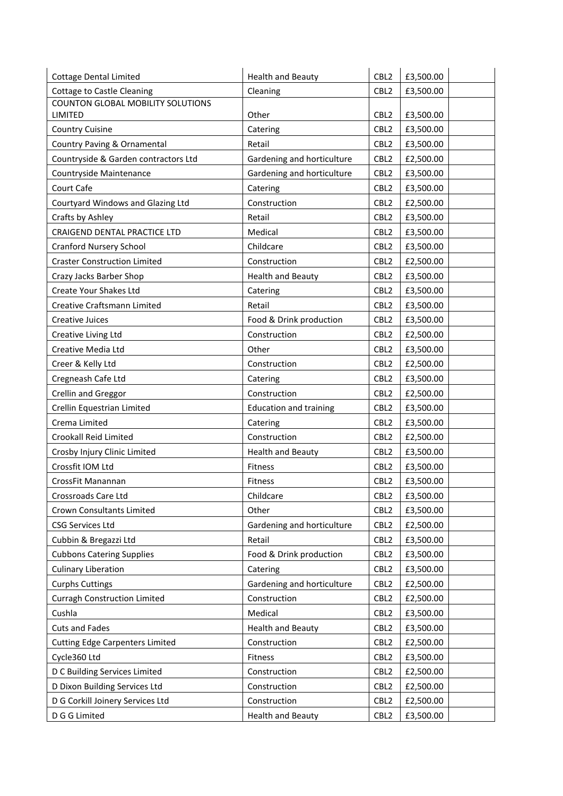| <b>Cottage Dental Limited</b>          | <b>Health and Beauty</b>      | CBL <sub>2</sub> | £3,500.00 |
|----------------------------------------|-------------------------------|------------------|-----------|
| <b>Cottage to Castle Cleaning</b>      | Cleaning                      | CBL <sub>2</sub> | £3,500.00 |
| COUNTON GLOBAL MOBILITY SOLUTIONS      |                               |                  |           |
| LIMITED                                | Other                         | CBL <sub>2</sub> | £3,500.00 |
| <b>Country Cuisine</b>                 | Catering                      | CBL <sub>2</sub> | £3,500.00 |
| Country Paving & Ornamental            | Retail                        | CBL <sub>2</sub> | £3,500.00 |
| Countryside & Garden contractors Ltd   | Gardening and horticulture    | CBL <sub>2</sub> | £2,500.00 |
| Countryside Maintenance                | Gardening and horticulture    | CBL <sub>2</sub> | £3,500.00 |
| Court Cafe                             | Catering                      | CBL <sub>2</sub> | £3,500.00 |
| Courtyard Windows and Glazing Ltd      | Construction                  | CBL <sub>2</sub> | £2,500.00 |
| Crafts by Ashley                       | Retail                        | CBL <sub>2</sub> | £3,500.00 |
| CRAIGEND DENTAL PRACTICE LTD           | Medical                       | CBL <sub>2</sub> | £3,500.00 |
| <b>Cranford Nursery School</b>         | Childcare                     | CBL <sub>2</sub> | £3,500.00 |
| <b>Craster Construction Limited</b>    | Construction                  | CBL <sub>2</sub> | £2,500.00 |
| Crazy Jacks Barber Shop                | <b>Health and Beauty</b>      | CBL <sub>2</sub> | £3,500.00 |
| Create Your Shakes Ltd                 | Catering                      | CBL <sub>2</sub> | £3,500.00 |
| <b>Creative Craftsmann Limited</b>     | Retail                        | CBL <sub>2</sub> | £3,500.00 |
| <b>Creative Juices</b>                 | Food & Drink production       | CBL <sub>2</sub> | £3,500.00 |
| Creative Living Ltd                    | Construction                  | CBL <sub>2</sub> | £2,500.00 |
| Creative Media Ltd                     | Other                         | CBL <sub>2</sub> | £3,500.00 |
| Creer & Kelly Ltd                      | Construction                  | CBL <sub>2</sub> | £2,500.00 |
| Cregneash Cafe Ltd                     | Catering                      | CBL <sub>2</sub> | £3,500.00 |
| Crellin and Greggor                    | Construction                  | CBL <sub>2</sub> | £2,500.00 |
| Crellin Equestrian Limited             | <b>Education and training</b> | CBL <sub>2</sub> | £3,500.00 |
| Crema Limited                          | Catering                      | CBL <sub>2</sub> | £3,500.00 |
| Crookall Reid Limited                  | Construction                  | CBL <sub>2</sub> | £2,500.00 |
| Crosby Injury Clinic Limited           | <b>Health and Beauty</b>      | CBL <sub>2</sub> | £3,500.00 |
| Crossfit IOM Ltd                       | Fitness                       | CBL <sub>2</sub> | £3,500.00 |
| CrossFit Manannan                      | Fitness                       | CBL <sub>2</sub> | £3,500.00 |
| Crossroads Care Ltd                    | Childcare                     | CBL <sub>2</sub> | £3,500.00 |
| Crown Consultants Limited              | Other                         | CBL <sub>2</sub> | £3,500.00 |
| <b>CSG Services Ltd</b>                | Gardening and horticulture    | CBL <sub>2</sub> | £2,500.00 |
| Cubbin & Bregazzi Ltd                  | Retail                        | CBL <sub>2</sub> | £3,500.00 |
| <b>Cubbons Catering Supplies</b>       | Food & Drink production       | CBL <sub>2</sub> | £3,500.00 |
| <b>Culinary Liberation</b>             | Catering                      | CBL <sub>2</sub> | £3,500.00 |
| <b>Curphs Cuttings</b>                 | Gardening and horticulture    | CBL <sub>2</sub> | £2,500.00 |
| <b>Curragh Construction Limited</b>    | Construction                  | CBL <sub>2</sub> | £2,500.00 |
| Cushla                                 | Medical                       | CBL <sub>2</sub> | £3,500.00 |
| <b>Cuts and Fades</b>                  | <b>Health and Beauty</b>      | CBL <sub>2</sub> | £3,500.00 |
| <b>Cutting Edge Carpenters Limited</b> | Construction                  | CBL <sub>2</sub> | £2,500.00 |
| Cycle360 Ltd                           | Fitness                       | CBL <sub>2</sub> | £3,500.00 |
| D C Building Services Limited          | Construction                  | CBL <sub>2</sub> | £2,500.00 |
| D Dixon Building Services Ltd          | Construction                  | CBL <sub>2</sub> | £2,500.00 |
| D G Corkill Joinery Services Ltd       | Construction                  | CBL <sub>2</sub> | £2,500.00 |
|                                        |                               |                  |           |
| D G G Limited                          | <b>Health and Beauty</b>      | CBL <sub>2</sub> | £3,500.00 |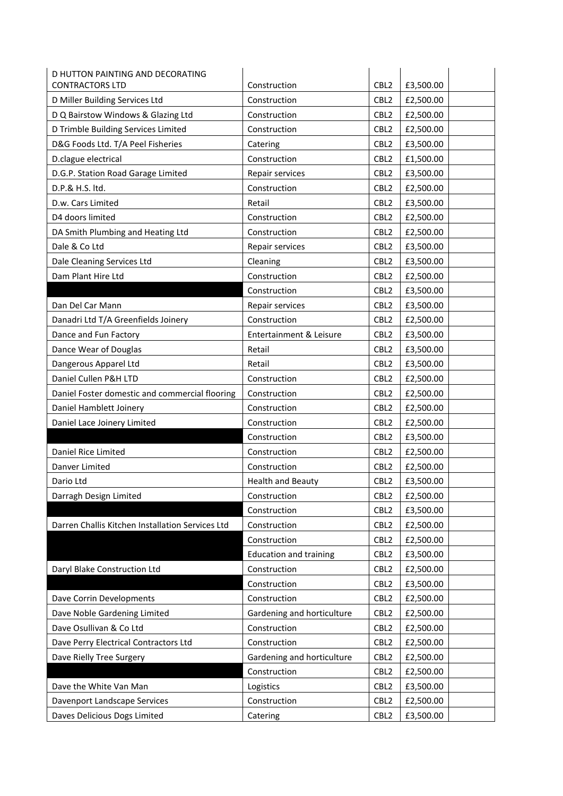| D HUTTON PAINTING AND DECORATING                 |                               |                  |           |
|--------------------------------------------------|-------------------------------|------------------|-----------|
| <b>CONTRACTORS LTD</b>                           | Construction                  | CBL <sub>2</sub> | £3,500.00 |
| D Miller Building Services Ltd                   | Construction                  | CBL <sub>2</sub> | £2,500.00 |
| D Q Bairstow Windows & Glazing Ltd               | Construction                  | CBL <sub>2</sub> | £2,500.00 |
| D Trimble Building Services Limited              | Construction                  | CBL <sub>2</sub> | £2,500.00 |
| D&G Foods Ltd. T/A Peel Fisheries                | Catering                      | CBL <sub>2</sub> | £3,500.00 |
| D.clague electrical                              | Construction                  | CBL <sub>2</sub> | £1,500.00 |
| D.G.P. Station Road Garage Limited               | Repair services               | CBL <sub>2</sub> | £3,500.00 |
| D.P.& H.S. ltd.                                  | Construction                  | CBL <sub>2</sub> | £2,500.00 |
| D.w. Cars Limited                                | Retail                        | CBL <sub>2</sub> | £3,500.00 |
| D4 doors limited                                 | Construction                  | CBL <sub>2</sub> | £2,500.00 |
| DA Smith Plumbing and Heating Ltd                | Construction                  | CBL <sub>2</sub> | £2,500.00 |
| Dale & Co Ltd                                    | Repair services               | CBL <sub>2</sub> | £3,500.00 |
| Dale Cleaning Services Ltd                       | Cleaning                      | CBL <sub>2</sub> | £3,500.00 |
| Dam Plant Hire Ltd                               | Construction                  | CBL <sub>2</sub> | £2,500.00 |
|                                                  | Construction                  | CBL <sub>2</sub> | £3,500.00 |
| Dan Del Car Mann                                 | Repair services               | CBL <sub>2</sub> | £3,500.00 |
| Danadri Ltd T/A Greenfields Joinery              | Construction                  | CBL <sub>2</sub> | £2,500.00 |
| Dance and Fun Factory                            | Entertainment & Leisure       | CBL <sub>2</sub> | £3,500.00 |
| Dance Wear of Douglas                            | Retail                        | CBL <sub>2</sub> | £3,500.00 |
| Dangerous Apparel Ltd                            | Retail                        | CBL <sub>2</sub> | £3,500.00 |
| Daniel Cullen P&H LTD                            | Construction                  | CBL <sub>2</sub> | £2,500.00 |
| Daniel Foster domestic and commercial flooring   | Construction                  | CBL <sub>2</sub> | £2,500.00 |
| Daniel Hamblett Joinery                          | Construction                  | CBL <sub>2</sub> | £2,500.00 |
| Daniel Lace Joinery Limited                      | Construction                  | CBL <sub>2</sub> | £2,500.00 |
|                                                  | Construction                  | CBL <sub>2</sub> | £3,500.00 |
| Daniel Rice Limited                              | Construction                  | CBL <sub>2</sub> | £2,500.00 |
| Danver Limited                                   | Construction                  | CBL <sub>2</sub> | £2,500.00 |
| Dario Ltd                                        | <b>Health and Beauty</b>      | CBL <sub>2</sub> | £3,500.00 |
| Darragh Design Limited                           | Construction                  | CBL <sub>2</sub> | £2,500.00 |
|                                                  | Construction                  | CBL <sub>2</sub> | £3,500.00 |
| Darren Challis Kitchen Installation Services Ltd | Construction                  | CBL <sub>2</sub> | £2,500.00 |
|                                                  | Construction                  | CBL <sub>2</sub> | £2,500.00 |
|                                                  | <b>Education and training</b> | CBL <sub>2</sub> | £3,500.00 |
| Daryl Blake Construction Ltd                     | Construction                  | CBL <sub>2</sub> | £2,500.00 |
|                                                  | Construction                  | CBL <sub>2</sub> | £3,500.00 |
| Dave Corrin Developments                         | Construction                  | CBL <sub>2</sub> | £2,500.00 |
| Dave Noble Gardening Limited                     | Gardening and horticulture    | CBL <sub>2</sub> | £2,500.00 |
| Dave Osullivan & Co Ltd                          | Construction                  | CBL <sub>2</sub> | £2,500.00 |
| Dave Perry Electrical Contractors Ltd            | Construction                  | CBL <sub>2</sub> | £2,500.00 |
| Dave Rielly Tree Surgery                         | Gardening and horticulture    | CBL <sub>2</sub> | £2,500.00 |
|                                                  | Construction                  | CBL <sub>2</sub> | £2,500.00 |
| Dave the White Van Man                           | Logistics                     | CBL <sub>2</sub> | £3,500.00 |
| Davenport Landscape Services                     | Construction                  | CBL <sub>2</sub> | £2,500.00 |
| Daves Delicious Dogs Limited                     | Catering                      | CBL <sub>2</sub> | £3,500.00 |
|                                                  |                               |                  |           |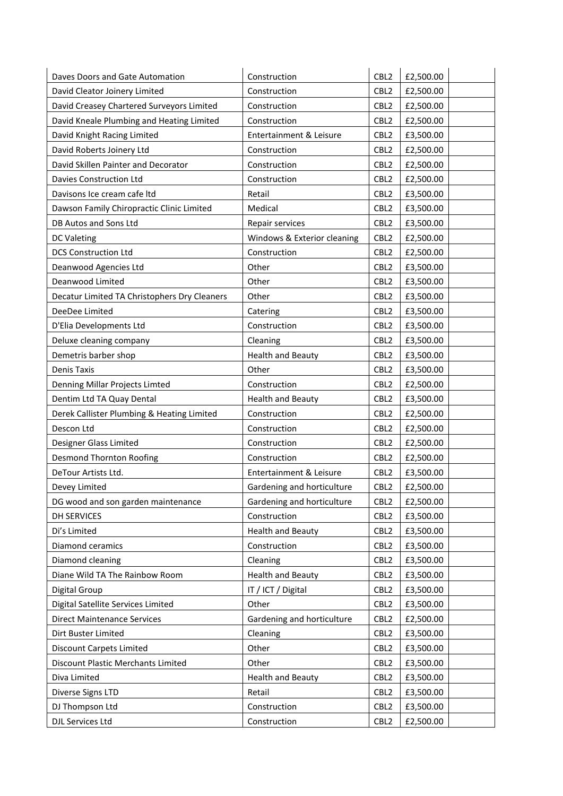| Daves Doors and Gate Automation              | Construction                       | CBL <sub>2</sub> | £2,500.00 |
|----------------------------------------------|------------------------------------|------------------|-----------|
| David Cleator Joinery Limited                | Construction                       | CBL <sub>2</sub> | £2,500.00 |
| David Creasey Chartered Surveyors Limited    | Construction                       | CBL <sub>2</sub> | £2,500.00 |
| David Kneale Plumbing and Heating Limited    | Construction                       | CBL <sub>2</sub> | £2,500.00 |
| David Knight Racing Limited                  | <b>Entertainment &amp; Leisure</b> | CBL <sub>2</sub> | £3,500.00 |
| David Roberts Joinery Ltd                    | Construction                       | CBL <sub>2</sub> | £2,500.00 |
| David Skillen Painter and Decorator          | Construction                       | CBL <sub>2</sub> | £2,500.00 |
| Davies Construction Ltd                      | Construction                       | CBL <sub>2</sub> | £2,500.00 |
| Davisons Ice cream cafe Itd                  | Retail                             | CBL <sub>2</sub> | £3,500.00 |
| Dawson Family Chiropractic Clinic Limited    | Medical                            | CBL <sub>2</sub> | £3,500.00 |
| DB Autos and Sons Ltd                        | Repair services                    | CBL <sub>2</sub> | £3,500.00 |
| <b>DC Valeting</b>                           | Windows & Exterior cleaning        | CBL <sub>2</sub> | £2,500.00 |
| <b>DCS Construction Ltd</b>                  | Construction                       | CBL <sub>2</sub> | £2,500.00 |
| Deanwood Agencies Ltd                        | Other                              | CBL <sub>2</sub> | £3,500.00 |
| Deanwood Limited                             | Other                              | CBL <sub>2</sub> | £3,500.00 |
| Decatur Limited TA Christophers Dry Cleaners | Other                              | CBL <sub>2</sub> | £3,500.00 |
| DeeDee Limited                               | Catering                           | CBL <sub>2</sub> | £3,500.00 |
| D'Elia Developments Ltd                      | Construction                       | CBL <sub>2</sub> | £3,500.00 |
| Deluxe cleaning company                      | Cleaning                           | CBL <sub>2</sub> | £3,500.00 |
| Demetris barber shop                         | <b>Health and Beauty</b>           | CBL <sub>2</sub> | £3,500.00 |
| <b>Denis Taxis</b>                           | Other                              | CBL <sub>2</sub> | £3,500.00 |
| Denning Millar Projects Limted               | Construction                       | CBL <sub>2</sub> | £2,500.00 |
| Dentim Ltd TA Quay Dental                    | <b>Health and Beauty</b>           | CBL <sub>2</sub> | £3,500.00 |
| Derek Callister Plumbing & Heating Limited   | Construction                       | CBL <sub>2</sub> | £2,500.00 |
| Descon Ltd                                   | Construction                       | CBL <sub>2</sub> | £2,500.00 |
| Designer Glass Limited                       | Construction                       | CBL <sub>2</sub> | £2,500.00 |
| <b>Desmond Thornton Roofing</b>              | Construction                       | CBL <sub>2</sub> | £2,500.00 |
| DeTour Artists Ltd.                          | Entertainment & Leisure            | CBL <sub>2</sub> | £3,500.00 |
| Devey Limited                                | Gardening and horticulture         | CBL <sub>2</sub> | £2,500.00 |
| DG wood and son garden maintenance           | Gardening and horticulture         | CBL <sub>2</sub> | £2,500.00 |
| <b>DH SERVICES</b>                           | Construction                       | CBL <sub>2</sub> | £3,500.00 |
| Di's Limited                                 | <b>Health and Beauty</b>           | CBL <sub>2</sub> | £3,500.00 |
| Diamond ceramics                             | Construction                       | CBL <sub>2</sub> | £3,500.00 |
| Diamond cleaning                             | Cleaning                           | CBL <sub>2</sub> | £3,500.00 |
| Diane Wild TA The Rainbow Room               | <b>Health and Beauty</b>           | CBL <sub>2</sub> | £3,500.00 |
| Digital Group                                | IT / ICT / Digital                 | CBL <sub>2</sub> | £3,500.00 |
| Digital Satellite Services Limited           | Other                              | CBL <sub>2</sub> | £3,500.00 |
| <b>Direct Maintenance Services</b>           | Gardening and horticulture         | CBL <sub>2</sub> | £2,500.00 |
| Dirt Buster Limited                          | Cleaning                           | CBL <sub>2</sub> | £3,500.00 |
| <b>Discount Carpets Limited</b>              | Other                              | CBL <sub>2</sub> | £3,500.00 |
| Discount Plastic Merchants Limited           | Other                              | CBL <sub>2</sub> | £3,500.00 |
| Diva Limited                                 | <b>Health and Beauty</b>           | CBL <sub>2</sub> | £3,500.00 |
| Diverse Signs LTD                            | Retail                             | CBL <sub>2</sub> | £3,500.00 |
| DJ Thompson Ltd                              | Construction                       | CBL <sub>2</sub> | £3,500.00 |
| DJL Services Ltd                             | Construction                       | CBL <sub>2</sub> | £2,500.00 |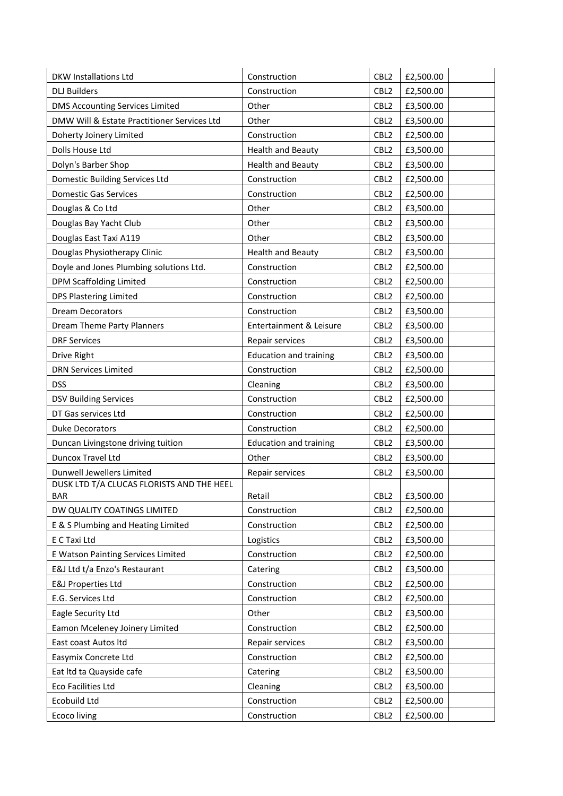| <b>DKW Installations Ltd</b>                | Construction                  | CBL <sub>2</sub> | £2,500.00 |
|---------------------------------------------|-------------------------------|------------------|-----------|
| <b>DLJ Builders</b>                         | Construction                  | CBL <sub>2</sub> | £2,500.00 |
| <b>DMS Accounting Services Limited</b>      | Other                         | CBL <sub>2</sub> | £3,500.00 |
| DMW Will & Estate Practitioner Services Ltd | Other                         | CBL <sub>2</sub> | £3,500.00 |
| Doherty Joinery Limited                     | Construction                  | CBL <sub>2</sub> | £2,500.00 |
| Dolls House Ltd                             | <b>Health and Beauty</b>      | CBL <sub>2</sub> | £3,500.00 |
| Dolyn's Barber Shop                         | <b>Health and Beauty</b>      | CBL <sub>2</sub> | £3,500.00 |
| Domestic Building Services Ltd              | Construction                  | CBL <sub>2</sub> | £2,500.00 |
| <b>Domestic Gas Services</b>                | Construction                  | CBL <sub>2</sub> | £2,500.00 |
| Douglas & Co Ltd                            | Other                         | CBL <sub>2</sub> | £3,500.00 |
| Douglas Bay Yacht Club                      | Other                         | CBL <sub>2</sub> | £3,500.00 |
| Douglas East Taxi A119                      | Other                         | CBL <sub>2</sub> | £3,500.00 |
| Douglas Physiotherapy Clinic                | <b>Health and Beauty</b>      | CBL <sub>2</sub> | £3,500.00 |
| Doyle and Jones Plumbing solutions Ltd.     | Construction                  | CBL <sub>2</sub> | £2,500.00 |
| <b>DPM Scaffolding Limited</b>              | Construction                  | CBL <sub>2</sub> | £2,500.00 |
| <b>DPS Plastering Limited</b>               | Construction                  | CBL <sub>2</sub> | £2,500.00 |
| <b>Dream Decorators</b>                     | Construction                  | CBL <sub>2</sub> | £3,500.00 |
| <b>Dream Theme Party Planners</b>           | Entertainment & Leisure       | CBL <sub>2</sub> | £3,500.00 |
| <b>DRF Services</b>                         | Repair services               | CBL <sub>2</sub> | £3,500.00 |
| Drive Right                                 | <b>Education and training</b> | CBL <sub>2</sub> | £3,500.00 |
| <b>DRN Services Limited</b>                 | Construction                  | CBL <sub>2</sub> | £2,500.00 |
| <b>DSS</b>                                  | Cleaning                      | CBL <sub>2</sub> | £3,500.00 |
| <b>DSV Building Services</b>                | Construction                  | CBL <sub>2</sub> | £2,500.00 |
| DT Gas services Ltd                         | Construction                  | CBL <sub>2</sub> | £2,500.00 |
| <b>Duke Decorators</b>                      | Construction                  | CBL <sub>2</sub> | £2,500.00 |
| Duncan Livingstone driving tuition          | <b>Education and training</b> | CBL <sub>2</sub> | £3,500.00 |
| Duncox Travel Ltd                           | Other                         | CBL <sub>2</sub> | £3,500.00 |
| Dunwell Jewellers Limited                   | Repair services               | CBL <sub>2</sub> | £3,500.00 |
| DUSK LTD T/A CLUCAS FLORISTS AND THE HEEL   |                               |                  |           |
| BAR                                         | Retail                        | CBL <sub>2</sub> | £3,500.00 |
| DW QUALITY COATINGS LIMITED                 | Construction                  | CBL <sub>2</sub> | £2,500.00 |
| E & S Plumbing and Heating Limited          | Construction                  | CBL <sub>2</sub> | £2,500.00 |
| E C Taxi Ltd                                | Logistics                     | CBL <sub>2</sub> | £3,500.00 |
| E Watson Painting Services Limited          | Construction                  | CBL <sub>2</sub> | £2,500.00 |
| E&J Ltd t/a Enzo's Restaurant               | Catering                      | CBL <sub>2</sub> | £3,500.00 |
| <b>E&amp;J Properties Ltd</b>               | Construction                  | CBL <sub>2</sub> | £2,500.00 |
| E.G. Services Ltd                           | Construction                  | CBL <sub>2</sub> | £2,500.00 |
| Eagle Security Ltd                          | Other                         | CBL <sub>2</sub> | £3,500.00 |
| Eamon Mceleney Joinery Limited              | Construction                  | CBL <sub>2</sub> | £2,500.00 |
| East coast Autos Itd                        | Repair services               | CBL <sub>2</sub> | £3,500.00 |
| Easymix Concrete Ltd                        | Construction                  | CBL <sub>2</sub> | £2,500.00 |
| Eat Itd ta Quayside cafe                    | Catering                      | CBL <sub>2</sub> | £3,500.00 |
| Eco Facilities Ltd                          | Cleaning                      | CBL <sub>2</sub> | £3,500.00 |
| Ecobuild Ltd                                | Construction                  | CBL <sub>2</sub> | £2,500.00 |
| <b>Ecoco living</b>                         | Construction                  | CBL <sub>2</sub> | £2,500.00 |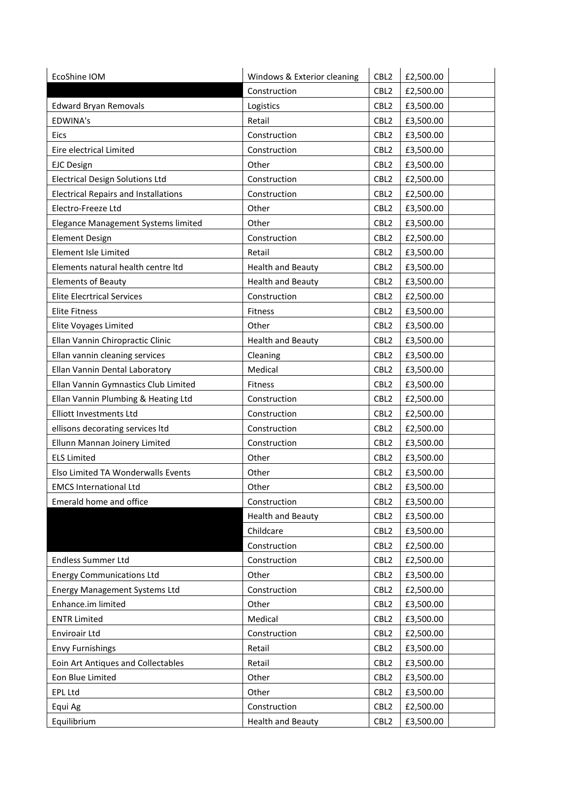| EcoShine IOM                                | Windows & Exterior cleaning | CBL <sub>2</sub> | £2,500.00 |
|---------------------------------------------|-----------------------------|------------------|-----------|
|                                             | Construction                | CBL <sub>2</sub> | £2,500.00 |
| <b>Edward Bryan Removals</b>                | Logistics                   | CBL <sub>2</sub> | £3,500.00 |
| <b>EDWINA's</b>                             | Retail                      | CBL <sub>2</sub> | £3,500.00 |
| Eics                                        | Construction                | CBL <sub>2</sub> | £3,500.00 |
| Eire electrical Limited                     | Construction                | CBL <sub>2</sub> | £3,500.00 |
| <b>EJC Design</b>                           | Other                       | CBL <sub>2</sub> | £3,500.00 |
| <b>Electrical Design Solutions Ltd</b>      | Construction                | CBL <sub>2</sub> | £2,500.00 |
| <b>Electrical Repairs and Installations</b> | Construction                | CBL <sub>2</sub> | £2,500.00 |
| Electro-Freeze Ltd                          | Other                       | CBL <sub>2</sub> | £3,500.00 |
| Elegance Management Systems limited         | Other                       | CBL <sub>2</sub> | £3,500.00 |
| <b>Element Design</b>                       | Construction                | CBL <sub>2</sub> | £2,500.00 |
| Element Isle Limited                        | Retail                      | CBL <sub>2</sub> | £3,500.00 |
| Elements natural health centre Itd          | <b>Health and Beauty</b>    | CBL <sub>2</sub> | £3,500.00 |
| <b>Elements of Beauty</b>                   | <b>Health and Beauty</b>    | CBL <sub>2</sub> | £3,500.00 |
| <b>Elite Elecrtrical Services</b>           | Construction                | CBL <sub>2</sub> | £2,500.00 |
| <b>Elite Fitness</b>                        | <b>Fitness</b>              | CBL <sub>2</sub> | £3,500.00 |
| <b>Elite Voyages Limited</b>                | Other                       | CBL <sub>2</sub> | £3,500.00 |
| Ellan Vannin Chiropractic Clinic            | <b>Health and Beauty</b>    | CBL <sub>2</sub> | £3,500.00 |
| Ellan vannin cleaning services              | Cleaning                    | CBL <sub>2</sub> | £3,500.00 |
| Ellan Vannin Dental Laboratory              | Medical                     | CBL <sub>2</sub> | £3,500.00 |
| Ellan Vannin Gymnastics Club Limited        | Fitness                     | CBL <sub>2</sub> | £3,500.00 |
| Ellan Vannin Plumbing & Heating Ltd         | Construction                | CBL <sub>2</sub> | £2,500.00 |
| <b>Elliott Investments Ltd</b>              | Construction                | CBL <sub>2</sub> | £2,500.00 |
| ellisons decorating services Itd            | Construction                | CBL <sub>2</sub> | £2,500.00 |
| Ellunn Mannan Joinery Limited               | Construction                | CBL <sub>2</sub> | £3,500.00 |
| <b>ELS Limited</b>                          | Other                       | CBL <sub>2</sub> | £3,500.00 |
| Elso Limited TA Wonderwalls Events          | Other                       | CBL <sub>2</sub> | £3,500.00 |
| <b>EMCS International Ltd</b>               | Other                       | CBL <sub>2</sub> | £3,500.00 |
| Emerald home and office                     | Construction                | CBL <sub>2</sub> | £3,500.00 |
|                                             | <b>Health and Beauty</b>    | CBL <sub>2</sub> | £3,500.00 |
|                                             | Childcare                   | CBL <sub>2</sub> | £3,500.00 |
|                                             | Construction                | CBL <sub>2</sub> | £2,500.00 |
| <b>Endless Summer Ltd</b>                   | Construction                | CBL <sub>2</sub> | £2,500.00 |
| <b>Energy Communications Ltd</b>            | Other                       | CBL <sub>2</sub> | £3,500.00 |
| <b>Energy Management Systems Ltd</b>        | Construction                | CBL <sub>2</sub> | £2,500.00 |
| Enhance.im limited                          | Other                       | CBL <sub>2</sub> | £3,500.00 |
| <b>ENTR Limited</b>                         | Medical                     | CBL <sub>2</sub> | £3,500.00 |
| Enviroair Ltd                               | Construction                | CBL <sub>2</sub> | £2,500.00 |
| <b>Envy Furnishings</b>                     | Retail                      | CBL <sub>2</sub> | £3,500.00 |
| Eoin Art Antiques and Collectables          | Retail                      | CBL <sub>2</sub> | £3,500.00 |
| Eon Blue Limited                            | Other                       | CBL <sub>2</sub> | £3,500.00 |
| <b>EPL Ltd</b>                              | Other                       | CBL <sub>2</sub> | £3,500.00 |
| Equi Ag                                     | Construction                | CBL <sub>2</sub> | £2,500.00 |
| Equilibrium                                 | <b>Health and Beauty</b>    | CBL <sub>2</sub> | £3,500.00 |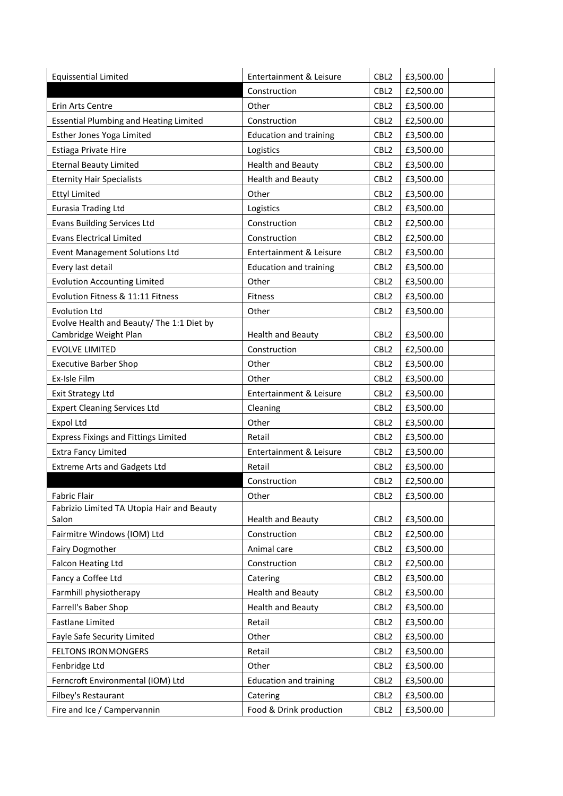| <b>Equissential Limited</b>                                        | Entertainment & Leisure       | CBL <sub>2</sub> | £3,500.00 |
|--------------------------------------------------------------------|-------------------------------|------------------|-----------|
|                                                                    | Construction                  | CBL <sub>2</sub> | £2,500.00 |
| Erin Arts Centre                                                   | Other                         | CBL <sub>2</sub> | £3,500.00 |
| <b>Essential Plumbing and Heating Limited</b>                      | Construction                  | CBL <sub>2</sub> | £2,500.00 |
| Esther Jones Yoga Limited                                          | <b>Education and training</b> | CBL <sub>2</sub> | £3,500.00 |
| Estiaga Private Hire                                               | Logistics                     | CBL <sub>2</sub> | £3,500.00 |
| <b>Eternal Beauty Limited</b>                                      | <b>Health and Beauty</b>      | CBL <sub>2</sub> | £3,500.00 |
| <b>Eternity Hair Specialists</b>                                   | <b>Health and Beauty</b>      | CBL <sub>2</sub> | £3,500.00 |
| <b>Ettyl Limited</b>                                               | Other                         | CBL <sub>2</sub> | £3,500.00 |
| <b>Eurasia Trading Ltd</b>                                         | Logistics                     | CBL <sub>2</sub> | £3,500.00 |
| <b>Evans Building Services Ltd</b>                                 | Construction                  | CBL <sub>2</sub> | £2,500.00 |
| <b>Evans Electrical Limited</b>                                    | Construction                  | CBL <sub>2</sub> | £2,500.00 |
| <b>Event Management Solutions Ltd</b>                              | Entertainment & Leisure       | CBL <sub>2</sub> | £3,500.00 |
| Every last detail                                                  | <b>Education and training</b> | CBL <sub>2</sub> | £3,500.00 |
| <b>Evolution Accounting Limited</b>                                | Other                         | CBL <sub>2</sub> | £3,500.00 |
| Evolution Fitness & 11:11 Fitness                                  | Fitness                       | CBL <sub>2</sub> | £3,500.00 |
| <b>Evolution Ltd</b>                                               | Other                         | CBL <sub>2</sub> | £3,500.00 |
| Evolve Health and Beauty/ The 1:1 Diet by<br>Cambridge Weight Plan | <b>Health and Beauty</b>      | CBL <sub>2</sub> | £3,500.00 |
| <b>EVOLVE LIMITED</b>                                              | Construction                  | CBL <sub>2</sub> | £2,500.00 |
| <b>Executive Barber Shop</b>                                       | Other                         | CBL <sub>2</sub> | £3,500.00 |
| Ex-Isle Film                                                       | Other                         | CBL <sub>2</sub> | £3,500.00 |
| <b>Exit Strategy Ltd</b>                                           | Entertainment & Leisure       | CBL <sub>2</sub> | £3,500.00 |
| <b>Expert Cleaning Services Ltd</b>                                | Cleaning                      | CBL <sub>2</sub> | £3,500.00 |
| <b>Expol Ltd</b>                                                   | Other                         | CBL <sub>2</sub> | £3,500.00 |
| <b>Express Fixings and Fittings Limited</b>                        | Retail                        | CBL <sub>2</sub> | £3,500.00 |
| <b>Extra Fancy Limited</b>                                         | Entertainment & Leisure       | CBL <sub>2</sub> | £3,500.00 |
| <b>Extreme Arts and Gadgets Ltd</b>                                | Retail                        | CBL <sub>2</sub> | £3,500.00 |
|                                                                    | Construction                  | CBL <sub>2</sub> | £2,500.00 |
| <b>Fabric Flair</b>                                                | Other                         | CBL2             | £3,500.00 |
| Fabrizio Limited TA Utopia Hair and Beauty                         |                               |                  |           |
| Salon                                                              | <b>Health and Beauty</b>      | CBL <sub>2</sub> | £3,500.00 |
| Fairmitre Windows (IOM) Ltd                                        | Construction                  | CBL <sub>2</sub> | £2,500.00 |
| Fairy Dogmother                                                    | Animal care                   | CBL <sub>2</sub> | £3,500.00 |
| <b>Falcon Heating Ltd</b>                                          | Construction                  | CBL <sub>2</sub> | £2,500.00 |
| Fancy a Coffee Ltd                                                 | Catering                      | CBL <sub>2</sub> | £3,500.00 |
| Farmhill physiotherapy                                             | <b>Health and Beauty</b>      | CBL <sub>2</sub> | £3,500.00 |
| Farrell's Baber Shop                                               | <b>Health and Beauty</b>      | CBL <sub>2</sub> | £3,500.00 |
| <b>Fastlane Limited</b>                                            | Retail                        | CBL <sub>2</sub> | £3,500.00 |
| Fayle Safe Security Limited                                        | Other                         | CBL <sub>2</sub> | £3,500.00 |
| <b>FELTONS IRONMONGERS</b>                                         | Retail                        | CBL <sub>2</sub> | £3,500.00 |
| Fenbridge Ltd                                                      | Other                         | CBL <sub>2</sub> | £3,500.00 |
| Ferncroft Environmental (IOM) Ltd                                  | <b>Education and training</b> | CBL <sub>2</sub> | £3,500.00 |
| Filbey's Restaurant                                                | Catering                      | CBL <sub>2</sub> | £3,500.00 |
| Fire and Ice / Campervannin                                        | Food & Drink production       | CBL <sub>2</sub> | £3,500.00 |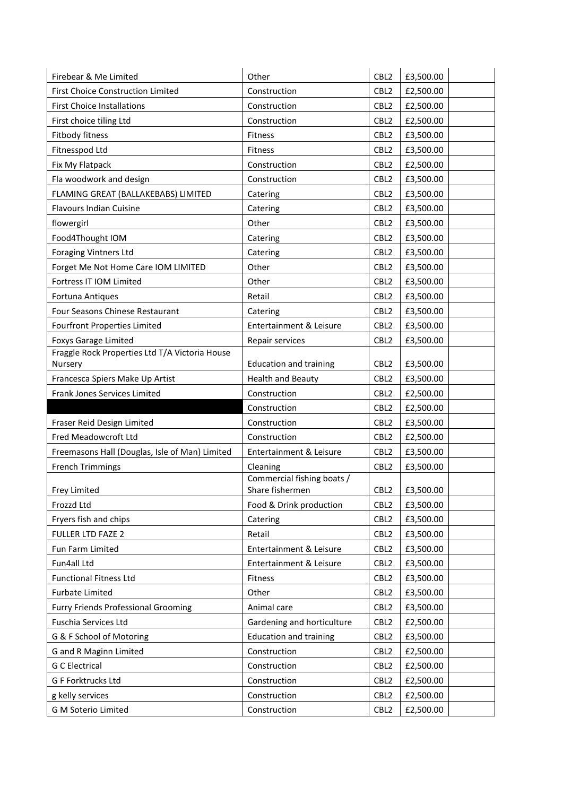| Firebear & Me Limited                          | Other                                         | CBL <sub>2</sub> | £3,500.00 |
|------------------------------------------------|-----------------------------------------------|------------------|-----------|
| <b>First Choice Construction Limited</b>       | Construction                                  | CBL <sub>2</sub> | £2,500.00 |
| <b>First Choice Installations</b>              | Construction                                  | CBL <sub>2</sub> | £2,500.00 |
| First choice tiling Ltd                        | Construction                                  | CBL <sub>2</sub> | £2,500.00 |
| Fitbody fitness                                | Fitness                                       | CBL <sub>2</sub> | £3,500.00 |
| Fitnesspod Ltd                                 | Fitness                                       | CBL <sub>2</sub> | £3,500.00 |
| Fix My Flatpack                                | Construction                                  | CBL <sub>2</sub> | £2,500.00 |
| Fla woodwork and design                        | Construction                                  | CBL <sub>2</sub> | £3,500.00 |
| FLAMING GREAT (BALLAKEBABS) LIMITED            | Catering                                      | CBL <sub>2</sub> | £3,500.00 |
| <b>Flavours Indian Cuisine</b>                 | Catering                                      | CBL <sub>2</sub> | £3,500.00 |
| flowergirl                                     | Other                                         | CBL <sub>2</sub> | £3,500.00 |
| Food4Thought IOM                               | Catering                                      | CBL <sub>2</sub> | £3,500.00 |
| <b>Foraging Vintners Ltd</b>                   | Catering                                      | CBL <sub>2</sub> | £3,500.00 |
| Forget Me Not Home Care IOM LIMITED            | Other                                         | CBL <sub>2</sub> | £3,500.00 |
| Fortress IT IOM Limited                        | Other                                         | CBL <sub>2</sub> | £3,500.00 |
| Fortuna Antiques                               | Retail                                        | CBL <sub>2</sub> | £3,500.00 |
| Four Seasons Chinese Restaurant                | Catering                                      | CBL <sub>2</sub> | £3,500.00 |
| <b>Fourfront Properties Limited</b>            | Entertainment & Leisure                       | CBL <sub>2</sub> | £3,500.00 |
| <b>Foxys Garage Limited</b>                    | Repair services                               | CBL <sub>2</sub> | £3,500.00 |
| Fraggle Rock Properties Ltd T/A Victoria House |                                               |                  |           |
| Nursery                                        | <b>Education and training</b>                 | CBL <sub>2</sub> | £3,500.00 |
| Francesca Spiers Make Up Artist                | <b>Health and Beauty</b>                      | CBL <sub>2</sub> | £3,500.00 |
| Frank Jones Services Limited                   | Construction                                  | CBL <sub>2</sub> | £2,500.00 |
|                                                | Construction                                  | CBL <sub>2</sub> | £2,500.00 |
| Fraser Reid Design Limited                     | Construction                                  | CBL <sub>2</sub> | £3,500.00 |
| Fred Meadowcroft Ltd                           | Construction                                  | CBL <sub>2</sub> | £2,500.00 |
| Freemasons Hall (Douglas, Isle of Man) Limited | Entertainment & Leisure                       | CBL <sub>2</sub> | £3,500.00 |
| <b>French Trimmings</b>                        | Cleaning                                      | CBL <sub>2</sub> | £3,500.00 |
| Frey Limited                                   | Commercial fishing boats /<br>Share fishermen | CBL <sub>2</sub> | £3,500.00 |
| Frozzd Ltd                                     | Food & Drink production                       | CBL <sub>2</sub> | £3,500.00 |
| Fryers fish and chips                          | Catering                                      | CBL <sub>2</sub> | £3,500.00 |
| FULLER LTD FAZE 2                              | Retail                                        | CBL <sub>2</sub> | £3,500.00 |
| Fun Farm Limited                               | Entertainment & Leisure                       | CBL <sub>2</sub> | £3,500.00 |
| Fun4all Ltd                                    | Entertainment & Leisure                       | CBL <sub>2</sub> | £3,500.00 |
| <b>Functional Fitness Ltd</b>                  | Fitness                                       | CBL <sub>2</sub> | £3,500.00 |
| <b>Furbate Limited</b>                         | Other                                         | CBL <sub>2</sub> | £3,500.00 |
| <b>Furry Friends Professional Grooming</b>     | Animal care                                   | CBL <sub>2</sub> | £3,500.00 |
| Fuschia Services Ltd                           | Gardening and horticulture                    | CBL <sub>2</sub> | £2,500.00 |
| G & F School of Motoring                       | <b>Education and training</b>                 | CBL <sub>2</sub> | £3,500.00 |
| G and R Maginn Limited                         | Construction                                  | CBL <sub>2</sub> | £2,500.00 |
| <b>G C Electrical</b>                          | Construction                                  | CBL <sub>2</sub> | £2,500.00 |
| G F Forktrucks Ltd                             | Construction                                  | CBL <sub>2</sub> | £2,500.00 |
| g kelly services                               | Construction                                  | CBL <sub>2</sub> | £2,500.00 |
| G M Soterio Limited                            | Construction                                  | CBL <sub>2</sub> | £2,500.00 |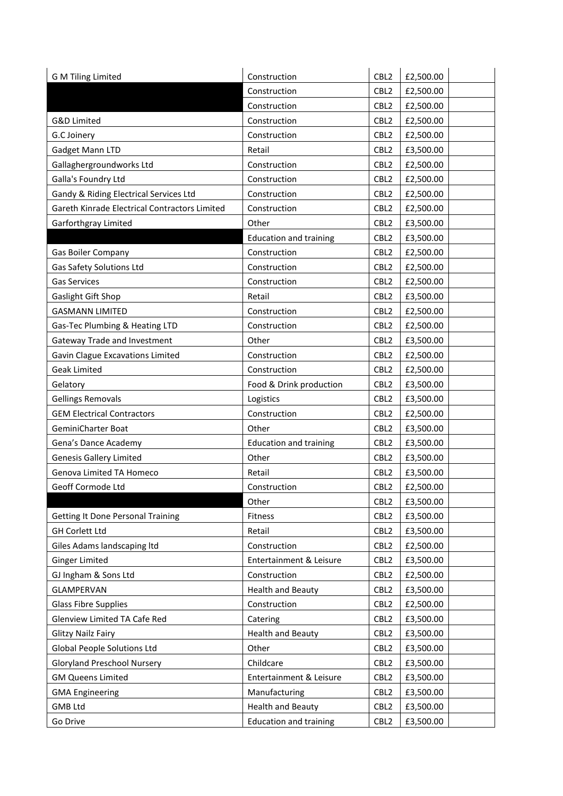| G M Tiling Limited                            | Construction                  | CBL <sub>2</sub> | £2,500.00 |
|-----------------------------------------------|-------------------------------|------------------|-----------|
|                                               | Construction                  | CBL <sub>2</sub> | £2,500.00 |
|                                               | Construction                  | CBL <sub>2</sub> | £2,500.00 |
| G&D Limited                                   | Construction                  | CBL <sub>2</sub> | £2,500.00 |
| G.C Joinery                                   | Construction                  | CBL <sub>2</sub> | £2,500.00 |
| Gadget Mann LTD                               | Retail                        | CBL <sub>2</sub> | £3,500.00 |
| Gallaghergroundworks Ltd                      | Construction                  | CBL <sub>2</sub> | £2,500.00 |
| Galla's Foundry Ltd                           | Construction                  | CBL <sub>2</sub> | £2,500.00 |
| Gandy & Riding Electrical Services Ltd        | Construction                  | CBL <sub>2</sub> | £2,500.00 |
| Gareth Kinrade Electrical Contractors Limited | Construction                  | CBL <sub>2</sub> | £2,500.00 |
| Garforthgray Limited                          | Other                         | CBL <sub>2</sub> | £3,500.00 |
|                                               | <b>Education and training</b> | CBL <sub>2</sub> | £3,500.00 |
| Gas Boiler Company                            | Construction                  | CBL <sub>2</sub> | £2,500.00 |
| Gas Safety Solutions Ltd                      | Construction                  | CBL <sub>2</sub> | £2,500.00 |
| <b>Gas Services</b>                           | Construction                  | CBL <sub>2</sub> | £2,500.00 |
| Gaslight Gift Shop                            | Retail                        | CBL <sub>2</sub> | £3,500.00 |
| <b>GASMANN LIMITED</b>                        | Construction                  | CBL <sub>2</sub> | £2,500.00 |
| Gas-Tec Plumbing & Heating LTD                | Construction                  | CBL <sub>2</sub> | £2,500.00 |
| Gateway Trade and Investment                  | Other                         | CBL <sub>2</sub> | £3,500.00 |
| Gavin Clague Excavations Limited              | Construction                  | CBL <sub>2</sub> | £2,500.00 |
| <b>Geak Limited</b>                           | Construction                  | CBL <sub>2</sub> | £2,500.00 |
| Gelatory                                      | Food & Drink production       | CBL <sub>2</sub> | £3,500.00 |
| <b>Gellings Removals</b>                      | Logistics                     | CBL <sub>2</sub> | £3,500.00 |
| <b>GEM Electrical Contractors</b>             | Construction                  | CBL <sub>2</sub> | £2,500.00 |
| GeminiCharter Boat                            | Other                         | CBL <sub>2</sub> | £3,500.00 |
| Gena's Dance Academy                          | <b>Education and training</b> | CBL <sub>2</sub> | £3,500.00 |
| <b>Genesis Gallery Limited</b>                | Other                         | CBL <sub>2</sub> | £3,500.00 |
| Genova Limited TA Homeco                      | Retail                        | CBL <sub>2</sub> | £3,500.00 |
| Geoff Cormode Ltd                             | Construction                  | CBL <sub>2</sub> | £2,500.00 |
|                                               | Other                         | CBL <sub>2</sub> | £3,500.00 |
| <b>Getting It Done Personal Training</b>      | Fitness                       | CBL <sub>2</sub> | £3,500.00 |
| <b>GH Corlett Ltd</b>                         | Retail                        | CBL <sub>2</sub> | £3,500.00 |
| Giles Adams landscaping Itd                   | Construction                  | CBL <sub>2</sub> | £2,500.00 |
| <b>Ginger Limited</b>                         | Entertainment & Leisure       | CBL <sub>2</sub> | £3,500.00 |
| GJ Ingham & Sons Ltd                          | Construction                  | CBL <sub>2</sub> | £2,500.00 |
| <b>GLAMPERVAN</b>                             | <b>Health and Beauty</b>      | CBL <sub>2</sub> | £3,500.00 |
| <b>Glass Fibre Supplies</b>                   | Construction                  | CBL <sub>2</sub> | £2,500.00 |
| Glenview Limited TA Cafe Red                  | Catering                      | CBL <sub>2</sub> | £3,500.00 |
| <b>Glitzy Nailz Fairy</b>                     | <b>Health and Beauty</b>      | CBL <sub>2</sub> | £3,500.00 |
| Global People Solutions Ltd                   | Other                         | CBL <sub>2</sub> | £3,500.00 |
| <b>Gloryland Preschool Nursery</b>            | Childcare                     | CBL <sub>2</sub> | £3,500.00 |
| <b>GM Queens Limited</b>                      | Entertainment & Leisure       | CBL <sub>2</sub> | £3,500.00 |
| <b>GMA Engineering</b>                        | Manufacturing                 | CBL <sub>2</sub> | £3,500.00 |
| <b>GMB Ltd</b>                                | <b>Health and Beauty</b>      | CBL <sub>2</sub> | £3,500.00 |
| Go Drive                                      | <b>Education and training</b> | CBL <sub>2</sub> | £3,500.00 |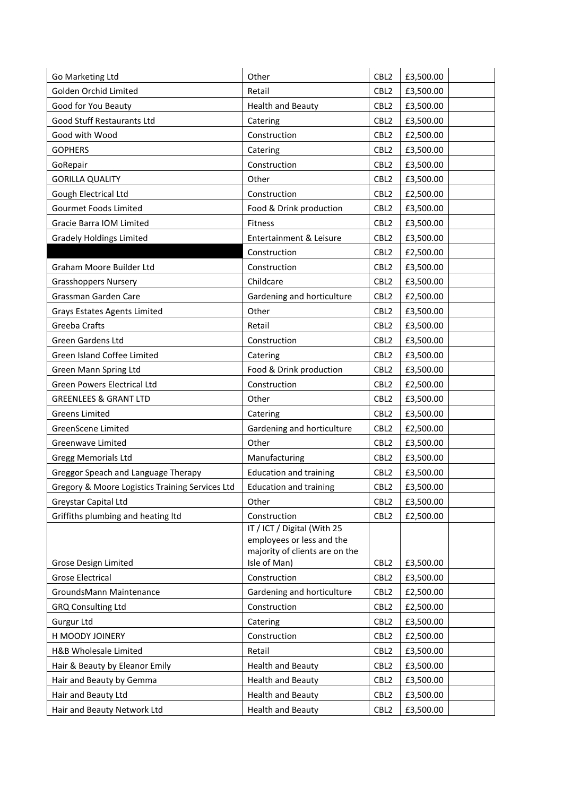| Go Marketing Ltd                                | Other                                          | CBL <sub>2</sub> | £3,500.00 |
|-------------------------------------------------|------------------------------------------------|------------------|-----------|
| Golden Orchid Limited                           | Retail                                         | CBL <sub>2</sub> | £3,500.00 |
| Good for You Beauty                             | <b>Health and Beauty</b>                       | CBL <sub>2</sub> | £3,500.00 |
| Good Stuff Restaurants Ltd                      | Catering                                       | CBL <sub>2</sub> | £3,500.00 |
| Good with Wood                                  | Construction                                   | CBL <sub>2</sub> | £2,500.00 |
| <b>GOPHERS</b>                                  | Catering                                       | CBL <sub>2</sub> | £3,500.00 |
| GoRepair                                        | Construction                                   | CBL <sub>2</sub> | £3,500.00 |
| <b>GORILLA QUALITY</b>                          | Other                                          | CBL <sub>2</sub> | £3,500.00 |
| Gough Electrical Ltd                            | Construction                                   | CBL <sub>2</sub> | £2,500.00 |
| Gourmet Foods Limited                           | Food & Drink production                        | CBL <sub>2</sub> | £3,500.00 |
| Gracie Barra IOM Limited                        | Fitness                                        | CBL <sub>2</sub> | £3,500.00 |
| <b>Gradely Holdings Limited</b>                 | Entertainment & Leisure                        | CBL <sub>2</sub> | £3,500.00 |
|                                                 | Construction                                   | CBL <sub>2</sub> | £2,500.00 |
| Graham Moore Builder Ltd                        | Construction                                   | CBL <sub>2</sub> | £3,500.00 |
| <b>Grasshoppers Nursery</b>                     | Childcare                                      | CBL <sub>2</sub> | £3,500.00 |
| Grassman Garden Care                            | Gardening and horticulture                     | CBL <sub>2</sub> | £2,500.00 |
| <b>Grays Estates Agents Limited</b>             | Other                                          | CBL <sub>2</sub> | £3,500.00 |
| Greeba Crafts                                   | Retail                                         | CBL <sub>2</sub> | £3,500.00 |
| Green Gardens Ltd                               | Construction                                   | CBL <sub>2</sub> | £3,500.00 |
| Green Island Coffee Limited                     | Catering                                       | CBL <sub>2</sub> | £3,500.00 |
| Green Mann Spring Ltd                           | Food & Drink production                        | CBL <sub>2</sub> | £3,500.00 |
| Green Powers Electrical Ltd                     | Construction                                   | CBL <sub>2</sub> | £2,500.00 |
| <b>GREENLEES &amp; GRANT LTD</b>                | Other                                          | CBL <sub>2</sub> | £3,500.00 |
| <b>Greens Limited</b>                           | Catering                                       | CBL <sub>2</sub> | £3,500.00 |
| GreenScene Limited                              | Gardening and horticulture                     | CBL <sub>2</sub> | £2,500.00 |
| Greenwave Limited                               | Other                                          | CBL <sub>2</sub> | £3,500.00 |
| <b>Gregg Memorials Ltd</b>                      | Manufacturing                                  | CBL <sub>2</sub> | £3,500.00 |
| Greggor Speach and Language Therapy             | <b>Education and training</b>                  | CBL <sub>2</sub> | £3,500.00 |
| Gregory & Moore Logistics Training Services Ltd | <b>Education and training</b>                  | CBL <sub>2</sub> | £3,500.00 |
| Greystar Capital Ltd                            | Other                                          | CBL <sub>2</sub> | £3,500.00 |
| Griffiths plumbing and heating ltd              | Construction                                   | CBL <sub>2</sub> | £2,500.00 |
|                                                 | IT / ICT / Digital (With 25                    |                  |           |
|                                                 | employees or less and the                      |                  |           |
| Grose Design Limited                            | majority of clients are on the<br>Isle of Man) | CBL <sub>2</sub> | £3,500.00 |
| <b>Grose Electrical</b>                         | Construction                                   | CBL <sub>2</sub> | £3,500.00 |
| GroundsMann Maintenance                         | Gardening and horticulture                     | CBL <sub>2</sub> | £2,500.00 |
| <b>GRQ Consulting Ltd</b>                       | Construction                                   | CBL <sub>2</sub> | £2,500.00 |
| Gurgur Ltd                                      | Catering                                       | CBL <sub>2</sub> | £3,500.00 |
| H MOODY JOINERY                                 | Construction                                   | CBL <sub>2</sub> | £2,500.00 |
| H&B Wholesale Limited                           | Retail                                         | CBL <sub>2</sub> | £3,500.00 |
| Hair & Beauty by Eleanor Emily                  | <b>Health and Beauty</b>                       | CBL <sub>2</sub> | £3,500.00 |
| Hair and Beauty by Gemma                        | <b>Health and Beauty</b>                       | CBL <sub>2</sub> | £3,500.00 |
| Hair and Beauty Ltd                             | <b>Health and Beauty</b>                       | CBL <sub>2</sub> | £3,500.00 |
| Hair and Beauty Network Ltd                     | <b>Health and Beauty</b>                       | CBL <sub>2</sub> | £3,500.00 |
|                                                 |                                                |                  |           |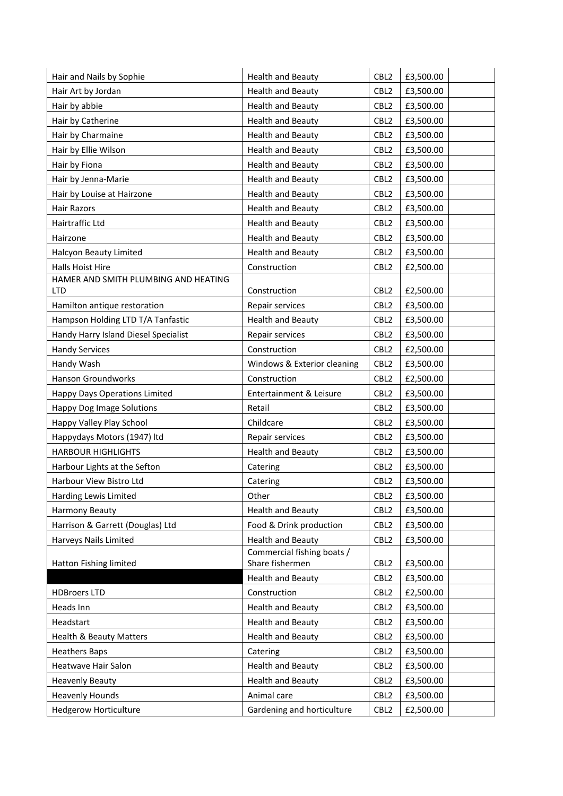| Hair and Nails by Sophie             | <b>Health and Beauty</b>    | CBL <sub>2</sub> | £3,500.00 |
|--------------------------------------|-----------------------------|------------------|-----------|
| Hair Art by Jordan                   | <b>Health and Beauty</b>    | CBL <sub>2</sub> | £3,500.00 |
| Hair by abbie                        | <b>Health and Beauty</b>    | CBL <sub>2</sub> | £3,500.00 |
| Hair by Catherine                    | <b>Health and Beauty</b>    | CBL <sub>2</sub> | £3,500.00 |
| Hair by Charmaine                    | <b>Health and Beauty</b>    | CBL <sub>2</sub> | £3,500.00 |
| Hair by Ellie Wilson                 | <b>Health and Beauty</b>    | CBL <sub>2</sub> | £3,500.00 |
| Hair by Fiona                        | <b>Health and Beauty</b>    | CBL <sub>2</sub> | £3,500.00 |
| Hair by Jenna-Marie                  | <b>Health and Beauty</b>    | CBL <sub>2</sub> | £3,500.00 |
| Hair by Louise at Hairzone           | <b>Health and Beauty</b>    | CBL <sub>2</sub> | £3,500.00 |
| <b>Hair Razors</b>                   | <b>Health and Beauty</b>    | CBL <sub>2</sub> | £3,500.00 |
| Hairtraffic Ltd                      | <b>Health and Beauty</b>    | CBL <sub>2</sub> | £3,500.00 |
| Hairzone                             | <b>Health and Beauty</b>    | CBL <sub>2</sub> | £3,500.00 |
| Halcyon Beauty Limited               | <b>Health and Beauty</b>    | CBL <sub>2</sub> | £3,500.00 |
| Halls Hoist Hire                     | Construction                | CBL <sub>2</sub> | £2,500.00 |
| HAMER AND SMITH PLUMBING AND HEATING |                             |                  |           |
| <b>LTD</b>                           | Construction                | CBL <sub>2</sub> | £2,500.00 |
| Hamilton antique restoration         | Repair services             | CBL <sub>2</sub> | £3,500.00 |
| Hampson Holding LTD T/A Tanfastic    | <b>Health and Beauty</b>    | CBL <sub>2</sub> | £3,500.00 |
| Handy Harry Island Diesel Specialist | Repair services             | CBL <sub>2</sub> | £3,500.00 |
| <b>Handy Services</b>                | Construction                | CBL <sub>2</sub> | £2,500.00 |
| Handy Wash                           | Windows & Exterior cleaning | CBL <sub>2</sub> | £3,500.00 |
| <b>Hanson Groundworks</b>            | Construction                | CBL <sub>2</sub> | £2,500.00 |
| <b>Happy Days Operations Limited</b> | Entertainment & Leisure     | CBL <sub>2</sub> | £3,500.00 |
| <b>Happy Dog Image Solutions</b>     | Retail                      | CBL <sub>2</sub> | £3,500.00 |
| Happy Valley Play School             | Childcare                   | CBL <sub>2</sub> | £3,500.00 |
| Happydays Motors (1947) ltd          | Repair services             | CBL <sub>2</sub> | £3,500.00 |
| <b>HARBOUR HIGHLIGHTS</b>            | <b>Health and Beauty</b>    | CBL <sub>2</sub> | £3,500.00 |
| Harbour Lights at the Sefton         | Catering                    | CBL <sub>2</sub> | £3,500.00 |
| Harbour View Bistro Ltd              | Catering                    | CBL <sub>2</sub> | £3,500.00 |
| Harding Lewis Limited                | Other                       | CBL <sub>2</sub> | £3,500.00 |
| Harmony Beauty                       | <b>Health and Beauty</b>    | CBL <sub>2</sub> | £3,500.00 |
| Harrison & Garrett (Douglas) Ltd     | Food & Drink production     | CBL <sub>2</sub> | £3,500.00 |
| Harveys Nails Limited                | <b>Health and Beauty</b>    | CBL <sub>2</sub> | £3,500.00 |
|                                      | Commercial fishing boats /  |                  |           |
| Hatton Fishing limited               | Share fishermen             | CBL <sub>2</sub> | £3,500.00 |
|                                      | <b>Health and Beauty</b>    | CBL <sub>2</sub> | £3,500.00 |
| <b>HDBroers LTD</b>                  | Construction                | CBL2             | £2,500.00 |
| Heads Inn                            | <b>Health and Beauty</b>    | CBL <sub>2</sub> | £3,500.00 |
| Headstart                            | <b>Health and Beauty</b>    | CBL <sub>2</sub> | £3,500.00 |
| <b>Health &amp; Beauty Matters</b>   | <b>Health and Beauty</b>    | CBL <sub>2</sub> | £3,500.00 |
| <b>Heathers Baps</b>                 | Catering                    | CBL <sub>2</sub> | £3,500.00 |
| Heatwave Hair Salon                  | <b>Health and Beauty</b>    | CBL <sub>2</sub> | £3,500.00 |
| <b>Heavenly Beauty</b>               | <b>Health and Beauty</b>    | CBL <sub>2</sub> | £3,500.00 |
| <b>Heavenly Hounds</b>               | Animal care                 | CBL <sub>2</sub> | £3,500.00 |
| <b>Hedgerow Horticulture</b>         | Gardening and horticulture  | CBL <sub>2</sub> | £2,500.00 |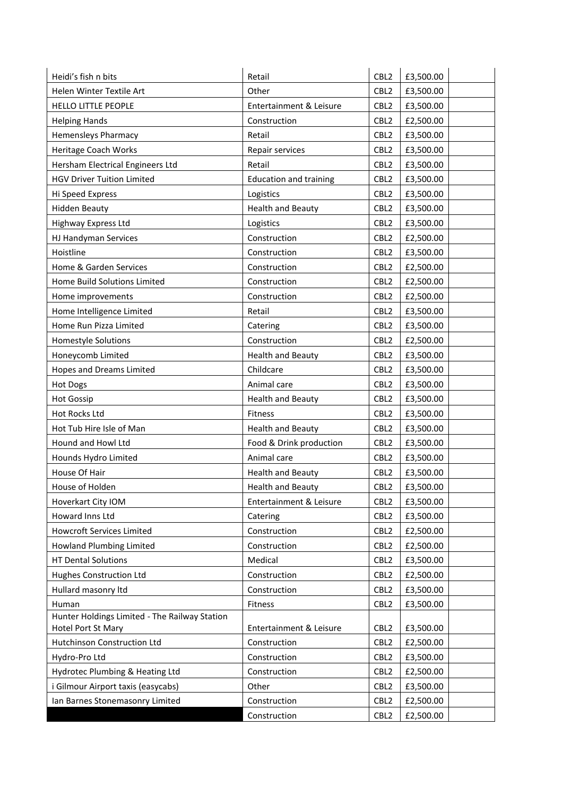| Heidi's fish n bits                                                 | Retail                        | CBL <sub>2</sub> | £3,500.00 |
|---------------------------------------------------------------------|-------------------------------|------------------|-----------|
| Helen Winter Textile Art                                            | Other                         | CBL <sub>2</sub> | £3,500.00 |
| <b>HELLO LITTLE PEOPLE</b>                                          | Entertainment & Leisure       | CBL <sub>2</sub> | £3,500.00 |
| <b>Helping Hands</b>                                                | Construction                  | CBL <sub>2</sub> | £2,500.00 |
| <b>Hemensleys Pharmacy</b>                                          | Retail                        | CBL <sub>2</sub> | £3,500.00 |
| Heritage Coach Works                                                | Repair services               | CBL <sub>2</sub> | £3,500.00 |
| Hersham Electrical Engineers Ltd                                    | Retail                        | CBL <sub>2</sub> | £3,500.00 |
| <b>HGV Driver Tuition Limited</b>                                   | <b>Education and training</b> | CBL <sub>2</sub> | £3,500.00 |
| Hi Speed Express                                                    | Logistics                     | CBL <sub>2</sub> | £3,500.00 |
| <b>Hidden Beauty</b>                                                | <b>Health and Beauty</b>      | CBL <sub>2</sub> | £3,500.00 |
| Highway Express Ltd                                                 | Logistics                     | CBL <sub>2</sub> | £3,500.00 |
| HJ Handyman Services                                                | Construction                  | CBL <sub>2</sub> | £2,500.00 |
| Hoistline                                                           | Construction                  | CBL <sub>2</sub> | £3,500.00 |
| Home & Garden Services                                              | Construction                  | CBL <sub>2</sub> | £2,500.00 |
| Home Build Solutions Limited                                        | Construction                  | CBL <sub>2</sub> | £2,500.00 |
| Home improvements                                                   | Construction                  | CBL <sub>2</sub> | £2,500.00 |
| Home Intelligence Limited                                           | Retail                        | CBL <sub>2</sub> | £3,500.00 |
| Home Run Pizza Limited                                              | Catering                      | CBL <sub>2</sub> | £3,500.00 |
| Homestyle Solutions                                                 | Construction                  | CBL <sub>2</sub> | £2,500.00 |
| Honeycomb Limited                                                   | <b>Health and Beauty</b>      | CBL <sub>2</sub> | £3,500.00 |
| <b>Hopes and Dreams Limited</b>                                     | Childcare                     | CBL <sub>2</sub> | £3,500.00 |
| <b>Hot Dogs</b>                                                     | Animal care                   | CBL <sub>2</sub> | £3,500.00 |
| <b>Hot Gossip</b>                                                   | <b>Health and Beauty</b>      | CBL <sub>2</sub> | £3,500.00 |
| Hot Rocks Ltd                                                       | Fitness                       | CBL <sub>2</sub> | £3,500.00 |
| Hot Tub Hire Isle of Man                                            | <b>Health and Beauty</b>      | CBL <sub>2</sub> | £3,500.00 |
| Hound and Howl Ltd                                                  | Food & Drink production       | CBL <sub>2</sub> | £3,500.00 |
| Hounds Hydro Limited                                                | Animal care                   | CBL <sub>2</sub> | £3,500.00 |
| House Of Hair                                                       | <b>Health and Beauty</b>      | CBL <sub>2</sub> | £3,500.00 |
| House of Holden                                                     | <b>Health and Beauty</b>      | CBL <sub>2</sub> | £3,500.00 |
| Hoverkart City IOM                                                  | Entertainment & Leisure       | CBL <sub>2</sub> | £3,500.00 |
| Howard Inns Ltd                                                     | Catering                      | CBL <sub>2</sub> | £3,500.00 |
| <b>Howcroft Services Limited</b>                                    | Construction                  | CBL <sub>2</sub> | £2,500.00 |
| Howland Plumbing Limited                                            | Construction                  | CBL <sub>2</sub> | £2,500.00 |
| <b>HT Dental Solutions</b>                                          | Medical                       | CBL <sub>2</sub> | £3,500.00 |
| Hughes Construction Ltd                                             | Construction                  | CBL <sub>2</sub> | £2,500.00 |
| Hullard masonry Itd                                                 | Construction                  | CBL <sub>2</sub> | £3,500.00 |
| Human                                                               | Fitness                       | CBL <sub>2</sub> | £3,500.00 |
| Hunter Holdings Limited - The Railway Station<br>Hotel Port St Mary | Entertainment & Leisure       | CBL <sub>2</sub> | £3,500.00 |
| Hutchinson Construction Ltd                                         | Construction                  | CBL <sub>2</sub> | £2,500.00 |
| Hydro-Pro Ltd                                                       | Construction                  | CBL <sub>2</sub> | £3,500.00 |
| Hydrotec Plumbing & Heating Ltd                                     | Construction                  | CBL <sub>2</sub> | £2,500.00 |
| i Gilmour Airport taxis (easycabs)                                  | Other                         | CBL <sub>2</sub> | £3,500.00 |
| Ian Barnes Stonemasonry Limited                                     | Construction                  | CBL <sub>2</sub> | £2,500.00 |
|                                                                     | Construction                  | CBL <sub>2</sub> | £2,500.00 |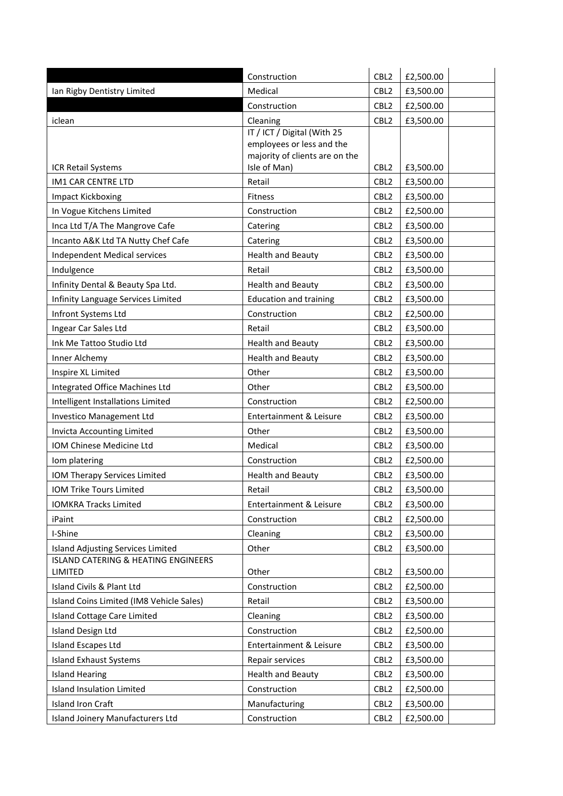|                                                                                                                                         | CBL <sub>2</sub><br>£2,500.00 |
|-----------------------------------------------------------------------------------------------------------------------------------------|-------------------------------|
| Construction                                                                                                                            |                               |
| Ian Rigby Dentistry Limited                                                                                                             | CBL <sub>2</sub>              |
| Medical                                                                                                                                 | £3,500.00                     |
| Construction                                                                                                                            | CBL <sub>2</sub><br>£2,500.00 |
| Cleaning                                                                                                                                | CBL <sub>2</sub>              |
| iclean                                                                                                                                  | £3,500.00                     |
| IT / ICT / Digital (With 25<br>employees or less and the<br>majority of clients are on the<br>Isle of Man)<br><b>ICR Retail Systems</b> | CBL <sub>2</sub><br>£3,500.00 |
| <b>IM1 CAR CENTRE LTD</b>                                                                                                               | CBL <sub>2</sub>              |
| Retail                                                                                                                                  | £3,500.00                     |
| Impact Kickboxing                                                                                                                       | CBL <sub>2</sub>              |
| <b>Fitness</b>                                                                                                                          | £3,500.00                     |
| In Vogue Kitchens Limited                                                                                                               | CBL <sub>2</sub>              |
| Construction                                                                                                                            | £2,500.00                     |
| Inca Ltd T/A The Mangrove Cafe                                                                                                          | CBL <sub>2</sub>              |
| Catering                                                                                                                                | £3,500.00                     |
| Incanto A&K Ltd TA Nutty Chef Cafe                                                                                                      | CBL <sub>2</sub>              |
| Catering                                                                                                                                | £3,500.00                     |
| <b>Health and Beauty</b>                                                                                                                | CBL <sub>2</sub>              |
| Independent Medical services                                                                                                            | £3,500.00                     |
| Indulgence                                                                                                                              | CBL <sub>2</sub>              |
| Retail                                                                                                                                  | £3,500.00                     |
| <b>Health and Beauty</b>                                                                                                                | CBL <sub>2</sub>              |
| Infinity Dental & Beauty Spa Ltd.                                                                                                       | £3,500.00                     |
| Infinity Language Services Limited                                                                                                      | CBL <sub>2</sub>              |
| <b>Education and training</b>                                                                                                           | £3,500.00                     |
| Infront Systems Ltd                                                                                                                     | CBL <sub>2</sub>              |
| Construction                                                                                                                            | £2,500.00                     |
| Retail                                                                                                                                  | CBL <sub>2</sub>              |
| Ingear Car Sales Ltd                                                                                                                    | £3,500.00                     |
| Ink Me Tattoo Studio Ltd                                                                                                                | CBL <sub>2</sub>              |
| <b>Health and Beauty</b>                                                                                                                | £3,500.00                     |
| <b>Health and Beauty</b>                                                                                                                | CBL <sub>2</sub>              |
| Inner Alchemy                                                                                                                           | £3,500.00                     |
| Other                                                                                                                                   | CBL <sub>2</sub>              |
| Inspire XL Limited                                                                                                                      | £3,500.00                     |
| Integrated Office Machines Ltd                                                                                                          | CBL <sub>2</sub>              |
| Other                                                                                                                                   | £3,500.00                     |
| Intelligent Installations Limited                                                                                                       | CBL <sub>2</sub>              |
| Construction                                                                                                                            | £2,500.00                     |
| Investico Management Ltd                                                                                                                | CBL <sub>2</sub>              |
| Entertainment & Leisure                                                                                                                 | £3,500.00                     |
| Other                                                                                                                                   | CBL <sub>2</sub>              |
| Invicta Accounting Limited                                                                                                              | £3,500.00                     |
| IOM Chinese Medicine Ltd                                                                                                                | CBL <sub>2</sub>              |
| Medical                                                                                                                                 | £3,500.00                     |
| Iom platering                                                                                                                           | CBL <sub>2</sub>              |
| Construction                                                                                                                            | £2,500.00                     |
| IOM Therapy Services Limited                                                                                                            | CBL <sub>2</sub>              |
| <b>Health and Beauty</b>                                                                                                                | £3,500.00                     |
| IOM Trike Tours Limited                                                                                                                 | CBL <sub>2</sub>              |
| Retail                                                                                                                                  | £3,500.00                     |
| <b>IOMKRA Tracks Limited</b>                                                                                                            | CBL <sub>2</sub>              |
| Entertainment & Leisure                                                                                                                 | £3,500.00                     |
| iPaint                                                                                                                                  | CBL <sub>2</sub>              |
| Construction                                                                                                                            | £2,500.00                     |
| I-Shine                                                                                                                                 | CBL <sub>2</sub>              |
| Cleaning                                                                                                                                | £3,500.00                     |
| <b>Island Adjusting Services Limited</b>                                                                                                | CBL <sub>2</sub>              |
| Other                                                                                                                                   | £3,500.00                     |
| <b>ISLAND CATERING &amp; HEATING ENGINEERS</b><br>LIMITED<br>Other                                                                      | CBL <sub>2</sub><br>£3,500.00 |
| Island Civils & Plant Ltd                                                                                                               | CBL <sub>2</sub>              |
| Construction                                                                                                                            | £2,500.00                     |
| Island Coins Limited (IM8 Vehicle Sales)                                                                                                | CBL <sub>2</sub>              |
| Retail                                                                                                                                  | £3,500.00                     |
| <b>Island Cottage Care Limited</b>                                                                                                      | CBL <sub>2</sub>              |
| Cleaning                                                                                                                                | £3,500.00                     |
| <b>Island Design Ltd</b>                                                                                                                | CBL <sub>2</sub>              |
| Construction                                                                                                                            | £2,500.00                     |
| <b>Island Escapes Ltd</b>                                                                                                               | CBL <sub>2</sub>              |
| Entertainment & Leisure                                                                                                                 | £3,500.00                     |
| <b>Island Exhaust Systems</b>                                                                                                           | CBL <sub>2</sub>              |
| Repair services                                                                                                                         | £3,500.00                     |
| <b>Island Hearing</b>                                                                                                                   | CBL <sub>2</sub>              |
| Health and Beauty                                                                                                                       | £3,500.00                     |
| <b>Island Insulation Limited</b>                                                                                                        | CBL <sub>2</sub>              |
| Construction                                                                                                                            | £2,500.00                     |
| <b>Island Iron Craft</b>                                                                                                                | CBL <sub>2</sub>              |
| Manufacturing                                                                                                                           | £3,500.00                     |
| Island Joinery Manufacturers Ltd                                                                                                        | £2,500.00                     |
| Construction                                                                                                                            | CBL <sub>2</sub>              |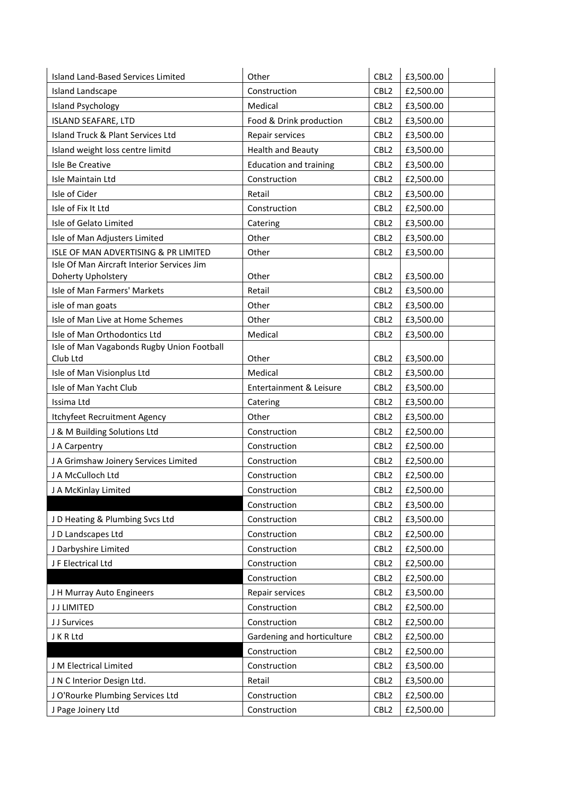| CBL <sub>2</sub><br><b>Island Landscape</b><br>Construction<br>£2,500.00<br><b>Island Psychology</b><br>Medical<br>CBL <sub>2</sub><br>£3,500.00<br><b>ISLAND SEAFARE, LTD</b><br>Food & Drink production<br>CBL <sub>2</sub><br>£3,500.00<br>Island Truck & Plant Services Ltd<br>Repair services<br>CBL <sub>2</sub><br>£3,500.00<br>Island weight loss centre limitd<br><b>Health and Beauty</b><br>CBL <sub>2</sub><br>£3,500.00<br>Isle Be Creative<br><b>Education and training</b><br>CBL <sub>2</sub><br>£3,500.00<br>Construction<br>CBL <sub>2</sub><br>£2,500.00<br>Isle Maintain Ltd<br>Isle of Cider<br>Retail<br>CBL <sub>2</sub><br>£3,500.00<br>Isle of Fix It Ltd<br>Construction<br>CBL <sub>2</sub><br>£2,500.00<br>Isle of Gelato Limited<br>CBL <sub>2</sub><br>£3,500.00<br>Catering<br>Other<br>CBL <sub>2</sub><br>Isle of Man Adjusters Limited<br>£3,500.00<br>ISLE OF MAN ADVERTISING & PR LIMITED<br>Other<br>CBL <sub>2</sub><br>£3,500.00<br>Isle Of Man Aircraft Interior Services Jim<br>Doherty Upholstery<br>Other<br>CBL <sub>2</sub><br>£3,500.00<br>Isle of Man Farmers' Markets<br>CBL <sub>2</sub><br>Retail<br>£3,500.00<br>Other<br>isle of man goats<br>CBL <sub>2</sub><br>£3,500.00<br>Isle of Man Live at Home Schemes<br>Other<br>CBL <sub>2</sub><br>£3,500.00<br>Isle of Man Orthodontics Ltd<br>CBL <sub>2</sub><br>Medical<br>£3,500.00<br>Isle of Man Vagabonds Rugby Union Football<br>Club Ltd<br>Other<br>CBL <sub>2</sub><br>£3,500.00<br>Isle of Man Visionplus Ltd<br>Medical<br>CBL <sub>2</sub><br>£3,500.00<br>Isle of Man Yacht Club<br>Entertainment & Leisure<br>CBL <sub>2</sub><br>£3,500.00<br>Issima Ltd<br>CBL <sub>2</sub><br>Catering<br>£3,500.00 |
|--------------------------------------------------------------------------------------------------------------------------------------------------------------------------------------------------------------------------------------------------------------------------------------------------------------------------------------------------------------------------------------------------------------------------------------------------------------------------------------------------------------------------------------------------------------------------------------------------------------------------------------------------------------------------------------------------------------------------------------------------------------------------------------------------------------------------------------------------------------------------------------------------------------------------------------------------------------------------------------------------------------------------------------------------------------------------------------------------------------------------------------------------------------------------------------------------------------------------------------------------------------------------------------------------------------------------------------------------------------------------------------------------------------------------------------------------------------------------------------------------------------------------------------------------------------------------------------------------------------------------------------------------------------------------------------------------------------------------|
|                                                                                                                                                                                                                                                                                                                                                                                                                                                                                                                                                                                                                                                                                                                                                                                                                                                                                                                                                                                                                                                                                                                                                                                                                                                                                                                                                                                                                                                                                                                                                                                                                                                                                                                          |
|                                                                                                                                                                                                                                                                                                                                                                                                                                                                                                                                                                                                                                                                                                                                                                                                                                                                                                                                                                                                                                                                                                                                                                                                                                                                                                                                                                                                                                                                                                                                                                                                                                                                                                                          |
|                                                                                                                                                                                                                                                                                                                                                                                                                                                                                                                                                                                                                                                                                                                                                                                                                                                                                                                                                                                                                                                                                                                                                                                                                                                                                                                                                                                                                                                                                                                                                                                                                                                                                                                          |
|                                                                                                                                                                                                                                                                                                                                                                                                                                                                                                                                                                                                                                                                                                                                                                                                                                                                                                                                                                                                                                                                                                                                                                                                                                                                                                                                                                                                                                                                                                                                                                                                                                                                                                                          |
|                                                                                                                                                                                                                                                                                                                                                                                                                                                                                                                                                                                                                                                                                                                                                                                                                                                                                                                                                                                                                                                                                                                                                                                                                                                                                                                                                                                                                                                                                                                                                                                                                                                                                                                          |
|                                                                                                                                                                                                                                                                                                                                                                                                                                                                                                                                                                                                                                                                                                                                                                                                                                                                                                                                                                                                                                                                                                                                                                                                                                                                                                                                                                                                                                                                                                                                                                                                                                                                                                                          |
|                                                                                                                                                                                                                                                                                                                                                                                                                                                                                                                                                                                                                                                                                                                                                                                                                                                                                                                                                                                                                                                                                                                                                                                                                                                                                                                                                                                                                                                                                                                                                                                                                                                                                                                          |
|                                                                                                                                                                                                                                                                                                                                                                                                                                                                                                                                                                                                                                                                                                                                                                                                                                                                                                                                                                                                                                                                                                                                                                                                                                                                                                                                                                                                                                                                                                                                                                                                                                                                                                                          |
|                                                                                                                                                                                                                                                                                                                                                                                                                                                                                                                                                                                                                                                                                                                                                                                                                                                                                                                                                                                                                                                                                                                                                                                                                                                                                                                                                                                                                                                                                                                                                                                                                                                                                                                          |
|                                                                                                                                                                                                                                                                                                                                                                                                                                                                                                                                                                                                                                                                                                                                                                                                                                                                                                                                                                                                                                                                                                                                                                                                                                                                                                                                                                                                                                                                                                                                                                                                                                                                                                                          |
|                                                                                                                                                                                                                                                                                                                                                                                                                                                                                                                                                                                                                                                                                                                                                                                                                                                                                                                                                                                                                                                                                                                                                                                                                                                                                                                                                                                                                                                                                                                                                                                                                                                                                                                          |
|                                                                                                                                                                                                                                                                                                                                                                                                                                                                                                                                                                                                                                                                                                                                                                                                                                                                                                                                                                                                                                                                                                                                                                                                                                                                                                                                                                                                                                                                                                                                                                                                                                                                                                                          |
|                                                                                                                                                                                                                                                                                                                                                                                                                                                                                                                                                                                                                                                                                                                                                                                                                                                                                                                                                                                                                                                                                                                                                                                                                                                                                                                                                                                                                                                                                                                                                                                                                                                                                                                          |
|                                                                                                                                                                                                                                                                                                                                                                                                                                                                                                                                                                                                                                                                                                                                                                                                                                                                                                                                                                                                                                                                                                                                                                                                                                                                                                                                                                                                                                                                                                                                                                                                                                                                                                                          |
|                                                                                                                                                                                                                                                                                                                                                                                                                                                                                                                                                                                                                                                                                                                                                                                                                                                                                                                                                                                                                                                                                                                                                                                                                                                                                                                                                                                                                                                                                                                                                                                                                                                                                                                          |
|                                                                                                                                                                                                                                                                                                                                                                                                                                                                                                                                                                                                                                                                                                                                                                                                                                                                                                                                                                                                                                                                                                                                                                                                                                                                                                                                                                                                                                                                                                                                                                                                                                                                                                                          |
|                                                                                                                                                                                                                                                                                                                                                                                                                                                                                                                                                                                                                                                                                                                                                                                                                                                                                                                                                                                                                                                                                                                                                                                                                                                                                                                                                                                                                                                                                                                                                                                                                                                                                                                          |
|                                                                                                                                                                                                                                                                                                                                                                                                                                                                                                                                                                                                                                                                                                                                                                                                                                                                                                                                                                                                                                                                                                                                                                                                                                                                                                                                                                                                                                                                                                                                                                                                                                                                                                                          |
|                                                                                                                                                                                                                                                                                                                                                                                                                                                                                                                                                                                                                                                                                                                                                                                                                                                                                                                                                                                                                                                                                                                                                                                                                                                                                                                                                                                                                                                                                                                                                                                                                                                                                                                          |
|                                                                                                                                                                                                                                                                                                                                                                                                                                                                                                                                                                                                                                                                                                                                                                                                                                                                                                                                                                                                                                                                                                                                                                                                                                                                                                                                                                                                                                                                                                                                                                                                                                                                                                                          |
|                                                                                                                                                                                                                                                                                                                                                                                                                                                                                                                                                                                                                                                                                                                                                                                                                                                                                                                                                                                                                                                                                                                                                                                                                                                                                                                                                                                                                                                                                                                                                                                                                                                                                                                          |
|                                                                                                                                                                                                                                                                                                                                                                                                                                                                                                                                                                                                                                                                                                                                                                                                                                                                                                                                                                                                                                                                                                                                                                                                                                                                                                                                                                                                                                                                                                                                                                                                                                                                                                                          |
|                                                                                                                                                                                                                                                                                                                                                                                                                                                                                                                                                                                                                                                                                                                                                                                                                                                                                                                                                                                                                                                                                                                                                                                                                                                                                                                                                                                                                                                                                                                                                                                                                                                                                                                          |
| Itchyfeet Recruitment Agency<br>Other<br>CBL <sub>2</sub><br>£3,500.00                                                                                                                                                                                                                                                                                                                                                                                                                                                                                                                                                                                                                                                                                                                                                                                                                                                                                                                                                                                                                                                                                                                                                                                                                                                                                                                                                                                                                                                                                                                                                                                                                                                   |
| J & M Building Solutions Ltd<br>Construction<br>CBL <sub>2</sub><br>£2,500.00                                                                                                                                                                                                                                                                                                                                                                                                                                                                                                                                                                                                                                                                                                                                                                                                                                                                                                                                                                                                                                                                                                                                                                                                                                                                                                                                                                                                                                                                                                                                                                                                                                            |
| Construction<br>CBL <sub>2</sub><br>J A Carpentry<br>£2,500.00                                                                                                                                                                                                                                                                                                                                                                                                                                                                                                                                                                                                                                                                                                                                                                                                                                                                                                                                                                                                                                                                                                                                                                                                                                                                                                                                                                                                                                                                                                                                                                                                                                                           |
| J A Grimshaw Joinery Services Limited<br>CBL <sub>2</sub><br>£2,500.00<br>Construction                                                                                                                                                                                                                                                                                                                                                                                                                                                                                                                                                                                                                                                                                                                                                                                                                                                                                                                                                                                                                                                                                                                                                                                                                                                                                                                                                                                                                                                                                                                                                                                                                                   |
| J A McCulloch Ltd<br>Construction<br>CBL <sub>2</sub><br>£2,500.00                                                                                                                                                                                                                                                                                                                                                                                                                                                                                                                                                                                                                                                                                                                                                                                                                                                                                                                                                                                                                                                                                                                                                                                                                                                                                                                                                                                                                                                                                                                                                                                                                                                       |
| J A McKinlay Limited<br>CBL <sub>2</sub><br>£2,500.00<br>Construction                                                                                                                                                                                                                                                                                                                                                                                                                                                                                                                                                                                                                                                                                                                                                                                                                                                                                                                                                                                                                                                                                                                                                                                                                                                                                                                                                                                                                                                                                                                                                                                                                                                    |
| Construction<br>CBL <sub>2</sub><br>£3,500.00                                                                                                                                                                                                                                                                                                                                                                                                                                                                                                                                                                                                                                                                                                                                                                                                                                                                                                                                                                                                                                                                                                                                                                                                                                                                                                                                                                                                                                                                                                                                                                                                                                                                            |
| Construction<br>CBL <sub>2</sub><br>J D Heating & Plumbing Svcs Ltd<br>£3,500.00                                                                                                                                                                                                                                                                                                                                                                                                                                                                                                                                                                                                                                                                                                                                                                                                                                                                                                                                                                                                                                                                                                                                                                                                                                                                                                                                                                                                                                                                                                                                                                                                                                         |
| J D Landscapes Ltd<br>CBL <sub>2</sub><br>Construction<br>£2,500.00                                                                                                                                                                                                                                                                                                                                                                                                                                                                                                                                                                                                                                                                                                                                                                                                                                                                                                                                                                                                                                                                                                                                                                                                                                                                                                                                                                                                                                                                                                                                                                                                                                                      |
| J Darbyshire Limited<br>CBL <sub>2</sub><br>Construction<br>£2,500.00                                                                                                                                                                                                                                                                                                                                                                                                                                                                                                                                                                                                                                                                                                                                                                                                                                                                                                                                                                                                                                                                                                                                                                                                                                                                                                                                                                                                                                                                                                                                                                                                                                                    |
| J F Electrical Ltd<br>Construction<br>CBL <sub>2</sub><br>£2,500.00                                                                                                                                                                                                                                                                                                                                                                                                                                                                                                                                                                                                                                                                                                                                                                                                                                                                                                                                                                                                                                                                                                                                                                                                                                                                                                                                                                                                                                                                                                                                                                                                                                                      |
| Construction<br>CBL <sub>2</sub><br>£2,500.00                                                                                                                                                                                                                                                                                                                                                                                                                                                                                                                                                                                                                                                                                                                                                                                                                                                                                                                                                                                                                                                                                                                                                                                                                                                                                                                                                                                                                                                                                                                                                                                                                                                                            |
| Repair services<br>CBL <sub>2</sub><br>£3,500.00<br>J H Murray Auto Engineers                                                                                                                                                                                                                                                                                                                                                                                                                                                                                                                                                                                                                                                                                                                                                                                                                                                                                                                                                                                                                                                                                                                                                                                                                                                                                                                                                                                                                                                                                                                                                                                                                                            |
| Construction<br>CBL <sub>2</sub><br>£2,500.00<br>J J LIMITED                                                                                                                                                                                                                                                                                                                                                                                                                                                                                                                                                                                                                                                                                                                                                                                                                                                                                                                                                                                                                                                                                                                                                                                                                                                                                                                                                                                                                                                                                                                                                                                                                                                             |
| Construction<br>J J Survices<br>CBL <sub>2</sub><br>£2,500.00                                                                                                                                                                                                                                                                                                                                                                                                                                                                                                                                                                                                                                                                                                                                                                                                                                                                                                                                                                                                                                                                                                                                                                                                                                                                                                                                                                                                                                                                                                                                                                                                                                                            |
| J K R Ltd<br>Gardening and horticulture<br>CBL <sub>2</sub><br>£2,500.00                                                                                                                                                                                                                                                                                                                                                                                                                                                                                                                                                                                                                                                                                                                                                                                                                                                                                                                                                                                                                                                                                                                                                                                                                                                                                                                                                                                                                                                                                                                                                                                                                                                 |
| Construction<br>CBL <sub>2</sub><br>£2,500.00                                                                                                                                                                                                                                                                                                                                                                                                                                                                                                                                                                                                                                                                                                                                                                                                                                                                                                                                                                                                                                                                                                                                                                                                                                                                                                                                                                                                                                                                                                                                                                                                                                                                            |
| J M Electrical Limited<br>Construction<br>CBL <sub>2</sub><br>£3,500.00                                                                                                                                                                                                                                                                                                                                                                                                                                                                                                                                                                                                                                                                                                                                                                                                                                                                                                                                                                                                                                                                                                                                                                                                                                                                                                                                                                                                                                                                                                                                                                                                                                                  |
| Retail<br>CBL <sub>2</sub><br>J N C Interior Design Ltd.<br>£3,500.00                                                                                                                                                                                                                                                                                                                                                                                                                                                                                                                                                                                                                                                                                                                                                                                                                                                                                                                                                                                                                                                                                                                                                                                                                                                                                                                                                                                                                                                                                                                                                                                                                                                    |
| J O'Rourke Plumbing Services Ltd<br>Construction<br>CBL <sub>2</sub><br>£2,500.00                                                                                                                                                                                                                                                                                                                                                                                                                                                                                                                                                                                                                                                                                                                                                                                                                                                                                                                                                                                                                                                                                                                                                                                                                                                                                                                                                                                                                                                                                                                                                                                                                                        |
| J Page Joinery Ltd<br>Construction<br>CBL <sub>2</sub><br>£2,500.00                                                                                                                                                                                                                                                                                                                                                                                                                                                                                                                                                                                                                                                                                                                                                                                                                                                                                                                                                                                                                                                                                                                                                                                                                                                                                                                                                                                                                                                                                                                                                                                                                                                      |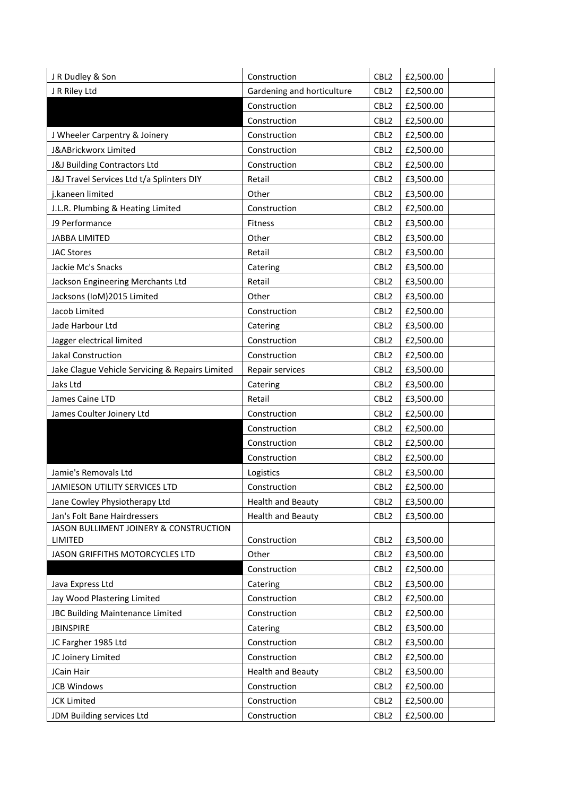| J R Dudley & Son                                | Construction               | CBL <sub>2</sub> | £2,500.00 |
|-------------------------------------------------|----------------------------|------------------|-----------|
| J R Riley Ltd                                   | Gardening and horticulture | CBL <sub>2</sub> | £2,500.00 |
|                                                 | Construction               | CBL <sub>2</sub> | £2,500.00 |
|                                                 | Construction               | CBL <sub>2</sub> | £2,500.00 |
| J Wheeler Carpentry & Joinery                   | Construction               | CBL <sub>2</sub> | £2,500.00 |
| J&ABrickworx Limited                            | Construction               | CBL <sub>2</sub> | £2,500.00 |
| J&J Building Contractors Ltd                    | Construction               | CBL <sub>2</sub> | £2,500.00 |
| J&J Travel Services Ltd t/a Splinters DIY       | Retail                     | CBL <sub>2</sub> | £3,500.00 |
| j.kaneen limited                                | Other                      | CBL <sub>2</sub> | £3,500.00 |
| J.L.R. Plumbing & Heating Limited               | Construction               | CBL <sub>2</sub> | £2,500.00 |
| J9 Performance                                  | Fitness                    | CBL <sub>2</sub> | £3,500.00 |
| <b>JABBA LIMITED</b>                            | Other                      | CBL <sub>2</sub> | £3,500.00 |
| <b>JAC Stores</b>                               | Retail                     | CBL <sub>2</sub> | £3,500.00 |
| Jackie Mc's Snacks                              | Catering                   | CBL <sub>2</sub> | £3,500.00 |
| Jackson Engineering Merchants Ltd               | Retail                     | CBL <sub>2</sub> | £3,500.00 |
| Jacksons (IoM)2015 Limited                      | Other                      | CBL <sub>2</sub> | £3,500.00 |
| Jacob Limited                                   | Construction               | CBL <sub>2</sub> | £2,500.00 |
| Jade Harbour Ltd                                | Catering                   | CBL <sub>2</sub> | £3,500.00 |
| Jagger electrical limited                       | Construction               | CBL <sub>2</sub> | £2,500.00 |
| Jakal Construction                              | Construction               | CBL <sub>2</sub> | £2,500.00 |
| Jake Clague Vehicle Servicing & Repairs Limited | Repair services            | CBL <sub>2</sub> | £3,500.00 |
| Jaks Ltd                                        | Catering                   | CBL <sub>2</sub> | £3,500.00 |
| James Caine LTD                                 | Retail                     | CBL <sub>2</sub> | £3,500.00 |
| James Coulter Joinery Ltd                       | Construction               | CBL <sub>2</sub> | £2,500.00 |
|                                                 | Construction               | CBL <sub>2</sub> | £2,500.00 |
|                                                 | Construction               | CBL <sub>2</sub> | £2,500.00 |
|                                                 | Construction               | CBL <sub>2</sub> | £2,500.00 |
| Jamie's Removals Ltd                            | Logistics                  | CBL <sub>2</sub> | £3,500.00 |
| JAMIESON UTILITY SERVICES LTD                   | Construction               | CBL <sub>2</sub> | £2,500.00 |
| Jane Cowley Physiotherapy Ltd                   | <b>Health and Beauty</b>   | CBL <sub>2</sub> | £3,500.00 |
| Jan's Folt Bane Hairdressers                    | <b>Health and Beauty</b>   | CBL <sub>2</sub> | £3,500.00 |
| JASON BULLIMENT JOINERY & CONSTRUCTION          |                            |                  |           |
| LIMITED                                         | Construction               | CBL <sub>2</sub> | £3,500.00 |
| JASON GRIFFITHS MOTORCYCLES LTD                 | Other                      | CBL <sub>2</sub> | £3,500.00 |
|                                                 | Construction               | CBL <sub>2</sub> | £2,500.00 |
| Java Express Ltd                                | Catering                   | CBL <sub>2</sub> | £3,500.00 |
| Jay Wood Plastering Limited                     | Construction               | CBL <sub>2</sub> | £2,500.00 |
| JBC Building Maintenance Limited                | Construction               | CBL <sub>2</sub> | £2,500.00 |
| <b>JBINSPIRE</b>                                | Catering                   | CBL <sub>2</sub> | £3,500.00 |
| JC Fargher 1985 Ltd                             | Construction               | CBL <sub>2</sub> | £3,500.00 |
| JC Joinery Limited                              | Construction               | CBL <sub>2</sub> | £2,500.00 |
| JCain Hair                                      | <b>Health and Beauty</b>   | CBL <sub>2</sub> | £3,500.00 |
| <b>JCB Windows</b>                              | Construction               | CBL <sub>2</sub> | £2,500.00 |
| <b>JCK Limited</b>                              | Construction               | CBL <sub>2</sub> | £2,500.00 |
| JDM Building services Ltd                       | Construction               | CBL <sub>2</sub> | £2,500.00 |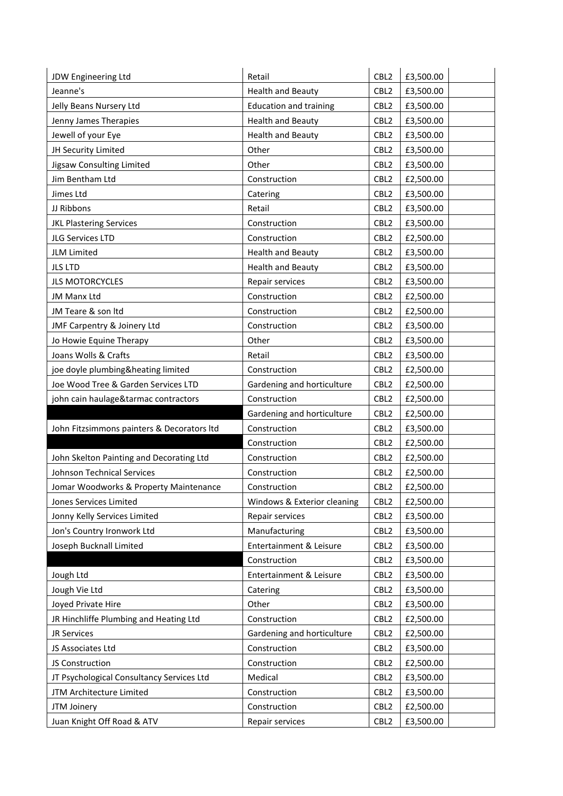| JDW Engineering Ltd                        | Retail                        | CBL <sub>2</sub> | £3,500.00 |
|--------------------------------------------|-------------------------------|------------------|-----------|
| Jeanne's                                   | <b>Health and Beauty</b>      | CBL <sub>2</sub> | £3,500.00 |
| Jelly Beans Nursery Ltd                    | <b>Education and training</b> | CBL <sub>2</sub> | £3,500.00 |
| Jenny James Therapies                      | <b>Health and Beauty</b>      | CBL <sub>2</sub> | £3,500.00 |
| Jewell of your Eye                         | <b>Health and Beauty</b>      | CBL <sub>2</sub> | £3,500.00 |
| JH Security Limited                        | Other                         | CBL <sub>2</sub> | £3,500.00 |
| Jigsaw Consulting Limited                  | Other                         | CBL <sub>2</sub> | £3,500.00 |
| Jim Bentham Ltd                            | Construction                  | CBL <sub>2</sub> | £2,500.00 |
| Jimes Ltd                                  | Catering                      | CBL <sub>2</sub> | £3,500.00 |
| JJ Ribbons                                 | Retail                        | CBL <sub>2</sub> | £3,500.00 |
| <b>JKL Plastering Services</b>             | Construction                  | CBL <sub>2</sub> | £3,500.00 |
| JLG Services LTD                           | Construction                  | CBL <sub>2</sub> | £2,500.00 |
| <b>JLM Limited</b>                         | <b>Health and Beauty</b>      | CBL <sub>2</sub> | £3,500.00 |
| <b>JLS LTD</b>                             | <b>Health and Beauty</b>      | CBL <sub>2</sub> | £3,500.00 |
| <b>JLS MOTORCYCLES</b>                     | Repair services               | CBL <sub>2</sub> | £3,500.00 |
| JM Manx Ltd                                | Construction                  | CBL <sub>2</sub> | £2,500.00 |
| JM Teare & son Itd                         | Construction                  | CBL <sub>2</sub> | £2,500.00 |
| JMF Carpentry & Joinery Ltd                | Construction                  | CBL <sub>2</sub> | £3,500.00 |
| Jo Howie Equine Therapy                    | Other                         | CBL <sub>2</sub> | £3,500.00 |
| Joans Wolls & Crafts                       | Retail                        | CBL <sub>2</sub> | £3,500.00 |
| joe doyle plumbing&heating limited         | Construction                  | CBL <sub>2</sub> | £2,500.00 |
| Joe Wood Tree & Garden Services LTD        | Gardening and horticulture    | CBL <sub>2</sub> | £2,500.00 |
| john cain haulage&tarmac contractors       | Construction                  | CBL <sub>2</sub> | £2,500.00 |
|                                            | Gardening and horticulture    | CBL <sub>2</sub> | £2,500.00 |
| John Fitzsimmons painters & Decorators Itd | Construction                  | CBL <sub>2</sub> | £3,500.00 |
|                                            | Construction                  | CBL <sub>2</sub> | £2,500.00 |
| John Skelton Painting and Decorating Ltd   | Construction                  | CBL <sub>2</sub> | £2,500.00 |
| Johnson Technical Services                 | Construction                  | CBL <sub>2</sub> | £2,500.00 |
| Jomar Woodworks & Property Maintenance     | Construction                  | CBL <sub>2</sub> | £2,500.00 |
| Jones Services Limited                     | Windows & Exterior cleaning   | CBL <sub>2</sub> | £2,500.00 |
| Jonny Kelly Services Limited               | Repair services               | CBL <sub>2</sub> | £3,500.00 |
| Jon's Country Ironwork Ltd                 | Manufacturing                 | CBL <sub>2</sub> | £3,500.00 |
| Joseph Bucknall Limited                    | Entertainment & Leisure       | CBL <sub>2</sub> | £3,500.00 |
|                                            | Construction                  | CBL <sub>2</sub> | £3,500.00 |
| Jough Ltd                                  | Entertainment & Leisure       | CBL <sub>2</sub> | £3,500.00 |
| Jough Vie Ltd                              | Catering                      | CBL <sub>2</sub> | £3,500.00 |
| Joyed Private Hire                         | Other                         | CBL <sub>2</sub> | £3,500.00 |
| JR Hinchliffe Plumbing and Heating Ltd     | Construction                  | CBL <sub>2</sub> | £2,500.00 |
| <b>JR Services</b>                         | Gardening and horticulture    | CBL <sub>2</sub> | £2,500.00 |
| JS Associates Ltd                          | Construction                  | CBL <sub>2</sub> | £3,500.00 |
| JS Construction                            | Construction                  | CBL <sub>2</sub> | £2,500.00 |
| JT Psychological Consultancy Services Ltd  | Medical                       | CBL <sub>2</sub> | £3,500.00 |
| JTM Architecture Limited                   | Construction                  | CBL <sub>2</sub> | £3,500.00 |
| JTM Joinery                                | Construction                  | CBL <sub>2</sub> | £2,500.00 |
| Juan Knight Off Road & ATV                 | Repair services               | CBL <sub>2</sub> | £3,500.00 |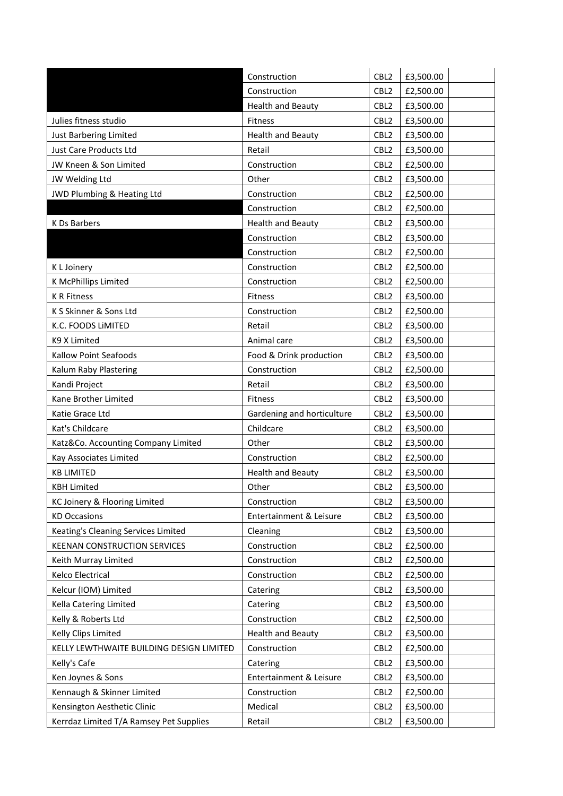|                                          | Construction               | CBL <sub>2</sub> | £3,500.00 |
|------------------------------------------|----------------------------|------------------|-----------|
|                                          | Construction               | CBL <sub>2</sub> | £2,500.00 |
|                                          | <b>Health and Beauty</b>   | CBL <sub>2</sub> | £3,500.00 |
| Julies fitness studio                    | <b>Fitness</b>             | CBL <sub>2</sub> | £3,500.00 |
| Just Barbering Limited                   | <b>Health and Beauty</b>   | CBL <sub>2</sub> | £3,500.00 |
| <b>Just Care Products Ltd</b>            | Retail                     | CBL <sub>2</sub> | £3,500.00 |
| JW Kneen & Son Limited                   | Construction               | CBL <sub>2</sub> | £2,500.00 |
| JW Welding Ltd                           | Other                      | CBL <sub>2</sub> | £3,500.00 |
| JWD Plumbing & Heating Ltd               | Construction               | CBL <sub>2</sub> | £2,500.00 |
|                                          | Construction               | CBL <sub>2</sub> | £2,500.00 |
| K Ds Barbers                             | <b>Health and Beauty</b>   | CBL <sub>2</sub> | £3,500.00 |
|                                          | Construction               | CBL <sub>2</sub> | £3,500.00 |
|                                          | Construction               | CBL <sub>2</sub> | £2,500.00 |
| K L Joinery                              | Construction               | CBL <sub>2</sub> | £2,500.00 |
| K McPhillips Limited                     | Construction               | CBL <sub>2</sub> | £2,500.00 |
| <b>K R Fitness</b>                       | <b>Fitness</b>             | CBL <sub>2</sub> | £3,500.00 |
| K S Skinner & Sons Ltd                   | Construction               | CBL <sub>2</sub> | £2,500.00 |
| K.C. FOODS LIMITED                       | Retail                     | CBL <sub>2</sub> | £3,500.00 |
| K9 X Limited                             | Animal care                | CBL <sub>2</sub> | £3,500.00 |
| Kallow Point Seafoods                    | Food & Drink production    | CBL <sub>2</sub> | £3,500.00 |
| Kalum Raby Plastering                    | Construction               | CBL <sub>2</sub> | £2,500.00 |
| Kandi Project                            | Retail                     | CBL <sub>2</sub> | £3,500.00 |
| Kane Brother Limited                     | <b>Fitness</b>             | CBL <sub>2</sub> | £3,500.00 |
| Katie Grace Ltd                          | Gardening and horticulture | CBL <sub>2</sub> | £3,500.00 |
| Kat's Childcare                          | Childcare                  | CBL <sub>2</sub> | £3,500.00 |
| Katz&Co. Accounting Company Limited      | Other                      | CBL <sub>2</sub> | £3,500.00 |
| Kay Associates Limited                   | Construction               | CBL <sub>2</sub> | £2,500.00 |
| <b>KB LIMITED</b>                        | <b>Health and Beauty</b>   | CBL <sub>2</sub> | £3,500.00 |
| <b>KBH Limited</b>                       | Other                      | CBL <sub>2</sub> | £3,500.00 |
| KC Joinery & Flooring Limited            | Construction               | CBL <sub>2</sub> | £3,500.00 |
| <b>KD Occasions</b>                      | Entertainment & Leisure    | CBL <sub>2</sub> | £3,500.00 |
| Keating's Cleaning Services Limited      | Cleaning                   | CBL <sub>2</sub> | £3,500.00 |
| <b>KEENAN CONSTRUCTION SERVICES</b>      | Construction               | CBL <sub>2</sub> | £2,500.00 |
| Keith Murray Limited                     | Construction               | CBL <sub>2</sub> | £2,500.00 |
| Kelco Electrical                         | Construction               | CBL <sub>2</sub> | £2,500.00 |
| Kelcur (IOM) Limited                     | Catering                   | CBL <sub>2</sub> | £3,500.00 |
| Kella Catering Limited                   | Catering                   | CBL <sub>2</sub> | £3,500.00 |
| Kelly & Roberts Ltd                      | Construction               | CBL <sub>2</sub> | £2,500.00 |
| Kelly Clips Limited                      | <b>Health and Beauty</b>   | CBL <sub>2</sub> | £3,500.00 |
| KELLY LEWTHWAITE BUILDING DESIGN LIMITED | Construction               | CBL <sub>2</sub> | £2,500.00 |
| Kelly's Cafe                             | Catering                   | CBL <sub>2</sub> | £3,500.00 |
| Ken Joynes & Sons                        | Entertainment & Leisure    | CBL <sub>2</sub> | £3,500.00 |
| Kennaugh & Skinner Limited               | Construction               | CBL <sub>2</sub> | £2,500.00 |
| Kensington Aesthetic Clinic              | Medical                    | CBL <sub>2</sub> | £3,500.00 |
| Kerrdaz Limited T/A Ramsey Pet Supplies  | Retail                     | CBL <sub>2</sub> | £3,500.00 |
|                                          |                            |                  |           |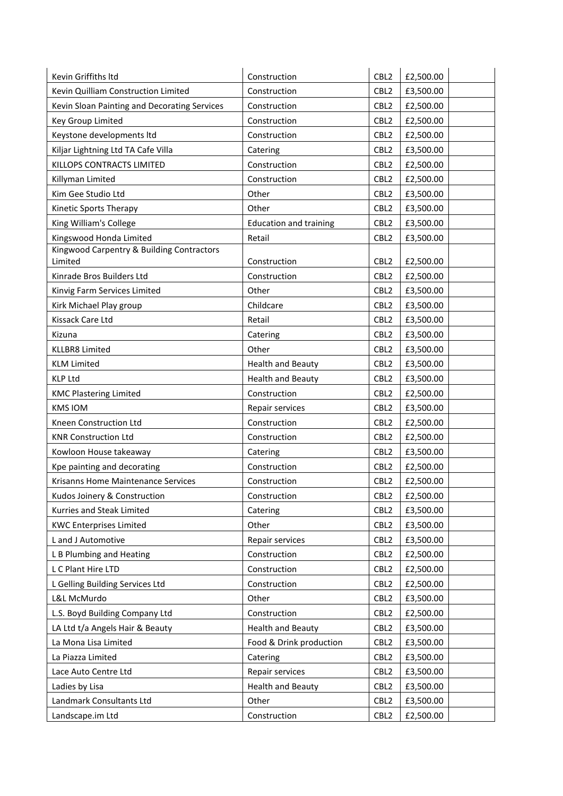| Kevin Griffiths Itd                          | Construction                  | CBL <sub>2</sub> | £2,500.00 |
|----------------------------------------------|-------------------------------|------------------|-----------|
| Kevin Quilliam Construction Limited          | Construction                  | CBL <sub>2</sub> | £3,500.00 |
| Kevin Sloan Painting and Decorating Services | Construction                  | CBL <sub>2</sub> | £2,500.00 |
| Key Group Limited                            | Construction                  | CBL <sub>2</sub> | £2,500.00 |
| Keystone developments ltd                    | Construction                  | CBL <sub>2</sub> | £2,500.00 |
| Kiljar Lightning Ltd TA Cafe Villa           | Catering                      | CBL <sub>2</sub> | £3,500.00 |
| KILLOPS CONTRACTS LIMITED                    | Construction                  | CBL <sub>2</sub> | £2,500.00 |
| Killyman Limited                             | Construction                  | CBL <sub>2</sub> | £2,500.00 |
| Kim Gee Studio Ltd                           | Other                         | CBL <sub>2</sub> | £3,500.00 |
| Kinetic Sports Therapy                       | Other                         | CBL <sub>2</sub> | £3,500.00 |
| King William's College                       | <b>Education and training</b> | CBL <sub>2</sub> | £3,500.00 |
| Kingswood Honda Limited                      | Retail                        | CBL <sub>2</sub> | £3,500.00 |
| Kingwood Carpentry & Building Contractors    |                               |                  |           |
| Limited                                      | Construction                  | CBL <sub>2</sub> | £2,500.00 |
| Kinrade Bros Builders Ltd                    | Construction                  | CBL <sub>2</sub> | £2,500.00 |
| Kinvig Farm Services Limited                 | Other                         | CBL <sub>2</sub> | £3,500.00 |
| Kirk Michael Play group                      | Childcare                     | CBL <sub>2</sub> | £3,500.00 |
| Kissack Care Ltd                             | Retail                        | CBL <sub>2</sub> | £3,500.00 |
| Kizuna                                       | Catering                      | CBL <sub>2</sub> | £3,500.00 |
| <b>KLLBR8 Limited</b>                        | Other                         | CBL <sub>2</sub> | £3,500.00 |
| <b>KLM Limited</b>                           | <b>Health and Beauty</b>      | CBL <sub>2</sub> | £3,500.00 |
| <b>KLP Ltd</b>                               | <b>Health and Beauty</b>      | CBL <sub>2</sub> | £3,500.00 |
| <b>KMC Plastering Limited</b>                | Construction                  | CBL <sub>2</sub> | £2,500.00 |
| <b>KMS IOM</b>                               | Repair services               | CBL <sub>2</sub> | £3,500.00 |
| Kneen Construction Ltd                       | Construction                  | CBL <sub>2</sub> | £2,500.00 |
| <b>KNR Construction Ltd</b>                  | Construction                  | CBL <sub>2</sub> | £2,500.00 |
| Kowloon House takeaway                       | Catering                      | CBL <sub>2</sub> | £3,500.00 |
| Kpe painting and decorating                  | Construction                  | CBL <sub>2</sub> | £2,500.00 |
| Krisanns Home Maintenance Services           | Construction                  | CBL <sub>2</sub> | £2,500.00 |
| Kudos Joinery & Construction                 | Construction                  | CBL2             | £2,500.00 |
| Kurries and Steak Limited                    | Catering                      | CBL <sub>2</sub> | £3,500.00 |
| <b>KWC Enterprises Limited</b>               | Other                         | CBL <sub>2</sub> | £3,500.00 |
| L and J Automotive                           | Repair services               | CBL <sub>2</sub> | £3,500.00 |
| L B Plumbing and Heating                     | Construction                  | CBL <sub>2</sub> | £2,500.00 |
| L C Plant Hire LTD                           | Construction                  | CBL <sub>2</sub> | £2,500.00 |
| L Gelling Building Services Ltd              | Construction                  | CBL <sub>2</sub> | £2,500.00 |
| L&L McMurdo                                  | Other                         | CBL <sub>2</sub> | £3,500.00 |
| L.S. Boyd Building Company Ltd               | Construction                  | CBL <sub>2</sub> | £2,500.00 |
| LA Ltd t/a Angels Hair & Beauty              | <b>Health and Beauty</b>      | CBL <sub>2</sub> | £3,500.00 |
| La Mona Lisa Limited                         | Food & Drink production       | CBL <sub>2</sub> | £3,500.00 |
| La Piazza Limited                            | Catering                      | CBL <sub>2</sub> | £3,500.00 |
| Lace Auto Centre Ltd                         | Repair services               | CBL <sub>2</sub> | £3,500.00 |
| Ladies by Lisa                               | <b>Health and Beauty</b>      | CBL <sub>2</sub> | £3,500.00 |
| Landmark Consultants Ltd                     | Other                         | CBL <sub>2</sub> | £3,500.00 |
| Landscape.im Ltd                             | Construction                  | CBL <sub>2</sub> | £2,500.00 |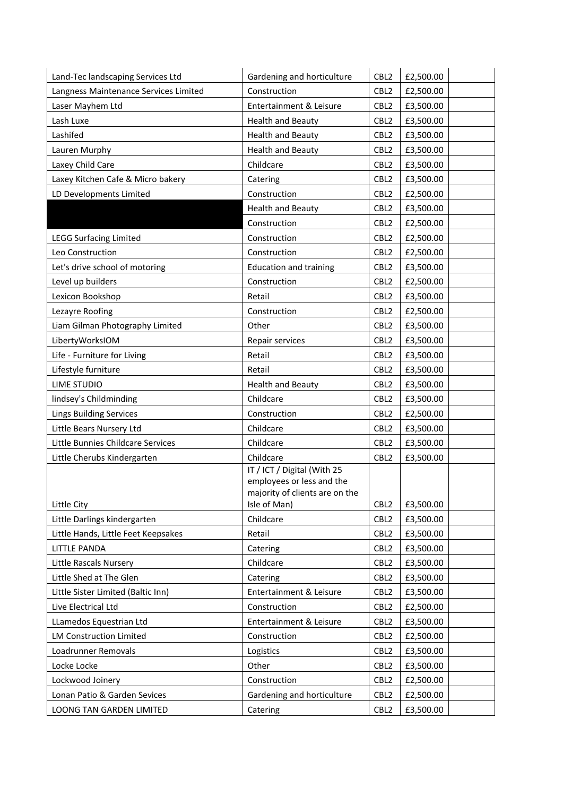| Land-Tec landscaping Services Ltd     | Gardening and horticulture                               | CBL <sub>2</sub> | £2,500.00 |
|---------------------------------------|----------------------------------------------------------|------------------|-----------|
| Langness Maintenance Services Limited | Construction                                             | CBL <sub>2</sub> | £2,500.00 |
| Laser Mayhem Ltd                      | Entertainment & Leisure                                  | CBL <sub>2</sub> | £3,500.00 |
| Lash Luxe                             | <b>Health and Beauty</b>                                 | CBL <sub>2</sub> | £3,500.00 |
| Lashifed                              | <b>Health and Beauty</b>                                 | CBL <sub>2</sub> | £3,500.00 |
| Lauren Murphy                         | <b>Health and Beauty</b>                                 | CBL <sub>2</sub> | £3,500.00 |
| Laxey Child Care                      | Childcare                                                | CBL <sub>2</sub> | £3,500.00 |
| Laxey Kitchen Cafe & Micro bakery     | Catering                                                 | CBL <sub>2</sub> | £3,500.00 |
| LD Developments Limited               | Construction                                             | CBL <sub>2</sub> | £2,500.00 |
|                                       | <b>Health and Beauty</b>                                 | CBL <sub>2</sub> | £3,500.00 |
|                                       | Construction                                             | CBL <sub>2</sub> | £2,500.00 |
| <b>LEGG Surfacing Limited</b>         | Construction                                             | CBL <sub>2</sub> | £2,500.00 |
| Leo Construction                      | Construction                                             | CBL <sub>2</sub> | £2,500.00 |
| Let's drive school of motoring        | <b>Education and training</b>                            | CBL <sub>2</sub> | £3,500.00 |
| Level up builders                     | Construction                                             | CBL <sub>2</sub> | £2,500.00 |
| Lexicon Bookshop                      | Retail                                                   | CBL <sub>2</sub> | £3,500.00 |
| Lezayre Roofing                       | Construction                                             | CBL <sub>2</sub> | £2,500.00 |
| Liam Gilman Photography Limited       | Other                                                    | CBL <sub>2</sub> | £3,500.00 |
| LibertyWorksIOM                       | Repair services                                          | CBL <sub>2</sub> | £3,500.00 |
| Life - Furniture for Living           | Retail                                                   | CBL <sub>2</sub> | £3,500.00 |
| Lifestyle furniture                   | Retail                                                   | CBL <sub>2</sub> | £3,500.00 |
| LIME STUDIO                           | <b>Health and Beauty</b>                                 | CBL <sub>2</sub> | £3,500.00 |
| lindsey's Childminding                | Childcare                                                | CBL <sub>2</sub> | £3,500.00 |
| <b>Lings Building Services</b>        | Construction                                             | CBL <sub>2</sub> | £2,500.00 |
| Little Bears Nursery Ltd              | Childcare                                                | CBL <sub>2</sub> | £3,500.00 |
| Little Bunnies Childcare Services     | Childcare                                                | CBL <sub>2</sub> | £3,500.00 |
| Little Cherubs Kindergarten           | Childcare                                                | CBL <sub>2</sub> | £3,500.00 |
|                                       | IT / ICT / Digital (With 25<br>employees or less and the |                  |           |
|                                       | majority of clients are on the                           |                  |           |
| Little City                           | Isle of Man)                                             | CBL <sub>2</sub> | £3,500.00 |
| Little Darlings kindergarten          | Childcare                                                | CBL <sub>2</sub> | £3,500.00 |
| Little Hands, Little Feet Keepsakes   | Retail                                                   | CBL <sub>2</sub> | £3,500.00 |
| <b>LITTLE PANDA</b>                   | Catering                                                 | CBL <sub>2</sub> | £3,500.00 |
| Little Rascals Nursery                | Childcare                                                | CBL <sub>2</sub> | £3,500.00 |
| Little Shed at The Glen               | Catering                                                 | CBL <sub>2</sub> | £3,500.00 |
| Little Sister Limited (Baltic Inn)    | Entertainment & Leisure                                  | CBL <sub>2</sub> | £3,500.00 |
| Live Electrical Ltd                   | Construction                                             | CBL <sub>2</sub> | £2,500.00 |
| LLamedos Equestrian Ltd               | Entertainment & Leisure                                  | CBL <sub>2</sub> | £3,500.00 |
| <b>LM Construction Limited</b>        | Construction                                             | CBL <sub>2</sub> | £2,500.00 |
| Loadrunner Removals                   | Logistics                                                | CBL <sub>2</sub> | £3,500.00 |
| Locke Locke                           | Other                                                    | CBL <sub>2</sub> | £3,500.00 |
| Lockwood Joinery                      | Construction                                             | CBL <sub>2</sub> | £2,500.00 |
| Lonan Patio & Garden Sevices          | Gardening and horticulture                               | CBL <sub>2</sub> | £2,500.00 |
| LOONG TAN GARDEN LIMITED              | Catering                                                 | CBL <sub>2</sub> | £3,500.00 |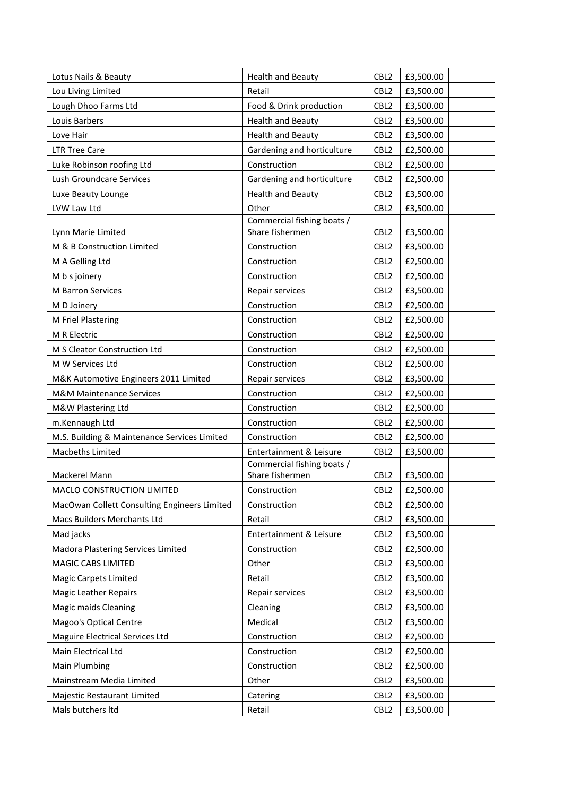| Lotus Nails & Beauty                         | <b>Health and Beauty</b>                      | CBL <sub>2</sub> | £3,500.00 |
|----------------------------------------------|-----------------------------------------------|------------------|-----------|
| Lou Living Limited                           | Retail                                        | CBL <sub>2</sub> | £3,500.00 |
| Lough Dhoo Farms Ltd                         | Food & Drink production                       | CBL <sub>2</sub> | £3,500.00 |
| Louis Barbers                                | Health and Beauty                             | CBL <sub>2</sub> | £3,500.00 |
| Love Hair                                    | <b>Health and Beauty</b>                      | CBL <sub>2</sub> | £3,500.00 |
| <b>LTR Tree Care</b>                         | Gardening and horticulture                    | CBL <sub>2</sub> | £2,500.00 |
| Luke Robinson roofing Ltd                    | Construction                                  | CBL <sub>2</sub> | £2,500.00 |
| Lush Groundcare Services                     | Gardening and horticulture                    | CBL <sub>2</sub> | £2,500.00 |
| Luxe Beauty Lounge                           | <b>Health and Beauty</b>                      | CBL <sub>2</sub> | £3,500.00 |
| LVW Law Ltd                                  | Other                                         | CBL <sub>2</sub> | £3,500.00 |
| Lynn Marie Limited                           | Commercial fishing boats /<br>Share fishermen | CBL <sub>2</sub> | £3,500.00 |
| M & B Construction Limited                   | Construction                                  | CBL <sub>2</sub> | £3,500.00 |
| M A Gelling Ltd                              | Construction                                  | CBL <sub>2</sub> | £2,500.00 |
| M b s joinery                                | Construction                                  | CBL <sub>2</sub> | £2,500.00 |
| M Barron Services                            | Repair services                               | CBL <sub>2</sub> | £3,500.00 |
| M D Joinery                                  | Construction                                  | CBL <sub>2</sub> | £2,500.00 |
| M Friel Plastering                           | Construction                                  | CBL <sub>2</sub> | £2,500.00 |
| M R Electric                                 | Construction                                  | CBL <sub>2</sub> | £2,500.00 |
| M S Cleator Construction Ltd                 | Construction                                  | CBL <sub>2</sub> | £2,500.00 |
| M W Services Ltd                             | Construction                                  | CBL <sub>2</sub> | £2,500.00 |
| M&K Automotive Engineers 2011 Limited        | Repair services                               | CBL <sub>2</sub> | £3,500.00 |
| <b>M&amp;M Maintenance Services</b>          | Construction                                  | CBL <sub>2</sub> | £2,500.00 |
| M&W Plastering Ltd                           | Construction                                  | CBL <sub>2</sub> | £2,500.00 |
| m.Kennaugh Ltd                               | Construction                                  | CBL <sub>2</sub> | £2,500.00 |
| M.S. Building & Maintenance Services Limited | Construction                                  | CBL <sub>2</sub> | £2,500.00 |
| Macbeths Limited                             | Entertainment & Leisure                       | CBL <sub>2</sub> | £3,500.00 |
| Mackerel Mann                                | Commercial fishing boats /<br>Share fishermen | CBL <sub>2</sub> | £3,500.00 |
| MACLO CONSTRUCTION LIMITED                   | Construction                                  | CBL <sub>2</sub> | £2,500.00 |
| MacOwan Collett Consulting Engineers Limited | Construction                                  | CBL <sub>2</sub> | £2,500.00 |
| Macs Builders Merchants Ltd                  | Retail                                        | CBL <sub>2</sub> | £3,500.00 |
| Mad jacks                                    | Entertainment & Leisure                       | CBL <sub>2</sub> | £3,500.00 |
| Madora Plastering Services Limited           | Construction                                  | CBL <sub>2</sub> | £2,500.00 |
| MAGIC CABS LIMITED                           | Other                                         | CBL <sub>2</sub> | £3,500.00 |
| Magic Carpets Limited                        | Retail                                        | CBL <sub>2</sub> | £3,500.00 |
| <b>Magic Leather Repairs</b>                 | Repair services                               | CBL <sub>2</sub> | £3,500.00 |
| <b>Magic maids Cleaning</b>                  | Cleaning                                      | CBL <sub>2</sub> | £3,500.00 |
| Magoo's Optical Centre                       | Medical                                       | CBL <sub>2</sub> | £3,500.00 |
| Maguire Electrical Services Ltd              | Construction                                  | CBL <sub>2</sub> | £2,500.00 |
| Main Electrical Ltd                          | Construction                                  | CBL <sub>2</sub> | £2,500.00 |
| <b>Main Plumbing</b>                         | Construction                                  | CBL <sub>2</sub> | £2,500.00 |
| Mainstream Media Limited                     | Other                                         | CBL <sub>2</sub> | £3,500.00 |
| Majestic Restaurant Limited                  | Catering                                      | CBL <sub>2</sub> | £3,500.00 |
| Mals butchers Itd                            | Retail                                        | CBL <sub>2</sub> | £3,500.00 |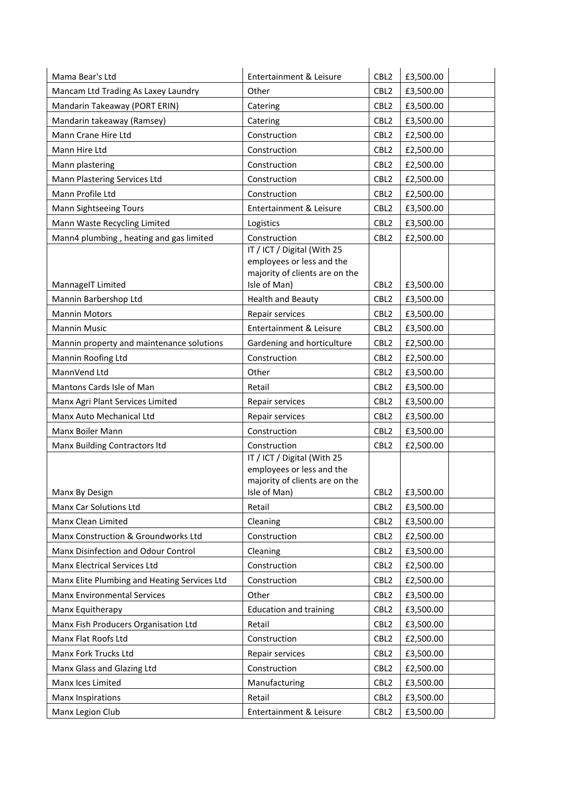| Mama Bear's Ltd                              | Entertainment & Leisure                                                                                    | CBL <sub>2</sub> | £3,500.00 |  |
|----------------------------------------------|------------------------------------------------------------------------------------------------------------|------------------|-----------|--|
| Mancam Ltd Trading As Laxey Laundry          | Other                                                                                                      | CBL <sub>2</sub> | £3,500.00 |  |
| Mandarin Takeaway (PORT ERIN)                | Catering                                                                                                   | CBL <sub>2</sub> | £3,500.00 |  |
| Mandarin takeaway (Ramsey)                   | Catering                                                                                                   | CBL <sub>2</sub> | £3,500.00 |  |
| Mann Crane Hire Ltd                          | Construction                                                                                               | CBL <sub>2</sub> | £2,500.00 |  |
| Mann Hire Ltd                                | Construction                                                                                               | CBL <sub>2</sub> | £2,500.00 |  |
| Mann plastering                              | Construction                                                                                               | CBL <sub>2</sub> | £2,500.00 |  |
| Mann Plastering Services Ltd                 | Construction                                                                                               | CBL <sub>2</sub> | £2,500.00 |  |
| Mann Profile Ltd                             | Construction                                                                                               | CBL <sub>2</sub> | £2,500.00 |  |
| Mann Sightseeing Tours                       | Entertainment & Leisure                                                                                    | CBL <sub>2</sub> | £3,500.00 |  |
| Mann Waste Recycling Limited                 | Logistics                                                                                                  | CBL <sub>2</sub> | £3,500.00 |  |
| Mann4 plumbing, heating and gas limited      | Construction                                                                                               | CBL <sub>2</sub> | £2,500.00 |  |
| MannageIT Limited                            | IT / ICT / Digital (With 25<br>employees or less and the<br>majority of clients are on the<br>Isle of Man) | CBL <sub>2</sub> | £3,500.00 |  |
| Mannin Barbershop Ltd                        | <b>Health and Beauty</b>                                                                                   | CBL <sub>2</sub> | £3,500.00 |  |
| <b>Mannin Motors</b>                         | Repair services                                                                                            | CBL <sub>2</sub> | £3,500.00 |  |
| Mannin Music                                 | <b>Entertainment &amp; Leisure</b>                                                                         | CBL <sub>2</sub> | £3,500.00 |  |
| Mannin property and maintenance solutions    | Gardening and horticulture                                                                                 | CBL <sub>2</sub> | £2,500.00 |  |
| Mannin Roofing Ltd                           | Construction                                                                                               | CBL <sub>2</sub> | £2,500.00 |  |
| MannVend Ltd                                 | Other                                                                                                      | CBL <sub>2</sub> | £3,500.00 |  |
| Mantons Cards Isle of Man                    | Retail                                                                                                     | CBL <sub>2</sub> | £3,500.00 |  |
| Manx Agri Plant Services Limited             | Repair services                                                                                            | CBL <sub>2</sub> | £3,500.00 |  |
| Manx Auto Mechanical Ltd                     | Repair services                                                                                            | CBL <sub>2</sub> | £3,500.00 |  |
| Manx Boiler Mann                             | Construction                                                                                               | CBL <sub>2</sub> | £3,500.00 |  |
| Manx Building Contractors Itd                | Construction                                                                                               | CBL <sub>2</sub> | £2,500.00 |  |
| Manx By Design                               | IT / ICT / Digital (With 25<br>employees or less and the<br>majority of clients are on the<br>Isle of Man) | CBL <sub>2</sub> | £3,500.00 |  |
| Manx Car Solutions Ltd                       | Retail                                                                                                     | CBL <sub>2</sub> | £3,500.00 |  |
| Manx Clean Limited                           | Cleaning                                                                                                   | CBL <sub>2</sub> | £3,500.00 |  |
| Manx Construction & Groundworks Ltd          | Construction                                                                                               | CBL <sub>2</sub> | £2,500.00 |  |
| Manx Disinfection and Odour Control          | Cleaning                                                                                                   | CBL <sub>2</sub> | £3,500.00 |  |
| Manx Electrical Services Ltd                 | Construction                                                                                               | CBL <sub>2</sub> | £2,500.00 |  |
| Manx Elite Plumbing and Heating Services Ltd | Construction                                                                                               | CBL <sub>2</sub> | £2,500.00 |  |
| <b>Manx Environmental Services</b>           | Other                                                                                                      | CBL <sub>2</sub> | £3,500.00 |  |
| Manx Equitherapy                             | <b>Education and training</b>                                                                              | CBL <sub>2</sub> | £3,500.00 |  |
| Manx Fish Producers Organisation Ltd         | Retail                                                                                                     | CBL <sub>2</sub> | £3,500.00 |  |
| Manx Flat Roofs Ltd                          | Construction                                                                                               | CBL <sub>2</sub> | £2,500.00 |  |
| Manx Fork Trucks Ltd                         | Repair services                                                                                            | CBL <sub>2</sub> | £3,500.00 |  |
| Manx Glass and Glazing Ltd                   | Construction                                                                                               | CBL <sub>2</sub> | £2,500.00 |  |
| Manx Ices Limited                            | Manufacturing                                                                                              | CBL <sub>2</sub> | £3,500.00 |  |
| Manx Inspirations                            | Retail                                                                                                     | CBL <sub>2</sub> | £3,500.00 |  |
| Manx Legion Club                             | Entertainment & Leisure                                                                                    | CBL <sub>2</sub> | £3,500.00 |  |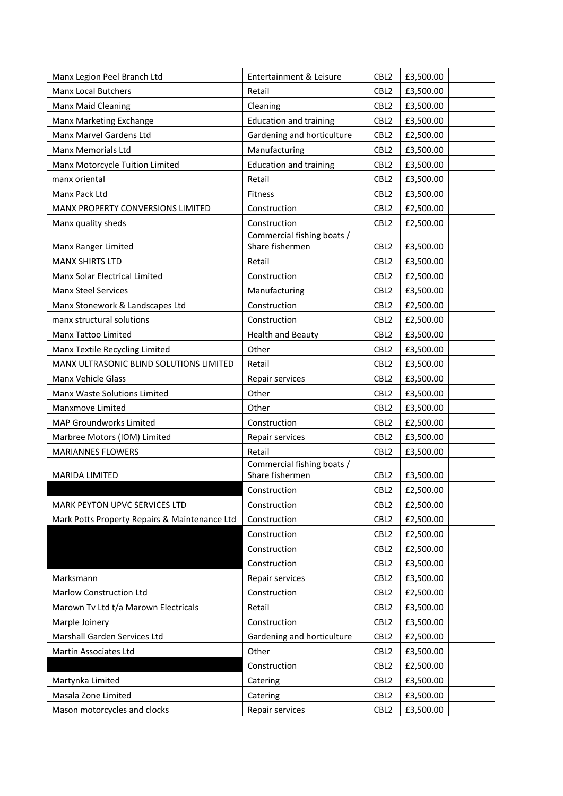| Manx Legion Peel Branch Ltd                   | Entertainment & Leisure                       | CBL <sub>2</sub> | £3,500.00 |
|-----------------------------------------------|-----------------------------------------------|------------------|-----------|
| <b>Manx Local Butchers</b>                    | Retail                                        | CBL <sub>2</sub> | £3,500.00 |
| Manx Maid Cleaning                            | Cleaning                                      | CBL <sub>2</sub> | £3,500.00 |
| Manx Marketing Exchange                       | <b>Education and training</b>                 | CBL <sub>2</sub> | £3,500.00 |
| Manx Marvel Gardens Ltd                       | Gardening and horticulture                    | CBL <sub>2</sub> | £2,500.00 |
| Manx Memorials Ltd                            | Manufacturing                                 | CBL <sub>2</sub> | £3,500.00 |
| Manx Motorcycle Tuition Limited               | <b>Education and training</b>                 | CBL <sub>2</sub> | £3,500.00 |
| manx oriental                                 | Retail                                        | CBL <sub>2</sub> | £3,500.00 |
| Manx Pack Ltd                                 | Fitness                                       | CBL <sub>2</sub> | £3,500.00 |
| MANX PROPERTY CONVERSIONS LIMITED             | Construction                                  | CBL <sub>2</sub> | £2,500.00 |
| Manx quality sheds                            | Construction                                  | CBL <sub>2</sub> | £2,500.00 |
|                                               | Commercial fishing boats /                    |                  |           |
| Manx Ranger Limited                           | Share fishermen                               | CBL <sub>2</sub> | £3,500.00 |
| <b>MANX SHIRTS LTD</b>                        | Retail                                        | CBL <sub>2</sub> | £3,500.00 |
| Manx Solar Electrical Limited                 | Construction                                  | CBL <sub>2</sub> | £2,500.00 |
| <b>Manx Steel Services</b>                    | Manufacturing                                 | CBL <sub>2</sub> | £3,500.00 |
| Manx Stonework & Landscapes Ltd               | Construction                                  | CBL <sub>2</sub> | £2,500.00 |
| manx structural solutions                     | Construction                                  | CBL <sub>2</sub> | £2,500.00 |
| Manx Tattoo Limited                           | <b>Health and Beauty</b>                      | CBL <sub>2</sub> | £3,500.00 |
| Manx Textile Recycling Limited                | Other                                         | CBL <sub>2</sub> | £3,500.00 |
| MANX ULTRASONIC BLIND SOLUTIONS LIMITED       | Retail                                        | CBL <sub>2</sub> | £3,500.00 |
| Manx Vehicle Glass                            | Repair services                               | CBL <sub>2</sub> | £3,500.00 |
| Manx Waste Solutions Limited                  | Other                                         | CBL <sub>2</sub> | £3,500.00 |
| Manxmove Limited                              | Other                                         | CBL <sub>2</sub> | £3,500.00 |
| MAP Groundworks Limited                       | Construction                                  | CBL <sub>2</sub> | £2,500.00 |
| Marbree Motors (IOM) Limited                  | Repair services                               | CBL <sub>2</sub> | £3,500.00 |
| <b>MARIANNES FLOWERS</b>                      | Retail                                        | CBL <sub>2</sub> | £3,500.00 |
| <b>MARIDA LIMITED</b>                         | Commercial fishing boats /<br>Share fishermen | CBL <sub>2</sub> | £3,500.00 |
|                                               | Construction                                  | CBL <sub>2</sub> | £2,500.00 |
| MARK PEYTON UPVC SERVICES LTD                 | Construction                                  | CBL <sub>2</sub> | £2,500.00 |
| Mark Potts Property Repairs & Maintenance Ltd | Construction                                  | CBL <sub>2</sub> | £2,500.00 |
|                                               | Construction                                  | CBL <sub>2</sub> | £2,500.00 |
|                                               | Construction                                  | CBL <sub>2</sub> | £2,500.00 |
|                                               | Construction                                  | CBL <sub>2</sub> | £3,500.00 |
| Marksmann                                     | Repair services                               | CBL <sub>2</sub> | £3,500.00 |
| Marlow Construction Ltd                       | Construction                                  | CBL <sub>2</sub> | £2,500.00 |
| Marown Tv Ltd t/a Marown Electricals          | Retail                                        | CBL <sub>2</sub> | £3,500.00 |
| Marple Joinery                                | Construction                                  | CBL <sub>2</sub> | £3,500.00 |
| Marshall Garden Services Ltd                  | Gardening and horticulture                    | CBL <sub>2</sub> | £2,500.00 |
| Martin Associates Ltd                         | Other                                         | CBL <sub>2</sub> | £3,500.00 |
|                                               | Construction                                  | CBL <sub>2</sub> | £2,500.00 |
| Martynka Limited                              | Catering                                      | CBL <sub>2</sub> | £3,500.00 |
| Masala Zone Limited                           | Catering                                      | CBL <sub>2</sub> | £3,500.00 |
| Mason motorcycles and clocks                  | Repair services                               | CBL <sub>2</sub> | £3,500.00 |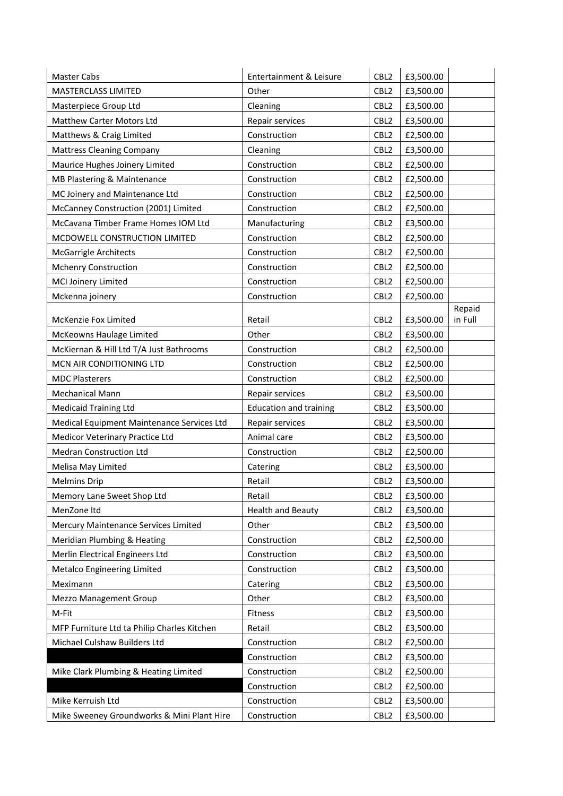| Master Cabs                                 | Entertainment & Leisure       | CBL <sub>2</sub> | £3,500.00 |         |
|---------------------------------------------|-------------------------------|------------------|-----------|---------|
| MASTERCLASS LIMITED                         | Other                         | CBL <sub>2</sub> | £3,500.00 |         |
| Masterpiece Group Ltd                       | Cleaning                      | CBL <sub>2</sub> | £3,500.00 |         |
| Matthew Carter Motors Ltd                   | Repair services               | CBL <sub>2</sub> | £3,500.00 |         |
| Matthews & Craig Limited                    | Construction                  | CBL <sub>2</sub> | £2,500.00 |         |
| <b>Mattress Cleaning Company</b>            | Cleaning                      | CBL <sub>2</sub> | £3,500.00 |         |
| Maurice Hughes Joinery Limited              | Construction                  | CBL <sub>2</sub> | £2,500.00 |         |
| MB Plastering & Maintenance                 | Construction                  | CBL <sub>2</sub> | £2,500.00 |         |
| MC Joinery and Maintenance Ltd              | Construction                  | CBL <sub>2</sub> | £2,500.00 |         |
| McCanney Construction (2001) Limited        | Construction                  | CBL <sub>2</sub> | £2,500.00 |         |
| McCavana Timber Frame Homes IOM Ltd         | Manufacturing                 | CBL <sub>2</sub> | £3,500.00 |         |
| MCDOWELL CONSTRUCTION LIMITED               | Construction                  | CBL <sub>2</sub> | £2,500.00 |         |
| <b>McGarrigle Architects</b>                | Construction                  | CBL <sub>2</sub> | £2,500.00 |         |
| <b>Mchenry Construction</b>                 | Construction                  | CBL <sub>2</sub> | £2,500.00 |         |
| MCI Joinery Limited                         | Construction                  | CBL <sub>2</sub> | £2,500.00 |         |
| Mckenna joinery                             | Construction                  | CBL <sub>2</sub> | £2,500.00 |         |
|                                             |                               |                  |           | Repaid  |
| McKenzie Fox Limited                        | Retail                        | CBL <sub>2</sub> | £3,500.00 | in Full |
| McKeowns Haulage Limited                    | Other                         | CBL <sub>2</sub> | £3,500.00 |         |
| McKiernan & Hill Ltd T/A Just Bathrooms     | Construction                  | CBL <sub>2</sub> | £2,500.00 |         |
| MCN AIR CONDITIONING LTD                    | Construction                  | CBL <sub>2</sub> | £2,500.00 |         |
| <b>MDC Plasterers</b>                       | Construction                  | CBL <sub>2</sub> | £2,500.00 |         |
| <b>Mechanical Mann</b>                      | Repair services               | CBL <sub>2</sub> | £3,500.00 |         |
| Medicaid Training Ltd                       | <b>Education and training</b> | CBL <sub>2</sub> | £3,500.00 |         |
| Medical Equipment Maintenance Services Ltd  | Repair services               | CBL <sub>2</sub> | £3,500.00 |         |
| Medicor Veterinary Practice Ltd             | Animal care                   | CBL <sub>2</sub> | £3,500.00 |         |
| <b>Medran Construction Ltd</b>              | Construction                  | CBL <sub>2</sub> | £2,500.00 |         |
| Melisa May Limited                          | Catering                      | CBL <sub>2</sub> | £3,500.00 |         |
| <b>Melmins Drip</b>                         | Retail                        | CBL <sub>2</sub> | £3,500.00 |         |
| Memory Lane Sweet Shop Ltd                  | Retail                        | CBL2             | £3,500.00 |         |
| MenZone Itd                                 | <b>Health and Beauty</b>      | CBL <sub>2</sub> | £3,500.00 |         |
| Mercury Maintenance Services Limited        | Other                         | CBL <sub>2</sub> | £3,500.00 |         |
| Meridian Plumbing & Heating                 | Construction                  | CBL <sub>2</sub> | £2,500.00 |         |
| Merlin Electrical Engineers Ltd             | Construction                  | CBL <sub>2</sub> | £3,500.00 |         |
| Metalco Engineering Limited                 | Construction                  | CBL <sub>2</sub> | £3,500.00 |         |
| Meximann                                    | Catering                      | CBL <sub>2</sub> | £3,500.00 |         |
| Mezzo Management Group                      | Other                         | CBL <sub>2</sub> | £3,500.00 |         |
| M-Fit                                       | Fitness                       | CBL <sub>2</sub> | £3,500.00 |         |
| MFP Furniture Ltd ta Philip Charles Kitchen | Retail                        | CBL <sub>2</sub> | £3,500.00 |         |
| Michael Culshaw Builders Ltd                | Construction                  | CBL <sub>2</sub> | £2,500.00 |         |
|                                             | Construction                  | CBL <sub>2</sub> | £3,500.00 |         |
| Mike Clark Plumbing & Heating Limited       | Construction                  | CBL <sub>2</sub> | £2,500.00 |         |
|                                             | Construction                  | CBL <sub>2</sub> | £2,500.00 |         |
| Mike Kerruish Ltd                           | Construction                  | CBL <sub>2</sub> | £3,500.00 |         |
| Mike Sweeney Groundworks & Mini Plant Hire  | Construction                  | CBL <sub>2</sub> | £3,500.00 |         |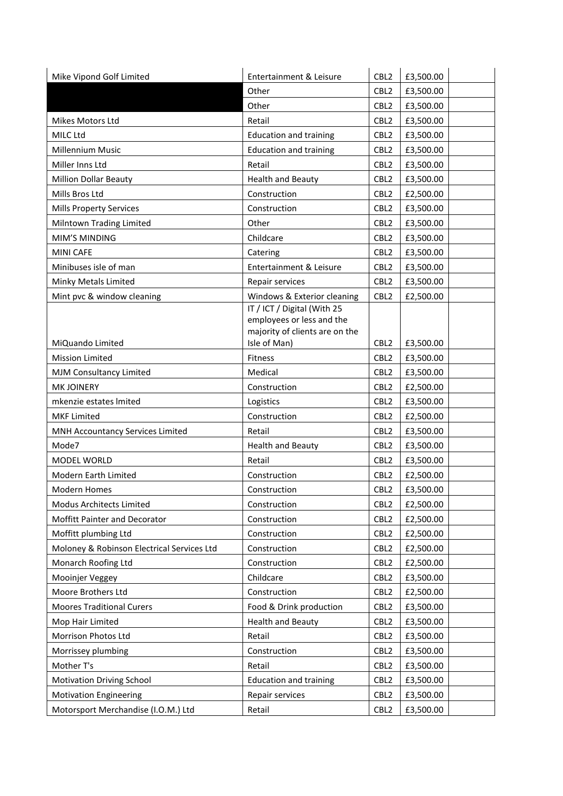| CBL <sub>2</sub><br>Other<br>£3,500.00<br>Other<br>CBL <sub>2</sub><br>£3,500.00<br>CBL <sub>2</sub><br>£3,500.00<br>Mikes Motors Ltd<br>Retail<br>MILC Ltd<br><b>Education and training</b><br>CBL <sub>2</sub><br>£3,500.00<br><b>Millennium Music</b><br><b>Education and training</b><br>CBL <sub>2</sub><br>£3,500.00<br>Miller Inns Ltd<br>Retail<br>CBL <sub>2</sub><br>£3,500.00<br>Million Dollar Beauty<br><b>Health and Beauty</b><br>CBL <sub>2</sub><br>£3,500.00<br>Mills Bros Ltd<br>Construction<br>CBL <sub>2</sub><br>£2,500.00<br>Construction<br><b>Mills Property Services</b><br>CBL <sub>2</sub><br>£3,500.00<br>Milntown Trading Limited<br>Other<br>CBL <sub>2</sub><br>£3,500.00<br>MIM'S MINDING<br>Childcare<br>CBL <sub>2</sub><br>£3,500.00<br><b>MINI CAFE</b><br>CBL <sub>2</sub><br>Catering<br>£3,500.00<br>Minibuses isle of man<br>Entertainment & Leisure<br>CBL <sub>2</sub><br>£3,500.00<br>Minky Metals Limited<br>CBL <sub>2</sub><br>£3,500.00<br>Repair services<br>Mint pvc & window cleaning<br>Windows & Exterior cleaning<br>CBL <sub>2</sub><br>£2,500.00<br>IT / ICT / Digital (With 25<br>employees or less and the<br>majority of clients are on the<br>Isle of Man)<br>MiQuando Limited<br>CBL <sub>2</sub><br>£3,500.00<br>CBL <sub>2</sub><br><b>Mission Limited</b><br>Fitness<br>£3,500.00<br>MJM Consultancy Limited<br>Medical<br>CBL <sub>2</sub><br>£3,500.00<br><b>MK JOINERY</b><br>Construction<br>CBL <sub>2</sub><br>£2,500.00<br>mkenzie estates Imited<br>CBL <sub>2</sub><br>Logistics<br>£3,500.00<br><b>MKF Limited</b><br>Construction<br>CBL <sub>2</sub><br>£2,500.00<br>MNH Accountancy Services Limited<br>Retail<br>CBL <sub>2</sub><br>£3,500.00<br>Mode7<br>Health and Beauty<br>CBL <sub>2</sub><br>£3,500.00<br>Retail<br>CBL <sub>2</sub><br>£3,500.00<br>MODEL WORLD<br>Modern Earth Limited<br>Construction<br>CBL <sub>2</sub><br>£2,500.00<br>CBL <sub>2</sub><br>£3,500.00<br><b>Modern Homes</b><br>Construction<br>Modus Architects Limited<br>CBL <sub>2</sub><br>£2,500.00<br>Construction<br>Moffitt Painter and Decorator<br>Construction<br>CBL <sub>2</sub><br>£2,500.00<br>Moffitt plumbing Ltd<br>Construction<br>CBL <sub>2</sub><br>£2,500.00<br>Moloney & Robinson Electrical Services Ltd<br>CBL <sub>2</sub><br>Construction<br>£2,500.00<br>Monarch Roofing Ltd<br>Construction<br>CBL <sub>2</sub><br>£2,500.00<br>Childcare<br>Mooinjer Veggey<br>CBL <sub>2</sub><br>£3,500.00<br>Moore Brothers Ltd<br>Construction<br>CBL <sub>2</sub><br>£2,500.00<br><b>Moores Traditional Curers</b><br>Food & Drink production<br>CBL <sub>2</sub><br>£3,500.00<br>Mop Hair Limited<br><b>Health and Beauty</b><br>CBL <sub>2</sub><br>£3,500.00<br>Retail<br>Morrison Photos Ltd<br>CBL <sub>2</sub><br>£3,500.00<br>Construction<br>Morrissey plumbing<br>CBL <sub>2</sub><br>£3,500.00<br>Mother T's<br>Retail<br>CBL <sub>2</sub><br>£3,500.00<br>CBL <sub>2</sub><br>£3,500.00<br><b>Motivation Driving School</b><br><b>Education and training</b> | Mike Vipond Golf Limited      | Entertainment & Leisure | CBL <sub>2</sub> | £3,500.00 |
|---------------------------------------------------------------------------------------------------------------------------------------------------------------------------------------------------------------------------------------------------------------------------------------------------------------------------------------------------------------------------------------------------------------------------------------------------------------------------------------------------------------------------------------------------------------------------------------------------------------------------------------------------------------------------------------------------------------------------------------------------------------------------------------------------------------------------------------------------------------------------------------------------------------------------------------------------------------------------------------------------------------------------------------------------------------------------------------------------------------------------------------------------------------------------------------------------------------------------------------------------------------------------------------------------------------------------------------------------------------------------------------------------------------------------------------------------------------------------------------------------------------------------------------------------------------------------------------------------------------------------------------------------------------------------------------------------------------------------------------------------------------------------------------------------------------------------------------------------------------------------------------------------------------------------------------------------------------------------------------------------------------------------------------------------------------------------------------------------------------------------------------------------------------------------------------------------------------------------------------------------------------------------------------------------------------------------------------------------------------------------------------------------------------------------------------------------------------------------------------------------------------------------------------------------------------------------------------------------------------------------------------------------------------------------------------------------------------------------------------------------------------------------------------------------------------------------------------------------------------------------------------------------------------------------------------------------------------------------------------------------------------------------------------------------------|-------------------------------|-------------------------|------------------|-----------|
|                                                                                                                                                                                                                                                                                                                                                                                                                                                                                                                                                                                                                                                                                                                                                                                                                                                                                                                                                                                                                                                                                                                                                                                                                                                                                                                                                                                                                                                                                                                                                                                                                                                                                                                                                                                                                                                                                                                                                                                                                                                                                                                                                                                                                                                                                                                                                                                                                                                                                                                                                                                                                                                                                                                                                                                                                                                                                                                                                                                                                                                         |                               |                         |                  |           |
|                                                                                                                                                                                                                                                                                                                                                                                                                                                                                                                                                                                                                                                                                                                                                                                                                                                                                                                                                                                                                                                                                                                                                                                                                                                                                                                                                                                                                                                                                                                                                                                                                                                                                                                                                                                                                                                                                                                                                                                                                                                                                                                                                                                                                                                                                                                                                                                                                                                                                                                                                                                                                                                                                                                                                                                                                                                                                                                                                                                                                                                         |                               |                         |                  |           |
|                                                                                                                                                                                                                                                                                                                                                                                                                                                                                                                                                                                                                                                                                                                                                                                                                                                                                                                                                                                                                                                                                                                                                                                                                                                                                                                                                                                                                                                                                                                                                                                                                                                                                                                                                                                                                                                                                                                                                                                                                                                                                                                                                                                                                                                                                                                                                                                                                                                                                                                                                                                                                                                                                                                                                                                                                                                                                                                                                                                                                                                         |                               |                         |                  |           |
|                                                                                                                                                                                                                                                                                                                                                                                                                                                                                                                                                                                                                                                                                                                                                                                                                                                                                                                                                                                                                                                                                                                                                                                                                                                                                                                                                                                                                                                                                                                                                                                                                                                                                                                                                                                                                                                                                                                                                                                                                                                                                                                                                                                                                                                                                                                                                                                                                                                                                                                                                                                                                                                                                                                                                                                                                                                                                                                                                                                                                                                         |                               |                         |                  |           |
|                                                                                                                                                                                                                                                                                                                                                                                                                                                                                                                                                                                                                                                                                                                                                                                                                                                                                                                                                                                                                                                                                                                                                                                                                                                                                                                                                                                                                                                                                                                                                                                                                                                                                                                                                                                                                                                                                                                                                                                                                                                                                                                                                                                                                                                                                                                                                                                                                                                                                                                                                                                                                                                                                                                                                                                                                                                                                                                                                                                                                                                         |                               |                         |                  |           |
|                                                                                                                                                                                                                                                                                                                                                                                                                                                                                                                                                                                                                                                                                                                                                                                                                                                                                                                                                                                                                                                                                                                                                                                                                                                                                                                                                                                                                                                                                                                                                                                                                                                                                                                                                                                                                                                                                                                                                                                                                                                                                                                                                                                                                                                                                                                                                                                                                                                                                                                                                                                                                                                                                                                                                                                                                                                                                                                                                                                                                                                         |                               |                         |                  |           |
|                                                                                                                                                                                                                                                                                                                                                                                                                                                                                                                                                                                                                                                                                                                                                                                                                                                                                                                                                                                                                                                                                                                                                                                                                                                                                                                                                                                                                                                                                                                                                                                                                                                                                                                                                                                                                                                                                                                                                                                                                                                                                                                                                                                                                                                                                                                                                                                                                                                                                                                                                                                                                                                                                                                                                                                                                                                                                                                                                                                                                                                         |                               |                         |                  |           |
|                                                                                                                                                                                                                                                                                                                                                                                                                                                                                                                                                                                                                                                                                                                                                                                                                                                                                                                                                                                                                                                                                                                                                                                                                                                                                                                                                                                                                                                                                                                                                                                                                                                                                                                                                                                                                                                                                                                                                                                                                                                                                                                                                                                                                                                                                                                                                                                                                                                                                                                                                                                                                                                                                                                                                                                                                                                                                                                                                                                                                                                         |                               |                         |                  |           |
|                                                                                                                                                                                                                                                                                                                                                                                                                                                                                                                                                                                                                                                                                                                                                                                                                                                                                                                                                                                                                                                                                                                                                                                                                                                                                                                                                                                                                                                                                                                                                                                                                                                                                                                                                                                                                                                                                                                                                                                                                                                                                                                                                                                                                                                                                                                                                                                                                                                                                                                                                                                                                                                                                                                                                                                                                                                                                                                                                                                                                                                         |                               |                         |                  |           |
|                                                                                                                                                                                                                                                                                                                                                                                                                                                                                                                                                                                                                                                                                                                                                                                                                                                                                                                                                                                                                                                                                                                                                                                                                                                                                                                                                                                                                                                                                                                                                                                                                                                                                                                                                                                                                                                                                                                                                                                                                                                                                                                                                                                                                                                                                                                                                                                                                                                                                                                                                                                                                                                                                                                                                                                                                                                                                                                                                                                                                                                         |                               |                         |                  |           |
|                                                                                                                                                                                                                                                                                                                                                                                                                                                                                                                                                                                                                                                                                                                                                                                                                                                                                                                                                                                                                                                                                                                                                                                                                                                                                                                                                                                                                                                                                                                                                                                                                                                                                                                                                                                                                                                                                                                                                                                                                                                                                                                                                                                                                                                                                                                                                                                                                                                                                                                                                                                                                                                                                                                                                                                                                                                                                                                                                                                                                                                         |                               |                         |                  |           |
|                                                                                                                                                                                                                                                                                                                                                                                                                                                                                                                                                                                                                                                                                                                                                                                                                                                                                                                                                                                                                                                                                                                                                                                                                                                                                                                                                                                                                                                                                                                                                                                                                                                                                                                                                                                                                                                                                                                                                                                                                                                                                                                                                                                                                                                                                                                                                                                                                                                                                                                                                                                                                                                                                                                                                                                                                                                                                                                                                                                                                                                         |                               |                         |                  |           |
|                                                                                                                                                                                                                                                                                                                                                                                                                                                                                                                                                                                                                                                                                                                                                                                                                                                                                                                                                                                                                                                                                                                                                                                                                                                                                                                                                                                                                                                                                                                                                                                                                                                                                                                                                                                                                                                                                                                                                                                                                                                                                                                                                                                                                                                                                                                                                                                                                                                                                                                                                                                                                                                                                                                                                                                                                                                                                                                                                                                                                                                         |                               |                         |                  |           |
|                                                                                                                                                                                                                                                                                                                                                                                                                                                                                                                                                                                                                                                                                                                                                                                                                                                                                                                                                                                                                                                                                                                                                                                                                                                                                                                                                                                                                                                                                                                                                                                                                                                                                                                                                                                                                                                                                                                                                                                                                                                                                                                                                                                                                                                                                                                                                                                                                                                                                                                                                                                                                                                                                                                                                                                                                                                                                                                                                                                                                                                         |                               |                         |                  |           |
|                                                                                                                                                                                                                                                                                                                                                                                                                                                                                                                                                                                                                                                                                                                                                                                                                                                                                                                                                                                                                                                                                                                                                                                                                                                                                                                                                                                                                                                                                                                                                                                                                                                                                                                                                                                                                                                                                                                                                                                                                                                                                                                                                                                                                                                                                                                                                                                                                                                                                                                                                                                                                                                                                                                                                                                                                                                                                                                                                                                                                                                         |                               |                         |                  |           |
|                                                                                                                                                                                                                                                                                                                                                                                                                                                                                                                                                                                                                                                                                                                                                                                                                                                                                                                                                                                                                                                                                                                                                                                                                                                                                                                                                                                                                                                                                                                                                                                                                                                                                                                                                                                                                                                                                                                                                                                                                                                                                                                                                                                                                                                                                                                                                                                                                                                                                                                                                                                                                                                                                                                                                                                                                                                                                                                                                                                                                                                         |                               |                         |                  |           |
|                                                                                                                                                                                                                                                                                                                                                                                                                                                                                                                                                                                                                                                                                                                                                                                                                                                                                                                                                                                                                                                                                                                                                                                                                                                                                                                                                                                                                                                                                                                                                                                                                                                                                                                                                                                                                                                                                                                                                                                                                                                                                                                                                                                                                                                                                                                                                                                                                                                                                                                                                                                                                                                                                                                                                                                                                                                                                                                                                                                                                                                         |                               |                         |                  |           |
|                                                                                                                                                                                                                                                                                                                                                                                                                                                                                                                                                                                                                                                                                                                                                                                                                                                                                                                                                                                                                                                                                                                                                                                                                                                                                                                                                                                                                                                                                                                                                                                                                                                                                                                                                                                                                                                                                                                                                                                                                                                                                                                                                                                                                                                                                                                                                                                                                                                                                                                                                                                                                                                                                                                                                                                                                                                                                                                                                                                                                                                         |                               |                         |                  |           |
|                                                                                                                                                                                                                                                                                                                                                                                                                                                                                                                                                                                                                                                                                                                                                                                                                                                                                                                                                                                                                                                                                                                                                                                                                                                                                                                                                                                                                                                                                                                                                                                                                                                                                                                                                                                                                                                                                                                                                                                                                                                                                                                                                                                                                                                                                                                                                                                                                                                                                                                                                                                                                                                                                                                                                                                                                                                                                                                                                                                                                                                         |                               |                         |                  |           |
|                                                                                                                                                                                                                                                                                                                                                                                                                                                                                                                                                                                                                                                                                                                                                                                                                                                                                                                                                                                                                                                                                                                                                                                                                                                                                                                                                                                                                                                                                                                                                                                                                                                                                                                                                                                                                                                                                                                                                                                                                                                                                                                                                                                                                                                                                                                                                                                                                                                                                                                                                                                                                                                                                                                                                                                                                                                                                                                                                                                                                                                         |                               |                         |                  |           |
|                                                                                                                                                                                                                                                                                                                                                                                                                                                                                                                                                                                                                                                                                                                                                                                                                                                                                                                                                                                                                                                                                                                                                                                                                                                                                                                                                                                                                                                                                                                                                                                                                                                                                                                                                                                                                                                                                                                                                                                                                                                                                                                                                                                                                                                                                                                                                                                                                                                                                                                                                                                                                                                                                                                                                                                                                                                                                                                                                                                                                                                         |                               |                         |                  |           |
|                                                                                                                                                                                                                                                                                                                                                                                                                                                                                                                                                                                                                                                                                                                                                                                                                                                                                                                                                                                                                                                                                                                                                                                                                                                                                                                                                                                                                                                                                                                                                                                                                                                                                                                                                                                                                                                                                                                                                                                                                                                                                                                                                                                                                                                                                                                                                                                                                                                                                                                                                                                                                                                                                                                                                                                                                                                                                                                                                                                                                                                         |                               |                         |                  |           |
|                                                                                                                                                                                                                                                                                                                                                                                                                                                                                                                                                                                                                                                                                                                                                                                                                                                                                                                                                                                                                                                                                                                                                                                                                                                                                                                                                                                                                                                                                                                                                                                                                                                                                                                                                                                                                                                                                                                                                                                                                                                                                                                                                                                                                                                                                                                                                                                                                                                                                                                                                                                                                                                                                                                                                                                                                                                                                                                                                                                                                                                         |                               |                         |                  |           |
|                                                                                                                                                                                                                                                                                                                                                                                                                                                                                                                                                                                                                                                                                                                                                                                                                                                                                                                                                                                                                                                                                                                                                                                                                                                                                                                                                                                                                                                                                                                                                                                                                                                                                                                                                                                                                                                                                                                                                                                                                                                                                                                                                                                                                                                                                                                                                                                                                                                                                                                                                                                                                                                                                                                                                                                                                                                                                                                                                                                                                                                         |                               |                         |                  |           |
|                                                                                                                                                                                                                                                                                                                                                                                                                                                                                                                                                                                                                                                                                                                                                                                                                                                                                                                                                                                                                                                                                                                                                                                                                                                                                                                                                                                                                                                                                                                                                                                                                                                                                                                                                                                                                                                                                                                                                                                                                                                                                                                                                                                                                                                                                                                                                                                                                                                                                                                                                                                                                                                                                                                                                                                                                                                                                                                                                                                                                                                         |                               |                         |                  |           |
|                                                                                                                                                                                                                                                                                                                                                                                                                                                                                                                                                                                                                                                                                                                                                                                                                                                                                                                                                                                                                                                                                                                                                                                                                                                                                                                                                                                                                                                                                                                                                                                                                                                                                                                                                                                                                                                                                                                                                                                                                                                                                                                                                                                                                                                                                                                                                                                                                                                                                                                                                                                                                                                                                                                                                                                                                                                                                                                                                                                                                                                         |                               |                         |                  |           |
|                                                                                                                                                                                                                                                                                                                                                                                                                                                                                                                                                                                                                                                                                                                                                                                                                                                                                                                                                                                                                                                                                                                                                                                                                                                                                                                                                                                                                                                                                                                                                                                                                                                                                                                                                                                                                                                                                                                                                                                                                                                                                                                                                                                                                                                                                                                                                                                                                                                                                                                                                                                                                                                                                                                                                                                                                                                                                                                                                                                                                                                         |                               |                         |                  |           |
|                                                                                                                                                                                                                                                                                                                                                                                                                                                                                                                                                                                                                                                                                                                                                                                                                                                                                                                                                                                                                                                                                                                                                                                                                                                                                                                                                                                                                                                                                                                                                                                                                                                                                                                                                                                                                                                                                                                                                                                                                                                                                                                                                                                                                                                                                                                                                                                                                                                                                                                                                                                                                                                                                                                                                                                                                                                                                                                                                                                                                                                         |                               |                         |                  |           |
|                                                                                                                                                                                                                                                                                                                                                                                                                                                                                                                                                                                                                                                                                                                                                                                                                                                                                                                                                                                                                                                                                                                                                                                                                                                                                                                                                                                                                                                                                                                                                                                                                                                                                                                                                                                                                                                                                                                                                                                                                                                                                                                                                                                                                                                                                                                                                                                                                                                                                                                                                                                                                                                                                                                                                                                                                                                                                                                                                                                                                                                         |                               |                         |                  |           |
|                                                                                                                                                                                                                                                                                                                                                                                                                                                                                                                                                                                                                                                                                                                                                                                                                                                                                                                                                                                                                                                                                                                                                                                                                                                                                                                                                                                                                                                                                                                                                                                                                                                                                                                                                                                                                                                                                                                                                                                                                                                                                                                                                                                                                                                                                                                                                                                                                                                                                                                                                                                                                                                                                                                                                                                                                                                                                                                                                                                                                                                         |                               |                         |                  |           |
|                                                                                                                                                                                                                                                                                                                                                                                                                                                                                                                                                                                                                                                                                                                                                                                                                                                                                                                                                                                                                                                                                                                                                                                                                                                                                                                                                                                                                                                                                                                                                                                                                                                                                                                                                                                                                                                                                                                                                                                                                                                                                                                                                                                                                                                                                                                                                                                                                                                                                                                                                                                                                                                                                                                                                                                                                                                                                                                                                                                                                                                         |                               |                         |                  |           |
|                                                                                                                                                                                                                                                                                                                                                                                                                                                                                                                                                                                                                                                                                                                                                                                                                                                                                                                                                                                                                                                                                                                                                                                                                                                                                                                                                                                                                                                                                                                                                                                                                                                                                                                                                                                                                                                                                                                                                                                                                                                                                                                                                                                                                                                                                                                                                                                                                                                                                                                                                                                                                                                                                                                                                                                                                                                                                                                                                                                                                                                         |                               |                         |                  |           |
|                                                                                                                                                                                                                                                                                                                                                                                                                                                                                                                                                                                                                                                                                                                                                                                                                                                                                                                                                                                                                                                                                                                                                                                                                                                                                                                                                                                                                                                                                                                                                                                                                                                                                                                                                                                                                                                                                                                                                                                                                                                                                                                                                                                                                                                                                                                                                                                                                                                                                                                                                                                                                                                                                                                                                                                                                                                                                                                                                                                                                                                         |                               |                         |                  |           |
|                                                                                                                                                                                                                                                                                                                                                                                                                                                                                                                                                                                                                                                                                                                                                                                                                                                                                                                                                                                                                                                                                                                                                                                                                                                                                                                                                                                                                                                                                                                                                                                                                                                                                                                                                                                                                                                                                                                                                                                                                                                                                                                                                                                                                                                                                                                                                                                                                                                                                                                                                                                                                                                                                                                                                                                                                                                                                                                                                                                                                                                         |                               |                         |                  |           |
|                                                                                                                                                                                                                                                                                                                                                                                                                                                                                                                                                                                                                                                                                                                                                                                                                                                                                                                                                                                                                                                                                                                                                                                                                                                                                                                                                                                                                                                                                                                                                                                                                                                                                                                                                                                                                                                                                                                                                                                                                                                                                                                                                                                                                                                                                                                                                                                                                                                                                                                                                                                                                                                                                                                                                                                                                                                                                                                                                                                                                                                         |                               |                         |                  |           |
|                                                                                                                                                                                                                                                                                                                                                                                                                                                                                                                                                                                                                                                                                                                                                                                                                                                                                                                                                                                                                                                                                                                                                                                                                                                                                                                                                                                                                                                                                                                                                                                                                                                                                                                                                                                                                                                                                                                                                                                                                                                                                                                                                                                                                                                                                                                                                                                                                                                                                                                                                                                                                                                                                                                                                                                                                                                                                                                                                                                                                                                         |                               |                         |                  |           |
|                                                                                                                                                                                                                                                                                                                                                                                                                                                                                                                                                                                                                                                                                                                                                                                                                                                                                                                                                                                                                                                                                                                                                                                                                                                                                                                                                                                                                                                                                                                                                                                                                                                                                                                                                                                                                                                                                                                                                                                                                                                                                                                                                                                                                                                                                                                                                                                                                                                                                                                                                                                                                                                                                                                                                                                                                                                                                                                                                                                                                                                         |                               |                         |                  |           |
|                                                                                                                                                                                                                                                                                                                                                                                                                                                                                                                                                                                                                                                                                                                                                                                                                                                                                                                                                                                                                                                                                                                                                                                                                                                                                                                                                                                                                                                                                                                                                                                                                                                                                                                                                                                                                                                                                                                                                                                                                                                                                                                                                                                                                                                                                                                                                                                                                                                                                                                                                                                                                                                                                                                                                                                                                                                                                                                                                                                                                                                         |                               |                         |                  |           |
|                                                                                                                                                                                                                                                                                                                                                                                                                                                                                                                                                                                                                                                                                                                                                                                                                                                                                                                                                                                                                                                                                                                                                                                                                                                                                                                                                                                                                                                                                                                                                                                                                                                                                                                                                                                                                                                                                                                                                                                                                                                                                                                                                                                                                                                                                                                                                                                                                                                                                                                                                                                                                                                                                                                                                                                                                                                                                                                                                                                                                                                         |                               |                         |                  |           |
|                                                                                                                                                                                                                                                                                                                                                                                                                                                                                                                                                                                                                                                                                                                                                                                                                                                                                                                                                                                                                                                                                                                                                                                                                                                                                                                                                                                                                                                                                                                                                                                                                                                                                                                                                                                                                                                                                                                                                                                                                                                                                                                                                                                                                                                                                                                                                                                                                                                                                                                                                                                                                                                                                                                                                                                                                                                                                                                                                                                                                                                         |                               |                         |                  |           |
|                                                                                                                                                                                                                                                                                                                                                                                                                                                                                                                                                                                                                                                                                                                                                                                                                                                                                                                                                                                                                                                                                                                                                                                                                                                                                                                                                                                                                                                                                                                                                                                                                                                                                                                                                                                                                                                                                                                                                                                                                                                                                                                                                                                                                                                                                                                                                                                                                                                                                                                                                                                                                                                                                                                                                                                                                                                                                                                                                                                                                                                         |                               |                         |                  |           |
|                                                                                                                                                                                                                                                                                                                                                                                                                                                                                                                                                                                                                                                                                                                                                                                                                                                                                                                                                                                                                                                                                                                                                                                                                                                                                                                                                                                                                                                                                                                                                                                                                                                                                                                                                                                                                                                                                                                                                                                                                                                                                                                                                                                                                                                                                                                                                                                                                                                                                                                                                                                                                                                                                                                                                                                                                                                                                                                                                                                                                                                         | <b>Motivation Engineering</b> | Repair services         | CBL <sub>2</sub> | £3,500.00 |
| Motorsport Merchandise (I.O.M.) Ltd<br>Retail<br>CBL <sub>2</sub><br>£3,500.00                                                                                                                                                                                                                                                                                                                                                                                                                                                                                                                                                                                                                                                                                                                                                                                                                                                                                                                                                                                                                                                                                                                                                                                                                                                                                                                                                                                                                                                                                                                                                                                                                                                                                                                                                                                                                                                                                                                                                                                                                                                                                                                                                                                                                                                                                                                                                                                                                                                                                                                                                                                                                                                                                                                                                                                                                                                                                                                                                                          |                               |                         |                  |           |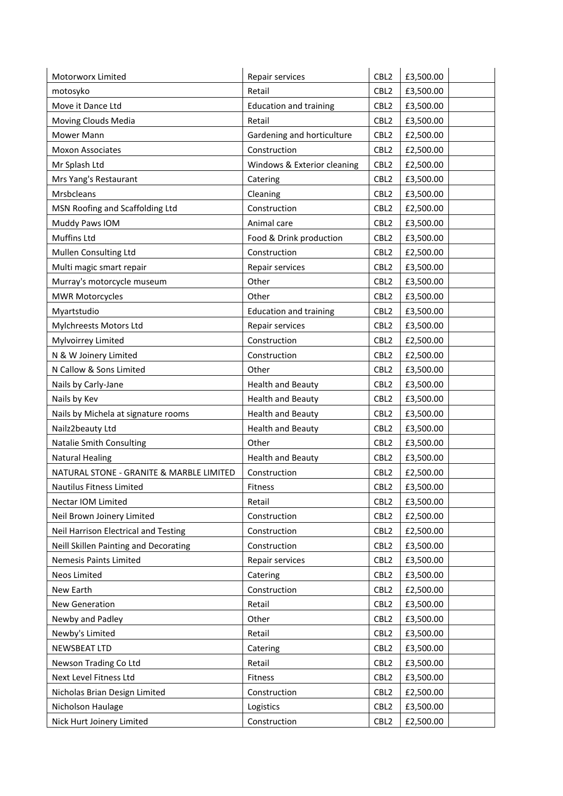| Motorworx Limited                        | Repair services               | CBL <sub>2</sub> | £3,500.00 |
|------------------------------------------|-------------------------------|------------------|-----------|
| motosyko                                 | Retail                        | CBL <sub>2</sub> | £3,500.00 |
| Move it Dance Ltd                        | <b>Education and training</b> | CBL <sub>2</sub> | £3,500.00 |
| Moving Clouds Media                      | Retail                        | CBL <sub>2</sub> | £3,500.00 |
| Mower Mann                               | Gardening and horticulture    | CBL <sub>2</sub> | £2,500.00 |
| <b>Moxon Associates</b>                  | Construction                  | CBL <sub>2</sub> | £2,500.00 |
| Mr Splash Ltd                            | Windows & Exterior cleaning   | CBL <sub>2</sub> | £2,500.00 |
| Mrs Yang's Restaurant                    | Catering                      | CBL <sub>2</sub> | £3,500.00 |
| Mrsbcleans                               | Cleaning                      | CBL <sub>2</sub> | £3,500.00 |
| MSN Roofing and Scaffolding Ltd          | Construction                  | CBL <sub>2</sub> | £2,500.00 |
| Muddy Paws IOM                           | Animal care                   | CBL <sub>2</sub> | £3,500.00 |
| Muffins Ltd                              | Food & Drink production       | CBL <sub>2</sub> | £3,500.00 |
| Mullen Consulting Ltd                    | Construction                  | CBL <sub>2</sub> | £2,500.00 |
| Multi magic smart repair                 | Repair services               | CBL <sub>2</sub> | £3,500.00 |
| Murray's motorcycle museum               | Other                         | CBL <sub>2</sub> | £3,500.00 |
| <b>MWR Motorcycles</b>                   | Other                         | CBL <sub>2</sub> | £3,500.00 |
| Myartstudio                              | <b>Education and training</b> | CBL <sub>2</sub> | £3,500.00 |
| Mylchreests Motors Ltd                   | Repair services               | CBL <sub>2</sub> | £3,500.00 |
| Mylvoirrey Limited                       | Construction                  | CBL <sub>2</sub> | £2,500.00 |
| N & W Joinery Limited                    | Construction                  | CBL <sub>2</sub> | £2,500.00 |
| N Callow & Sons Limited                  | Other                         | CBL <sub>2</sub> | £3,500.00 |
| Nails by Carly-Jane                      | Health and Beauty             | CBL <sub>2</sub> | £3,500.00 |
| Nails by Kev                             | <b>Health and Beauty</b>      | CBL <sub>2</sub> | £3,500.00 |
| Nails by Michela at signature rooms      | <b>Health and Beauty</b>      | CBL <sub>2</sub> | £3,500.00 |
| Nailz2beauty Ltd                         | <b>Health and Beauty</b>      | CBL <sub>2</sub> | £3,500.00 |
| <b>Natalie Smith Consulting</b>          | Other                         | CBL <sub>2</sub> | £3,500.00 |
| <b>Natural Healing</b>                   | <b>Health and Beauty</b>      | CBL <sub>2</sub> | £3,500.00 |
| NATURAL STONE - GRANITE & MARBLE LIMITED | Construction                  | CBL <sub>2</sub> | £2,500.00 |
| Nautilus Fitness Limited                 | Fitness                       | CBL <sub>2</sub> | £3,500.00 |
| Nectar IOM Limited                       | Retail                        | CBL <sub>2</sub> | £3,500.00 |
| Neil Brown Joinery Limited               | Construction                  | CBL <sub>2</sub> | £2,500.00 |
| Neil Harrison Electrical and Testing     | Construction                  | CBL <sub>2</sub> | £2,500.00 |
| Neill Skillen Painting and Decorating    | Construction                  | CBL <sub>2</sub> | £3,500.00 |
| Nemesis Paints Limited                   | Repair services               | CBL <sub>2</sub> | £3,500.00 |
| Neos Limited                             | Catering                      | CBL <sub>2</sub> | £3,500.00 |
| New Earth                                | Construction                  | CBL <sub>2</sub> | £2,500.00 |
| New Generation                           | Retail                        | CBL <sub>2</sub> | £3,500.00 |
| Newby and Padley                         | Other                         | CBL <sub>2</sub> | £3,500.00 |
| Newby's Limited                          | Retail                        | CBL <sub>2</sub> | £3,500.00 |
| NEWSBEAT LTD                             | Catering                      | CBL <sub>2</sub> | £3,500.00 |
| Newson Trading Co Ltd                    | Retail                        | CBL <sub>2</sub> | £3,500.00 |
| Next Level Fitness Ltd                   | Fitness                       | CBL <sub>2</sub> | £3,500.00 |
| Nicholas Brian Design Limited            | Construction                  | CBL <sub>2</sub> | £2,500.00 |
| Nicholson Haulage                        | Logistics                     | CBL <sub>2</sub> | £3,500.00 |
| Nick Hurt Joinery Limited                | Construction                  | CBL <sub>2</sub> | £2,500.00 |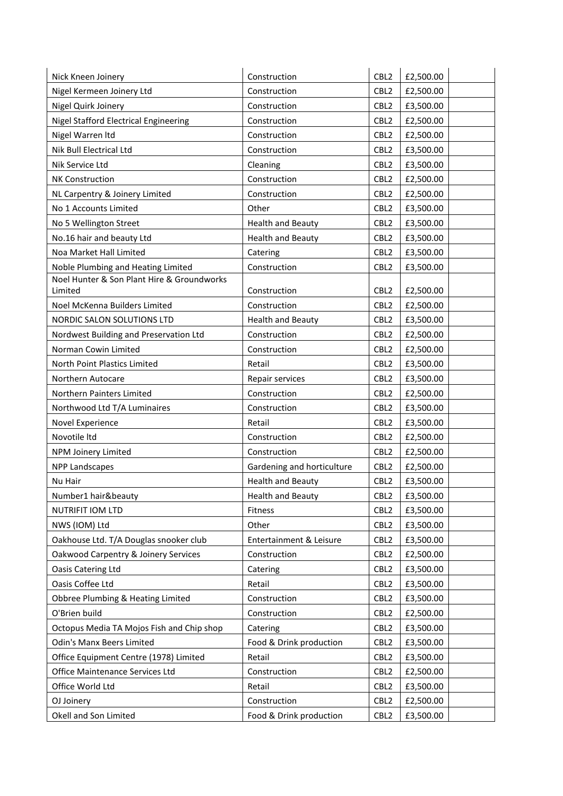| Nick Kneen Joinery                         | Construction               | CBL <sub>2</sub> | £2,500.00 |
|--------------------------------------------|----------------------------|------------------|-----------|
| Nigel Kermeen Joinery Ltd                  | Construction               | CBL <sub>2</sub> | £2,500.00 |
| Nigel Quirk Joinery                        | Construction               | CBL <sub>2</sub> | £3,500.00 |
| Nigel Stafford Electrical Engineering      | Construction               | CBL <sub>2</sub> | £2,500.00 |
| Nigel Warren Itd                           | Construction               | CBL <sub>2</sub> | £2,500.00 |
| Nik Bull Electrical Ltd                    | Construction               | CBL <sub>2</sub> | £3,500.00 |
| Nik Service Ltd                            | Cleaning                   | CBL <sub>2</sub> | £3,500.00 |
| <b>NK Construction</b>                     | Construction               | CBL <sub>2</sub> | £2,500.00 |
| NL Carpentry & Joinery Limited             | Construction               | CBL <sub>2</sub> | £2,500.00 |
| No 1 Accounts Limited                      | Other                      | CBL <sub>2</sub> | £3,500.00 |
| No 5 Wellington Street                     | <b>Health and Beauty</b>   | CBL <sub>2</sub> | £3,500.00 |
| No.16 hair and beauty Ltd                  | <b>Health and Beauty</b>   | CBL <sub>2</sub> | £3,500.00 |
| Noa Market Hall Limited                    | Catering                   | CBL <sub>2</sub> | £3,500.00 |
| Noble Plumbing and Heating Limited         | Construction               | CBL <sub>2</sub> | £3,500.00 |
| Noel Hunter & Son Plant Hire & Groundworks |                            |                  |           |
| Limited                                    | Construction               | CBL <sub>2</sub> | £2,500.00 |
| Noel McKenna Builders Limited              | Construction               | CBL <sub>2</sub> | £2,500.00 |
| NORDIC SALON SOLUTIONS LTD                 | Health and Beauty          | CBL <sub>2</sub> | £3,500.00 |
| Nordwest Building and Preservation Ltd     | Construction               | CBL <sub>2</sub> | £2,500.00 |
| Norman Cowin Limited                       | Construction               | CBL <sub>2</sub> | £2,500.00 |
| North Point Plastics Limited               | Retail                     | CBL <sub>2</sub> | £3,500.00 |
| Northern Autocare                          | Repair services            | CBL <sub>2</sub> | £3,500.00 |
| Northern Painters Limited                  | Construction               | CBL <sub>2</sub> | £2,500.00 |
| Northwood Ltd T/A Luminaires               | Construction               | CBL <sub>2</sub> | £3,500.00 |
| Novel Experience                           | Retail                     | CBL <sub>2</sub> | £3,500.00 |
| Novotile Itd                               | Construction               | CBL <sub>2</sub> | £2,500.00 |
| NPM Joinery Limited                        | Construction               | CBL <sub>2</sub> | £2,500.00 |
| <b>NPP Landscapes</b>                      | Gardening and horticulture | CBL <sub>2</sub> | £2,500.00 |
| Nu Hair                                    | <b>Health and Beauty</b>   | CBL <sub>2</sub> | £3,500.00 |
| Number1 hair&beauty                        | <b>Health and Beauty</b>   | CBL <sub>2</sub> | £3,500.00 |
| <b>NUTRIFIT IOM LTD</b>                    | Fitness                    | CBL <sub>2</sub> | £3,500.00 |
| NWS (IOM) Ltd                              | Other                      | CBL <sub>2</sub> | £3,500.00 |
| Oakhouse Ltd. T/A Douglas snooker club     | Entertainment & Leisure    | CBL <sub>2</sub> | £3,500.00 |
| Oakwood Carpentry & Joinery Services       | Construction               | CBL <sub>2</sub> | £2,500.00 |
| Oasis Catering Ltd                         | Catering                   | CBL <sub>2</sub> | £3,500.00 |
| Oasis Coffee Ltd                           | Retail                     | CBL <sub>2</sub> | £3,500.00 |
| Obbree Plumbing & Heating Limited          | Construction               | CBL <sub>2</sub> | £3,500.00 |
| O'Brien build                              | Construction               | CBL <sub>2</sub> | £2,500.00 |
| Octopus Media TA Mojos Fish and Chip shop  | Catering                   | CBL <sub>2</sub> | £3,500.00 |
| <b>Odin's Manx Beers Limited</b>           | Food & Drink production    | CBL <sub>2</sub> | £3,500.00 |
| Office Equipment Centre (1978) Limited     | Retail                     | CBL <sub>2</sub> | £3,500.00 |
| Office Maintenance Services Ltd            | Construction               | CBL <sub>2</sub> | £2,500.00 |
| Office World Ltd                           | Retail                     | CBL <sub>2</sub> | £3,500.00 |
| OJ Joinery                                 | Construction               | CBL <sub>2</sub> | £2,500.00 |
| Okell and Son Limited                      | Food & Drink production    | CBL <sub>2</sub> | £3,500.00 |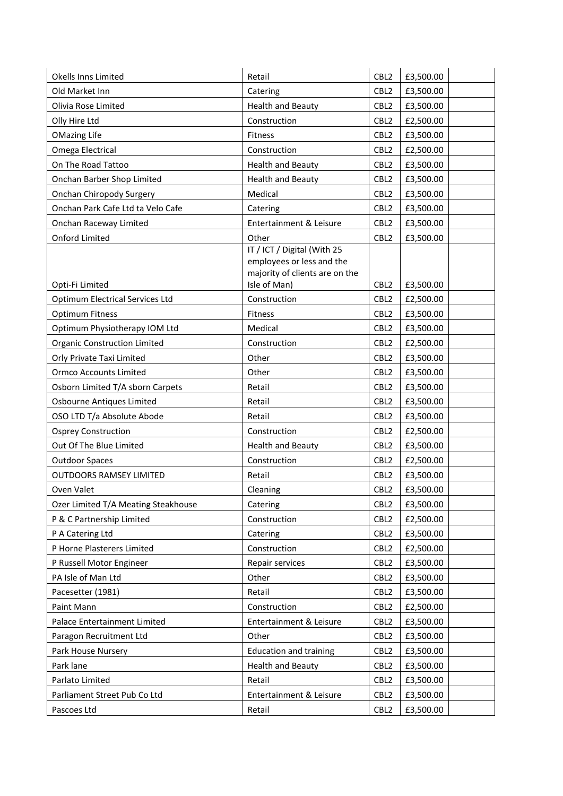| Okells Inns Limited                                | Retail                                                                                     | CBL <sub>2</sub>                     | £3,500.00              |
|----------------------------------------------------|--------------------------------------------------------------------------------------------|--------------------------------------|------------------------|
| Old Market Inn                                     | Catering                                                                                   | CBL <sub>2</sub>                     | £3,500.00              |
| Olivia Rose Limited                                | <b>Health and Beauty</b>                                                                   | CBL <sub>2</sub>                     | £3,500.00              |
| Olly Hire Ltd                                      | Construction                                                                               | CBL <sub>2</sub>                     | £2,500.00              |
| <b>OMazing Life</b>                                | Fitness                                                                                    | CBL <sub>2</sub>                     | £3,500.00              |
| Omega Electrical                                   | Construction                                                                               | CBL <sub>2</sub>                     | £2,500.00              |
| On The Road Tattoo                                 | <b>Health and Beauty</b>                                                                   | CBL <sub>2</sub>                     | £3,500.00              |
| Onchan Barber Shop Limited                         | <b>Health and Beauty</b>                                                                   | CBL <sub>2</sub>                     | £3,500.00              |
| Onchan Chiropody Surgery                           | Medical                                                                                    | CBL <sub>2</sub>                     | £3,500.00              |
| Onchan Park Cafe Ltd ta Velo Cafe                  | Catering                                                                                   | CBL <sub>2</sub>                     | £3,500.00              |
| Onchan Raceway Limited                             | Entertainment & Leisure                                                                    | CBL <sub>2</sub>                     | £3,500.00              |
| Onford Limited                                     | Other                                                                                      | CBL <sub>2</sub>                     | £3,500.00              |
|                                                    | IT / ICT / Digital (With 25<br>employees or less and the<br>majority of clients are on the |                                      |                        |
| Opti-Fi Limited<br>Optimum Electrical Services Ltd | Isle of Man)                                                                               | CBL <sub>2</sub>                     | £3,500.00              |
| <b>Optimum Fitness</b>                             | Construction<br><b>Fitness</b>                                                             | CBL <sub>2</sub><br>CBL <sub>2</sub> | £2,500.00<br>£3,500.00 |
| Optimum Physiotherapy IOM Ltd                      | Medical                                                                                    | CBL <sub>2</sub>                     | £3,500.00              |
| <b>Organic Construction Limited</b>                | Construction                                                                               | CBL <sub>2</sub>                     |                        |
|                                                    | Other                                                                                      | CBL <sub>2</sub>                     | £2,500.00              |
| Orly Private Taxi Limited                          |                                                                                            |                                      | £3,500.00              |
| <b>Ormco Accounts Limited</b>                      | Other                                                                                      | CBL <sub>2</sub>                     | £3,500.00              |
| Osborn Limited T/A sborn Carpets                   | Retail                                                                                     | CBL <sub>2</sub>                     | £3,500.00              |
| Osbourne Antiques Limited                          | Retail                                                                                     | CBL <sub>2</sub>                     | £3,500.00              |
| OSO LTD T/a Absolute Abode                         | Retail                                                                                     | CBL <sub>2</sub>                     | £3,500.00              |
| <b>Osprey Construction</b>                         | Construction                                                                               | CBL <sub>2</sub>                     | £2,500.00              |
| Out Of The Blue Limited                            | <b>Health and Beauty</b>                                                                   | CBL <sub>2</sub>                     | £3,500.00              |
| <b>Outdoor Spaces</b>                              | Construction                                                                               | CBL <sub>2</sub>                     | £2,500.00              |
| <b>OUTDOORS RAMSEY LIMITED</b>                     | Retail                                                                                     | CBL <sub>2</sub>                     | £3,500.00              |
| Oven Valet                                         | Cleaning                                                                                   | CBL <sub>2</sub>                     | £3,500.00              |
| Ozer Limited T/A Meating Steakhouse                | Catering                                                                                   | CBL <sub>2</sub>                     | £3,500.00              |
| P & C Partnership Limited                          | Construction                                                                               | CBL <sub>2</sub>                     | £2,500.00              |
| P A Catering Ltd                                   | Catering                                                                                   | CBL <sub>2</sub>                     | £3,500.00              |
| P Horne Plasterers Limited                         | Construction                                                                               | CBL <sub>2</sub>                     | £2,500.00              |
| P Russell Motor Engineer                           | Repair services                                                                            | CBL <sub>2</sub>                     | £3,500.00              |
| PA Isle of Man Ltd                                 | Other                                                                                      | CBL <sub>2</sub>                     | £3,500.00              |
| Pacesetter (1981)                                  | Retail                                                                                     | CBL <sub>2</sub>                     | £3,500.00              |
| Paint Mann                                         | Construction                                                                               | CBL <sub>2</sub>                     | £2,500.00              |
| Palace Entertainment Limited                       | Entertainment & Leisure                                                                    | CBL <sub>2</sub>                     | £3,500.00              |
| Paragon Recruitment Ltd                            | Other                                                                                      | CBL <sub>2</sub>                     | £3,500.00              |
| Park House Nursery                                 | <b>Education and training</b>                                                              | CBL <sub>2</sub>                     | £3,500.00              |
| Park lane                                          | <b>Health and Beauty</b>                                                                   | CBL <sub>2</sub>                     | £3,500.00              |
| Parlato Limited                                    | Retail                                                                                     | CBL <sub>2</sub>                     | £3,500.00              |
| Parliament Street Pub Co Ltd                       | Entertainment & Leisure                                                                    | CBL <sub>2</sub>                     | £3,500.00              |
| Pascoes Ltd                                        | Retail                                                                                     | CBL <sub>2</sub>                     | £3,500.00              |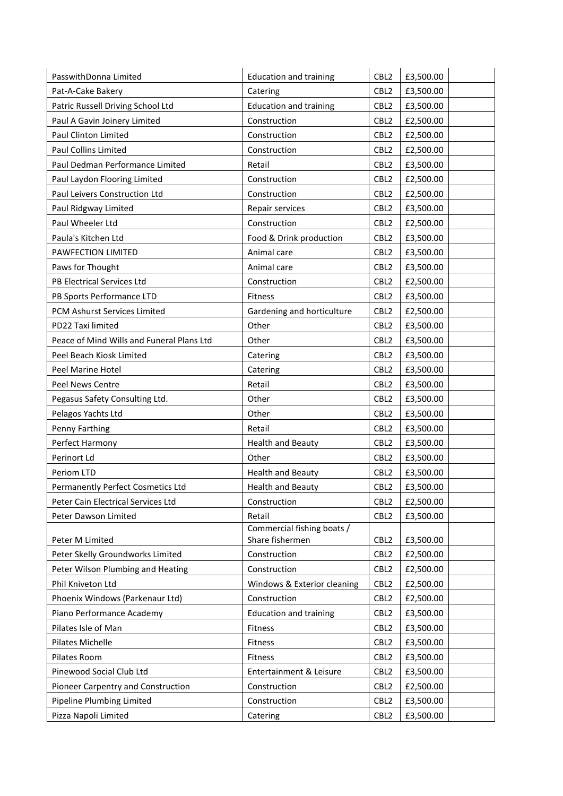| PasswithDonna Limited                     | <b>Education and training</b> | CBL <sub>2</sub> | £3,500.00 |
|-------------------------------------------|-------------------------------|------------------|-----------|
| Pat-A-Cake Bakery                         | Catering                      | CBL <sub>2</sub> | £3,500.00 |
| Patric Russell Driving School Ltd         | <b>Education and training</b> | CBL <sub>2</sub> | £3,500.00 |
| Paul A Gavin Joinery Limited              | Construction                  | CBL <sub>2</sub> | £2,500.00 |
| Paul Clinton Limited                      | Construction                  | CBL <sub>2</sub> | £2,500.00 |
| Paul Collins Limited                      | Construction                  | CBL <sub>2</sub> | £2,500.00 |
| Paul Dedman Performance Limited           | Retail                        | CBL <sub>2</sub> | £3,500.00 |
| Paul Laydon Flooring Limited              | Construction                  | CBL <sub>2</sub> | £2,500.00 |
| Paul Leivers Construction Ltd             | Construction                  | CBL <sub>2</sub> | £2,500.00 |
| Paul Ridgway Limited                      | Repair services               | CBL <sub>2</sub> | £3,500.00 |
| Paul Wheeler Ltd                          | Construction                  | CBL <sub>2</sub> | £2,500.00 |
| Paula's Kitchen Ltd                       | Food & Drink production       | CBL <sub>2</sub> | £3,500.00 |
| PAWFECTION LIMITED                        | Animal care                   | CBL <sub>2</sub> | £3,500.00 |
| Paws for Thought                          | Animal care                   | CBL <sub>2</sub> | £3,500.00 |
| PB Electrical Services Ltd                | Construction                  | CBL <sub>2</sub> | £2,500.00 |
| PB Sports Performance LTD                 | Fitness                       | CBL <sub>2</sub> | £3,500.00 |
| PCM Ashurst Services Limited              | Gardening and horticulture    | CBL <sub>2</sub> | £2,500.00 |
| PD22 Taxi limited                         | Other                         | CBL <sub>2</sub> | £3,500.00 |
| Peace of Mind Wills and Funeral Plans Ltd | Other                         | CBL <sub>2</sub> | £3,500.00 |
| Peel Beach Kiosk Limited                  | Catering                      | CBL <sub>2</sub> | £3,500.00 |
| Peel Marine Hotel                         | Catering                      | CBL <sub>2</sub> | £3,500.00 |
| Peel News Centre                          | Retail                        | CBL <sub>2</sub> | £3,500.00 |
| Pegasus Safety Consulting Ltd.            | Other                         | CBL <sub>2</sub> | £3,500.00 |
| Pelagos Yachts Ltd                        | Other                         | CBL <sub>2</sub> | £3,500.00 |
| Penny Farthing                            | Retail                        | CBL <sub>2</sub> | £3,500.00 |
| Perfect Harmony                           | <b>Health and Beauty</b>      | CBL <sub>2</sub> | £3,500.00 |
| Perinort Ld                               | Other                         | CBL <sub>2</sub> | £3,500.00 |
| Periom LTD                                | <b>Health and Beauty</b>      | CBL <sub>2</sub> | £3,500.00 |
| Permanently Perfect Cosmetics Ltd         | <b>Health and Beauty</b>      | CBL <sub>2</sub> | £3,500.00 |
| Peter Cain Electrical Services Ltd        | Construction                  | CBL <sub>2</sub> | £2,500.00 |
| Peter Dawson Limited                      | Retail                        | CBL <sub>2</sub> | £3,500.00 |
|                                           | Commercial fishing boats /    |                  |           |
| Peter M Limited                           | Share fishermen               | CBL <sub>2</sub> | £3,500.00 |
| Peter Skelly Groundworks Limited          | Construction                  | CBL <sub>2</sub> | £2,500.00 |
| Peter Wilson Plumbing and Heating         | Construction                  | CBL <sub>2</sub> | £2,500.00 |
| Phil Kniveton Ltd                         | Windows & Exterior cleaning   | CBL <sub>2</sub> | £2,500.00 |
| Phoenix Windows (Parkenaur Ltd)           | Construction                  | CBL <sub>2</sub> | £2,500.00 |
| Piano Performance Academy                 | <b>Education and training</b> | CBL <sub>2</sub> | £3,500.00 |
| Pilates Isle of Man                       | Fitness                       | CBL <sub>2</sub> | £3,500.00 |
| Pilates Michelle                          | Fitness                       | CBL <sub>2</sub> | £3,500.00 |
| Pilates Room                              | Fitness                       | CBL <sub>2</sub> | £3,500.00 |
| Pinewood Social Club Ltd                  | Entertainment & Leisure       | CBL <sub>2</sub> | £3,500.00 |
| Pioneer Carpentry and Construction        | Construction                  | CBL <sub>2</sub> | £2,500.00 |
| Pipeline Plumbing Limited                 | Construction                  | CBL <sub>2</sub> | £3,500.00 |
| Pizza Napoli Limited                      | Catering                      | CBL <sub>2</sub> | £3,500.00 |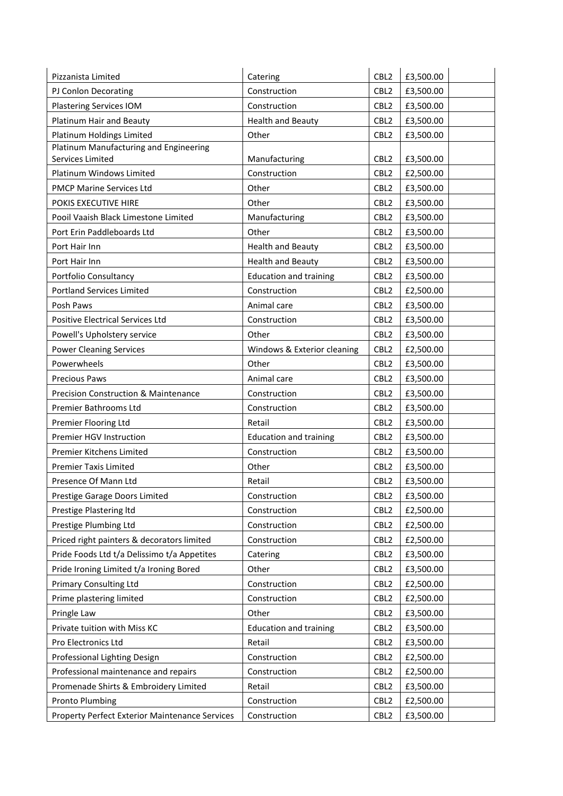| Pizzanista Limited                              | Catering                      | CBL <sub>2</sub> | £3,500.00 |
|-------------------------------------------------|-------------------------------|------------------|-----------|
| PJ Conlon Decorating                            | Construction                  | CBL <sub>2</sub> | £3,500.00 |
| Plastering Services IOM                         | Construction                  | CBL <sub>2</sub> | £3,500.00 |
| Platinum Hair and Beauty                        | <b>Health and Beauty</b>      | CBL <sub>2</sub> | £3,500.00 |
| Platinum Holdings Limited                       | Other                         | CBL <sub>2</sub> | £3,500.00 |
| Platinum Manufacturing and Engineering          |                               |                  |           |
| Services Limited                                | Manufacturing                 | CBL <sub>2</sub> | £3,500.00 |
| Platinum Windows Limited                        | Construction                  | CBL <sub>2</sub> | £2,500.00 |
| PMCP Marine Services Ltd                        | Other                         | CBL <sub>2</sub> | £3,500.00 |
| POKIS EXECUTIVE HIRE                            | Other                         | CBL <sub>2</sub> | £3,500.00 |
| Pooil Vaaish Black Limestone Limited            | Manufacturing                 | CBL <sub>2</sub> | £3,500.00 |
| Port Erin Paddleboards Ltd                      | Other                         | CBL <sub>2</sub> | £3,500.00 |
| Port Hair Inn                                   | <b>Health and Beauty</b>      | CBL <sub>2</sub> | £3,500.00 |
| Port Hair Inn                                   | <b>Health and Beauty</b>      | CBL <sub>2</sub> | £3,500.00 |
| Portfolio Consultancy                           | <b>Education and training</b> | CBL <sub>2</sub> | £3,500.00 |
| <b>Portland Services Limited</b>                | Construction                  | CBL <sub>2</sub> | £2,500.00 |
| Posh Paws                                       | Animal care                   | CBL <sub>2</sub> | £3,500.00 |
| <b>Positive Electrical Services Ltd</b>         | Construction                  | CBL <sub>2</sub> | £3,500.00 |
| Powell's Upholstery service                     | Other                         | CBL <sub>2</sub> | £3,500.00 |
| <b>Power Cleaning Services</b>                  | Windows & Exterior cleaning   | CBL <sub>2</sub> | £2,500.00 |
| Powerwheels                                     | Other                         | CBL <sub>2</sub> | £3,500.00 |
| <b>Precious Paws</b>                            | Animal care                   | CBL <sub>2</sub> | £3,500.00 |
| <b>Precision Construction &amp; Maintenance</b> | Construction                  | CBL <sub>2</sub> | £3,500.00 |
| Premier Bathrooms Ltd                           | Construction                  | CBL <sub>2</sub> | £3,500.00 |
| Premier Flooring Ltd                            | Retail                        | CBL <sub>2</sub> | £3,500.00 |
| Premier HGV Instruction                         | <b>Education and training</b> | CBL <sub>2</sub> | £3,500.00 |
| Premier Kitchens Limited                        | Construction                  | CBL <sub>2</sub> | £3,500.00 |
| <b>Premier Taxis Limited</b>                    | Other                         | CBL <sub>2</sub> | £3,500.00 |
| Presence Of Mann Ltd                            | Retail                        | CBL <sub>2</sub> | £3,500.00 |
| Prestige Garage Doors Limited                   | Construction                  | CBL <sub>2</sub> | £3,500.00 |
| Prestige Plastering Itd                         | Construction                  | CBL <sub>2</sub> | £2,500.00 |
| Prestige Plumbing Ltd                           | Construction                  | CBL <sub>2</sub> | £2,500.00 |
| Priced right painters & decorators limited      | Construction                  | CBL <sub>2</sub> | £2,500.00 |
| Pride Foods Ltd t/a Delissimo t/a Appetites     | Catering                      | CBL <sub>2</sub> | £3,500.00 |
| Pride Ironing Limited t/a Ironing Bored         | Other                         | CBL <sub>2</sub> | £3,500.00 |
| <b>Primary Consulting Ltd</b>                   | Construction                  | CBL <sub>2</sub> | £2,500.00 |
| Prime plastering limited                        | Construction                  | CBL <sub>2</sub> | £2,500.00 |
| Pringle Law                                     | Other                         | CBL <sub>2</sub> | £3,500.00 |
| Private tuition with Miss KC                    | <b>Education and training</b> | CBL <sub>2</sub> | £3,500.00 |
| Pro Electronics Ltd                             | Retail                        | CBL <sub>2</sub> | £3,500.00 |
| Professional Lighting Design                    | Construction                  | CBL <sub>2</sub> | £2,500.00 |
| Professional maintenance and repairs            | Construction                  | CBL <sub>2</sub> | £2,500.00 |
| Promenade Shirts & Embroidery Limited           | Retail                        | CBL <sub>2</sub> | £3,500.00 |
| <b>Pronto Plumbing</b>                          | Construction                  | CBL <sub>2</sub> | £2,500.00 |
| Property Perfect Exterior Maintenance Services  | Construction                  | CBL <sub>2</sub> | £3,500.00 |
|                                                 |                               |                  |           |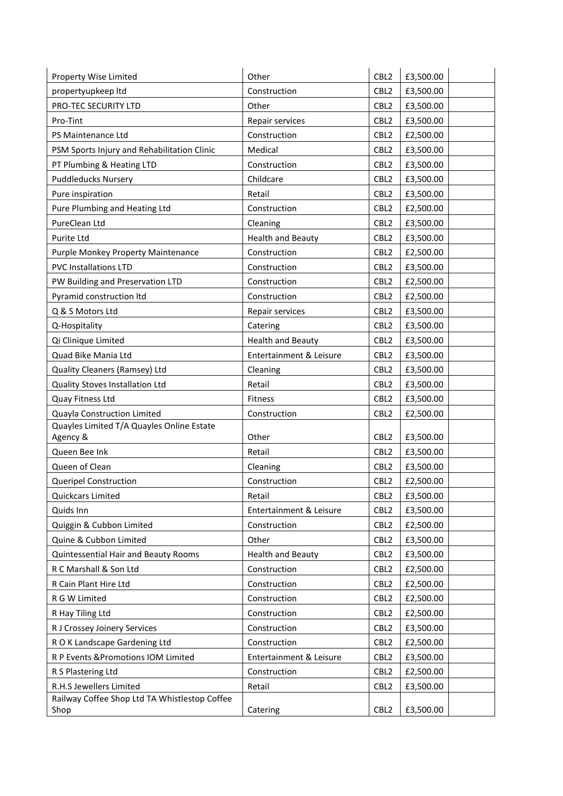| Property Wise Limited                         | Other                    | CBL <sub>2</sub> | £3,500.00 |
|-----------------------------------------------|--------------------------|------------------|-----------|
| propertyupkeep Itd                            | Construction             | CBL <sub>2</sub> | £3,500.00 |
| PRO-TEC SECURITY LTD                          | Other                    | CBL <sub>2</sub> | £3,500.00 |
| Pro-Tint                                      | Repair services          | CBL <sub>2</sub> | £3,500.00 |
| PS Maintenance Ltd                            | Construction             | CBL <sub>2</sub> | £2,500.00 |
| PSM Sports Injury and Rehabilitation Clinic   | Medical                  | CBL <sub>2</sub> | £3,500.00 |
| PT Plumbing & Heating LTD                     | Construction             | CBL <sub>2</sub> | £3,500.00 |
| <b>Puddleducks Nursery</b>                    | Childcare                | CBL <sub>2</sub> | £3,500.00 |
| Pure inspiration                              | Retail                   | CBL <sub>2</sub> | £3,500.00 |
| Pure Plumbing and Heating Ltd                 | Construction             | CBL <sub>2</sub> | £2,500.00 |
| PureClean Ltd                                 | Cleaning                 | CBL <sub>2</sub> | £3,500.00 |
| Purite Ltd                                    | <b>Health and Beauty</b> | CBL <sub>2</sub> | £3,500.00 |
| Purple Monkey Property Maintenance            | Construction             | CBL <sub>2</sub> | £2,500.00 |
| <b>PVC Installations LTD</b>                  | Construction             | CBL <sub>2</sub> | £3,500.00 |
| PW Building and Preservation LTD              | Construction             | CBL <sub>2</sub> | £2,500.00 |
| Pyramid construction ltd                      | Construction             | CBL <sub>2</sub> | £2,500.00 |
| Q & S Motors Ltd                              | Repair services          | CBL <sub>2</sub> | £3,500.00 |
| Q-Hospitality                                 | Catering                 | CBL <sub>2</sub> | £3,500.00 |
| Qi Clinique Limited                           | <b>Health and Beauty</b> | CBL <sub>2</sub> | £3,500.00 |
| Quad Bike Mania Ltd                           | Entertainment & Leisure  | CBL <sub>2</sub> | £3,500.00 |
| Quality Cleaners (Ramsey) Ltd                 | Cleaning                 | CBL <sub>2</sub> | £3,500.00 |
| Quality Stoves Installation Ltd               | Retail                   | CBL <sub>2</sub> | £3,500.00 |
| Quay Fitness Ltd                              | Fitness                  | CBL <sub>2</sub> | £3,500.00 |
| Quayla Construction Limited                   | Construction             | CBL <sub>2</sub> | £2,500.00 |
| Quayles Limited T/A Quayles Online Estate     |                          |                  |           |
| Agency &                                      | Other                    | CBL <sub>2</sub> | £3,500.00 |
| Queen Bee Ink                                 | Retail                   | CBL <sub>2</sub> | £3,500.00 |
| Queen of Clean                                | Cleaning                 | CBL <sub>2</sub> | £3,500.00 |
| <b>Queripel Construction</b>                  | Construction             | CBL <sub>2</sub> | £2,500.00 |
| Quickcars Limited                             | Retail                   | CBL <sub>2</sub> | £3,500.00 |
| Quids Inn                                     | Entertainment & Leisure  | CBL <sub>2</sub> | £3,500.00 |
| Quiggin & Cubbon Limited                      | Construction             | CBL <sub>2</sub> | £2,500.00 |
| Quine & Cubbon Limited                        | Other                    | CBL <sub>2</sub> | £3,500.00 |
| Quintessential Hair and Beauty Rooms          | <b>Health and Beauty</b> | CBL <sub>2</sub> | £3,500.00 |
| R C Marshall & Son Ltd                        | Construction             | CBL <sub>2</sub> | £2,500.00 |
| R Cain Plant Hire Ltd                         | Construction             | CBL <sub>2</sub> | £2,500.00 |
| R G W Limited                                 | Construction             | CBL <sub>2</sub> | £2,500.00 |
| R Hay Tiling Ltd                              | Construction             | CBL <sub>2</sub> | £2,500.00 |
| R J Crossey Joinery Services                  | Construction             | CBL <sub>2</sub> | £3,500.00 |
| R O K Landscape Gardening Ltd                 | Construction             | CBL <sub>2</sub> | £2,500.00 |
| R P Events & Promotions IOM Limited           | Entertainment & Leisure  | CBL <sub>2</sub> | £3,500.00 |
| R S Plastering Ltd                            | Construction             | CBL <sub>2</sub> | £2,500.00 |
| R.H.S Jewellers Limited                       | Retail                   | CBL <sub>2</sub> | £3,500.00 |
| Railway Coffee Shop Ltd TA Whistlestop Coffee |                          |                  |           |
| Shop                                          | Catering                 | CBL <sub>2</sub> | £3,500.00 |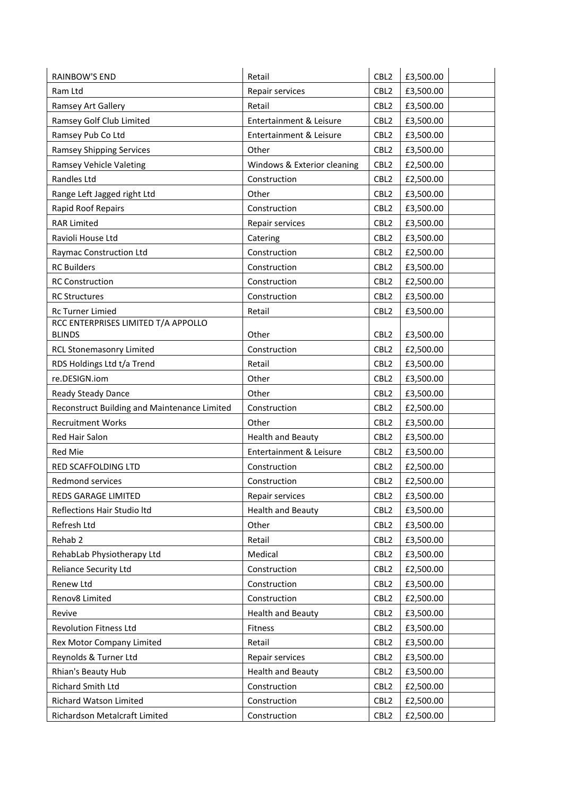| <b>RAINBOW'S END</b>                         | Retail                      | CBL <sub>2</sub> | £3,500.00 |
|----------------------------------------------|-----------------------------|------------------|-----------|
| Ram Ltd                                      | Repair services             | CBL <sub>2</sub> | £3,500.00 |
| Ramsey Art Gallery                           | Retail                      | CBL <sub>2</sub> | £3,500.00 |
| Ramsey Golf Club Limited                     | Entertainment & Leisure     | CBL <sub>2</sub> | £3,500.00 |
| Ramsey Pub Co Ltd                            | Entertainment & Leisure     | CBL <sub>2</sub> | £3,500.00 |
| <b>Ramsey Shipping Services</b>              | Other                       | CBL <sub>2</sub> | £3,500.00 |
| Ramsey Vehicle Valeting                      | Windows & Exterior cleaning | CBL <sub>2</sub> | £2,500.00 |
| Randles Ltd                                  | Construction                | CBL <sub>2</sub> | £2,500.00 |
| Range Left Jagged right Ltd                  | Other                       | CBL <sub>2</sub> | £3,500.00 |
| Rapid Roof Repairs                           | Construction                | CBL <sub>2</sub> | £3,500.00 |
| <b>RAR Limited</b>                           | Repair services             | CBL <sub>2</sub> | £3,500.00 |
| Ravioli House Ltd                            | Catering                    | CBL <sub>2</sub> | £3,500.00 |
| Raymac Construction Ltd                      | Construction                | CBL <sub>2</sub> | £2,500.00 |
| <b>RC Builders</b>                           | Construction                | CBL <sub>2</sub> | £3,500.00 |
| <b>RC Construction</b>                       | Construction                | CBL <sub>2</sub> | £2,500.00 |
| <b>RC Structures</b>                         | Construction                | CBL <sub>2</sub> | £3,500.00 |
| <b>Rc Turner Limied</b>                      | Retail                      | CBL <sub>2</sub> | £3,500.00 |
| RCC ENTERPRISES LIMITED T/A APPOLLO          |                             |                  |           |
| <b>BLINDS</b>                                | Other                       | CBL <sub>2</sub> | £3,500.00 |
| <b>RCL Stonemasonry Limited</b>              | Construction                | CBL <sub>2</sub> | £2,500.00 |
| RDS Holdings Ltd t/a Trend                   | Retail                      | CBL <sub>2</sub> | £3,500.00 |
| re.DESIGN.iom                                | Other                       | CBL <sub>2</sub> | £3,500.00 |
| Ready Steady Dance                           | Other                       | CBL <sub>2</sub> | £3,500.00 |
| Reconstruct Building and Maintenance Limited | Construction                | CBL <sub>2</sub> | £2,500.00 |
| <b>Recruitment Works</b>                     | Other                       | CBL <sub>2</sub> | £3,500.00 |
| Red Hair Salon                               | <b>Health and Beauty</b>    | CBL <sub>2</sub> | £3,500.00 |
| Red Mie                                      | Entertainment & Leisure     | CBL <sub>2</sub> | £3,500.00 |
| RED SCAFFOLDING LTD                          | Construction                | CBL <sub>2</sub> | £2,500.00 |
| Redmond services                             | Construction                | CBL <sub>2</sub> | £2,500.00 |
| REDS GARAGE LIMITED                          | Repair services             | CBL <sub>2</sub> | £3,500.00 |
| Reflections Hair Studio Itd                  | <b>Health and Beauty</b>    | CBL <sub>2</sub> | £3,500.00 |
| Refresh Ltd                                  | Other                       | CBL <sub>2</sub> | £3,500.00 |
| Rehab 2                                      | Retail                      | CBL <sub>2</sub> | £3,500.00 |
| RehabLab Physiotherapy Ltd                   | Medical                     | CBL <sub>2</sub> | £3,500.00 |
| <b>Reliance Security Ltd</b>                 | Construction                | CBL <sub>2</sub> | £2,500.00 |
| Renew Ltd                                    | Construction                | CBL <sub>2</sub> | £3,500.00 |
| Renov8 Limited                               | Construction                | CBL <sub>2</sub> | £2,500.00 |
| Revive                                       | <b>Health and Beauty</b>    | CBL <sub>2</sub> | £3,500.00 |
| <b>Revolution Fitness Ltd</b>                | Fitness                     | CBL <sub>2</sub> | £3,500.00 |
| Rex Motor Company Limited                    | Retail                      | CBL <sub>2</sub> | £3,500.00 |
| Reynolds & Turner Ltd                        | Repair services             | CBL <sub>2</sub> | £3,500.00 |
| Rhian's Beauty Hub                           | <b>Health and Beauty</b>    | CBL <sub>2</sub> | £3,500.00 |
| Richard Smith Ltd                            | Construction                | CBL <sub>2</sub> | £2,500.00 |
| Richard Watson Limited                       | Construction                | CBL <sub>2</sub> | £2,500.00 |
| Richardson Metalcraft Limited                | Construction                | CBL <sub>2</sub> | £2,500.00 |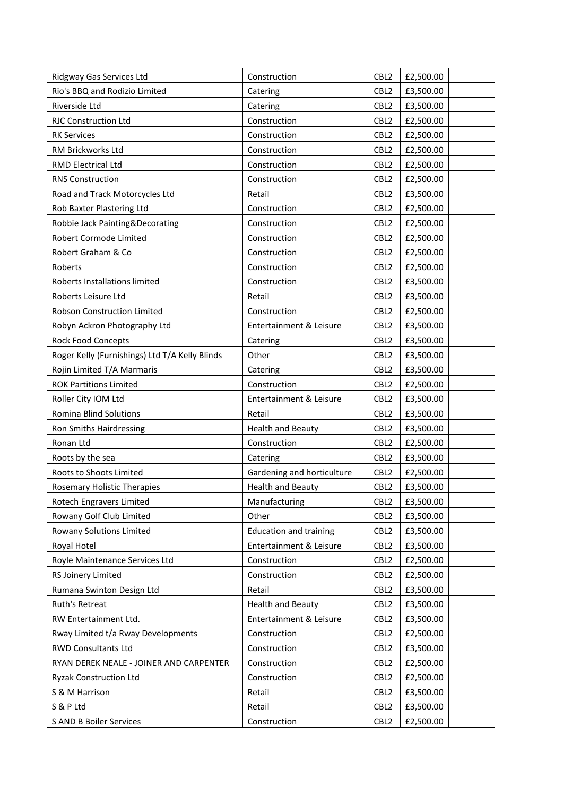| Ridgway Gas Services Ltd                       | Construction                  | CBL <sub>2</sub> | £2,500.00 |
|------------------------------------------------|-------------------------------|------------------|-----------|
| Rio's BBQ and Rodizio Limited                  | Catering                      | CBL <sub>2</sub> | £3,500.00 |
| Riverside Ltd                                  | Catering                      | CBL <sub>2</sub> | £3,500.00 |
| <b>RJC Construction Ltd</b>                    | Construction                  | CBL <sub>2</sub> | £2,500.00 |
| <b>RK Services</b>                             | Construction                  | CBL <sub>2</sub> | £2,500.00 |
| RM Brickworks Ltd                              | Construction                  | CBL <sub>2</sub> | £2,500.00 |
| RMD Electrical Ltd                             | Construction                  | CBL <sub>2</sub> | £2,500.00 |
| <b>RNS Construction</b>                        | Construction                  | CBL <sub>2</sub> | £2,500.00 |
| Road and Track Motorcycles Ltd                 | Retail                        | CBL <sub>2</sub> | £3,500.00 |
| Rob Baxter Plastering Ltd                      | Construction                  | CBL <sub>2</sub> | £2,500.00 |
| Robbie Jack Painting&Decorating                | Construction                  | CBL <sub>2</sub> | £2,500.00 |
| Robert Cormode Limited                         | Construction                  | CBL <sub>2</sub> | £2,500.00 |
| Robert Graham & Co                             | Construction                  | CBL <sub>2</sub> | £2,500.00 |
| Roberts                                        | Construction                  | CBL <sub>2</sub> | £2,500.00 |
| Roberts Installations limited                  | Construction                  | CBL <sub>2</sub> | £3,500.00 |
| Roberts Leisure Ltd                            | Retail                        | CBL <sub>2</sub> | £3,500.00 |
| Robson Construction Limited                    | Construction                  | CBL <sub>2</sub> | £2,500.00 |
| Robyn Ackron Photography Ltd                   | Entertainment & Leisure       | CBL <sub>2</sub> | £3,500.00 |
| <b>Rock Food Concepts</b>                      | Catering                      | CBL <sub>2</sub> | £3,500.00 |
| Roger Kelly (Furnishings) Ltd T/A Kelly Blinds | Other                         | CBL <sub>2</sub> | £3,500.00 |
| Rojin Limited T/A Marmaris                     | Catering                      | CBL <sub>2</sub> | £3,500.00 |
| <b>ROK Partitions Limited</b>                  | Construction                  | CBL <sub>2</sub> | £2,500.00 |
| Roller City IOM Ltd                            | Entertainment & Leisure       | CBL <sub>2</sub> | £3,500.00 |
| Romina Blind Solutions                         | Retail                        | CBL <sub>2</sub> | £3,500.00 |
| Ron Smiths Hairdressing                        | <b>Health and Beauty</b>      | CBL <sub>2</sub> | £3,500.00 |
| Ronan Ltd                                      | Construction                  | CBL <sub>2</sub> | £2,500.00 |
| Roots by the sea                               | Catering                      | CBL <sub>2</sub> | £3,500.00 |
| Roots to Shoots Limited                        | Gardening and horticulture    | CBL <sub>2</sub> | £2,500.00 |
| Rosemary Holistic Therapies                    | <b>Health and Beauty</b>      | CBL <sub>2</sub> | £3,500.00 |
| Rotech Engravers Limited                       | Manufacturing                 | CBL <sub>2</sub> | £3,500.00 |
| Rowany Golf Club Limited                       | Other                         | CBL <sub>2</sub> | £3,500.00 |
| Rowany Solutions Limited                       | <b>Education and training</b> | CBL <sub>2</sub> | £3,500.00 |
| Royal Hotel                                    | Entertainment & Leisure       | CBL <sub>2</sub> | £3,500.00 |
| Royle Maintenance Services Ltd                 | Construction                  | CBL <sub>2</sub> | £2,500.00 |
| RS Joinery Limited                             | Construction                  | CBL <sub>2</sub> | £2,500.00 |
| Rumana Swinton Design Ltd                      | Retail                        | CBL <sub>2</sub> | £3,500.00 |
| Ruth's Retreat                                 | <b>Health and Beauty</b>      | CBL <sub>2</sub> | £3,500.00 |
| RW Entertainment Ltd.                          | Entertainment & Leisure       | CBL <sub>2</sub> | £3,500.00 |
| Rway Limited t/a Rway Developments             | Construction                  | CBL <sub>2</sub> | £2,500.00 |
| <b>RWD Consultants Ltd</b>                     | Construction                  | CBL <sub>2</sub> | £3,500.00 |
| RYAN DEREK NEALE - JOINER AND CARPENTER        | Construction                  | CBL <sub>2</sub> | £2,500.00 |
| <b>Ryzak Construction Ltd</b>                  | Construction                  | CBL <sub>2</sub> | £2,500.00 |
| S & M Harrison                                 | Retail                        | CBL <sub>2</sub> | £3,500.00 |
| S & P Ltd                                      | Retail                        | CBL <sub>2</sub> | £3,500.00 |
| S AND B Boiler Services                        | Construction                  | CBL <sub>2</sub> | £2,500.00 |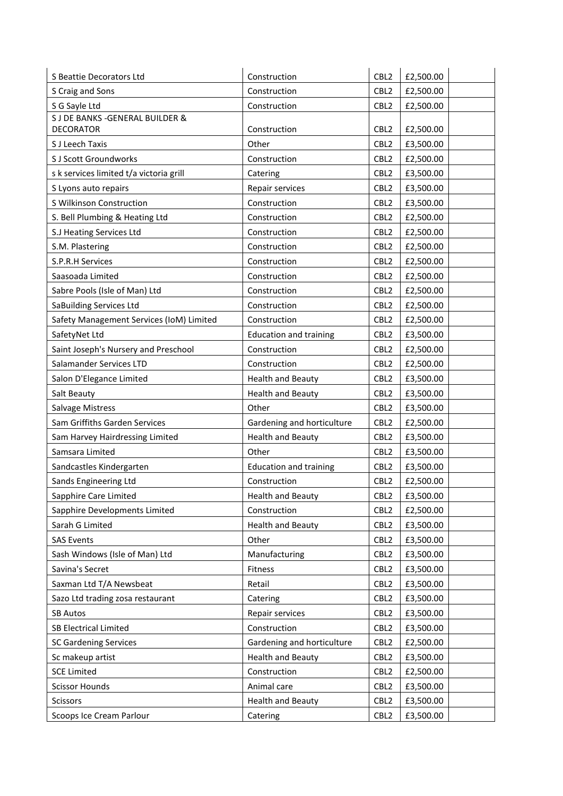| S Beattie Decorators Ltd                 | Construction                  | CBL <sub>2</sub> | £2,500.00 |
|------------------------------------------|-------------------------------|------------------|-----------|
| S Craig and Sons                         | Construction                  | CBL <sub>2</sub> | £2,500.00 |
| S G Sayle Ltd                            | Construction                  | CBL <sub>2</sub> | £2,500.00 |
| S J DE BANKS - GENERAL BUILDER &         |                               |                  |           |
| <b>DECORATOR</b>                         | Construction                  | CBL <sub>2</sub> | £2,500.00 |
| S J Leech Taxis                          | Other                         | CBL <sub>2</sub> | £3,500.00 |
| S J Scott Groundworks                    | Construction                  | CBL <sub>2</sub> | £2,500.00 |
| s k services limited t/a victoria grill  | Catering                      | CBL <sub>2</sub> | £3,500.00 |
| S Lyons auto repairs                     | Repair services               | CBL <sub>2</sub> | £3,500.00 |
| S Wilkinson Construction                 | Construction                  | CBL <sub>2</sub> | £3,500.00 |
| S. Bell Plumbing & Heating Ltd           | Construction                  | CBL <sub>2</sub> | £2,500.00 |
| S.J Heating Services Ltd                 | Construction                  | CBL <sub>2</sub> | £2,500.00 |
| S.M. Plastering                          | Construction                  | CBL <sub>2</sub> | £2,500.00 |
| S.P.R.H Services                         | Construction                  | CBL <sub>2</sub> | £2,500.00 |
| Saasoada Limited                         | Construction                  | CBL <sub>2</sub> | £2,500.00 |
| Sabre Pools (Isle of Man) Ltd            | Construction                  | CBL <sub>2</sub> | £2,500.00 |
| SaBuilding Services Ltd                  | Construction                  | CBL <sub>2</sub> | £2,500.00 |
| Safety Management Services (IoM) Limited | Construction                  | CBL <sub>2</sub> | £2,500.00 |
| SafetyNet Ltd                            | <b>Education and training</b> | CBL <sub>2</sub> | £3,500.00 |
| Saint Joseph's Nursery and Preschool     | Construction                  | CBL <sub>2</sub> | £2,500.00 |
| Salamander Services LTD                  | Construction                  | CBL <sub>2</sub> | £2,500.00 |
| Salon D'Elegance Limited                 | <b>Health and Beauty</b>      | CBL <sub>2</sub> | £3,500.00 |
| Salt Beauty                              | <b>Health and Beauty</b>      | CBL <sub>2</sub> | £3,500.00 |
| Salvage Mistress                         | Other                         | CBL <sub>2</sub> | £3,500.00 |
| Sam Griffiths Garden Services            | Gardening and horticulture    | CBL <sub>2</sub> | £2,500.00 |
| Sam Harvey Hairdressing Limited          | <b>Health and Beauty</b>      | CBL <sub>2</sub> | £3,500.00 |
| Samsara Limited                          | Other                         | CBL <sub>2</sub> | £3,500.00 |
| Sandcastles Kindergarten                 | <b>Education and training</b> | CBL <sub>2</sub> | £3,500.00 |
| Sands Engineering Ltd                    | Construction                  | CBL <sub>2</sub> | £2,500.00 |
| Sapphire Care Limited                    | <b>Health and Beauty</b>      | CBL <sub>2</sub> | £3,500.00 |
| Sapphire Developments Limited            | Construction                  | CBL <sub>2</sub> | £2,500.00 |
| Sarah G Limited                          | <b>Health and Beauty</b>      | CBL <sub>2</sub> | £3,500.00 |
| <b>SAS Events</b>                        | Other                         | CBL <sub>2</sub> | £3,500.00 |
| Sash Windows (Isle of Man) Ltd           | Manufacturing                 | CBL <sub>2</sub> | £3,500.00 |
| Savina's Secret                          | Fitness                       | CBL <sub>2</sub> | £3,500.00 |
| Saxman Ltd T/A Newsbeat                  | Retail                        | CBL <sub>2</sub> | £3,500.00 |
| Sazo Ltd trading zosa restaurant         | Catering                      | CBL <sub>2</sub> | £3,500.00 |
| <b>SB Autos</b>                          | Repair services               | CBL <sub>2</sub> | £3,500.00 |
| <b>SB Electrical Limited</b>             | Construction                  | CBL <sub>2</sub> | £3,500.00 |
| <b>SC Gardening Services</b>             | Gardening and horticulture    | CBL <sub>2</sub> | £2,500.00 |
| Sc makeup artist                         | <b>Health and Beauty</b>      | CBL <sub>2</sub> | £3,500.00 |
| <b>SCE Limited</b>                       | Construction                  | CBL <sub>2</sub> | £2,500.00 |
| <b>Scissor Hounds</b>                    | Animal care                   | CBL <sub>2</sub> | £3,500.00 |
| Scissors                                 | <b>Health and Beauty</b>      | CBL <sub>2</sub> | £3,500.00 |
| Scoops Ice Cream Parlour                 | Catering                      | CBL <sub>2</sub> | £3,500.00 |
|                                          |                               |                  |           |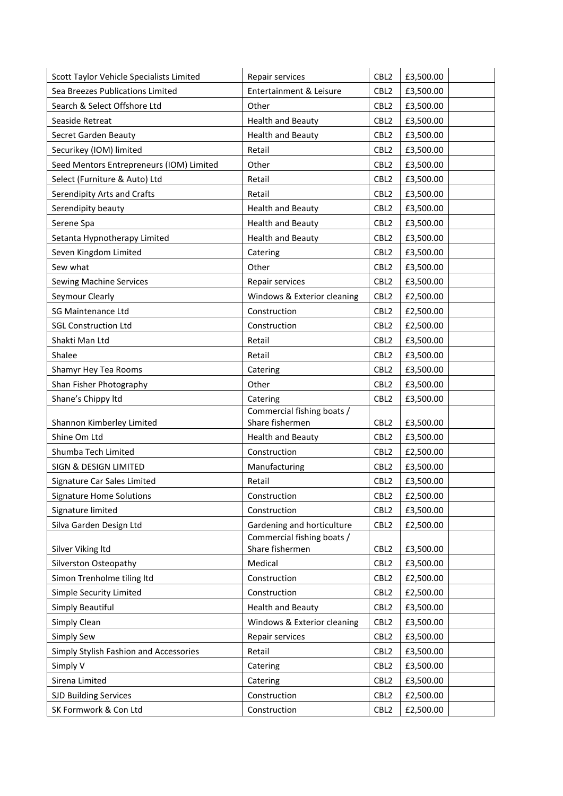| Scott Taylor Vehicle Specialists Limited | Repair services                               | CBL <sub>2</sub> | £3,500.00 |
|------------------------------------------|-----------------------------------------------|------------------|-----------|
| Sea Breezes Publications Limited         | Entertainment & Leisure                       | CBL <sub>2</sub> | £3,500.00 |
| Search & Select Offshore Ltd             | Other                                         | CBL <sub>2</sub> | £3,500.00 |
| Seaside Retreat                          | <b>Health and Beauty</b>                      | CBL <sub>2</sub> | £3,500.00 |
| Secret Garden Beauty                     | <b>Health and Beauty</b>                      | CBL <sub>2</sub> | £3,500.00 |
| Securikey (IOM) limited                  | Retail                                        | CBL <sub>2</sub> | £3,500.00 |
| Seed Mentors Entrepreneurs (IOM) Limited | Other                                         | CBL <sub>2</sub> | £3,500.00 |
| Select (Furniture & Auto) Ltd            | Retail                                        | CBL <sub>2</sub> | £3,500.00 |
| Serendipity Arts and Crafts              | Retail                                        | CBL <sub>2</sub> | £3,500.00 |
| Serendipity beauty                       | <b>Health and Beauty</b>                      | CBL <sub>2</sub> | £3,500.00 |
| Serene Spa                               | <b>Health and Beauty</b>                      | CBL <sub>2</sub> | £3,500.00 |
| Setanta Hypnotherapy Limited             | <b>Health and Beauty</b>                      | CBL <sub>2</sub> | £3,500.00 |
| Seven Kingdom Limited                    | Catering                                      | CBL <sub>2</sub> | £3,500.00 |
| Sew what                                 | Other                                         | CBL <sub>2</sub> | £3,500.00 |
| Sewing Machine Services                  | Repair services                               | CBL <sub>2</sub> | £3,500.00 |
| Seymour Clearly                          | Windows & Exterior cleaning                   | CBL <sub>2</sub> | £2,500.00 |
| <b>SG Maintenance Ltd</b>                | Construction                                  | CBL <sub>2</sub> | £2,500.00 |
| <b>SGL Construction Ltd</b>              | Construction                                  | CBL <sub>2</sub> | £2,500.00 |
| Shakti Man Ltd                           | Retail                                        | CBL <sub>2</sub> | £3,500.00 |
| Shalee                                   | Retail                                        | CBL <sub>2</sub> | £3,500.00 |
| Shamyr Hey Tea Rooms                     | Catering                                      | CBL <sub>2</sub> | £3,500.00 |
| Shan Fisher Photography                  | Other                                         | CBL <sub>2</sub> | £3,500.00 |
| Shane's Chippy Itd                       | Catering                                      | CBL <sub>2</sub> | £3,500.00 |
|                                          | Commercial fishing boats /                    |                  |           |
| Shannon Kimberley Limited                | Share fishermen                               | CBL <sub>2</sub> | £3,500.00 |
| Shine Om Ltd                             | <b>Health and Beauty</b>                      | CBL <sub>2</sub> | £3,500.00 |
| Shumba Tech Limited                      | Construction                                  | CBL <sub>2</sub> | £2,500.00 |
| SIGN & DESIGN LIMITED                    | Manufacturing                                 | CBL <sub>2</sub> | £3,500.00 |
| Signature Car Sales Limited              | Retail                                        | CBL <sub>2</sub> | £3,500.00 |
| Signature Home Solutions                 | Construction                                  | CBL2             | £2,500.00 |
| Signature limited                        | Construction                                  | CBL <sub>2</sub> | £3,500.00 |
| Silva Garden Design Ltd                  | Gardening and horticulture                    | CBL <sub>2</sub> | £2,500.00 |
| Silver Viking Itd                        | Commercial fishing boats /<br>Share fishermen | CBL <sub>2</sub> | £3,500.00 |
| Silverston Osteopathy                    | Medical                                       | CBL <sub>2</sub> | £3,500.00 |
| Simon Trenholme tiling ltd               | Construction                                  | CBL <sub>2</sub> | £2,500.00 |
| Simple Security Limited                  | Construction                                  | CBL <sub>2</sub> | £2,500.00 |
| Simply Beautiful                         | <b>Health and Beauty</b>                      | CBL <sub>2</sub> | £3,500.00 |
| Simply Clean                             | Windows & Exterior cleaning                   | CBL <sub>2</sub> | £3,500.00 |
| Simply Sew                               | Repair services                               | CBL <sub>2</sub> | £3,500.00 |
| Simply Stylish Fashion and Accessories   | Retail                                        | CBL <sub>2</sub> | £3,500.00 |
| Simply V                                 | Catering                                      | CBL <sub>2</sub> | £3,500.00 |
| Sirena Limited                           | Catering                                      | CBL <sub>2</sub> | £3,500.00 |
| <b>SJD Building Services</b>             | Construction                                  | CBL <sub>2</sub> | £2,500.00 |
| SK Formwork & Con Ltd                    | Construction                                  | CBL <sub>2</sub> | £2,500.00 |
|                                          |                                               |                  |           |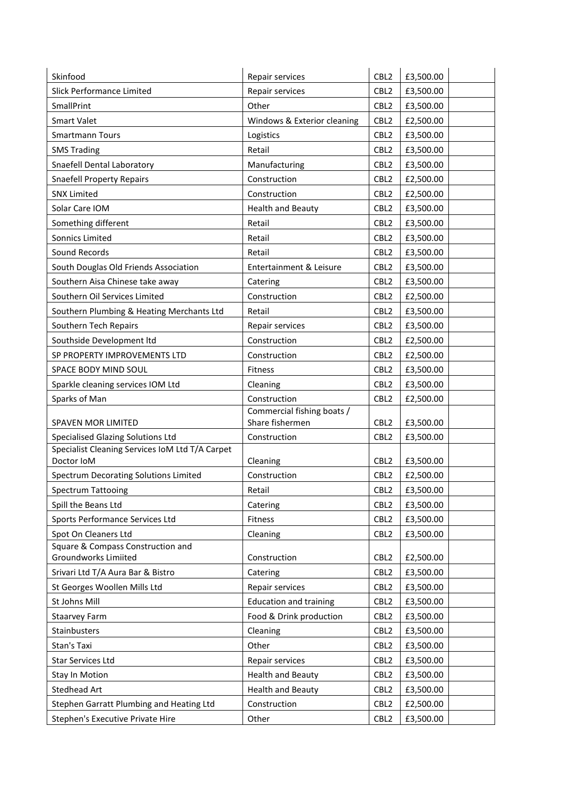| Skinfood                                                      | Repair services                               | CBL <sub>2</sub> | £3,500.00 |
|---------------------------------------------------------------|-----------------------------------------------|------------------|-----------|
| Slick Performance Limited                                     | Repair services                               | CBL <sub>2</sub> | £3,500.00 |
| SmallPrint                                                    | Other                                         | CBL <sub>2</sub> | £3,500.00 |
| <b>Smart Valet</b>                                            | Windows & Exterior cleaning                   | CBL <sub>2</sub> | £2,500.00 |
| <b>Smartmann Tours</b>                                        | Logistics                                     | CBL <sub>2</sub> | £3,500.00 |
| <b>SMS Trading</b>                                            | Retail                                        | CBL <sub>2</sub> | £3,500.00 |
| Snaefell Dental Laboratory                                    | Manufacturing                                 | CBL <sub>2</sub> | £3,500.00 |
| <b>Snaefell Property Repairs</b>                              | Construction                                  | CBL <sub>2</sub> | £2,500.00 |
| <b>SNX Limited</b>                                            | Construction                                  | CBL <sub>2</sub> | £2,500.00 |
| Solar Care IOM                                                | <b>Health and Beauty</b>                      | CBL <sub>2</sub> | £3,500.00 |
| Something different                                           | Retail                                        | CBL <sub>2</sub> | £3,500.00 |
| Sonnics Limited                                               | Retail                                        | CBL <sub>2</sub> | £3,500.00 |
| Sound Records                                                 | Retail                                        | CBL <sub>2</sub> | £3,500.00 |
| South Douglas Old Friends Association                         | Entertainment & Leisure                       | CBL <sub>2</sub> | £3,500.00 |
| Southern Aisa Chinese take away                               | Catering                                      | CBL <sub>2</sub> | £3,500.00 |
| Southern Oil Services Limited                                 | Construction                                  | CBL <sub>2</sub> | £2,500.00 |
| Southern Plumbing & Heating Merchants Ltd                     | Retail                                        | CBL <sub>2</sub> | £3,500.00 |
| Southern Tech Repairs                                         | Repair services                               | CBL <sub>2</sub> | £3,500.00 |
| Southside Development ltd                                     | Construction                                  | CBL <sub>2</sub> | £2,500.00 |
| SP PROPERTY IMPROVEMENTS LTD                                  | Construction                                  | CBL <sub>2</sub> | £2,500.00 |
| SPACE BODY MIND SOUL                                          | Fitness                                       | CBL <sub>2</sub> | £3,500.00 |
| Sparkle cleaning services IOM Ltd                             | Cleaning                                      | CBL <sub>2</sub> | £3,500.00 |
| Sparks of Man                                                 | Construction                                  | CBL <sub>2</sub> | £2,500.00 |
| SPAVEN MOR LIMITED                                            | Commercial fishing boats /<br>Share fishermen | CBL <sub>2</sub> | £3,500.00 |
| <b>Specialised Glazing Solutions Ltd</b>                      | Construction                                  | CBL <sub>2</sub> | £3,500.00 |
| Specialist Cleaning Services IoM Ltd T/A Carpet<br>Doctor IoM | Cleaning                                      | CBL <sub>2</sub> | £3,500.00 |
| Spectrum Decorating Solutions Limited                         | Construction                                  | CBL <sub>2</sub> | £2,500.00 |
| <b>Spectrum Tattooing</b>                                     | Retail                                        | CBL <sub>2</sub> | £3,500.00 |
| Spill the Beans Ltd                                           | Catering                                      | CBL <sub>2</sub> | £3,500.00 |
| Sports Performance Services Ltd                               | Fitness                                       | CBL <sub>2</sub> | £3,500.00 |
| Spot On Cleaners Ltd                                          | Cleaning                                      | CBL <sub>2</sub> | £3,500.00 |
| Square & Compass Construction and                             |                                               |                  |           |
| Groundworks Limiited                                          | Construction                                  | CBL <sub>2</sub> | £2,500.00 |
| Srivari Ltd T/A Aura Bar & Bistro                             | Catering                                      | CBL <sub>2</sub> | £3,500.00 |
| St Georges Woollen Mills Ltd                                  | Repair services                               | CBL <sub>2</sub> | £3,500.00 |
| St Johns Mill                                                 | <b>Education and training</b>                 | CBL <sub>2</sub> | £3,500.00 |
| <b>Staarvey Farm</b>                                          | Food & Drink production                       | CBL <sub>2</sub> | £3,500.00 |
| Stainbusters                                                  | Cleaning                                      | CBL <sub>2</sub> | £3,500.00 |
| Stan's Taxi                                                   | Other                                         | CBL <sub>2</sub> | £3,500.00 |
| Star Services Ltd                                             | Repair services                               | CBL <sub>2</sub> | £3,500.00 |
| <b>Stay In Motion</b>                                         | <b>Health and Beauty</b>                      | CBL <sub>2</sub> | £3,500.00 |
| Stedhead Art                                                  | <b>Health and Beauty</b>                      | CBL <sub>2</sub> | £3,500.00 |
| Stephen Garratt Plumbing and Heating Ltd                      | Construction                                  | CBL <sub>2</sub> | £2,500.00 |
| Stephen's Executive Private Hire                              | Other                                         | CBL <sub>2</sub> | £3,500.00 |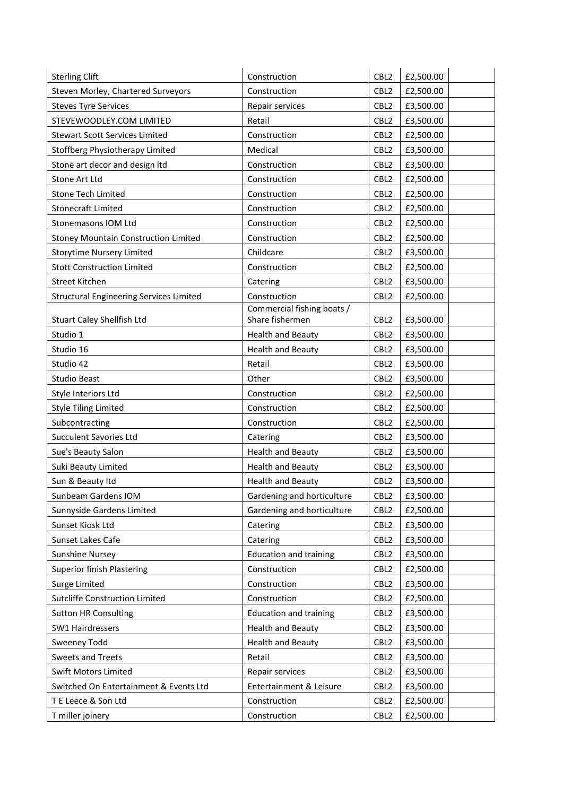| <b>Sterling Clift</b>                          | Construction                  | CBL <sub>2</sub> | £2,500.00 |
|------------------------------------------------|-------------------------------|------------------|-----------|
| Steven Morley, Chartered Surveyors             | Construction                  | CBL <sub>2</sub> | £2,500.00 |
| <b>Steves Tyre Services</b>                    | Repair services               | CBL <sub>2</sub> | £3,500.00 |
| STEVEWOODLEY.COM LIMITED                       | Retail                        | CBL <sub>2</sub> | £3,500.00 |
| <b>Stewart Scott Services Limited</b>          | Construction                  | CBL <sub>2</sub> | £2,500.00 |
| Stoffberg Physiotherapy Limited                | Medical                       | CBL <sub>2</sub> | £3,500.00 |
| Stone art decor and design Itd                 | Construction                  | CBL <sub>2</sub> | £3,500.00 |
| Stone Art Ltd                                  | Construction                  | CBL <sub>2</sub> | £2,500.00 |
| <b>Stone Tech Limited</b>                      | Construction                  | CBL <sub>2</sub> | £2,500.00 |
| <b>Stonecraft Limited</b>                      | Construction                  | CBL <sub>2</sub> | £2,500.00 |
| Stonemasons IOM Ltd                            | Construction                  | CBL <sub>2</sub> | £2,500.00 |
| Stoney Mountain Construction Limited           | Construction                  | CBL <sub>2</sub> | £2,500.00 |
| <b>Storytime Nursery Limited</b>               | Childcare                     | CBL <sub>2</sub> | £3,500.00 |
| <b>Stott Construction Limited</b>              | Construction                  | CBL <sub>2</sub> | £2,500.00 |
| Street Kitchen                                 | Catering                      | CBL <sub>2</sub> | £3,500.00 |
| <b>Structural Engineering Services Limited</b> | Construction                  | CBL <sub>2</sub> | £2,500.00 |
|                                                | Commercial fishing boats /    |                  |           |
| Stuart Caley Shellfish Ltd                     | Share fishermen               | CBL <sub>2</sub> | £3,500.00 |
| Studio 1                                       | <b>Health and Beauty</b>      | CBL <sub>2</sub> | £3,500.00 |
| Studio 16                                      | <b>Health and Beauty</b>      | CBL <sub>2</sub> | £3,500.00 |
| Studio 42                                      | Retail                        | CBL <sub>2</sub> | £3,500.00 |
| <b>Studio Beast</b>                            | Other                         | CBL <sub>2</sub> | £3,500.00 |
| Style Interiors Ltd                            | Construction                  | CBL <sub>2</sub> | £2,500.00 |
| <b>Style Tiling Limited</b>                    | Construction                  | CBL <sub>2</sub> | £2,500.00 |
| Subcontracting                                 | Construction                  | CBL <sub>2</sub> | £2,500.00 |
| <b>Succulent Savories Ltd</b>                  | Catering                      | CBL <sub>2</sub> | £3,500.00 |
| Sue's Beauty Salon                             | <b>Health and Beauty</b>      | CBL <sub>2</sub> | £3,500.00 |
| Suki Beauty Limited                            | <b>Health and Beauty</b>      | CBL <sub>2</sub> | £3,500.00 |
| Sun & Beauty Itd                               | <b>Health and Beauty</b>      | CBL <sub>2</sub> | £3,500.00 |
| Sunbeam Gardens IOM                            | Gardening and horticulture    | CBL <sub>2</sub> | £3,500.00 |
| Sunnyside Gardens Limited                      | Gardening and horticulture    | CBL <sub>2</sub> | £2,500.00 |
| Sunset Kiosk Ltd                               | Catering                      | CBL <sub>2</sub> | £3,500.00 |
| Sunset Lakes Cafe                              | Catering                      | CBL <sub>2</sub> | £3,500.00 |
| <b>Sunshine Nursey</b>                         | <b>Education and training</b> | CBL <sub>2</sub> | £3,500.00 |
| <b>Superior finish Plastering</b>              | Construction                  | CBL <sub>2</sub> | £2,500.00 |
| Surge Limited                                  | Construction                  | CBL <sub>2</sub> | £3,500.00 |
| <b>Sutcliffe Construction Limited</b>          | Construction                  | CBL <sub>2</sub> | £2,500.00 |
| <b>Sutton HR Consulting</b>                    | <b>Education and training</b> | CBL <sub>2</sub> | £3,500.00 |
| SW1 Hairdressers                               | <b>Health and Beauty</b>      | CBL <sub>2</sub> | £3,500.00 |
| <b>Sweeney Todd</b>                            | <b>Health and Beauty</b>      | CBL <sub>2</sub> | £3,500.00 |
| Sweets and Treets                              | Retail                        | CBL <sub>2</sub> | £3,500.00 |
| <b>Swift Motors Limited</b>                    | Repair services               | CBL <sub>2</sub> | £3,500.00 |
| Switched On Entertainment & Events Ltd         | Entertainment & Leisure       | CBL <sub>2</sub> | £3,500.00 |
| TE Leece & Son Ltd                             | Construction                  | CBL <sub>2</sub> | £2,500.00 |
| T miller joinery                               | Construction                  | CBL <sub>2</sub> | £2,500.00 |
|                                                |                               |                  |           |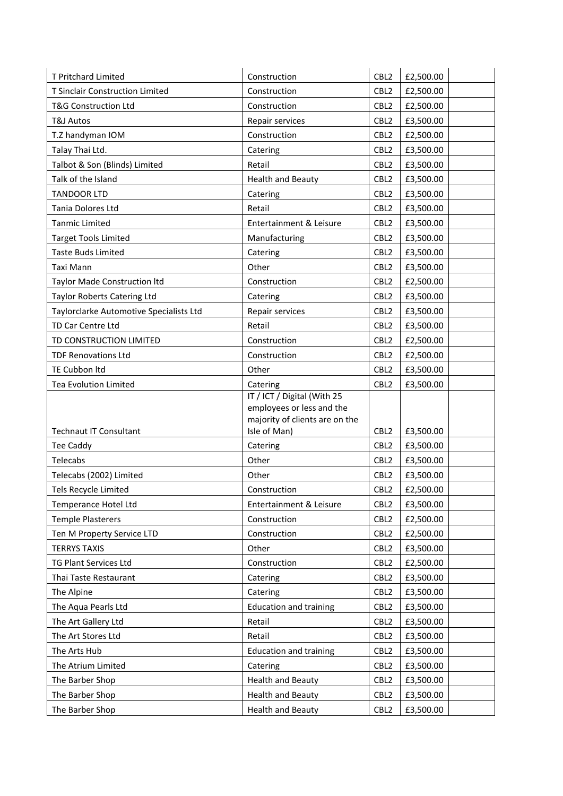| <b>T Pritchard Limited</b>                        | Construction                                             | CBL <sub>2</sub>                     | £2,500.00              |
|---------------------------------------------------|----------------------------------------------------------|--------------------------------------|------------------------|
| T Sinclair Construction Limited                   | Construction                                             | CBL <sub>2</sub>                     | £2,500.00              |
| <b>T&amp;G Construction Ltd</b>                   | Construction                                             | CBL <sub>2</sub>                     | £2,500.00              |
| <b>T&amp;J Autos</b>                              | Repair services                                          | CBL <sub>2</sub>                     | £3,500.00              |
| T.Z handyman IOM                                  | Construction                                             | CBL <sub>2</sub>                     | £2,500.00              |
| Talay Thai Ltd.                                   | Catering                                                 | CBL <sub>2</sub>                     | £3,500.00              |
| Talbot & Son (Blinds) Limited                     | Retail                                                   | CBL <sub>2</sub>                     | £3,500.00              |
| Talk of the Island                                | <b>Health and Beauty</b>                                 | CBL <sub>2</sub>                     | £3,500.00              |
| <b>TANDOOR LTD</b>                                | Catering                                                 | CBL <sub>2</sub>                     | £3,500.00              |
| Tania Dolores Ltd                                 | Retail                                                   | CBL <sub>2</sub>                     | £3,500.00              |
| <b>Tanmic Limited</b>                             | Entertainment & Leisure                                  | CBL <sub>2</sub>                     | £3,500.00              |
| <b>Target Tools Limited</b>                       | Manufacturing                                            | CBL <sub>2</sub>                     | £3,500.00              |
| <b>Taste Buds Limited</b>                         | Catering                                                 | CBL <sub>2</sub>                     | £3,500.00              |
| Taxi Mann                                         | Other                                                    | CBL <sub>2</sub>                     | £3,500.00              |
| Taylor Made Construction Itd                      | Construction                                             | CBL <sub>2</sub>                     | £2,500.00              |
| Taylor Roberts Catering Ltd                       | Catering                                                 | CBL <sub>2</sub>                     | £3,500.00              |
| Taylorclarke Automotive Specialists Ltd           | Repair services                                          | CBL <sub>2</sub>                     | £3,500.00              |
| TD Car Centre Ltd                                 | Retail                                                   | CBL <sub>2</sub>                     | £3,500.00              |
| TD CONSTRUCTION LIMITED                           | Construction                                             | CBL <sub>2</sub>                     | £2,500.00              |
| <b>TDF Renovations Ltd</b>                        | Construction                                             | CBL <sub>2</sub>                     | £2,500.00              |
| TE Cubbon Itd                                     | Other                                                    | CBL <sub>2</sub>                     | £3,500.00              |
| Tea Evolution Limited                             | Catering                                                 | CBL <sub>2</sub>                     | £3,500.00              |
|                                                   | IT / ICT / Digital (With 25<br>employees or less and the |                                      |                        |
| <b>Technaut IT Consultant</b>                     | majority of clients are on the<br>Isle of Man)           | CBL <sub>2</sub>                     | £3,500.00              |
|                                                   |                                                          |                                      |                        |
| <b>Tee Caddy</b><br>Telecabs                      | Catering<br>Other                                        | CBL <sub>2</sub><br>CBL <sub>2</sub> | £3,500.00<br>£3,500.00 |
| Telecabs (2002) Limited                           | Other                                                    | CBL <sub>2</sub>                     | £3,500.00              |
| Tels Recycle Limited                              | Construction                                             | CBL <sub>2</sub>                     | £2,500.00              |
| Temperance Hotel Ltd                              | Entertainment & Leisure                                  | CBL <sub>2</sub>                     | £3,500.00              |
| <b>Temple Plasterers</b>                          | Construction                                             | CBL <sub>2</sub>                     | £2,500.00              |
|                                                   | Construction                                             | CBL <sub>2</sub>                     | £2,500.00              |
| Ten M Property Service LTD<br><b>TERRYS TAXIS</b> | Other                                                    | CBL <sub>2</sub>                     |                        |
| TG Plant Services Ltd                             | Construction                                             | CBL <sub>2</sub>                     | £3,500.00<br>£2,500.00 |
|                                                   |                                                          |                                      |                        |
| Thai Taste Restaurant                             | Catering                                                 | CBL <sub>2</sub>                     | £3,500.00              |
| The Alpine                                        | Catering                                                 | CBL <sub>2</sub>                     | £3,500.00              |
| The Aqua Pearls Ltd                               | <b>Education and training</b>                            | CBL <sub>2</sub>                     | £3,500.00              |
| The Art Gallery Ltd                               | Retail                                                   | CBL <sub>2</sub>                     | £3,500.00              |
| The Art Stores Ltd                                | Retail                                                   | CBL <sub>2</sub>                     | £3,500.00              |
| The Arts Hub                                      | <b>Education and training</b>                            | CBL <sub>2</sub>                     | £3,500.00              |
| The Atrium Limited                                | Catering                                                 | CBL <sub>2</sub>                     | £3,500.00              |
| The Barber Shop                                   | <b>Health and Beauty</b>                                 | CBL <sub>2</sub>                     | £3,500.00              |
| The Barber Shop                                   | <b>Health and Beauty</b>                                 | CBL <sub>2</sub>                     | £3,500.00              |
| The Barber Shop                                   | <b>Health and Beauty</b>                                 | CBL <sub>2</sub>                     | £3,500.00              |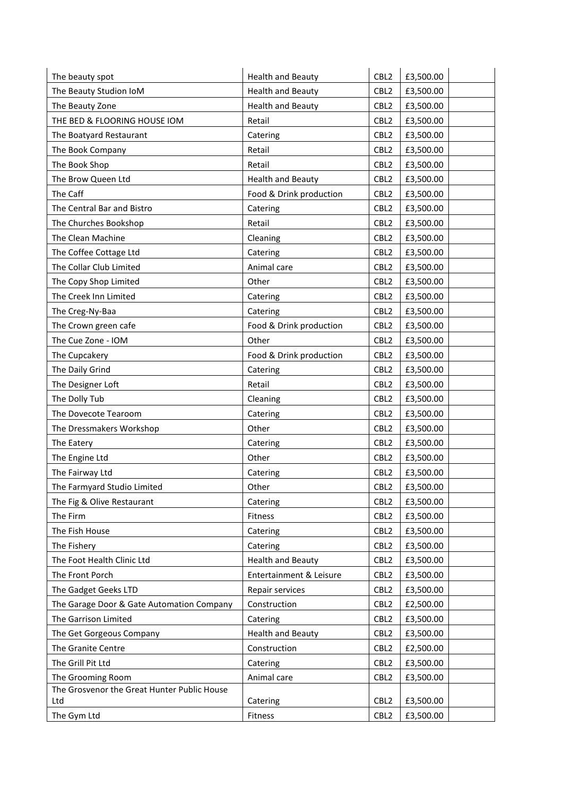| The beauty spot                             | <b>Health and Beauty</b> | CBL <sub>2</sub> | £3,500.00 |
|---------------------------------------------|--------------------------|------------------|-----------|
| The Beauty Studion IoM                      | <b>Health and Beauty</b> | CBL <sub>2</sub> | £3,500.00 |
| The Beauty Zone                             | <b>Health and Beauty</b> | CBL <sub>2</sub> | £3,500.00 |
| THE BED & FLOORING HOUSE IOM                | Retail                   | CBL <sub>2</sub> | £3,500.00 |
| The Boatyard Restaurant                     | Catering                 | CBL <sub>2</sub> | £3,500.00 |
| The Book Company                            | Retail                   | CBL <sub>2</sub> | £3,500.00 |
| The Book Shop                               | Retail                   | CBL <sub>2</sub> | £3,500.00 |
| The Brow Queen Ltd                          | <b>Health and Beauty</b> | CBL <sub>2</sub> | £3,500.00 |
| The Caff                                    | Food & Drink production  | CBL <sub>2</sub> | £3,500.00 |
| The Central Bar and Bistro                  | Catering                 | CBL <sub>2</sub> | £3,500.00 |
| The Churches Bookshop                       | Retail                   | CBL <sub>2</sub> | £3,500.00 |
| The Clean Machine                           | Cleaning                 | CBL <sub>2</sub> | £3,500.00 |
| The Coffee Cottage Ltd                      | Catering                 | CBL <sub>2</sub> | £3,500.00 |
| The Collar Club Limited                     | Animal care              | CBL <sub>2</sub> | £3,500.00 |
| The Copy Shop Limited                       | Other                    | CBL <sub>2</sub> | £3,500.00 |
| The Creek Inn Limited                       | Catering                 | CBL <sub>2</sub> | £3,500.00 |
| The Creg-Ny-Baa                             | Catering                 | CBL <sub>2</sub> | £3,500.00 |
| The Crown green cafe                        | Food & Drink production  | CBL <sub>2</sub> | £3,500.00 |
| The Cue Zone - IOM                          | Other                    | CBL <sub>2</sub> | £3,500.00 |
| The Cupcakery                               | Food & Drink production  | CBL <sub>2</sub> | £3,500.00 |
| The Daily Grind                             | Catering                 | CBL <sub>2</sub> | £3,500.00 |
| The Designer Loft                           | Retail                   | CBL <sub>2</sub> | £3,500.00 |
| The Dolly Tub                               | Cleaning                 | CBL <sub>2</sub> | £3,500.00 |
| The Dovecote Tearoom                        | Catering                 | CBL <sub>2</sub> | £3,500.00 |
| The Dressmakers Workshop                    | Other                    | CBL <sub>2</sub> | £3,500.00 |
| The Eatery                                  | Catering                 | CBL <sub>2</sub> | £3,500.00 |
| The Engine Ltd                              | Other                    | CBL <sub>2</sub> | £3,500.00 |
| The Fairway Ltd                             | Catering                 | CBL <sub>2</sub> | £3,500.00 |
| The Farmyard Studio Limited                 | Other                    | CBL <sub>2</sub> | £3,500.00 |
| The Fig & Olive Restaurant                  | Catering                 | CBL <sub>2</sub> | £3,500.00 |
| The Firm                                    | Fitness                  | CBL <sub>2</sub> | £3,500.00 |
| The Fish House                              | Catering                 | CBL <sub>2</sub> | £3,500.00 |
| The Fishery                                 | Catering                 | CBL <sub>2</sub> | £3,500.00 |
| The Foot Health Clinic Ltd                  | <b>Health and Beauty</b> | CBL <sub>2</sub> | £3,500.00 |
| The Front Porch                             | Entertainment & Leisure  | CBL <sub>2</sub> | £3,500.00 |
| The Gadget Geeks LTD                        | Repair services          | CBL <sub>2</sub> | £3,500.00 |
| The Garage Door & Gate Automation Company   | Construction             | CBL <sub>2</sub> | £2,500.00 |
| The Garrison Limited                        | Catering                 | CBL <sub>2</sub> | £3,500.00 |
| The Get Gorgeous Company                    | <b>Health and Beauty</b> | CBL <sub>2</sub> | £3,500.00 |
| The Granite Centre                          | Construction             | CBL <sub>2</sub> | £2,500.00 |
| The Grill Pit Ltd                           | Catering                 | CBL <sub>2</sub> | £3,500.00 |
| The Grooming Room                           | Animal care              | CBL <sub>2</sub> | £3,500.00 |
| The Grosvenor the Great Hunter Public House |                          |                  |           |
| Ltd                                         | Catering                 | CBL <sub>2</sub> | £3,500.00 |
| The Gym Ltd                                 | Fitness                  | CBL <sub>2</sub> | £3,500.00 |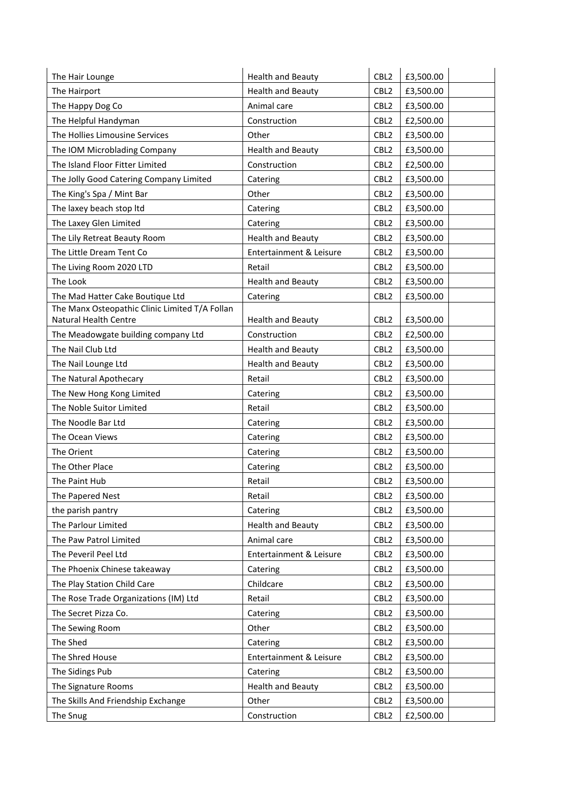| The Hair Lounge                                | <b>Health and Beauty</b> | CBL <sub>2</sub> | £3,500.00 |
|------------------------------------------------|--------------------------|------------------|-----------|
| The Hairport                                   | <b>Health and Beauty</b> | CBL <sub>2</sub> | £3,500.00 |
| The Happy Dog Co                               | Animal care              | CBL <sub>2</sub> | £3,500.00 |
| The Helpful Handyman                           | Construction             | CBL <sub>2</sub> | £2,500.00 |
| The Hollies Limousine Services                 | Other                    | CBL <sub>2</sub> | £3,500.00 |
| The IOM Microblading Company                   | <b>Health and Beauty</b> | CBL <sub>2</sub> | £3,500.00 |
| The Island Floor Fitter Limited                | Construction             | CBL <sub>2</sub> | £2,500.00 |
| The Jolly Good Catering Company Limited        | Catering                 | CBL <sub>2</sub> | £3,500.00 |
| The King's Spa / Mint Bar                      | Other                    | CBL <sub>2</sub> | £3,500.00 |
| The laxey beach stop ltd                       | Catering                 | CBL <sub>2</sub> | £3,500.00 |
| The Laxey Glen Limited                         | Catering                 | CBL <sub>2</sub> | £3,500.00 |
| The Lily Retreat Beauty Room                   | <b>Health and Beauty</b> | CBL <sub>2</sub> | £3,500.00 |
| The Little Dream Tent Co                       | Entertainment & Leisure  | CBL <sub>2</sub> | £3,500.00 |
| The Living Room 2020 LTD                       | Retail                   | CBL <sub>2</sub> | £3,500.00 |
| The Look                                       | <b>Health and Beauty</b> | CBL <sub>2</sub> | £3,500.00 |
| The Mad Hatter Cake Boutique Ltd               | Catering                 | CBL <sub>2</sub> | £3,500.00 |
| The Manx Osteopathic Clinic Limited T/A Follan |                          |                  |           |
| Natural Health Centre                          | <b>Health and Beauty</b> | CBL <sub>2</sub> | £3,500.00 |
| The Meadowgate building company Ltd            | Construction             | CBL <sub>2</sub> | £2,500.00 |
| The Nail Club Ltd                              | <b>Health and Beauty</b> | CBL <sub>2</sub> | £3,500.00 |
| The Nail Lounge Ltd                            | <b>Health and Beauty</b> | CBL <sub>2</sub> | £3,500.00 |
| The Natural Apothecary                         | Retail                   | CBL <sub>2</sub> | £3,500.00 |
| The New Hong Kong Limited                      | Catering                 | CBL <sub>2</sub> | £3,500.00 |
| The Noble Suitor Limited                       | Retail                   | CBL <sub>2</sub> | £3,500.00 |
| The Noodle Bar Ltd                             | Catering                 | CBL <sub>2</sub> | £3,500.00 |
| The Ocean Views                                | Catering                 | CBL <sub>2</sub> | £3,500.00 |
| The Orient                                     | Catering                 | CBL <sub>2</sub> | £3,500.00 |
| The Other Place                                | Catering                 | CBL <sub>2</sub> | £3,500.00 |
| The Paint Hub                                  | Retail                   | CBL <sub>2</sub> | £3,500.00 |
| The Papered Nest                               | Retail                   | CBL <sub>2</sub> | £3,500.00 |
| the parish pantry                              | Catering                 | CBL <sub>2</sub> | £3,500.00 |
| The Parlour Limited                            | <b>Health and Beauty</b> | CBL <sub>2</sub> | £3,500.00 |
| The Paw Patrol Limited                         | Animal care              | CBL <sub>2</sub> | £3,500.00 |
| The Peveril Peel Ltd                           | Entertainment & Leisure  | CBL <sub>2</sub> | £3,500.00 |
| The Phoenix Chinese takeaway                   | Catering                 | CBL <sub>2</sub> | £3,500.00 |
| The Play Station Child Care                    | Childcare                | CBL <sub>2</sub> | £3,500.00 |
| The Rose Trade Organizations (IM) Ltd          | Retail                   | CBL <sub>2</sub> | £3,500.00 |
| The Secret Pizza Co.                           | Catering                 | CBL <sub>2</sub> | £3,500.00 |
| The Sewing Room                                | Other                    | CBL <sub>2</sub> | £3,500.00 |
| The Shed                                       | Catering                 | CBL <sub>2</sub> | £3,500.00 |
| The Shred House                                | Entertainment & Leisure  | CBL <sub>2</sub> | £3,500.00 |
| The Sidings Pub                                | Catering                 | CBL <sub>2</sub> | £3,500.00 |
| The Signature Rooms                            | <b>Health and Beauty</b> | CBL <sub>2</sub> | £3,500.00 |
| The Skills And Friendship Exchange             | Other                    | CBL <sub>2</sub> | £3,500.00 |
| The Snug                                       | Construction             | CBL <sub>2</sub> | £2,500.00 |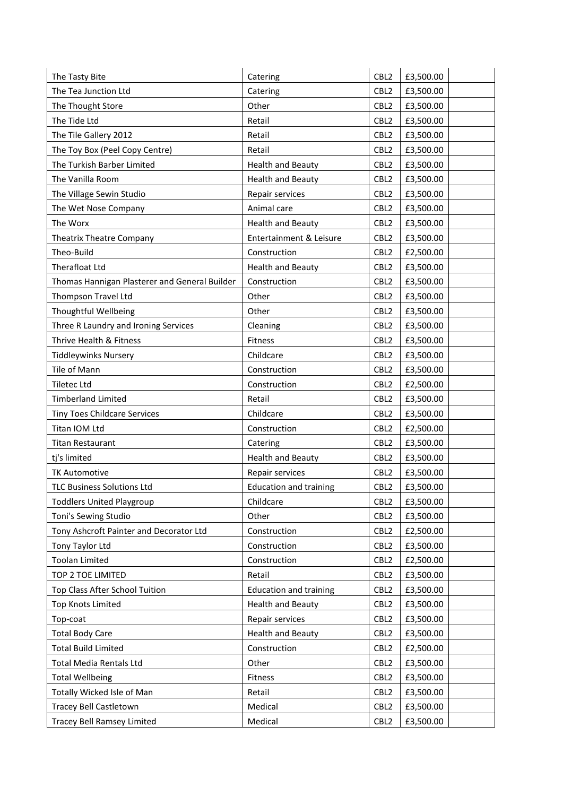| The Tasty Bite                                | Catering                      | CBL <sub>2</sub> | £3,500.00 |
|-----------------------------------------------|-------------------------------|------------------|-----------|
| The Tea Junction Ltd                          | Catering                      | CBL <sub>2</sub> | £3,500.00 |
| The Thought Store                             | Other                         | CBL <sub>2</sub> | £3,500.00 |
| The Tide Ltd                                  | Retail                        | CBL <sub>2</sub> | £3,500.00 |
| The Tile Gallery 2012                         | Retail                        | CBL <sub>2</sub> | £3,500.00 |
| The Toy Box (Peel Copy Centre)                | Retail                        | CBL <sub>2</sub> | £3,500.00 |
| The Turkish Barber Limited                    | <b>Health and Beauty</b>      | CBL <sub>2</sub> | £3,500.00 |
| The Vanilla Room                              | <b>Health and Beauty</b>      | CBL <sub>2</sub> | £3,500.00 |
| The Village Sewin Studio                      | Repair services               | CBL <sub>2</sub> | £3,500.00 |
| The Wet Nose Company                          | Animal care                   | CBL <sub>2</sub> | £3,500.00 |
| The Worx                                      | <b>Health and Beauty</b>      | CBL <sub>2</sub> | £3,500.00 |
| <b>Theatrix Theatre Company</b>               | Entertainment & Leisure       | CBL <sub>2</sub> | £3,500.00 |
| Theo-Build                                    | Construction                  | CBL <sub>2</sub> | £2,500.00 |
| Therafloat Ltd                                | <b>Health and Beauty</b>      | CBL <sub>2</sub> | £3,500.00 |
| Thomas Hannigan Plasterer and General Builder | Construction                  | CBL <sub>2</sub> | £3,500.00 |
| Thompson Travel Ltd                           | Other                         | CBL <sub>2</sub> | £3,500.00 |
| Thoughtful Wellbeing                          | Other                         | CBL <sub>2</sub> | £3,500.00 |
| Three R Laundry and Ironing Services          | Cleaning                      | CBL <sub>2</sub> | £3,500.00 |
| Thrive Health & Fitness                       | Fitness                       | CBL <sub>2</sub> | £3,500.00 |
| <b>Tiddleywinks Nursery</b>                   | Childcare                     | CBL <sub>2</sub> | £3,500.00 |
| Tile of Mann                                  | Construction                  | CBL <sub>2</sub> | £3,500.00 |
| <b>Tiletec Ltd</b>                            | Construction                  | CBL <sub>2</sub> | £2,500.00 |
| <b>Timberland Limited</b>                     | Retail                        | CBL <sub>2</sub> | £3,500.00 |
| <b>Tiny Toes Childcare Services</b>           | Childcare                     | CBL <sub>2</sub> | £3,500.00 |
| Titan IOM Ltd                                 | Construction                  | CBL <sub>2</sub> | £2,500.00 |
| <b>Titan Restaurant</b>                       | Catering                      | CBL <sub>2</sub> | £3,500.00 |
| tj's limited                                  | <b>Health and Beauty</b>      | CBL <sub>2</sub> | £3,500.00 |
| <b>TK Automotive</b>                          | Repair services               | CBL <sub>2</sub> | £3,500.00 |
| <b>TLC Business Solutions Ltd</b>             | <b>Education and training</b> | CBL <sub>2</sub> | £3,500.00 |
| <b>Toddlers United Playgroup</b>              | Childcare                     | CBL <sub>2</sub> | £3,500.00 |
| Toni's Sewing Studio                          | Other                         | CBL <sub>2</sub> | £3,500.00 |
| Tony Ashcroft Painter and Decorator Ltd       | Construction                  | CBL <sub>2</sub> | £2,500.00 |
| Tony Taylor Ltd                               | Construction                  | CBL <sub>2</sub> | £3,500.00 |
| <b>Toolan Limited</b>                         | Construction                  | CBL <sub>2</sub> | £2,500.00 |
| TOP 2 TOE LIMITED                             | Retail                        | CBL <sub>2</sub> | £3,500.00 |
| Top Class After School Tuition                | <b>Education and training</b> | CBL <sub>2</sub> | £3,500.00 |
| <b>Top Knots Limited</b>                      | <b>Health and Beauty</b>      | CBL <sub>2</sub> | £3,500.00 |
| Top-coat                                      | Repair services               | CBL <sub>2</sub> | £3,500.00 |
| <b>Total Body Care</b>                        | <b>Health and Beauty</b>      | CBL <sub>2</sub> | £3,500.00 |
| <b>Total Build Limited</b>                    | Construction                  | CBL <sub>2</sub> | £2,500.00 |
| <b>Total Media Rentals Ltd</b>                | Other                         | CBL <sub>2</sub> | £3,500.00 |
| <b>Total Wellbeing</b>                        | Fitness                       | CBL <sub>2</sub> | £3,500.00 |
| Totally Wicked Isle of Man                    | Retail                        | CBL <sub>2</sub> | £3,500.00 |
| <b>Tracey Bell Castletown</b>                 | Medical                       | CBL <sub>2</sub> | £3,500.00 |
| Tracey Bell Ramsey Limited                    | Medical                       | CBL <sub>2</sub> | £3,500.00 |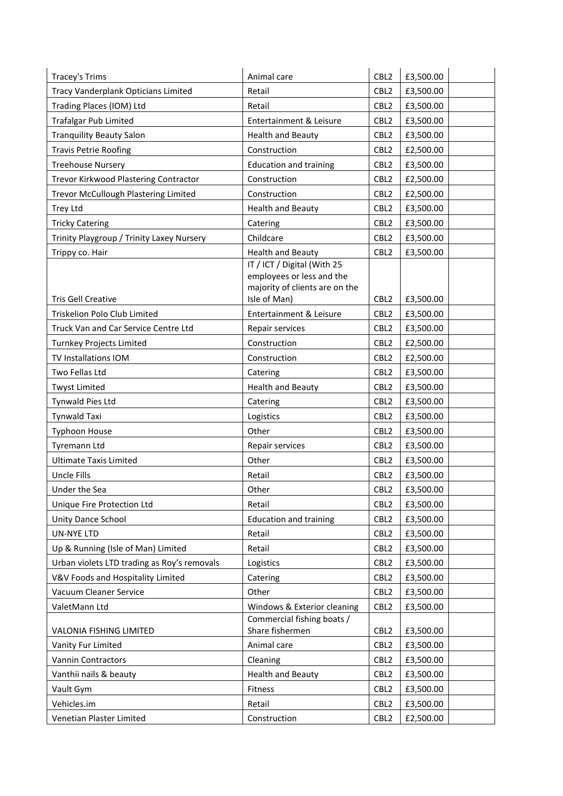| Tracey's Trims                              | Animal care                                                 | CBL <sub>2</sub> | £3,500.00 |
|---------------------------------------------|-------------------------------------------------------------|------------------|-----------|
| Tracy Vanderplank Opticians Limited         | Retail                                                      | CBL <sub>2</sub> | £3,500.00 |
| Trading Places (IOM) Ltd                    | Retail                                                      | CBL <sub>2</sub> | £3,500.00 |
| <b>Trafalgar Pub Limited</b>                | Entertainment & Leisure                                     | CBL <sub>2</sub> | £3,500.00 |
| <b>Tranquility Beauty Salon</b>             | <b>Health and Beauty</b>                                    | CBL <sub>2</sub> | £3,500.00 |
| <b>Travis Petrie Roofing</b>                | Construction                                                | CBL <sub>2</sub> | £2,500.00 |
| <b>Treehouse Nursery</b>                    | <b>Education and training</b>                               | CBL <sub>2</sub> | £3,500.00 |
| Trevor Kirkwood Plastering Contractor       | Construction                                                | CBL <sub>2</sub> | £2,500.00 |
| Trevor McCullough Plastering Limited        | Construction                                                | CBL <sub>2</sub> | £2,500.00 |
| Trey Ltd                                    | <b>Health and Beauty</b>                                    | CBL <sub>2</sub> | £3,500.00 |
| <b>Tricky Catering</b>                      | Catering                                                    | CBL <sub>2</sub> | £3,500.00 |
| Trinity Playgroup / Trinity Laxey Nursery   | Childcare                                                   | CBL <sub>2</sub> | £3,500.00 |
| Trippy co. Hair                             | <b>Health and Beauty</b>                                    | CBL <sub>2</sub> | £3,500.00 |
|                                             | IT / ICT / Digital (With 25                                 |                  |           |
|                                             | employees or less and the<br>majority of clients are on the |                  |           |
| <b>Tris Gell Creative</b>                   | Isle of Man)                                                | CBL <sub>2</sub> | £3,500.00 |
| Triskelion Polo Club Limited                | Entertainment & Leisure                                     | CBL <sub>2</sub> | £3,500.00 |
| Truck Van and Car Service Centre Ltd        | Repair services                                             | CBL <sub>2</sub> | £3,500.00 |
| <b>Turnkey Projects Limited</b>             | Construction                                                | CBL <sub>2</sub> | £2,500.00 |
| TV Installations IOM                        | Construction                                                | CBL <sub>2</sub> | £2,500.00 |
| Two Fellas Ltd                              | Catering                                                    | CBL <sub>2</sub> | £3,500.00 |
| <b>Twyst Limited</b>                        | <b>Health and Beauty</b>                                    | CBL <sub>2</sub> | £3,500.00 |
| Tynwald Pies Ltd                            | Catering                                                    | CBL <sub>2</sub> | £3,500.00 |
| <b>Tynwald Taxi</b>                         | Logistics                                                   | CBL <sub>2</sub> | £3,500.00 |
| <b>Typhoon House</b>                        | Other                                                       | CBL <sub>2</sub> | £3,500.00 |
| Tyremann Ltd                                | Repair services                                             | CBL <sub>2</sub> | £3,500.00 |
| <b>Ultimate Taxis Limited</b>               | Other                                                       | CBL <sub>2</sub> | £3,500.00 |
| Uncle Fills                                 | Retail                                                      | CBL <sub>2</sub> | £3,500.00 |
| Under the Sea                               | Other                                                       | CBL <sub>2</sub> | £3,500.00 |
| Unique Fire Protection Ltd                  | Retail                                                      | CBL <sub>2</sub> | £3,500.00 |
| Unity Dance School                          | <b>Education and training</b>                               | CBL <sub>2</sub> | £3,500.00 |
| <b>UN-NYE LTD</b>                           | Retail                                                      | CBL <sub>2</sub> | £3,500.00 |
| Up & Running (Isle of Man) Limited          | Retail                                                      | CBL <sub>2</sub> | £3,500.00 |
| Urban violets LTD trading as Roy's removals | Logistics                                                   | CBL <sub>2</sub> | £3,500.00 |
| V&V Foods and Hospitality Limited           | Catering                                                    | CBL <sub>2</sub> | £3,500.00 |
| Vacuum Cleaner Service                      | Other                                                       | CBL <sub>2</sub> | £3,500.00 |
| ValetMann Ltd                               | Windows & Exterior cleaning                                 | CBL <sub>2</sub> | £3,500.00 |
|                                             | Commercial fishing boats /                                  |                  |           |
| VALONIA FISHING LIMITED                     | Share fishermen                                             | CBL <sub>2</sub> | £3,500.00 |
| Vanity Fur Limited                          | Animal care                                                 | CBL <sub>2</sub> | £3,500.00 |
| Vannin Contractors                          | Cleaning                                                    | CBL <sub>2</sub> | £3,500.00 |
| Vanthii nails & beauty                      | <b>Health and Beauty</b>                                    | CBL <sub>2</sub> | £3,500.00 |
| Vault Gym                                   | Fitness                                                     | CBL <sub>2</sub> | £3,500.00 |
| Vehicles.im                                 | Retail                                                      | CBL <sub>2</sub> | £3,500.00 |
| Venetian Plaster Limited                    | Construction                                                | CBL <sub>2</sub> | £2,500.00 |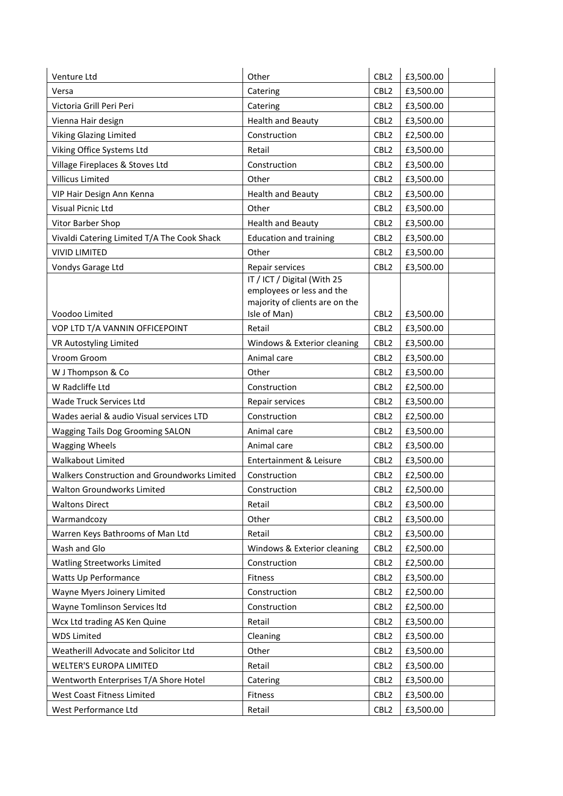| Venture Ltd                                  | Other                                                                                                      | CBL <sub>2</sub> | £3,500.00 |
|----------------------------------------------|------------------------------------------------------------------------------------------------------------|------------------|-----------|
| Versa                                        | Catering                                                                                                   | CBL <sub>2</sub> | £3,500.00 |
| Victoria Grill Peri Peri                     | Catering                                                                                                   | CBL <sub>2</sub> | £3,500.00 |
| Vienna Hair design                           | <b>Health and Beauty</b>                                                                                   | CBL <sub>2</sub> | £3,500.00 |
| <b>Viking Glazing Limited</b>                | Construction                                                                                               | CBL <sub>2</sub> | £2,500.00 |
| Viking Office Systems Ltd                    | Retail                                                                                                     | CBL <sub>2</sub> | £3,500.00 |
| Village Fireplaces & Stoves Ltd              | Construction                                                                                               | CBL <sub>2</sub> | £3,500.00 |
| Villicus Limited                             | Other                                                                                                      | CBL <sub>2</sub> | £3,500.00 |
| VIP Hair Design Ann Kenna                    | <b>Health and Beauty</b>                                                                                   | CBL <sub>2</sub> | £3,500.00 |
| Visual Picnic Ltd                            | Other                                                                                                      | CBL <sub>2</sub> | £3,500.00 |
| Vitor Barber Shop                            | <b>Health and Beauty</b>                                                                                   | CBL <sub>2</sub> | £3,500.00 |
| Vivaldi Catering Limited T/A The Cook Shack  | <b>Education and training</b>                                                                              | CBL <sub>2</sub> | £3,500.00 |
| <b>VIVID LIMITED</b>                         | Other                                                                                                      | CBL <sub>2</sub> | £3,500.00 |
| Vondys Garage Ltd                            | Repair services                                                                                            | CBL <sub>2</sub> | £3,500.00 |
| Voodoo Limited                               | IT / ICT / Digital (With 25<br>employees or less and the<br>majority of clients are on the<br>Isle of Man) | CBL <sub>2</sub> | £3,500.00 |
| VOP LTD T/A VANNIN OFFICEPOINT               | Retail                                                                                                     | CBL <sub>2</sub> | £3,500.00 |
| VR Autostyling Limited                       | Windows & Exterior cleaning                                                                                | CBL <sub>2</sub> | £3,500.00 |
| Vroom Groom                                  | Animal care                                                                                                | CBL <sub>2</sub> | £3,500.00 |
| W J Thompson & Co                            | Other                                                                                                      | CBL <sub>2</sub> | £3,500.00 |
| W Radcliffe Ltd                              | Construction                                                                                               | CBL <sub>2</sub> | £2,500.00 |
| Wade Truck Services Ltd                      | Repair services                                                                                            | CBL <sub>2</sub> | £3,500.00 |
| Wades aerial & audio Visual services LTD     | Construction                                                                                               | CBL <sub>2</sub> | £2,500.00 |
| <b>Wagging Tails Dog Grooming SALON</b>      | Animal care                                                                                                | CBL <sub>2</sub> | £3,500.00 |
| <b>Wagging Wheels</b>                        | Animal care                                                                                                | CBL <sub>2</sub> | £3,500.00 |
| <b>Walkabout Limited</b>                     | Entertainment & Leisure                                                                                    | CBL <sub>2</sub> | £3,500.00 |
| Walkers Construction and Groundworks Limited | Construction                                                                                               | CBL <sub>2</sub> | £2,500.00 |
| Walton Groundworks Limited                   | Construction                                                                                               | CBL <sub>2</sub> | £2,500.00 |
| <b>Waltons Direct</b>                        | Retail                                                                                                     | CBL <sub>2</sub> | £3,500.00 |
| Warmandcozy                                  | Other                                                                                                      | CBL <sub>2</sub> | £3,500.00 |
| Warren Keys Bathrooms of Man Ltd             | Retail                                                                                                     | CBL <sub>2</sub> | £3,500.00 |
| Wash and Glo                                 | Windows & Exterior cleaning                                                                                | CBL <sub>2</sub> | £2,500.00 |
| Watling Streetworks Limited                  | Construction                                                                                               | CBL <sub>2</sub> | £2,500.00 |
| Watts Up Performance                         | Fitness                                                                                                    | CBL <sub>2</sub> | £3,500.00 |
| Wayne Myers Joinery Limited                  | Construction                                                                                               | CBL <sub>2</sub> | £2,500.00 |
| Wayne Tomlinson Services Itd                 | Construction                                                                                               | CBL <sub>2</sub> | £2,500.00 |
| Wcx Ltd trading AS Ken Quine                 | Retail                                                                                                     | CBL <sub>2</sub> | £3,500.00 |
| <b>WDS Limited</b>                           | Cleaning                                                                                                   | CBL <sub>2</sub> | £3,500.00 |
| Weatherill Advocate and Solicitor Ltd        | Other                                                                                                      | CBL <sub>2</sub> | £3,500.00 |
| WELTER'S EUROPA LIMITED                      | Retail                                                                                                     | CBL <sub>2</sub> | £3,500.00 |
| Wentworth Enterprises T/A Shore Hotel        | Catering                                                                                                   | CBL <sub>2</sub> | £3,500.00 |
| West Coast Fitness Limited                   | Fitness                                                                                                    | CBL <sub>2</sub> | £3,500.00 |
| West Performance Ltd                         | Retail                                                                                                     | CBL <sub>2</sub> | £3,500.00 |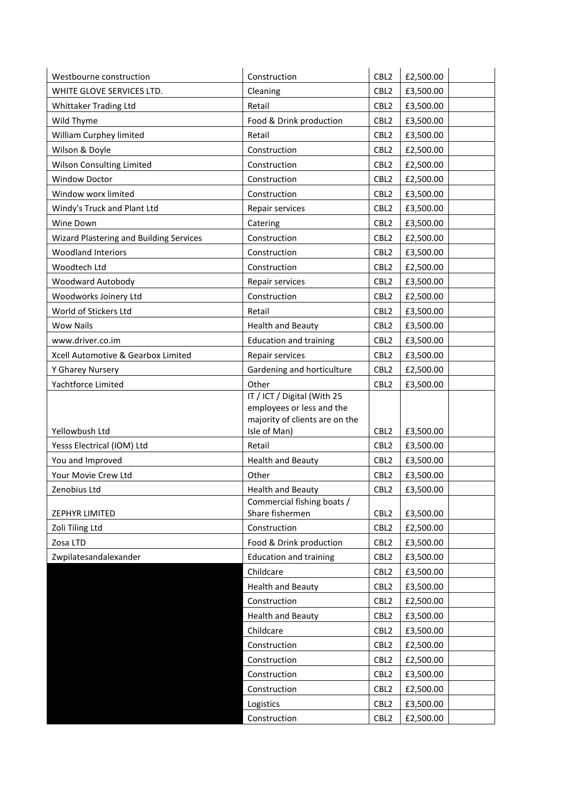| Westbourne construction                 | Construction                                                | CBL <sub>2</sub>                     | £2,500.00              |
|-----------------------------------------|-------------------------------------------------------------|--------------------------------------|------------------------|
| WHITE GLOVE SERVICES LTD.               | Cleaning                                                    | CBL <sub>2</sub>                     | £3,500.00              |
| Whittaker Trading Ltd                   | Retail                                                      | CBL <sub>2</sub>                     | £3,500.00              |
| Wild Thyme                              | Food & Drink production                                     | CBL <sub>2</sub>                     | £3,500.00              |
| William Curphey limited                 | Retail                                                      | CBL <sub>2</sub>                     | £3,500.00              |
| Wilson & Doyle                          | Construction                                                | CBL <sub>2</sub>                     | £2,500.00              |
| Wilson Consulting Limited               | Construction                                                | CBL <sub>2</sub>                     | £2,500.00              |
| <b>Window Doctor</b>                    | Construction                                                | CBL <sub>2</sub>                     | £2,500.00              |
| Window worx limited                     | Construction                                                | CBL <sub>2</sub>                     | £3,500.00              |
| Windy's Truck and Plant Ltd             | Repair services                                             | CBL <sub>2</sub>                     | £3,500.00              |
| Wine Down                               | Catering                                                    | CBL <sub>2</sub>                     | £3,500.00              |
| Wizard Plastering and Building Services | Construction                                                | CBL <sub>2</sub>                     | £2,500.00              |
| <b>Woodland Interiors</b>               | Construction                                                | CBL <sub>2</sub>                     | £3,500.00              |
| Woodtech Ltd                            | Construction                                                | CBL <sub>2</sub>                     | £2,500.00              |
| Woodward Autobody                       | Repair services                                             | CBL <sub>2</sub>                     | £3,500.00              |
| Woodworks Joinery Ltd                   | Construction                                                | CBL <sub>2</sub>                     | £2,500.00              |
| World of Stickers Ltd                   | Retail                                                      | CBL <sub>2</sub>                     | £3,500.00              |
| <b>Wow Nails</b>                        | <b>Health and Beauty</b>                                    | CBL <sub>2</sub>                     | £3,500.00              |
| www.driver.co.im                        | <b>Education and training</b>                               | CBL <sub>2</sub>                     | £3,500.00              |
| Xcell Automotive & Gearbox Limited      | Repair services                                             | CBL <sub>2</sub>                     | £3,500.00              |
| Y Gharey Nursery                        | Gardening and horticulture                                  | CBL <sub>2</sub>                     | £2,500.00              |
| Yachtforce Limited                      | Other                                                       | CBL <sub>2</sub>                     | £3,500.00              |
|                                         | IT / ICT / Digital (With 25                                 |                                      |                        |
|                                         | employees or less and the<br>majority of clients are on the |                                      |                        |
| Yellowbush Ltd                          | Isle of Man)                                                | CBL <sub>2</sub>                     | £3,500.00              |
| Yesss Electrical (IOM) Ltd              | Retail                                                      | CBL <sub>2</sub>                     | £3,500.00              |
| You and Improved                        | <b>Health and Beauty</b>                                    | CBL <sub>2</sub>                     | £3,500.00              |
| Your Movie Crew Ltd                     | Other                                                       | CBL <sub>2</sub>                     | £3,500.00              |
| Zenobius Ltd                            | <b>Health and Beauty</b>                                    | CBL <sub>2</sub>                     | £3,500.00              |
|                                         | Commercial fishing boats /                                  |                                      |                        |
| ZEPHYR LIMITED                          | Share fishermen                                             | CBL <sub>2</sub>                     | £3,500.00              |
| Zoli Tiling Ltd                         | Construction                                                | CBL <sub>2</sub>                     | £2,500.00              |
| Zosa LTD                                | Food & Drink production                                     | CBL <sub>2</sub>                     | £3,500.00              |
| Zwpilatesandalexander                   | <b>Education and training</b>                               | CBL <sub>2</sub>                     | £3,500.00              |
|                                         | Childcare                                                   | CBL <sub>2</sub>                     | £3,500.00              |
|                                         | <b>Health and Beauty</b>                                    | CBL <sub>2</sub>                     | £3,500.00              |
|                                         | Construction                                                | CBL <sub>2</sub>                     | £2,500.00              |
|                                         | <b>Health and Beauty</b>                                    | CBL <sub>2</sub>                     | £3,500.00              |
|                                         | Childcare                                                   | CBL <sub>2</sub>                     | £3,500.00              |
|                                         | Construction                                                | CBL <sub>2</sub>                     | £2,500.00              |
|                                         | Construction                                                | CBL <sub>2</sub>                     | £2,500.00              |
|                                         | Construction                                                | CBL <sub>2</sub>                     | £3,500.00              |
|                                         |                                                             |                                      |                        |
|                                         | Construction                                                | CBL <sub>2</sub>                     | £2,500.00              |
|                                         | Logistics<br>Construction                                   | CBL <sub>2</sub><br>CBL <sub>2</sub> | £3,500.00<br>£2,500.00 |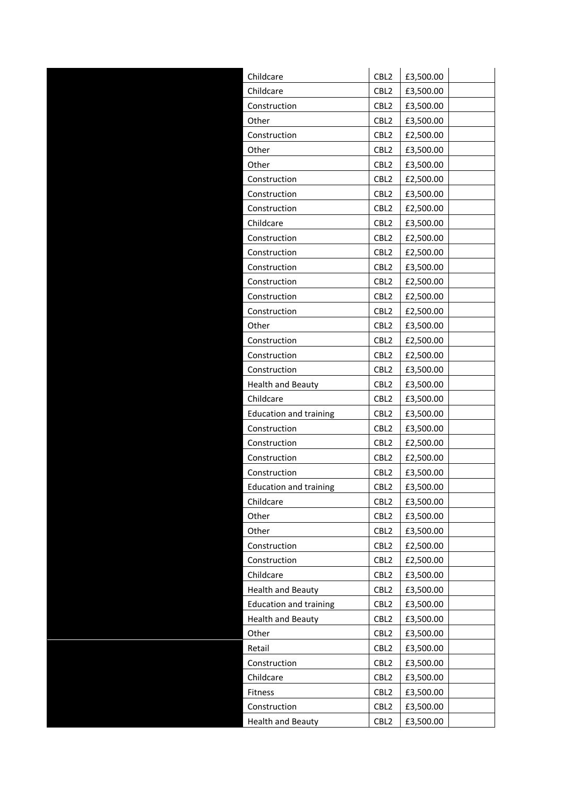| Childcare                     | CBL <sub>2</sub> | £3,500.00 |
|-------------------------------|------------------|-----------|
| Childcare                     | CBL <sub>2</sub> | £3,500.00 |
| Construction                  | CBL <sub>2</sub> | £3,500.00 |
| Other                         | CBL <sub>2</sub> | £3,500.00 |
| Construction                  | CBL <sub>2</sub> | £2,500.00 |
| Other                         | CBL <sub>2</sub> | £3,500.00 |
| Other                         | CBL <sub>2</sub> | £3,500.00 |
| Construction                  | CBL <sub>2</sub> | £2,500.00 |
| Construction                  | CBL <sub>2</sub> | £3,500.00 |
| Construction                  | CBL <sub>2</sub> | £2,500.00 |
| Childcare                     | CBL <sub>2</sub> | £3,500.00 |
| Construction                  | CBL <sub>2</sub> | £2,500.00 |
| Construction                  | CBL <sub>2</sub> | £2,500.00 |
| Construction                  | CBL <sub>2</sub> | £3,500.00 |
| Construction                  | CBL <sub>2</sub> | £2,500.00 |
| Construction                  | CBL <sub>2</sub> | £2,500.00 |
| Construction                  | CBL <sub>2</sub> | £2,500.00 |
| Other                         | CBL <sub>2</sub> | £3,500.00 |
| Construction                  | CBL <sub>2</sub> | £2,500.00 |
| Construction                  | CBL <sub>2</sub> | £2,500.00 |
| Construction                  | CBL <sub>2</sub> | £3,500.00 |
| <b>Health and Beauty</b>      | CBL <sub>2</sub> | £3,500.00 |
| Childcare                     | CBL <sub>2</sub> | £3,500.00 |
| <b>Education and training</b> | CBL <sub>2</sub> | £3,500.00 |
| Construction                  | CBL <sub>2</sub> | £3,500.00 |
| Construction                  | CBL <sub>2</sub> | £2,500.00 |
| Construction                  | CBL <sub>2</sub> | £2,500.00 |
| Construction                  | CBL <sub>2</sub> | £3,500.00 |
| <b>Education and training</b> | CBL <sub>2</sub> | £3,500.00 |
| Childcare                     | CBL <sub>2</sub> | £3,500.00 |
| Other                         | CBL <sub>2</sub> | £3,500.00 |
| Other                         | CBL <sub>2</sub> | £3,500.00 |
| Construction                  | CBL <sub>2</sub> | £2,500.00 |
| Construction                  | CBL <sub>2</sub> | £2,500.00 |
| Childcare                     | CBL <sub>2</sub> | £3,500.00 |
| <b>Health and Beauty</b>      | CBL <sub>2</sub> | £3,500.00 |
| <b>Education and training</b> | CBL <sub>2</sub> | £3,500.00 |
| <b>Health and Beauty</b>      | CBL <sub>2</sub> | £3,500.00 |
| Other                         | CBL <sub>2</sub> | £3,500.00 |
| Retail                        | CBL <sub>2</sub> | £3,500.00 |
| Construction                  | CBL <sub>2</sub> | £3,500.00 |
| Childcare                     | CBL <sub>2</sub> | £3,500.00 |
| Fitness                       | CBL <sub>2</sub> | £3,500.00 |
| Construction                  | CBL <sub>2</sub> | £3,500.00 |
| <b>Health and Beauty</b>      | CBL <sub>2</sub> | £3,500.00 |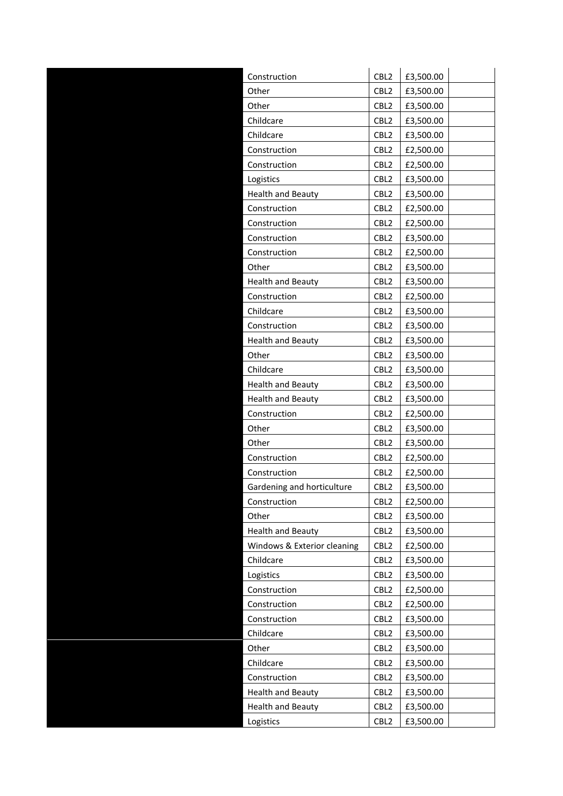| Construction                | CBL <sub>2</sub> | £3,500.00 |
|-----------------------------|------------------|-----------|
| Other                       | CBL <sub>2</sub> | £3,500.00 |
| Other                       | CBL <sub>2</sub> | £3,500.00 |
| Childcare                   | CBL <sub>2</sub> | £3,500.00 |
| Childcare                   | CBL <sub>2</sub> | £3,500.00 |
| Construction                | CBL <sub>2</sub> | £2,500.00 |
| Construction                | CBL <sub>2</sub> | £2,500.00 |
| Logistics                   | CBL <sub>2</sub> | £3,500.00 |
| <b>Health and Beauty</b>    | CBL <sub>2</sub> | £3,500.00 |
| Construction                | CBL <sub>2</sub> | £2,500.00 |
| Construction                | CBL <sub>2</sub> | £2,500.00 |
| Construction                | CBL <sub>2</sub> | £3,500.00 |
| Construction                | CBL <sub>2</sub> | £2,500.00 |
| Other                       | CBL <sub>2</sub> | £3,500.00 |
| <b>Health and Beauty</b>    | CBL <sub>2</sub> | £3,500.00 |
| Construction                | CBL <sub>2</sub> | £2,500.00 |
| Childcare                   | CBL <sub>2</sub> | £3,500.00 |
| Construction                | CBL <sub>2</sub> | £3,500.00 |
| <b>Health and Beauty</b>    | CBL <sub>2</sub> | £3,500.00 |
| Other                       | CBL <sub>2</sub> | £3,500.00 |
| Childcare                   | CBL <sub>2</sub> | £3,500.00 |
| <b>Health and Beauty</b>    | CBL <sub>2</sub> | £3,500.00 |
| <b>Health and Beauty</b>    | CBL <sub>2</sub> | £3,500.00 |
| Construction                | CBL <sub>2</sub> | £2,500.00 |
| Other                       | CBL <sub>2</sub> | £3,500.00 |
| Other                       | CBL <sub>2</sub> | £3,500.00 |
| Construction                | CBL <sub>2</sub> | £2,500.00 |
| Construction                | CBL <sub>2</sub> | £2,500.00 |
| Gardening and horticulture  | CBL <sub>2</sub> | £3,500.00 |
| Construction                | CBL <sub>2</sub> | £2,500.00 |
| Other                       | CBL <sub>2</sub> | £3,500.00 |
| <b>Health and Beauty</b>    | CBL <sub>2</sub> | £3,500.00 |
| Windows & Exterior cleaning | CBL <sub>2</sub> | £2,500.00 |
| Childcare                   | CBL <sub>2</sub> | £3,500.00 |
| Logistics                   | CBL <sub>2</sub> | £3,500.00 |
| Construction                | CBL <sub>2</sub> | £2,500.00 |
| Construction                | CBL <sub>2</sub> | £2,500.00 |
| Construction                | CBL <sub>2</sub> | £3,500.00 |
| Childcare                   | CBL <sub>2</sub> | £3,500.00 |
| Other                       | CBL <sub>2</sub> | £3,500.00 |
| Childcare                   | CBL <sub>2</sub> | £3,500.00 |
| Construction                | CBL <sub>2</sub> | £3,500.00 |
| <b>Health and Beauty</b>    | CBL <sub>2</sub> | £3,500.00 |
| <b>Health and Beauty</b>    | CBL <sub>2</sub> | £3,500.00 |
| Logistics                   | CBL <sub>2</sub> | £3,500.00 |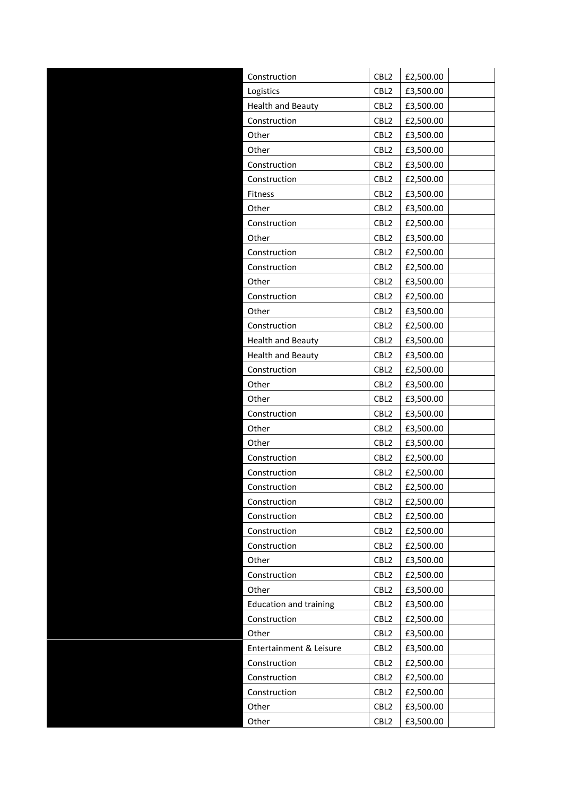| Construction                  | CBL <sub>2</sub> | £2,500.00 |
|-------------------------------|------------------|-----------|
| Logistics                     | CBL <sub>2</sub> | £3,500.00 |
| <b>Health and Beauty</b>      | CBL <sub>2</sub> | £3,500.00 |
| Construction                  | CBL <sub>2</sub> | £2,500.00 |
| Other                         | CBL <sub>2</sub> | £3,500.00 |
| Other                         | CBL <sub>2</sub> | £3,500.00 |
| Construction                  | CBL <sub>2</sub> | £3,500.00 |
| Construction                  | CBL <sub>2</sub> | £2,500.00 |
| Fitness                       | CBL <sub>2</sub> | £3,500.00 |
| Other                         | CBL <sub>2</sub> | £3,500.00 |
| Construction                  | CBL <sub>2</sub> | £2,500.00 |
| Other                         | CBL <sub>2</sub> | £3,500.00 |
| Construction                  | CBL <sub>2</sub> | £2,500.00 |
| Construction                  | CBL <sub>2</sub> | £2,500.00 |
| Other                         | CBL <sub>2</sub> | £3,500.00 |
| Construction                  | CBL <sub>2</sub> | £2,500.00 |
| Other                         | CBL <sub>2</sub> | £3,500.00 |
| Construction                  | CBL <sub>2</sub> | £2,500.00 |
| Health and Beauty             | CBL <sub>2</sub> | £3,500.00 |
| <b>Health and Beauty</b>      | CBL <sub>2</sub> | £3,500.00 |
| Construction                  | CBL <sub>2</sub> | £2,500.00 |
| Other                         | CBL2             | £3,500.00 |
| Other                         | CBL <sub>2</sub> | £3,500.00 |
| Construction                  | CBL <sub>2</sub> | £3,500.00 |
| Other                         | CBL <sub>2</sub> | £3,500.00 |
| Other                         | CBL <sub>2</sub> | £3,500.00 |
| Construction                  | CBL <sub>2</sub> | £2,500.00 |
| Construction                  | CBL <sub>2</sub> | £2,500.00 |
| Construction                  | CBL <sub>2</sub> | £2,500.00 |
| Construction                  | CBL <sub>2</sub> | £2,500.00 |
| Construction                  | CBL <sub>2</sub> | £2,500.00 |
| Construction                  | CBL <sub>2</sub> | £2,500.00 |
| Construction                  | CBL <sub>2</sub> | £2,500.00 |
| Other                         | CBL <sub>2</sub> | £3,500.00 |
| Construction                  | CBL <sub>2</sub> | £2,500.00 |
| Other                         | CBL <sub>2</sub> | £3,500.00 |
| <b>Education and training</b> | CBL <sub>2</sub> | £3,500.00 |
| Construction                  | CBL <sub>2</sub> | £2,500.00 |
| Other                         | CBL <sub>2</sub> | £3,500.00 |
| Entertainment & Leisure       | CBL <sub>2</sub> | £3,500.00 |
| Construction                  | CBL <sub>2</sub> | £2,500.00 |
| Construction                  | CBL <sub>2</sub> | £2,500.00 |
| Construction                  | CBL <sub>2</sub> | £2,500.00 |
| Other                         | CBL <sub>2</sub> | £3,500.00 |
| Other                         | CBL <sub>2</sub> | £3,500.00 |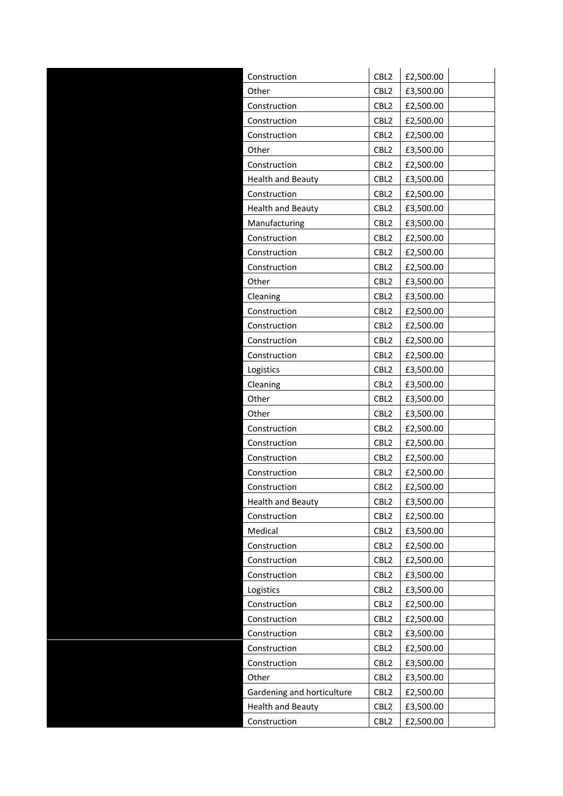|       | Construction               | CBL <sub>2</sub> | £2,500.00 |
|-------|----------------------------|------------------|-----------|
| Other |                            | CBL <sub>2</sub> | £3,500.00 |
|       | Construction               | CBL <sub>2</sub> | £2,500.00 |
|       | Construction               | CBL <sub>2</sub> | £2,500.00 |
|       | Construction               | CBL2             | £2,500.00 |
| Other |                            | CBL <sub>2</sub> | £3,500.00 |
|       | Construction               | CBL <sub>2</sub> | £2,500.00 |
|       | <b>Health and Beauty</b>   | CBL <sub>2</sub> | £3,500.00 |
|       | Construction               | CBL <sub>2</sub> | £2,500.00 |
|       | <b>Health and Beauty</b>   | CBL <sub>2</sub> | £3,500.00 |
|       | Manufacturing              | CBL <sub>2</sub> | £3,500.00 |
|       | Construction               | CBL <sub>2</sub> | £2,500.00 |
|       | Construction               | CBL <sub>2</sub> | £2,500.00 |
|       | Construction               | CBL <sub>2</sub> | £2,500.00 |
| Other |                            | CBL <sub>2</sub> | £3,500.00 |
|       | Cleaning                   | CBL <sub>2</sub> | £3,500.00 |
|       | Construction               | CBL <sub>2</sub> | £2,500.00 |
|       | Construction               | CBL <sub>2</sub> | £2,500.00 |
|       | Construction               | CBL <sub>2</sub> | £2,500.00 |
|       | Construction               | CBL <sub>2</sub> | £2,500.00 |
|       | Logistics                  | CBL <sub>2</sub> | £3,500.00 |
|       | Cleaning                   | CBL <sub>2</sub> | £3,500.00 |
| Other |                            | CBL <sub>2</sub> | £3,500.00 |
| Other |                            | CBL <sub>2</sub> | £3,500.00 |
|       | Construction               | CBL <sub>2</sub> | £2,500.00 |
|       | Construction               | CBL <sub>2</sub> | £2,500.00 |
|       | Construction               | CBL <sub>2</sub> | £2,500.00 |
|       | Construction               | CBL <sub>2</sub> | £2,500.00 |
|       | Construction               | CBL <sub>2</sub> | £2,500.00 |
|       | <b>Health and Beauty</b>   | CBL <sub>2</sub> | £3,500.00 |
|       | Construction               | CBL <sub>2</sub> | £2,500.00 |
|       | Medical                    | CBL <sub>2</sub> | £3,500.00 |
|       | Construction               | CBL <sub>2</sub> | £2,500.00 |
|       | Construction               | CBL2             | £2,500.00 |
|       | Construction               | CBL <sub>2</sub> | £3,500.00 |
|       | Logistics                  | CBL <sub>2</sub> | £3,500.00 |
|       | Construction               | CBL <sub>2</sub> | £2,500.00 |
|       | Construction               | CBL <sub>2</sub> | £2,500.00 |
|       | Construction               | CBL <sub>2</sub> | £3,500.00 |
|       | Construction               | CBL <sub>2</sub> | £2,500.00 |
|       | Construction               | CBL <sub>2</sub> | £3,500.00 |
| Other |                            | CBL <sub>2</sub> | £3,500.00 |
|       | Gardening and horticulture | CBL <sub>2</sub> | £2,500.00 |
|       | <b>Health and Beauty</b>   | CBL <sub>2</sub> | £3,500.00 |
|       | Construction               | CBL <sub>2</sub> | £2,500.00 |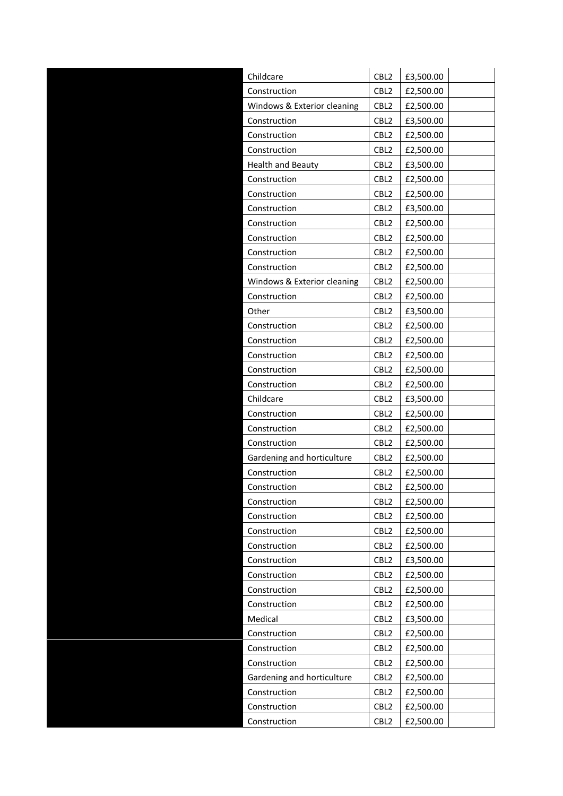| CBL2<br>Childcare                               | £3,500.00 |
|-------------------------------------------------|-----------|
| CBL <sub>2</sub><br>Construction                | £2,500.00 |
| Windows & Exterior cleaning<br>CBL <sub>2</sub> | £2,500.00 |
| CBL <sub>2</sub><br>Construction                | £3,500.00 |
| CBL <sub>2</sub><br>Construction                | £2,500.00 |
| Construction<br>CBL <sub>2</sub>                | £2,500.00 |
| CBL <sub>2</sub><br><b>Health and Beauty</b>    | £3,500.00 |
| Construction<br>CBL <sub>2</sub>                | £2,500.00 |
| Construction<br>CBL <sub>2</sub>                | £2,500.00 |
| CBL <sub>2</sub><br>Construction                | £3,500.00 |
| Construction<br>CBL <sub>2</sub>                | £2,500.00 |
| Construction<br>CBL <sub>2</sub>                | £2,500.00 |
| Construction<br>CBL <sub>2</sub>                | £2,500.00 |
| Construction<br>CBL <sub>2</sub>                | £2,500.00 |
| Windows & Exterior cleaning<br>CBL <sub>2</sub> | £2,500.00 |
| Construction<br>CBL <sub>2</sub>                | £2,500.00 |
| CBL <sub>2</sub><br>Other                       | £3,500.00 |
| Construction<br>CBL <sub>2</sub>                | £2,500.00 |
| CBL <sub>2</sub><br>Construction                | £2,500.00 |
| Construction<br>CBL <sub>2</sub>                | £2,500.00 |
| CBL <sub>2</sub><br>Construction                | £2,500.00 |
| Construction<br>CBL <sub>2</sub>                | £2,500.00 |
| Childcare<br>CBL <sub>2</sub>                   | £3,500.00 |
| CBL <sub>2</sub><br>Construction                | £2,500.00 |
| Construction<br>CBL <sub>2</sub>                | £2,500.00 |
| Construction<br>CBL <sub>2</sub>                | £2,500.00 |
| Gardening and horticulture<br>CBL <sub>2</sub>  | £2,500.00 |
| Construction<br>CBL <sub>2</sub>                | £2,500.00 |
| CBL <sub>2</sub><br>Construction                | £2,500.00 |
| Construction<br>CBL <sub>2</sub>                | £2,500.00 |
| CBL <sub>2</sub><br>Construction                | £2,500.00 |
| Construction<br>CBL <sub>2</sub>                | £2,500.00 |
| CBL <sub>2</sub><br>Construction                | £2,500.00 |
| CBL <sub>2</sub><br>Construction                | £3,500.00 |
| Construction<br>CBL <sub>2</sub>                | £2,500.00 |
| CBL <sub>2</sub><br>Construction                | £2,500.00 |
| Construction<br>CBL <sub>2</sub>                | £2,500.00 |
| Medical<br>CBL <sub>2</sub>                     | £3,500.00 |
| Construction<br>CBL <sub>2</sub>                | £2,500.00 |
| Construction<br>CBL <sub>2</sub>                | £2,500.00 |
| Construction<br>CBL <sub>2</sub>                | £2,500.00 |
| Gardening and horticulture<br>CBL <sub>2</sub>  | £2,500.00 |
| CBL <sub>2</sub><br>Construction                | £2,500.00 |
| Construction<br>CBL <sub>2</sub>                | £2,500.00 |
| Construction<br>CBL <sub>2</sub>                | £2,500.00 |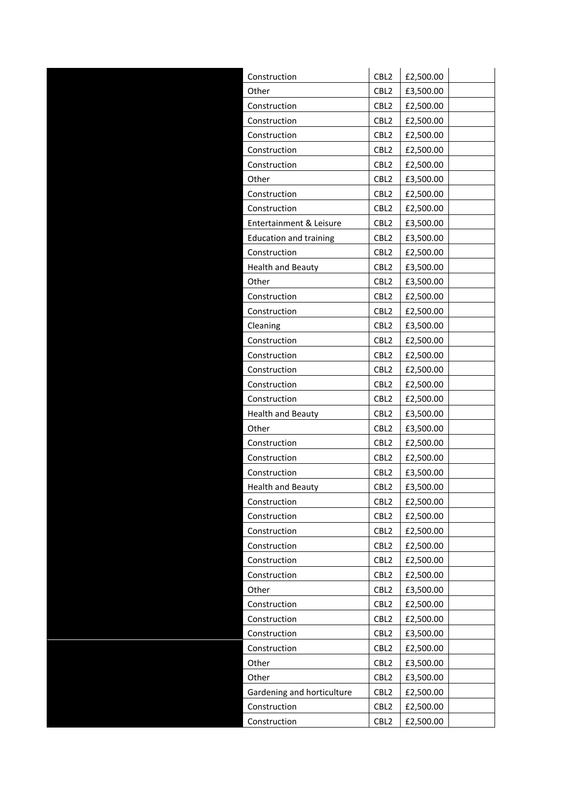| Construction                  | CBL <sub>2</sub> | £2,500.00 |
|-------------------------------|------------------|-----------|
| Other                         | CBL <sub>2</sub> | £3,500.00 |
| Construction                  | CBL <sub>2</sub> | £2,500.00 |
| Construction                  | CBL <sub>2</sub> | £2,500.00 |
| Construction                  | CBL <sub>2</sub> | £2,500.00 |
| Construction                  | CBL <sub>2</sub> | £2,500.00 |
| Construction                  | CBL <sub>2</sub> | £2,500.00 |
| Other                         | CBL <sub>2</sub> | £3,500.00 |
| Construction                  | CBL <sub>2</sub> | £2,500.00 |
| Construction                  | CBL <sub>2</sub> | £2,500.00 |
| Entertainment & Leisure       | CBL <sub>2</sub> | £3,500.00 |
| <b>Education and training</b> | CBL <sub>2</sub> | £3,500.00 |
| Construction                  | CBL <sub>2</sub> | £2,500.00 |
| <b>Health and Beauty</b>      | CBL <sub>2</sub> | £3,500.00 |
| Other                         | CBL <sub>2</sub> | £3,500.00 |
| Construction                  | CBL <sub>2</sub> | £2,500.00 |
| Construction                  | CBL <sub>2</sub> | £2,500.00 |
| Cleaning                      | CBL <sub>2</sub> | £3,500.00 |
| Construction                  | CBL <sub>2</sub> | £2,500.00 |
| Construction                  | CBL <sub>2</sub> | £2,500.00 |
| Construction                  | CBL <sub>2</sub> | £2,500.00 |
| Construction                  | CBL <sub>2</sub> | £2,500.00 |
| Construction                  | CBL <sub>2</sub> | £2,500.00 |
| <b>Health and Beauty</b>      | CBL <sub>2</sub> | £3,500.00 |
| Other                         | CBL <sub>2</sub> | £3,500.00 |
| Construction                  | CBL <sub>2</sub> | £2,500.00 |
| Construction                  | CBL <sub>2</sub> | £2,500.00 |
| Construction                  | CBL <sub>2</sub> | £3,500.00 |
| <b>Health and Beauty</b>      | CBL <sub>2</sub> | £3,500.00 |
| Construction                  | CBL <sub>2</sub> | £2,500.00 |
| Construction                  | CBL <sub>2</sub> | £2,500.00 |
| Construction                  | CBL <sub>2</sub> | £2,500.00 |
| Construction                  | CBL <sub>2</sub> | £2,500.00 |
| Construction                  | CBL <sub>2</sub> | £2,500.00 |
| Construction                  | CBL <sub>2</sub> | £2,500.00 |
| Other                         | CBL <sub>2</sub> | £3,500.00 |
| Construction                  | CBL <sub>2</sub> | £2,500.00 |
| Construction                  | CBL <sub>2</sub> | £2,500.00 |
| Construction                  | CBL <sub>2</sub> | £3,500.00 |
| Construction                  | CBL <sub>2</sub> | £2,500.00 |
| Other                         | CBL <sub>2</sub> | £3,500.00 |
| Other                         | CBL <sub>2</sub> | £3,500.00 |
| Gardening and horticulture    | CBL <sub>2</sub> | £2,500.00 |
| Construction                  | CBL <sub>2</sub> | £2,500.00 |
| Construction                  | CBL <sub>2</sub> | £2,500.00 |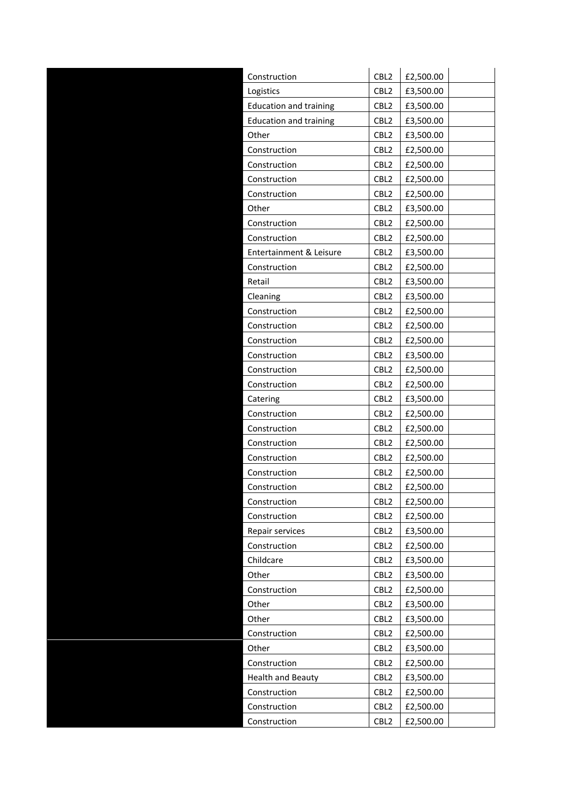| Construction                  | CBL <sub>2</sub> | £2,500.00 |
|-------------------------------|------------------|-----------|
| Logistics                     | CBL <sub>2</sub> | £3,500.00 |
| <b>Education and training</b> | CBL <sub>2</sub> | £3,500.00 |
| <b>Education and training</b> | CBL <sub>2</sub> | £3,500.00 |
| Other                         | CBL <sub>2</sub> | £3,500.00 |
| Construction                  | CBL <sub>2</sub> | £2,500.00 |
| Construction                  | CBL <sub>2</sub> | £2,500.00 |
| Construction                  | CBL <sub>2</sub> | £2,500.00 |
| Construction                  | CBL <sub>2</sub> | £2,500.00 |
| Other                         | CBL <sub>2</sub> | £3,500.00 |
| Construction                  | CBL <sub>2</sub> | £2,500.00 |
| Construction                  | CBL <sub>2</sub> | £2,500.00 |
| Entertainment & Leisure       | CBL <sub>2</sub> | £3,500.00 |
| Construction                  | CBL <sub>2</sub> | £2,500.00 |
| Retail                        | CBL <sub>2</sub> | £3,500.00 |
| Cleaning                      | CBL <sub>2</sub> | £3,500.00 |
| Construction                  | CBL <sub>2</sub> | £2,500.00 |
| Construction                  | CBL <sub>2</sub> | £2,500.00 |
| Construction                  | CBL <sub>2</sub> | £2,500.00 |
| Construction                  | CBL <sub>2</sub> | £3,500.00 |
| Construction                  | CBL <sub>2</sub> | £2,500.00 |
| Construction                  | CBL <sub>2</sub> | £2,500.00 |
| Catering                      | CBL <sub>2</sub> | £3,500.00 |
| Construction                  | CBL <sub>2</sub> | £2,500.00 |
| Construction                  | CBL <sub>2</sub> | £2,500.00 |
| Construction                  | CBL <sub>2</sub> | £2,500.00 |
| Construction                  | CBL <sub>2</sub> | £2,500.00 |
| Construction                  | CBL <sub>2</sub> | £2,500.00 |
| Construction                  | CBL <sub>2</sub> | £2,500.00 |
| Construction                  | CBL <sub>2</sub> | £2,500.00 |
| Construction                  | CBL <sub>2</sub> | £2,500.00 |
| Repair services               | CBL <sub>2</sub> | £3,500.00 |
| Construction                  | CBL <sub>2</sub> | £2,500.00 |
| Childcare                     | CBL <sub>2</sub> | £3,500.00 |
| Other                         | CBL <sub>2</sub> | £3,500.00 |
| Construction                  | CBL <sub>2</sub> | £2,500.00 |
| Other                         | CBL <sub>2</sub> | £3,500.00 |
| Other                         | CBL <sub>2</sub> | £3,500.00 |
| Construction                  | CBL <sub>2</sub> | £2,500.00 |
| Other                         | CBL <sub>2</sub> | £3,500.00 |
| Construction                  | CBL <sub>2</sub> | £2,500.00 |
| <b>Health and Beauty</b>      | CBL <sub>2</sub> | £3,500.00 |
| Construction                  | CBL <sub>2</sub> | £2,500.00 |
| Construction                  | CBL <sub>2</sub> | £2,500.00 |
| Construction                  | CBL <sub>2</sub> | £2,500.00 |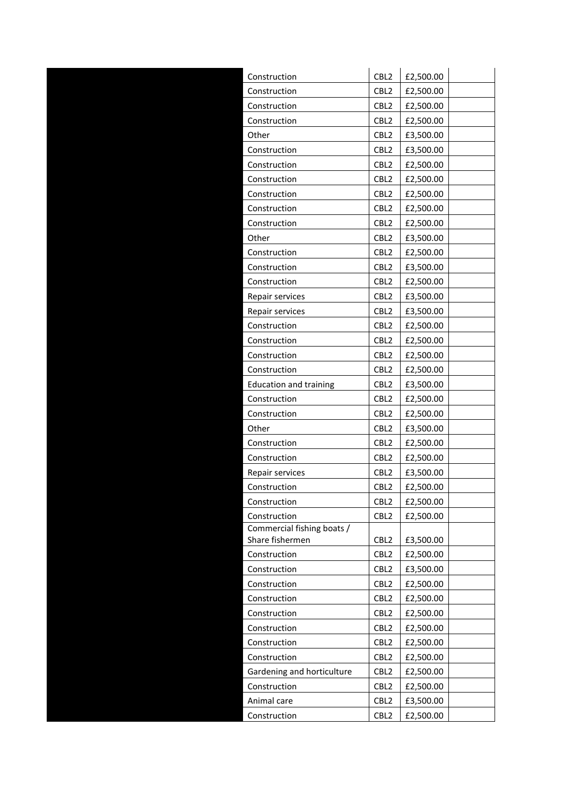|  | Construction                                                              | CBL <sub>2</sub>                                                             | £2,500.00                                        |
|--|---------------------------------------------------------------------------|------------------------------------------------------------------------------|--------------------------------------------------|
|  | Construction                                                              | CBL <sub>2</sub>                                                             | £2,500.00                                        |
|  | Construction                                                              | CBL <sub>2</sub>                                                             | £2,500.00                                        |
|  | Construction                                                              | CBL <sub>2</sub>                                                             | £2,500.00                                        |
|  | Other                                                                     | CBL <sub>2</sub>                                                             | £3,500.00                                        |
|  | Construction                                                              | CBL <sub>2</sub>                                                             | £3,500.00                                        |
|  | Construction                                                              | CBL <sub>2</sub>                                                             | £2,500.00                                        |
|  | Construction                                                              | CBL <sub>2</sub>                                                             | £2,500.00                                        |
|  | Construction                                                              | CBL <sub>2</sub>                                                             | £2,500.00                                        |
|  | Construction                                                              | CBL <sub>2</sub>                                                             | £2,500.00                                        |
|  | Construction                                                              | CBL <sub>2</sub>                                                             | £2,500.00                                        |
|  | Other                                                                     | CBL <sub>2</sub>                                                             | £3,500.00                                        |
|  | Construction                                                              | CBL <sub>2</sub>                                                             | £2,500.00                                        |
|  | Construction                                                              | CBL <sub>2</sub>                                                             | £3,500.00                                        |
|  | Construction                                                              | CBL <sub>2</sub>                                                             | £2,500.00                                        |
|  | Repair services                                                           | CBL <sub>2</sub>                                                             | £3,500.00                                        |
|  | Repair services                                                           | CBL <sub>2</sub>                                                             | £3,500.00                                        |
|  | Construction                                                              | CBL <sub>2</sub>                                                             | £2,500.00                                        |
|  | Construction                                                              | CBL <sub>2</sub>                                                             | £2,500.00                                        |
|  | Construction                                                              | CBL <sub>2</sub>                                                             | £2,500.00                                        |
|  | Construction                                                              | CBL <sub>2</sub>                                                             | £2,500.00                                        |
|  | <b>Education and training</b>                                             | CBL <sub>2</sub>                                                             | £3,500.00                                        |
|  | Construction                                                              | CBL <sub>2</sub>                                                             | £2,500.00                                        |
|  | Construction                                                              | CBL <sub>2</sub>                                                             | £2,500.00                                        |
|  | Other                                                                     | CBL <sub>2</sub>                                                             | £3,500.00                                        |
|  | Construction                                                              | CBL <sub>2</sub>                                                             | £2,500.00                                        |
|  | Construction                                                              | CBL <sub>2</sub>                                                             | £2,500.00                                        |
|  | Repair services                                                           | CBL <sub>2</sub>                                                             | £3,500.00                                        |
|  | Construction                                                              | CBL <sub>2</sub>                                                             | £2,500.00                                        |
|  | Construction                                                              | CBL <sub>2</sub>                                                             | £2,500.00                                        |
|  | Construction                                                              | CBL <sub>2</sub>                                                             | £2,500.00                                        |
|  | Commercial fishing boats /<br>Share fishermen                             | CBL <sub>2</sub>                                                             | £3,500.00                                        |
|  | Construction                                                              | CBL <sub>2</sub>                                                             | £2,500.00                                        |
|  | Construction                                                              | CBL <sub>2</sub>                                                             | £3,500.00                                        |
|  | Construction                                                              | CBL <sub>2</sub>                                                             | £2,500.00                                        |
|  | Construction                                                              | CBL <sub>2</sub>                                                             | £2,500.00                                        |
|  | Construction                                                              | CBL <sub>2</sub>                                                             | £2,500.00                                        |
|  | Construction                                                              | CBL <sub>2</sub>                                                             | £2,500.00                                        |
|  | Construction                                                              | CBL <sub>2</sub>                                                             | £2,500.00                                        |
|  | Construction                                                              | CBL <sub>2</sub>                                                             | £2,500.00                                        |
|  |                                                                           |                                                                              |                                                  |
|  |                                                                           |                                                                              |                                                  |
|  |                                                                           |                                                                              |                                                  |
|  |                                                                           |                                                                              |                                                  |
|  | Gardening and horticulture<br>Construction<br>Animal care<br>Construction | CBL <sub>2</sub><br>CBL <sub>2</sub><br>CBL <sub>2</sub><br>CBL <sub>2</sub> | £2,500.00<br>£2,500.00<br>£3,500.00<br>£2,500.00 |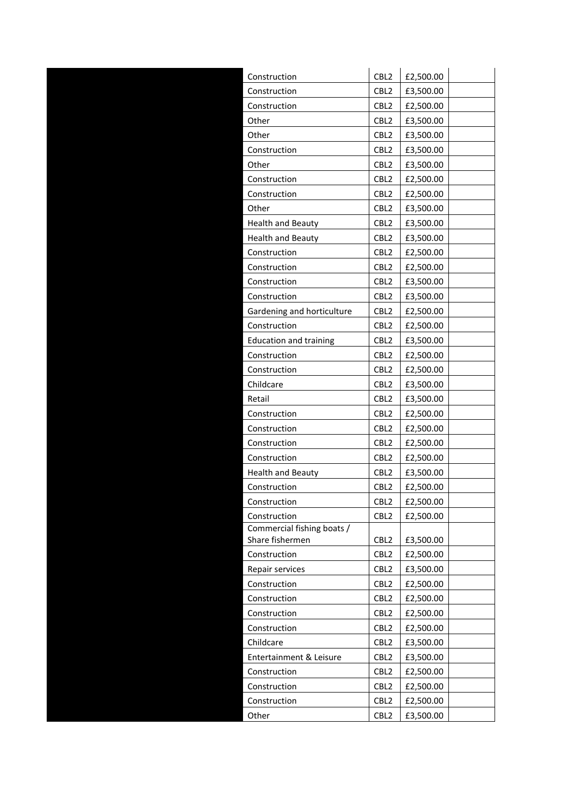| Construction                  | CBL <sub>2</sub> | £2,500.00 |
|-------------------------------|------------------|-----------|
| Construction                  | CBL <sub>2</sub> | £3,500.00 |
| Construction                  | CBL <sub>2</sub> | £2,500.00 |
| Other                         | CBL <sub>2</sub> | £3,500.00 |
| Other                         | CBL <sub>2</sub> | £3,500.00 |
| Construction                  | CBL <sub>2</sub> | £3,500.00 |
| Other                         | CBL <sub>2</sub> | £3,500.00 |
| Construction                  | CBL <sub>2</sub> | £2,500.00 |
| Construction                  | CBL <sub>2</sub> | £2,500.00 |
| Other                         | CBL <sub>2</sub> | £3,500.00 |
| <b>Health and Beauty</b>      | CBL <sub>2</sub> | £3,500.00 |
| <b>Health and Beauty</b>      | CBL <sub>2</sub> | £3,500.00 |
| Construction                  | CBL <sub>2</sub> | £2,500.00 |
| Construction                  | CBL <sub>2</sub> | £2,500.00 |
| Construction                  | CBL <sub>2</sub> | £3,500.00 |
| Construction                  | CBL <sub>2</sub> | £3,500.00 |
| Gardening and horticulture    | CBL <sub>2</sub> | £2,500.00 |
| Construction                  | CBL <sub>2</sub> | £2,500.00 |
| <b>Education and training</b> | CBL <sub>2</sub> | £3,500.00 |
| Construction                  | CBL <sub>2</sub> | £2,500.00 |
| Construction                  | CBL <sub>2</sub> | £2,500.00 |
| Childcare                     | CBL <sub>2</sub> | £3,500.00 |
| Retail                        | CBL <sub>2</sub> | £3,500.00 |
| Construction                  | CBL <sub>2</sub> | £2,500.00 |
| Construction                  | CBL <sub>2</sub> | £2,500.00 |
| Construction                  | CBL <sub>2</sub> | £2,500.00 |
| Construction                  | CBL <sub>2</sub> | £2,500.00 |
| <b>Health and Beauty</b>      | CBL <sub>2</sub> | £3,500.00 |
| Construction                  | CBL <sub>2</sub> | £2,500.00 |
| Construction                  | CBL <sub>2</sub> | £2,500.00 |
| Construction                  | CBL <sub>2</sub> | £2,500.00 |
| Commercial fishing boats /    |                  |           |
| Share fishermen               | CBL <sub>2</sub> | £3,500.00 |
| Construction                  | CBL <sub>2</sub> | £2,500.00 |
| Repair services               | CBL <sub>2</sub> | £3,500.00 |
| Construction                  | CBL <sub>2</sub> | £2,500.00 |
| Construction                  | CBL <sub>2</sub> | £2,500.00 |
| Construction                  | CBL <sub>2</sub> | £2,500.00 |
| Construction                  | CBL <sub>2</sub> | £2,500.00 |
| Childcare                     | CBL <sub>2</sub> | £3,500.00 |
| Entertainment & Leisure       | CBL <sub>2</sub> | £3,500.00 |
| Construction                  | CBL <sub>2</sub> | £2,500.00 |
| Construction                  | CBL <sub>2</sub> | £2,500.00 |
| Construction                  | CBL <sub>2</sub> | £2,500.00 |
| Other                         | CBL <sub>2</sub> | £3,500.00 |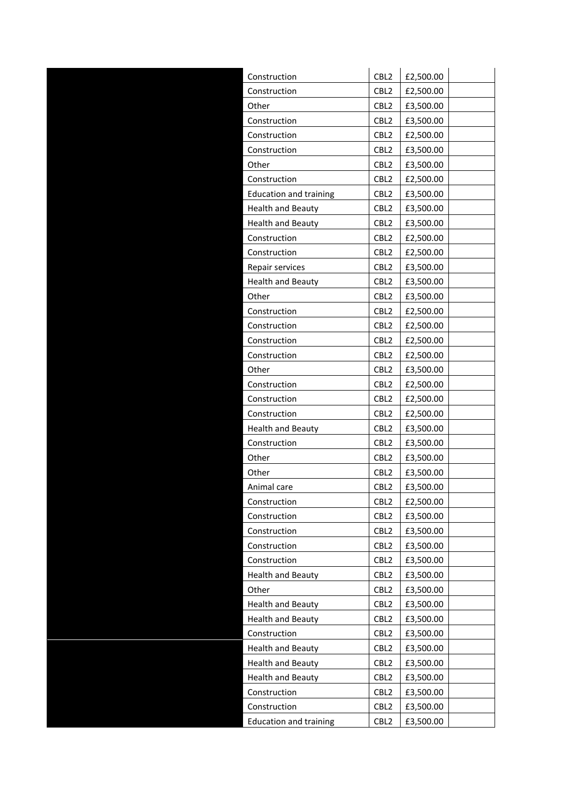| Construction                  | CBL <sub>2</sub>         | £2,500.00 |
|-------------------------------|--------------------------|-----------|
| Construction                  | CBL <sub>2</sub>         | £2,500.00 |
| Other                         | CBL <sub>2</sub>         | £3,500.00 |
| Construction                  | CBL <sub>2</sub>         | £3,500.00 |
| Construction                  | CBL <sub>2</sub>         | £2,500.00 |
| Construction                  | CBL <sub>2</sub>         | £3,500.00 |
| Other                         | CBL2                     | £3,500.00 |
| Construction                  | CBL <sub>2</sub>         | £2,500.00 |
| <b>Education and training</b> | CBL <sub>2</sub>         | £3,500.00 |
| <b>Health and Beauty</b>      | CBL <sub>2</sub>         | £3,500.00 |
| <b>Health and Beauty</b>      | CBL <sub>2</sub>         | £3,500.00 |
| Construction                  | CBL <sub>2</sub>         | £2,500.00 |
| Construction                  | CBL <sub>2</sub>         | £2,500.00 |
|                               |                          |           |
| Repair services               | CBL <sub>2</sub><br>CBL2 | £3,500.00 |
| <b>Health and Beauty</b>      |                          | £3,500.00 |
| Other                         | CBL <sub>2</sub>         | £3,500.00 |
| Construction                  | CBL <sub>2</sub>         | £2,500.00 |
| Construction                  | CBL <sub>2</sub>         | £2,500.00 |
| Construction                  | CBL <sub>2</sub>         | £2,500.00 |
| Construction                  | CBL <sub>2</sub>         | £2,500.00 |
| Other                         | CBL <sub>2</sub>         | £3,500.00 |
| Construction                  | CBL2                     | £2,500.00 |
| Construction                  | CBL <sub>2</sub>         | £2,500.00 |
| Construction                  | CBL <sub>2</sub>         | £2,500.00 |
| <b>Health and Beauty</b>      | CBL <sub>2</sub>         | £3,500.00 |
| Construction                  | CBL <sub>2</sub>         | £3,500.00 |
| Other                         | CBL <sub>2</sub>         | £3,500.00 |
| Other                         | CBL <sub>2</sub>         | £3,500.00 |
| Animal care                   | CBL <sub>2</sub>         | £3,500.00 |
| Construction                  | CBL <sub>2</sub>         | £2,500.00 |
| Construction                  | CBL <sub>2</sub>         | £3,500.00 |
| Construction                  | CBL <sub>2</sub>         | £3,500.00 |
| Construction                  | CBL <sub>2</sub>         | £3,500.00 |
| Construction                  | CBL2                     | £3,500.00 |
| <b>Health and Beauty</b>      | CBL <sub>2</sub>         | £3,500.00 |
| Other                         | CBL <sub>2</sub>         | £3,500.00 |
| <b>Health and Beauty</b>      | CBL <sub>2</sub>         | £3,500.00 |
| <b>Health and Beauty</b>      | CBL <sub>2</sub>         | £3,500.00 |
| Construction                  | CBL <sub>2</sub>         | £3,500.00 |
| <b>Health and Beauty</b>      | CBL <sub>2</sub>         | £3,500.00 |
| <b>Health and Beauty</b>      | CBL <sub>2</sub>         | £3,500.00 |
| <b>Health and Beauty</b>      | CBL <sub>2</sub>         | £3,500.00 |
| Construction                  | CBL <sub>2</sub>         | £3,500.00 |
| Construction                  | CBL2                     | £3,500.00 |
| <b>Education and training</b> | CBL <sub>2</sub>         | £3,500.00 |